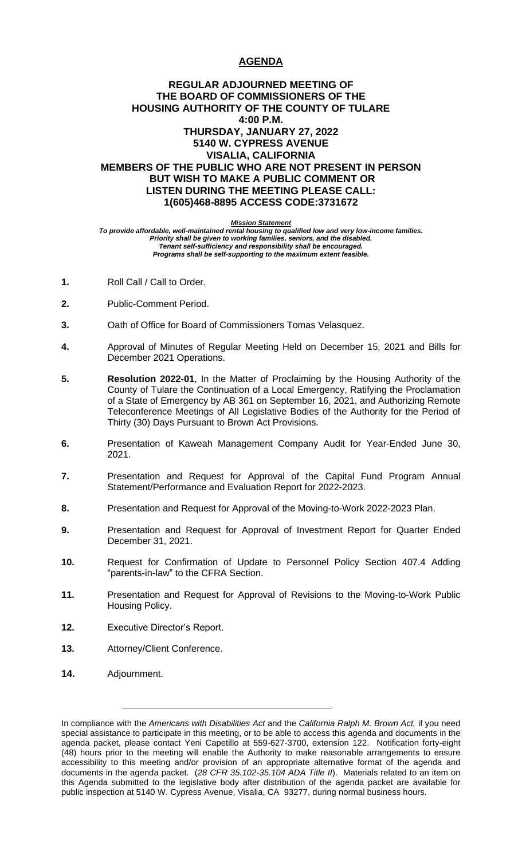# **AGENDA**

# **REGULAR ADJOURNED MEETING OF THE BOARD OF COMMISSIONERS OF THE HOUSING AUTHORITY OF THE COUNTY OF TULARE 4:00 P.M. THURSDAY, JANUARY 27, 2022 5140 W. CYPRESS AVENUE VISALIA, CALIFORNIA MEMBERS OF THE PUBLIC WHO ARE NOT PRESENT IN PERSON BUT WISH TO MAKE A PUBLIC COMMENT OR LISTEN DURING THE MEETING PLEASE CALL: 1(605)468-8895 ACCESS CODE:3731672**

#### *Mission Statement*

*To provide affordable, well-maintained rental housing to qualified low and very low-income families. Priority shall be given to working families, seniors, and the disabled. Tenant self-sufficiency and responsibility shall be encouraged. Programs shall be self-supporting to the maximum extent feasible.*

- **1.** Roll Call / Call to Order.
- **2.** Public-Comment Period.
- **3.** Oath of Office for Board of Commissioners Tomas Velasquez.
- **4.** Approval of Minutes of Regular Meeting Held on December 15, 2021 and Bills for December 2021 Operations.
- **5. Resolution 2022-01**, In the Matter of Proclaiming by the Housing Authority of the County of Tulare the Continuation of a Local Emergency, Ratifying the Proclamation of a State of Emergency by AB 361 on September 16, 2021, and Authorizing Remote Teleconference Meetings of All Legislative Bodies of the Authority for the Period of Thirty (30) Days Pursuant to Brown Act Provisions.
- **6.** Presentation of Kaweah Management Company Audit for Year-Ended June 30, 2021.
- **7.** Presentation and Request for Approval of the Capital Fund Program Annual Statement/Performance and Evaluation Report for 2022-2023.
- **8.** Presentation and Request for Approval of the Moving-to-Work 2022-2023 Plan.
- **9.** Presentation and Request for Approval of Investment Report for Quarter Ended December 31, 2021.
- **10.** Request for Confirmation of Update to Personnel Policy Section 407.4 Adding "parents-in-law" to the CFRA Section.
- **11.** Presentation and Request for Approval of Revisions to the Moving-to-Work Public Housing Policy.
- **12.** Executive Director's Report.
- **13.** Attorney/Client Conference.
- **14.** Adjournment.

\_\_\_\_\_\_\_\_\_\_\_\_\_\_\_\_\_\_\_\_\_\_\_\_\_\_\_\_\_\_\_\_\_\_\_\_\_\_\_\_\_\_\_\_

In compliance with the *Americans with Disabilities Act* and the *California Ralph M. Brown Act,* if you need special assistance to participate in this meeting, or to be able to access this agenda and documents in the agenda packet, please contact Yeni Capetillo at 559-627-3700, extension 122. Notification forty-eight (48) hours prior to the meeting will enable the Authority to make reasonable arrangements to ensure accessibility to this meeting and/or provision of an appropriate alternative format of the agenda and documents in the agenda packet. (*28 CFR 35.102-35.104 ADA Title II*). Materials related to an item on this Agenda submitted to the legislative body after distribution of the agenda packet are available for public inspection at 5140 W. Cypress Avenue, Visalia, CA 93277, during normal business hours.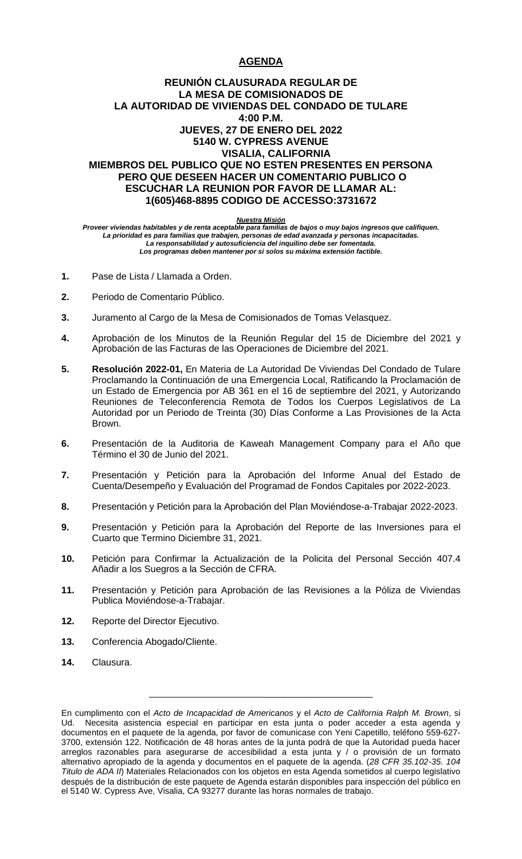# **AGENDA**

# **REUNIÓN CLAUSURADA REGULAR DE LA MESA DE COMISIONADOS DE LA AUTORIDAD DE VIVIENDAS DEL CONDADO DE TULARE 4:00 P.M. JUEVES, 27 DE ENERO DEL 2022 5140 W. CYPRESS AVENUE VISALIA, CALIFORNIA MIEMBROS DEL PUBLICO QUE NO ESTEN PRESENTES EN PERSONA PERO QUE DESEEN HACER UN COMENTARIO PUBLICO O ESCUCHAR LA REUNION POR FAVOR DE LLAMAR AL: 1(605)468-8895 CODIGO DE ACCESSO:3731672**

#### *Nuestra Misión*

*Proveer viviendas habitables y de renta aceptable para familias de bajos o muy bajos ingresos que califiquen. La prioridad es para familias que trabajen, personas de edad avanzada y personas incapacitadas. La responsabilidad y autosuficiencia del inquilino debe ser fomentada. Los programas deben mantener por si solos su máxima extensión factible.*

- **1.** Pase de Lista / Llamada a Orden.
- **2.** Periodo de Comentario Público.
- **3.** Juramento al Cargo de la Mesa de Comisionados de Tomas Velasquez.
- **4.** Aprobación de los Minutos de la Reunión Regular del 15 de Diciembre del 2021 y Aprobación de las Facturas de las Operaciones de Diciembre del 2021.
- **5. Resolución 2022-01,** En Materia de La Autoridad De Viviendas Del Condado de Tulare Proclamando la Continuación de una Emergencia Local, Ratificando la Proclamación de un Estado de Emergencia por AB 361 en el 16 de septiembre del 2021, y Autorizando Reuniones de Teleconferencia Remota de Todos los Cuerpos Legislativos de La Autoridad por un Periodo de Treinta (30) Días Conforme a Las Provisiones de la Acta Brown.
- **6.** Presentación de la Auditoria de Kaweah Management Company para el Año que Término el 30 de Junio del 2021.
- **7.** Presentación y Petición para la Aprobación del Informe Anual del Estado de Cuenta/Desempeño y Evaluación del Programad de Fondos Capitales por 2022-2023.
- **8.** Presentación y Petición para la Aprobación del Plan Moviéndose-a-Trabajar 2022-2023.
- **9.** Presentación y Petición para la Aprobación del Reporte de las Inversiones para el Cuarto que Termino Diciembre 31, 2021.
- **10.** Petición para Confirmar la Actualización de la Policita del Personal Sección 407.4 Añadir a los Suegros a la Sección de CFRA.
- **11.** Presentación y Petición para Aprobación de las Revisiones a la Póliza de Viviendas Publica Moviéndose-a-Trabajar.
- **12.** Reporte del Director Ejecutivo.
- **13.** Conferencia Abogado/Cliente.
- **14.** Clausura.

\_\_\_\_\_\_\_\_\_\_\_\_\_\_\_\_\_\_\_\_\_\_\_\_\_\_\_\_\_\_\_\_\_\_\_\_\_\_\_\_\_\_\_\_\_

En cumplimento con el *Acto de Incapacidad de Americanos* y el *Acto de California Ralph M. Brown*, si Ud. Necesita asistencia especial en participar en esta junta o poder acceder a esta agenda y documentos en el paquete de la agenda, por favor de comunicase con Yeni Capetillo, teléfono 559-627- 3700, extensión 122. Notificación de 48 horas antes de la junta podrá de que la Autoridad pueda hacer arreglos razonables para asegurarse de accesibilidad a esta junta y / o provisión de un formato alternativo apropiado de la agenda y documentos en el paquete de la agenda. (*28 CFR 35.102-35. 104 Titulo de ADA II*) Materiales Relacionados con los objetos en esta Agenda sometidos al cuerpo legislativo después de la distribución de este paquete de Agenda estarán disponibles para inspección del público en el 5140 W. Cypress Ave, Visalia, CA 93277 durante las horas normales de trabajo.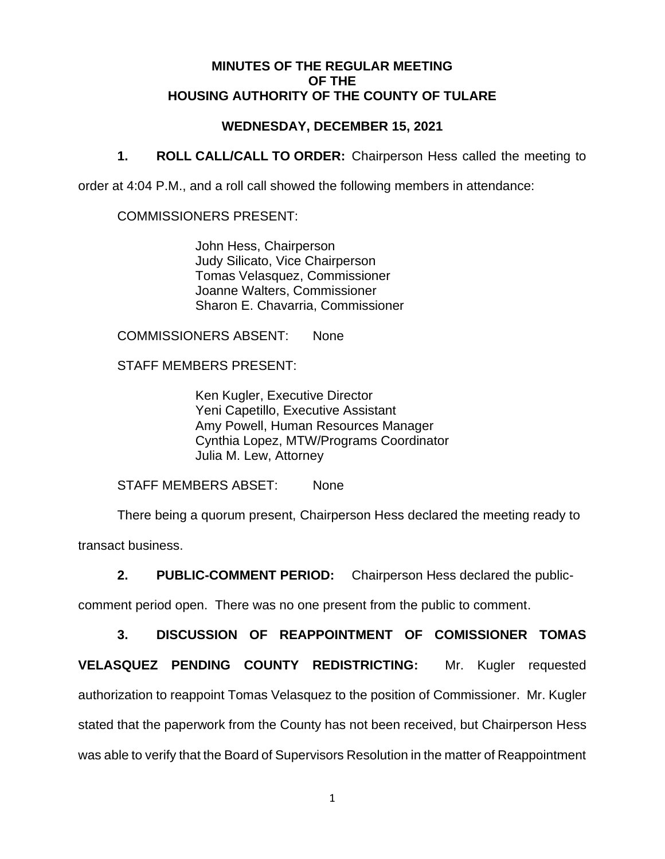## **MINUTES OF THE REGULAR MEETING OF THE HOUSING AUTHORITY OF THE COUNTY OF TULARE**

# **WEDNESDAY, DECEMBER 15, 2021**

**1. ROLL CALL/CALL TO ORDER:** Chairperson Hess called the meeting to

order at 4:04 P.M., and a roll call showed the following members in attendance:

COMMISSIONERS PRESENT:

John Hess, Chairperson Judy Silicato, Vice Chairperson Tomas Velasquez, Commissioner Joanne Walters, Commissioner Sharon E. Chavarria, Commissioner

COMMISSIONERS ABSENT: None

STAFF MEMBERS PRESENT:

Ken Kugler, Executive Director Yeni Capetillo, Executive Assistant Amy Powell, Human Resources Manager Cynthia Lopez, MTW/Programs Coordinator Julia M. Lew, Attorney

STAFF MEMBERS ABSET: None

There being a quorum present, Chairperson Hess declared the meeting ready to transact business.

**2. PUBLIC-COMMENT PERIOD:** Chairperson Hess declared the public-

comment period open. There was no one present from the public to comment.

**3. DISCUSSION OF REAPPOINTMENT OF COMISSIONER TOMAS** 

**VELASQUEZ PENDING COUNTY REDISTRICTING:** Mr. Kugler requested authorization to reappoint Tomas Velasquez to the position of Commissioner. Mr. Kugler stated that the paperwork from the County has not been received, but Chairperson Hess was able to verify that the Board of Supervisors Resolution in the matter of Reappointment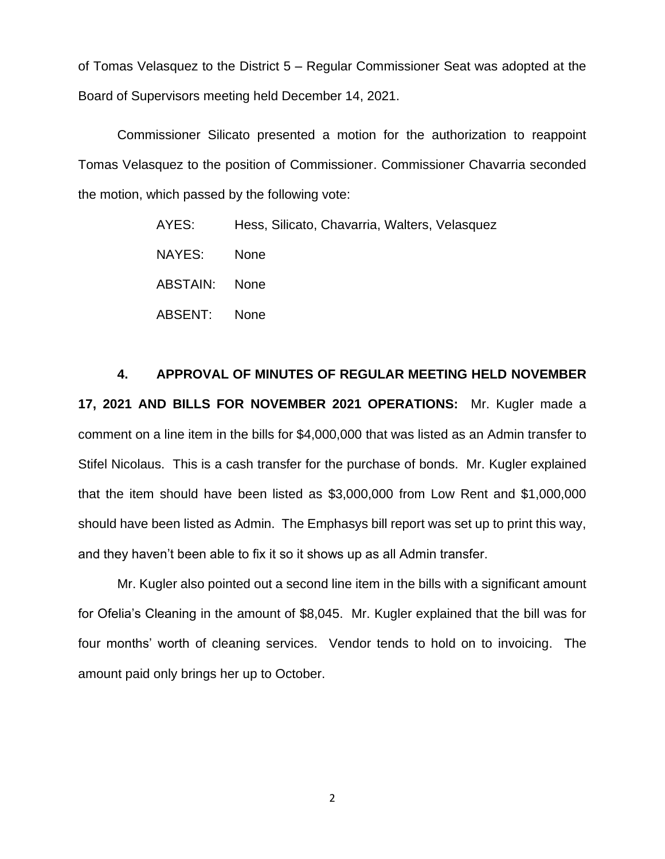of Tomas Velasquez to the District 5 – Regular Commissioner Seat was adopted at the Board of Supervisors meeting held December 14, 2021.

Commissioner Silicato presented a motion for the authorization to reappoint Tomas Velasquez to the position of Commissioner. Commissioner Chavarria seconded the motion, which passed by the following vote:

> AYES: Hess, Silicato, Chavarria, Walters, Velasquez NAYES: None ABSTAIN: None ABSENT: None

**4. APPROVAL OF MINUTES OF REGULAR MEETING HELD NOVEMBER 17, 2021 AND BILLS FOR NOVEMBER 2021 OPERATIONS:** Mr. Kugler made a comment on a line item in the bills for \$4,000,000 that was listed as an Admin transfer to Stifel Nicolaus. This is a cash transfer for the purchase of bonds. Mr. Kugler explained that the item should have been listed as \$3,000,000 from Low Rent and \$1,000,000 should have been listed as Admin. The Emphasys bill report was set up to print this way, and they haven't been able to fix it so it shows up as all Admin transfer.

Mr. Kugler also pointed out a second line item in the bills with a significant amount for Ofelia's Cleaning in the amount of \$8,045. Mr. Kugler explained that the bill was for four months' worth of cleaning services. Vendor tends to hold on to invoicing. The amount paid only brings her up to October.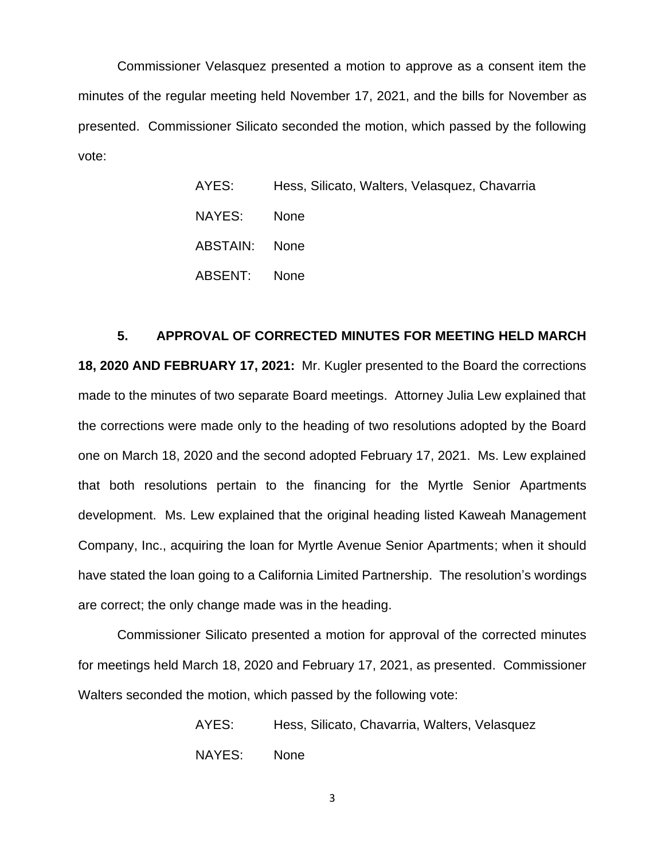Commissioner Velasquez presented a motion to approve as a consent item the minutes of the regular meeting held November 17, 2021, and the bills for November as presented. Commissioner Silicato seconded the motion, which passed by the following vote:

| AYES:    | Hess, Silicato, Walters, Velasquez, Chavarria |
|----------|-----------------------------------------------|
| NAYES:   | <b>None</b>                                   |
| ABSTAIN: | <b>None</b>                                   |
| ABSENT:  | <b>None</b>                                   |

### **5. APPROVAL OF CORRECTED MINUTES FOR MEETING HELD MARCH**

**18, 2020 AND FEBRUARY 17, 2021:** Mr. Kugler presented to the Board the corrections made to the minutes of two separate Board meetings. Attorney Julia Lew explained that the corrections were made only to the heading of two resolutions adopted by the Board one on March 18, 2020 and the second adopted February 17, 2021. Ms. Lew explained that both resolutions pertain to the financing for the Myrtle Senior Apartments development. Ms. Lew explained that the original heading listed Kaweah Management Company, Inc., acquiring the loan for Myrtle Avenue Senior Apartments; when it should have stated the loan going to a California Limited Partnership. The resolution's wordings are correct; the only change made was in the heading.

Commissioner Silicato presented a motion for approval of the corrected minutes for meetings held March 18, 2020 and February 17, 2021, as presented. Commissioner Walters seconded the motion, which passed by the following vote:

> AYES: Hess, Silicato, Chavarria, Walters, Velasquez NAYES: None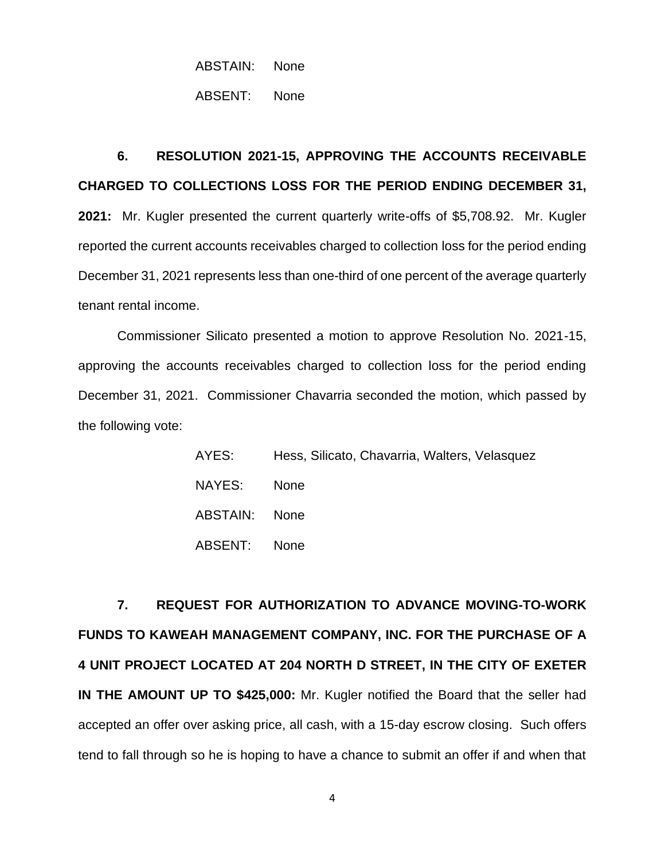# ABSTAIN: None

ABSENT: None

# **6. RESOLUTION 2021-15, APPROVING THE ACCOUNTS RECEIVABLE CHARGED TO COLLECTIONS LOSS FOR THE PERIOD ENDING DECEMBER 31,**

**2021:** Mr. Kugler presented the current quarterly write-offs of \$5,708.92. Mr. Kugler reported the current accounts receivables charged to collection loss for the period ending December 31, 2021 represents less than one-third of one percent of the average quarterly tenant rental income.

Commissioner Silicato presented a motion to approve Resolution No. 2021-15, approving the accounts receivables charged to collection loss for the period ending December 31, 2021. Commissioner Chavarria seconded the motion, which passed by the following vote:

| AYES:         | Hess, Silicato, Chavarria, Walters, Velasquez |
|---------------|-----------------------------------------------|
| NAYES:        | <b>None</b>                                   |
| ABSTAIN: None |                                               |
| ABSENT:       | <b>None</b>                                   |

**7. REQUEST FOR AUTHORIZATION TO ADVANCE MOVING-TO-WORK FUNDS TO KAWEAH MANAGEMENT COMPANY, INC. FOR THE PURCHASE OF A 4 UNIT PROJECT LOCATED AT 204 NORTH D STREET, IN THE CITY OF EXETER IN THE AMOUNT UP TO \$425,000:** Mr. Kugler notified the Board that the seller had accepted an offer over asking price, all cash, with a 15-day escrow closing. Such offers tend to fall through so he is hoping to have a chance to submit an offer if and when that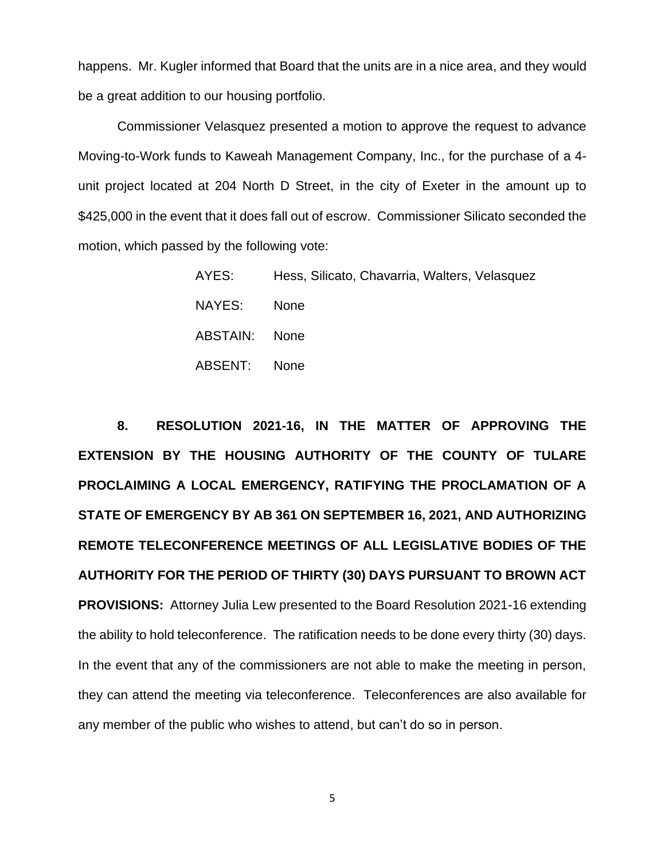happens. Mr. Kugler informed that Board that the units are in a nice area, and they would be a great addition to our housing portfolio.

Commissioner Velasquez presented a motion to approve the request to advance Moving-to-Work funds to Kaweah Management Company, Inc., for the purchase of a 4 unit project located at 204 North D Street, in the city of Exeter in the amount up to \$425,000 in the event that it does fall out of escrow. Commissioner Silicato seconded the motion, which passed by the following vote:

| AYES:         | Hess, Silicato, Chavarria, Walters, Velasquez |
|---------------|-----------------------------------------------|
| NAYES:        | <b>None</b>                                   |
| ABSTAIN: None |                                               |
| ABSENT: None  |                                               |

**8. RESOLUTION 2021-16, IN THE MATTER OF APPROVING THE EXTENSION BY THE HOUSING AUTHORITY OF THE COUNTY OF TULARE PROCLAIMING A LOCAL EMERGENCY, RATIFYING THE PROCLAMATION OF A STATE OF EMERGENCY BY AB 361 ON SEPTEMBER 16, 2021, AND AUTHORIZING REMOTE TELECONFERENCE MEETINGS OF ALL LEGISLATIVE BODIES OF THE AUTHORITY FOR THE PERIOD OF THIRTY (30) DAYS PURSUANT TO BROWN ACT PROVISIONS:** Attorney Julia Lew presented to the Board Resolution 2021-16 extending the ability to hold teleconference. The ratification needs to be done every thirty (30) days. In the event that any of the commissioners are not able to make the meeting in person, they can attend the meeting via teleconference. Teleconferences are also available for any member of the public who wishes to attend, but can't do so in person.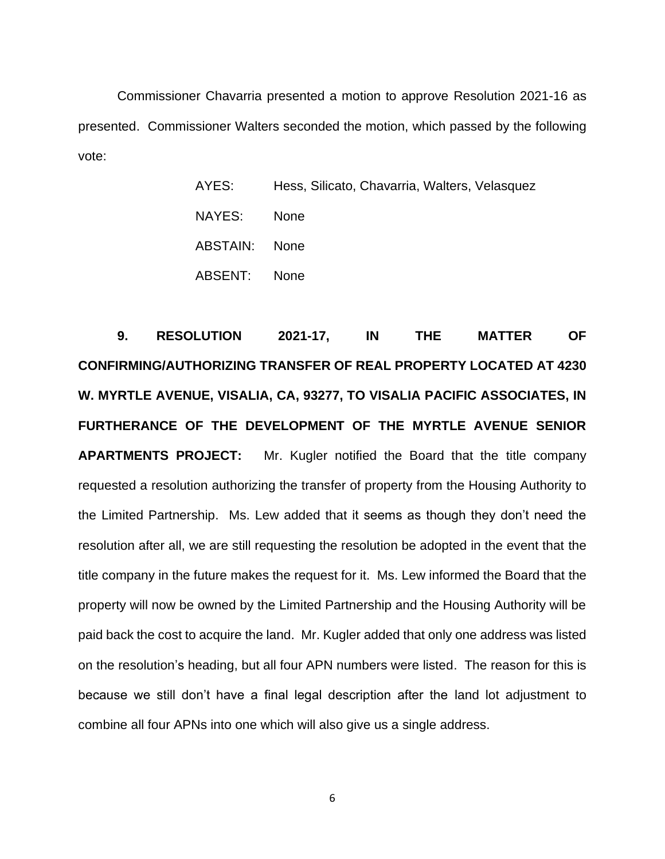Commissioner Chavarria presented a motion to approve Resolution 2021-16 as presented. Commissioner Walters seconded the motion, which passed by the following vote:

| AYES:         | Hess, Silicato, Chavarria, Walters, Velasquez |
|---------------|-----------------------------------------------|
| NAYES:        | <b>None</b>                                   |
| ABSTAIN: None |                                               |
| ABSENT: None  |                                               |

**9. RESOLUTION 2021-17, IN THE MATTER OF CONFIRMING/AUTHORIZING TRANSFER OF REAL PROPERTY LOCATED AT 4230 W. MYRTLE AVENUE, VISALIA, CA, 93277, TO VISALIA PACIFIC ASSOCIATES, IN FURTHERANCE OF THE DEVELOPMENT OF THE MYRTLE AVENUE SENIOR APARTMENTS PROJECT:** Mr. Kugler notified the Board that the title company requested a resolution authorizing the transfer of property from the Housing Authority to the Limited Partnership. Ms. Lew added that it seems as though they don't need the resolution after all, we are still requesting the resolution be adopted in the event that the title company in the future makes the request for it. Ms. Lew informed the Board that the property will now be owned by the Limited Partnership and the Housing Authority will be paid back the cost to acquire the land. Mr. Kugler added that only one address was listed on the resolution's heading, but all four APN numbers were listed. The reason for this is because we still don't have a final legal description after the land lot adjustment to combine all four APNs into one which will also give us a single address.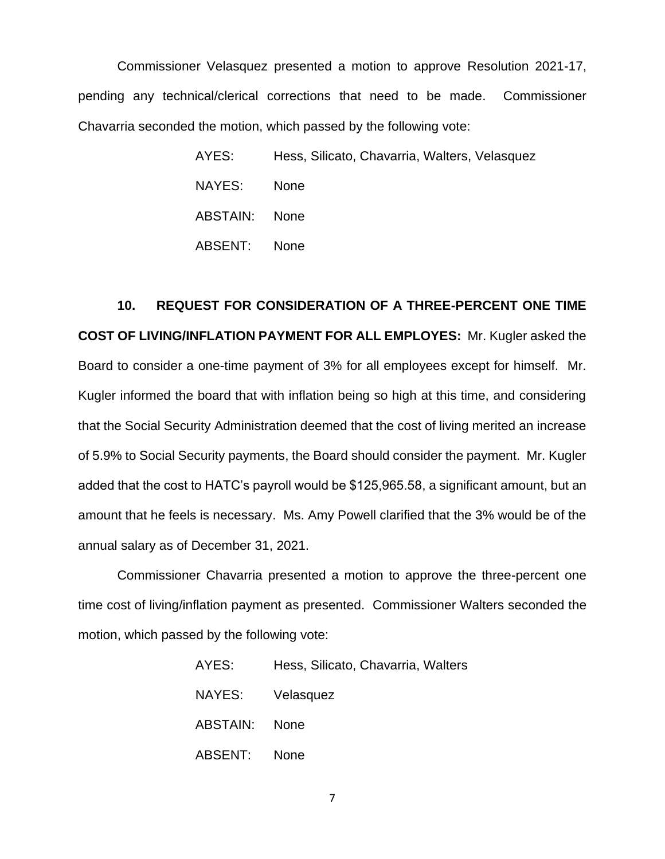Commissioner Velasquez presented a motion to approve Resolution 2021-17, pending any technical/clerical corrections that need to be made. Commissioner Chavarria seconded the motion, which passed by the following vote:

> AYES: Hess, Silicato, Chavarria, Walters, Velasquez NAYES: None ABSTAIN: None ABSENT: None

**10. REQUEST FOR CONSIDERATION OF A THREE-PERCENT ONE TIME COST OF LIVING/INFLATION PAYMENT FOR ALL EMPLOYES:** Mr. Kugler asked the Board to consider a one-time payment of 3% for all employees except for himself. Mr. Kugler informed the board that with inflation being so high at this time, and considering that the Social Security Administration deemed that the cost of living merited an increase of 5.9% to Social Security payments, the Board should consider the payment. Mr. Kugler added that the cost to HATC's payroll would be \$125,965.58, a significant amount, but an amount that he feels is necessary. Ms. Amy Powell clarified that the 3% would be of the annual salary as of December 31, 2021.

Commissioner Chavarria presented a motion to approve the three-percent one time cost of living/inflation payment as presented. Commissioner Walters seconded the motion, which passed by the following vote:

| AYES:            | Hess, Silicato, Chavarria, Walters |
|------------------|------------------------------------|
| NAYES: Velasquez |                                    |
| ABSTAIN: None    |                                    |
| ABSENT: None     |                                    |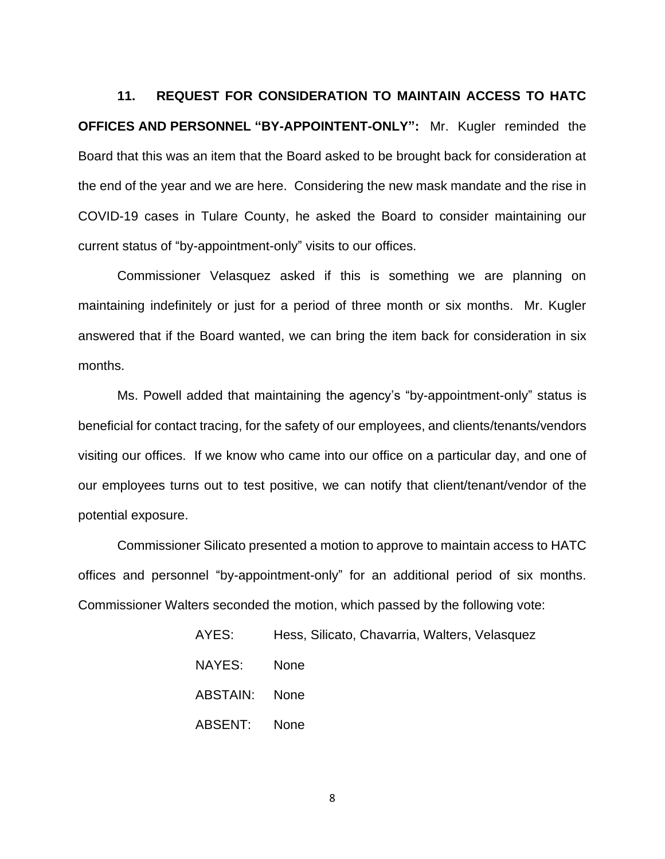**11. REQUEST FOR CONSIDERATION TO MAINTAIN ACCESS TO HATC OFFICES AND PERSONNEL "BY-APPOINTENT-ONLY":** Mr. Kugler reminded the Board that this was an item that the Board asked to be brought back for consideration at the end of the year and we are here. Considering the new mask mandate and the rise in COVID-19 cases in Tulare County, he asked the Board to consider maintaining our current status of "by-appointment-only" visits to our offices.

Commissioner Velasquez asked if this is something we are planning on maintaining indefinitely or just for a period of three month or six months. Mr. Kugler answered that if the Board wanted, we can bring the item back for consideration in six months.

Ms. Powell added that maintaining the agency's "by-appointment-only" status is beneficial for contact tracing, for the safety of our employees, and clients/tenants/vendors visiting our offices. If we know who came into our office on a particular day, and one of our employees turns out to test positive, we can notify that client/tenant/vendor of the potential exposure.

Commissioner Silicato presented a motion to approve to maintain access to HATC offices and personnel "by-appointment-only" for an additional period of six months. Commissioner Walters seconded the motion, which passed by the following vote:

| AYES:         | Hess, Silicato, Chavarria, Walters, Velasquez |
|---------------|-----------------------------------------------|
| NAYES:        | <b>None</b>                                   |
| ABSTAIN: None |                                               |
| ABSENT: None  |                                               |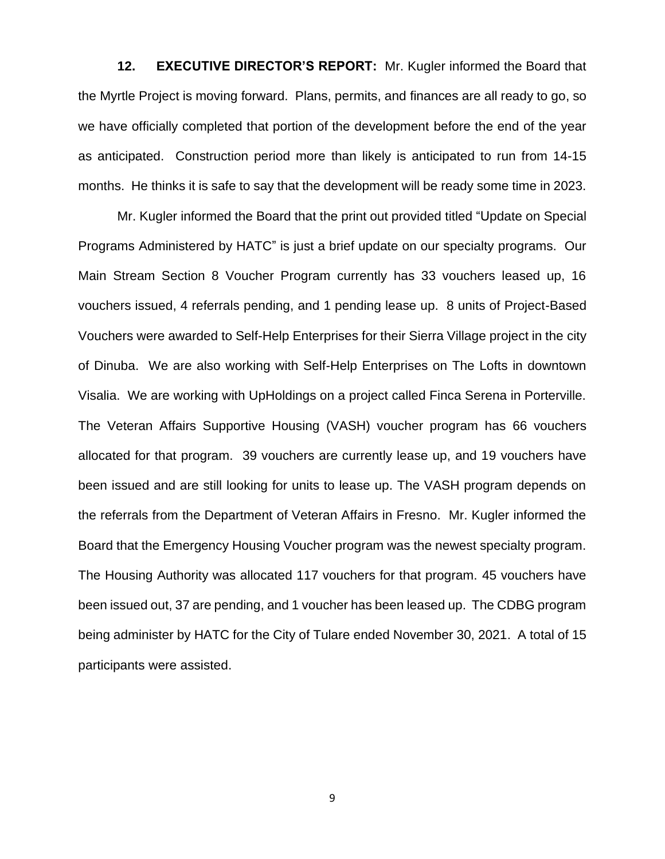**12. EXECUTIVE DIRECTOR'S REPORT:** Mr. Kugler informed the Board that the Myrtle Project is moving forward. Plans, permits, and finances are all ready to go, so we have officially completed that portion of the development before the end of the year as anticipated. Construction period more than likely is anticipated to run from 14-15 months. He thinks it is safe to say that the development will be ready some time in 2023.

Mr. Kugler informed the Board that the print out provided titled "Update on Special Programs Administered by HATC" is just a brief update on our specialty programs. Our Main Stream Section 8 Voucher Program currently has 33 vouchers leased up, 16 vouchers issued, 4 referrals pending, and 1 pending lease up. 8 units of Project-Based Vouchers were awarded to Self-Help Enterprises for their Sierra Village project in the city of Dinuba. We are also working with Self-Help Enterprises on The Lofts in downtown Visalia. We are working with UpHoldings on a project called Finca Serena in Porterville. The Veteran Affairs Supportive Housing (VASH) voucher program has 66 vouchers allocated for that program. 39 vouchers are currently lease up, and 19 vouchers have been issued and are still looking for units to lease up. The VASH program depends on the referrals from the Department of Veteran Affairs in Fresno. Mr. Kugler informed the Board that the Emergency Housing Voucher program was the newest specialty program. The Housing Authority was allocated 117 vouchers for that program. 45 vouchers have been issued out, 37 are pending, and 1 voucher has been leased up. The CDBG program being administer by HATC for the City of Tulare ended November 30, 2021. A total of 15 participants were assisted.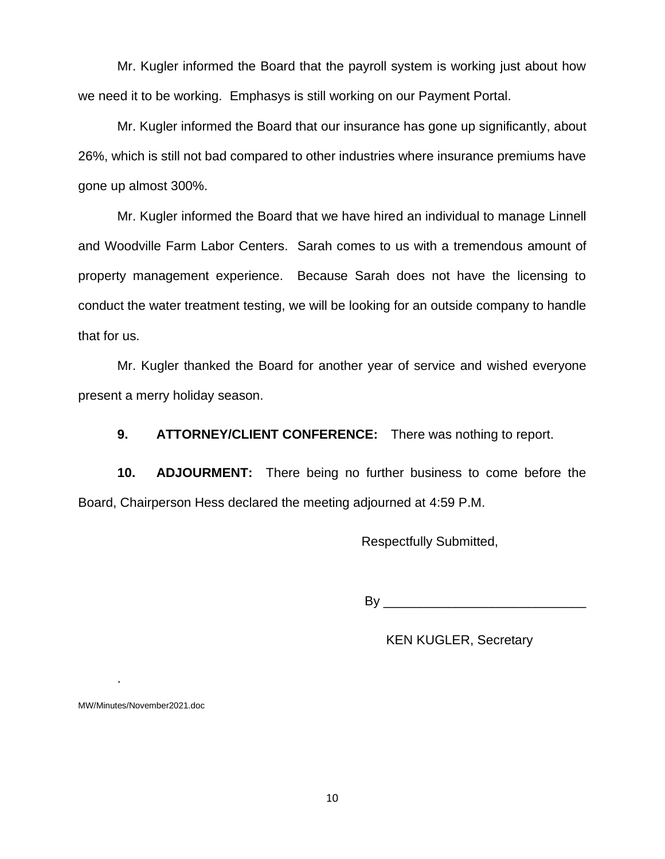Mr. Kugler informed the Board that the payroll system is working just about how we need it to be working. Emphasys is still working on our Payment Portal.

Mr. Kugler informed the Board that our insurance has gone up significantly, about 26%, which is still not bad compared to other industries where insurance premiums have gone up almost 300%.

Mr. Kugler informed the Board that we have hired an individual to manage Linnell and Woodville Farm Labor Centers. Sarah comes to us with a tremendous amount of property management experience. Because Sarah does not have the licensing to conduct the water treatment testing, we will be looking for an outside company to handle that for us.

Mr. Kugler thanked the Board for another year of service and wished everyone present a merry holiday season.

**9. ATTORNEY/CLIENT CONFERENCE:** There was nothing to report.

**10. ADJOURMENT:** There being no further business to come before the Board, Chairperson Hess declared the meeting adjourned at 4:59 P.M.

Respectfully Submitted,

By \_\_\_\_\_\_\_\_\_\_\_\_\_\_\_\_\_\_\_\_\_\_\_\_\_\_\_\_

KEN KUGLER, Secretary

MW/Minutes/November2021.doc

.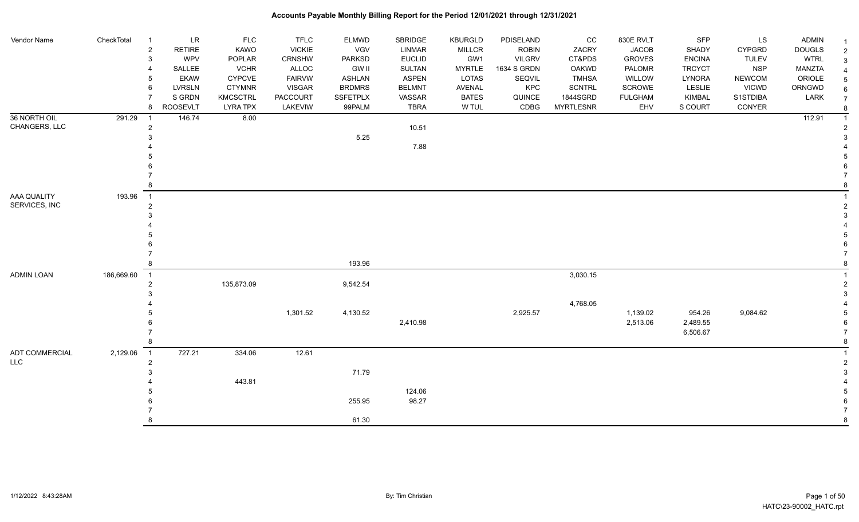| Vendor Name                  | CheckTotal | $\mathbf{1}$               | <b>LR</b>       | <b>FLC</b>      | <b>TFLC</b>   | ELMWD         | SBRIDGE       | <b>KBURGLD</b> | PDISELAND     | CC               | 830E RVLT      | SFP           | LS            | <b>ADMIN</b>  |  |
|------------------------------|------------|----------------------------|-----------------|-----------------|---------------|---------------|---------------|----------------|---------------|------------------|----------------|---------------|---------------|---------------|--|
|                              |            | $\sqrt{2}$                 | <b>RETIRE</b>   | KAWO            | <b>VICKIE</b> | VGV           | <b>LINMAR</b> | <b>MILLCR</b>  | <b>ROBIN</b>  | ZACRY            | <b>JACOB</b>   | SHADY         | <b>CYPGRD</b> | <b>DOUGLS</b> |  |
|                              |            | $\mathbf{3}$               | <b>WPV</b>      | POPLAR          | CRNSHW        | <b>PARKSD</b> | <b>EUCLID</b> | GW1            | <b>VILGRV</b> | CT&PDS           | <b>GROVES</b>  | <b>ENCINA</b> | <b>TULEV</b>  | <b>WTRL</b>   |  |
|                              |            | $\overline{4}$             | SALLEE          | <b>VCHR</b>     | ALLOC         | <b>GW II</b>  | <b>SULTAN</b> | <b>MYRTLE</b>  | 1634 S GRDN   | OAKWD            | PALOMR         | <b>TRCYCT</b> | <b>NSP</b>    | MANZTA        |  |
|                              |            | $5\phantom{.0}$            | <b>EKAW</b>     | <b>CYPCVE</b>   | <b>FAIRVW</b> | <b>ASHLAN</b> | <b>ASPEN</b>  | LOTAS          | SEQVIL        | <b>TMHSA</b>     | WILLOW         | <b>LYNORA</b> | <b>NEWCOM</b> | ORIOLE        |  |
|                              |            | 6                          | <b>LVRSLN</b>   | <b>CTYMNR</b>   | <b>VISGAR</b> | <b>BRDMRS</b> | <b>BELMNT</b> | AVENAL         | KPC           | SCNTRL           | <b>SCROWE</b>  | <b>LESLIE</b> | <b>VICWD</b>  | ORNGWD        |  |
|                              |            | 7                          | S GRDN          | <b>KMCSCTRL</b> | PACCOURT      | SSFETPLX      | VASSAR        | <b>BATES</b>   | QUINCE        | 1844SGRD         | <b>FULGHAM</b> | KIMBAL        | S1STDIBA      | LARK          |  |
|                              |            | 8                          | <b>ROOSEVLT</b> | <b>LYRA TPX</b> | LAKEVIW       | 99PALM        | <b>TBRA</b>   | W TUL          | CDBG          | <b>MYRTLESNR</b> | EHV            | S COURT       | CONYER        |               |  |
| 36 NORTH OIL                 | 291.29     | $\overline{1}$             | 146.74          | 8.00            |               |               |               |                |               |                  |                |               |               | 112.91        |  |
| CHANGERS, LLC                |            | $\overline{c}$             |                 |                 |               |               | 10.51         |                |               |                  |                |               |               |               |  |
|                              |            | 3                          |                 |                 |               | 5.25          |               |                |               |                  |                |               |               |               |  |
|                              |            |                            |                 |                 |               |               | 7.88          |                |               |                  |                |               |               |               |  |
|                              |            |                            |                 |                 |               |               |               |                |               |                  |                |               |               |               |  |
|                              |            |                            |                 |                 |               |               |               |                |               |                  |                |               |               |               |  |
|                              |            |                            |                 |                 |               |               |               |                |               |                  |                |               |               |               |  |
|                              |            | 8                          |                 |                 |               |               |               |                |               |                  |                |               |               |               |  |
| AAA QUALITY                  | 193.96     | $\overline{\phantom{a}}$   |                 |                 |               |               |               |                |               |                  |                |               |               |               |  |
| SERVICES, INC                |            | $\overline{2}$             |                 |                 |               |               |               |                |               |                  |                |               |               |               |  |
|                              |            | 3                          |                 |                 |               |               |               |                |               |                  |                |               |               |               |  |
|                              |            |                            |                 |                 |               |               |               |                |               |                  |                |               |               |               |  |
|                              |            |                            |                 |                 |               |               |               |                |               |                  |                |               |               |               |  |
|                              |            |                            |                 |                 |               |               |               |                |               |                  |                |               |               |               |  |
|                              |            |                            |                 |                 |               |               |               |                |               |                  |                |               |               |               |  |
|                              |            | 8                          |                 |                 |               | 193.96        |               |                |               |                  |                |               |               |               |  |
| <b>ADMIN LOAN</b>            | 186,669.60 | $\overline{\phantom{0}}$ 1 |                 |                 |               |               |               |                |               | 3,030.15         |                |               |               |               |  |
|                              |            | $\overline{\mathbf{c}}$    |                 | 135,873.09      |               | 9,542.54      |               |                |               |                  |                |               |               |               |  |
|                              |            | 3                          |                 |                 |               |               |               |                |               |                  |                |               |               |               |  |
|                              |            |                            |                 |                 |               |               |               |                |               | 4,768.05         |                |               |               |               |  |
|                              |            |                            |                 |                 | 1,301.52      | 4,130.52      |               |                | 2,925.57      |                  | 1,139.02       | 954.26        | 9,084.62      |               |  |
|                              |            |                            |                 |                 |               |               | 2,410.98      |                |               |                  | 2,513.06       | 2,489.55      |               |               |  |
|                              |            |                            |                 |                 |               |               |               |                |               |                  |                | 6,506.67      |               |               |  |
|                              |            | 8                          |                 |                 |               |               |               |                |               |                  |                |               |               |               |  |
| ADT COMMERCIAL<br><b>LLC</b> | 2,129.06   | $\overline{1}$             | 727.21          | 334.06          | 12.61         |               |               |                |               |                  |                |               |               |               |  |
|                              |            | $\overline{c}$<br>3        |                 |                 |               | 71.79         |               |                |               |                  |                |               |               |               |  |
|                              |            |                            |                 | 443.81          |               |               |               |                |               |                  |                |               |               |               |  |
|                              |            |                            |                 |                 |               |               | 124.06        |                |               |                  |                |               |               |               |  |
|                              |            |                            |                 |                 |               | 255.95        | 98.27         |                |               |                  |                |               |               |               |  |
|                              |            |                            |                 |                 |               |               |               |                |               |                  |                |               |               |               |  |
|                              |            | 8                          |                 |                 |               | 61.30         |               |                |               |                  |                |               |               |               |  |
|                              |            |                            |                 |                 |               |               |               |                |               |                  |                |               |               |               |  |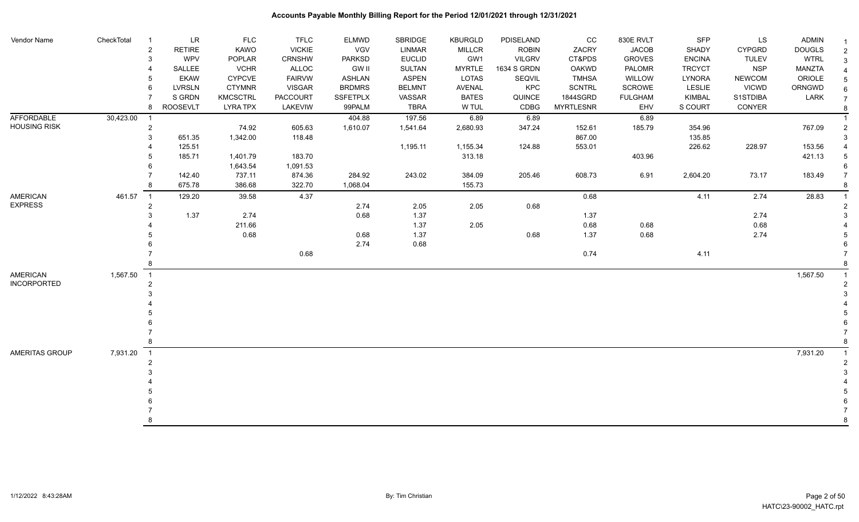| Vendor Name         | CheckTotal | -1             | LR              | <b>FLC</b>      | <b>TFLC</b>   | <b>ELMWD</b>    | SBRIDGE       | <b>KBURGLD</b> | PDISELAND     | cc               | 830E RVLT      | SFP           | LS            | <b>ADMIN</b>  |                |
|---------------------|------------|----------------|-----------------|-----------------|---------------|-----------------|---------------|----------------|---------------|------------------|----------------|---------------|---------------|---------------|----------------|
|                     |            | $\overline{2}$ | <b>RETIRE</b>   | KAWO            | <b>VICKIE</b> | <b>VGV</b>      | <b>LINMAR</b> | MILLCR         | <b>ROBIN</b>  | ZACRY            | <b>JACOB</b>   | SHADY         | <b>CYPGRD</b> | <b>DOUGLS</b> | $\overline{2}$ |
|                     |            | 3              | WPV             | POPLAR          | CRNSHW        | <b>PARKSD</b>   | <b>EUCLID</b> | GW1            | <b>VILGRV</b> | CT&PDS           | <b>GROVES</b>  | <b>ENCINA</b> | <b>TULEV</b>  | <b>WTRL</b>   | 3              |
|                     |            |                | SALLEE          | <b>VCHR</b>     | ALLOC         | <b>GW II</b>    | SULTAN        | <b>MYRTLE</b>  | 1634 S GRDN   | <b>OAKWD</b>     | PALOMR         | <b>TRCYCT</b> | <b>NSP</b>    | MANZTA        |                |
|                     |            |                | EKAW            | <b>CYPCVE</b>   | <b>FAIRVW</b> | <b>ASHLAN</b>   | <b>ASPEN</b>  | <b>LOTAS</b>   | SEQVIL        | <b>TMHSA</b>     | WILLOW         | <b>LYNORA</b> | <b>NEWCOM</b> | ORIOLE        |                |
|                     |            | 6              | <b>LVRSLN</b>   | <b>CTYMNR</b>   | <b>VISGAR</b> | <b>BRDMRS</b>   | <b>BELMNT</b> | AVENAL         | KPC           | <b>SCNTRL</b>    | SCROWE         | <b>LESLIE</b> | <b>VICWD</b>  | ORNGWD        |                |
|                     |            |                | S GRDN          | <b>KMCSCTRL</b> | PACCOURT      | <b>SSFETPLX</b> | VASSAR        | <b>BATES</b>   | QUINCE        | 1844SGRD         | <b>FULGHAM</b> | KIMBAL        | S1STDIBA      | LARK          |                |
|                     |            | 8              | <b>ROOSEVLT</b> | <b>LYRA TPX</b> | LAKEVIW       | 99PALM          | <b>TBRA</b>   | W TUL          | CDBG          | <b>MYRTLESNR</b> | EHV            | S COURT       | CONYER        |               |                |
| AFFORDABLE          | 30,423.00  | -1             |                 |                 |               | 404.88          | 197.56        | 6.89           | 6.89          |                  | 6.89           |               |               |               |                |
| <b>HOUSING RISK</b> |            | $\overline{2}$ |                 | 74.92           | 605.63        | 1,610.07        | 1,541.64      | 2,680.93       | 347.24        | 152.61           | 185.79         | 354.96        |               | 767.09        |                |
|                     |            | 3              | 651.35          | 1,342.00        | 118.48        |                 |               |                |               | 867.00           |                | 135.85        |               |               |                |
|                     |            |                | 125.51          |                 |               |                 | 1,195.11      | 1,155.34       | 124.88        | 553.01           |                | 226.62        | 228.97        | 153.56        |                |
|                     |            |                | 185.71          | 1,401.79        | 183.70        |                 |               | 313.18         |               |                  | 403.96         |               |               | 421.13        |                |
|                     |            | 6              |                 | 1,643.54        | 1,091.53      |                 |               |                |               |                  |                |               |               |               |                |
|                     |            |                | 142.40          | 737.11          | 874.36        | 284.92          | 243.02        | 384.09         | 205.46        | 608.73           | 6.91           | 2,604.20      | 73.17         | 183.49        |                |
|                     |            | -8             | 675.78          | 386.68          | 322.70        | 1,068.04        |               | 155.73         |               |                  |                |               |               |               |                |
| <b>AMERICAN</b>     | 461.57     | $\overline{1}$ | 129.20          | 39.58           | 4.37          |                 |               |                |               | 0.68             |                | 4.11          | 2.74          | 28.83         |                |
| <b>EXPRESS</b>      |            | $\overline{2}$ |                 |                 |               | 2.74            | 2.05          | 2.05           | 0.68          |                  |                |               |               |               |                |
|                     |            |                | 1.37            | 2.74            |               | 0.68            | 1.37          |                |               | 1.37             |                |               | 2.74          |               |                |
|                     |            |                |                 | 211.66          |               |                 | 1.37          | 2.05           |               | 0.68             | 0.68           |               | 0.68          |               |                |
|                     |            |                |                 | 0.68            |               | 0.68            | 1.37          |                | 0.68          | 1.37             | 0.68           |               | 2.74          |               |                |
|                     |            |                |                 |                 |               | 2.74            | 0.68          |                |               |                  |                |               |               |               |                |
|                     |            |                |                 |                 | 0.68          |                 |               |                |               | 0.74             |                | 4.11          |               |               |                |
|                     |            |                |                 |                 |               |                 |               |                |               |                  |                |               |               |               |                |
| <b>AMERICAN</b>     | 1,567.50   | $\overline{1}$ |                 |                 |               |                 |               |                |               |                  |                |               |               | 1,567.50      |                |
| <b>INCORPORTED</b>  |            | $\overline{2}$ |                 |                 |               |                 |               |                |               |                  |                |               |               |               |                |
|                     |            |                |                 |                 |               |                 |               |                |               |                  |                |               |               |               |                |
|                     |            |                |                 |                 |               |                 |               |                |               |                  |                |               |               |               |                |
|                     |            |                |                 |                 |               |                 |               |                |               |                  |                |               |               |               |                |
|                     |            |                |                 |                 |               |                 |               |                |               |                  |                |               |               |               |                |
|                     |            |                |                 |                 |               |                 |               |                |               |                  |                |               |               |               |                |
|                     |            |                |                 |                 |               |                 |               |                |               |                  |                |               |               |               |                |
| AMERITAS GROUP      | 7,931.20   | $\overline{1}$ |                 |                 |               |                 |               |                |               |                  |                |               |               | 7,931.20      |                |
|                     |            |                |                 |                 |               |                 |               |                |               |                  |                |               |               |               |                |
|                     |            |                |                 |                 |               |                 |               |                |               |                  |                |               |               |               |                |
|                     |            |                |                 |                 |               |                 |               |                |               |                  |                |               |               |               |                |
|                     |            |                |                 |                 |               |                 |               |                |               |                  |                |               |               |               |                |
|                     |            |                |                 |                 |               |                 |               |                |               |                  |                |               |               |               |                |
|                     |            |                |                 |                 |               |                 |               |                |               |                  |                |               |               |               |                |
|                     |            |                |                 |                 |               |                 |               |                |               |                  |                |               |               |               | 8              |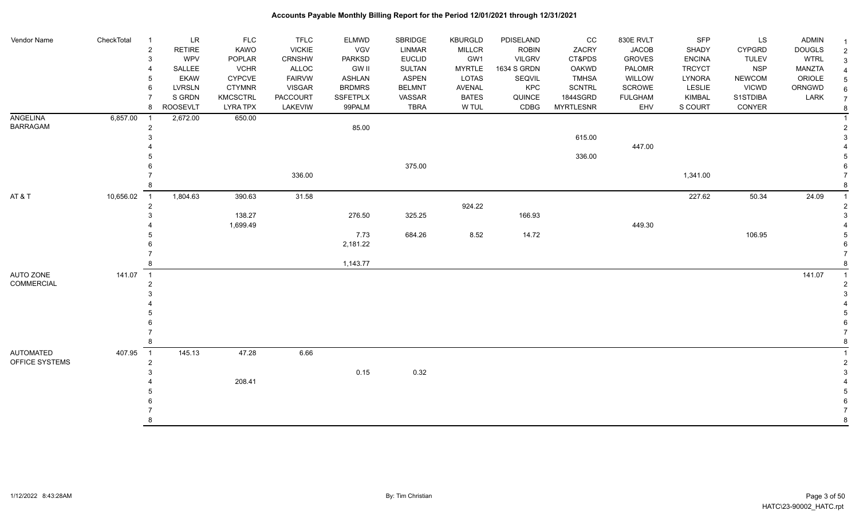| Vendor Name       | CheckTotal | - 1            | LR              | <b>FLC</b>      | <b>TFLC</b>     | ELMWD           | SBRIDGE       | <b>KBURGLD</b> | PDISELAND     | CC               | 830E RVLT      | SFP           | LS            | <b>ADMIN</b>  |                |
|-------------------|------------|----------------|-----------------|-----------------|-----------------|-----------------|---------------|----------------|---------------|------------------|----------------|---------------|---------------|---------------|----------------|
|                   |            | $\overline{2}$ | <b>RETIRE</b>   | <b>KAWO</b>     | <b>VICKIE</b>   | <b>VGV</b>      | <b>LINMAR</b> | <b>MILLCR</b>  | <b>ROBIN</b>  | ZACRY            | <b>JACOB</b>   | SHADY         | <b>CYPGRD</b> | <b>DOUGLS</b> | 2              |
|                   |            | 3              | <b>WPV</b>      | <b>POPLAR</b>   | <b>CRNSHW</b>   | PARKSD          | <b>EUCLID</b> | GW1            | <b>VILGRV</b> | CT&PDS           | <b>GROVES</b>  | <b>ENCINA</b> | <b>TULEV</b>  | <b>WTRL</b>   | 3              |
|                   |            |                | SALLEE          | <b>VCHR</b>     | <b>ALLOC</b>    | <b>GW II</b>    | <b>SULTAN</b> | <b>MYRTLE</b>  | 1634 S GRDN   | <b>OAKWD</b>     | PALOMR         | <b>TRCYCT</b> | <b>NSP</b>    | <b>MANZTA</b> |                |
|                   |            |                | <b>EKAW</b>     | <b>CYPCVE</b>   | <b>FAIRVW</b>   | ASHLAN          | <b>ASPEN</b>  | <b>LOTAS</b>   | SEQVIL        | <b>TMHSA</b>     | WILLOW         | <b>LYNORA</b> | <b>NEWCOM</b> | ORIOLE        |                |
|                   |            | 6              | <b>LVRSLN</b>   | <b>CTYMNR</b>   | <b>VISGAR</b>   | <b>BRDMRS</b>   | <b>BELMNT</b> | AVENAL         | KPC           | <b>SCNTRL</b>    | <b>SCROWE</b>  | <b>LESLIE</b> | <b>VICWD</b>  | ORNGWD        | 6              |
|                   |            |                | S GRDN          | <b>KMCSCTRL</b> | <b>PACCOURT</b> | <b>SSFETPLX</b> | VASSAR        | <b>BATES</b>   | QUINCE        | 1844SGRD         | <b>FULGHAM</b> | <b>KIMBAL</b> | S1STDIBA      | LARK          | $\overline{7}$ |
|                   |            | 8              | <b>ROOSEVLT</b> | <b>LYRA TPX</b> | LAKEVIW         | 99PALM          | <b>TBRA</b>   | W TUL          | CDBG          | <b>MYRTLESNR</b> | EHV            | S COURT       | CONYER        |               |                |
| ANGELINA          | 6,857.00   | $\overline{1}$ | 2,672.00        | 650.00          |                 |                 |               |                |               |                  |                |               |               |               |                |
| <b>BARRAGAM</b>   |            | $\overline{2}$ |                 |                 |                 | 85.00           |               |                |               |                  |                |               |               |               |                |
|                   |            |                |                 |                 |                 |                 |               |                |               | 615.00           |                |               |               |               |                |
|                   |            |                |                 |                 |                 |                 |               |                |               |                  | 447.00         |               |               |               |                |
|                   |            |                |                 |                 |                 |                 |               |                |               | 336.00           |                |               |               |               |                |
|                   |            |                |                 |                 |                 |                 | 375.00        |                |               |                  |                |               |               |               |                |
|                   |            |                |                 |                 | 336.00          |                 |               |                |               |                  |                | 1,341.00      |               |               |                |
|                   |            |                |                 |                 |                 |                 |               |                |               |                  |                |               |               |               |                |
| AT&T              | 10,656.02  | $\overline{1}$ | 1,804.63        | 390.63          | 31.58           |                 |               |                |               |                  |                | 227.62        | 50.34         | 24.09         |                |
|                   |            | $\overline{2}$ |                 |                 |                 |                 |               | 924.22         |               |                  |                |               |               |               |                |
|                   |            |                |                 | 138.27          |                 | 276.50          | 325.25        |                | 166.93        |                  |                |               |               |               |                |
|                   |            |                |                 | 1,699.49        |                 |                 |               |                |               |                  | 449.30         |               |               |               |                |
|                   |            |                |                 |                 |                 | 7.73            | 684.26        | 8.52           | 14.72         |                  |                |               | 106.95        |               |                |
|                   |            |                |                 |                 |                 | 2,181.22        |               |                |               |                  |                |               |               |               |                |
|                   |            |                |                 |                 |                 |                 |               |                |               |                  |                |               |               |               |                |
|                   |            |                |                 |                 |                 | 1,143.77        |               |                |               |                  |                |               |               |               |                |
| AUTO ZONE         | 141.07     | $\overline{1}$ |                 |                 |                 |                 |               |                |               |                  |                |               |               | 141.07        |                |
| <b>COMMERCIAL</b> |            | $\overline{2}$ |                 |                 |                 |                 |               |                |               |                  |                |               |               |               |                |
|                   |            |                |                 |                 |                 |                 |               |                |               |                  |                |               |               |               |                |
|                   |            |                |                 |                 |                 |                 |               |                |               |                  |                |               |               |               |                |
|                   |            |                |                 |                 |                 |                 |               |                |               |                  |                |               |               |               |                |
|                   |            |                |                 |                 |                 |                 |               |                |               |                  |                |               |               |               |                |
|                   |            |                |                 |                 |                 |                 |               |                |               |                  |                |               |               |               |                |
|                   |            |                |                 |                 |                 |                 |               |                |               |                  |                |               |               |               |                |
| <b>AUTOMATED</b>  | 407.95     | $\overline{1}$ | 145.13          | 47.28           | 6.66            |                 |               |                |               |                  |                |               |               |               |                |
| OFFICE SYSTEMS    |            | $\overline{2}$ |                 |                 |                 |                 |               |                |               |                  |                |               |               |               |                |
|                   |            |                |                 |                 |                 | 0.15            | 0.32          |                |               |                  |                |               |               |               |                |
|                   |            |                |                 | 208.41          |                 |                 |               |                |               |                  |                |               |               |               |                |
|                   |            |                |                 |                 |                 |                 |               |                |               |                  |                |               |               |               |                |
|                   |            |                |                 |                 |                 |                 |               |                |               |                  |                |               |               |               |                |
|                   |            |                |                 |                 |                 |                 |               |                |               |                  |                |               |               |               |                |
|                   |            |                |                 |                 |                 |                 |               |                |               |                  |                |               |               |               | 8              |
|                   |            |                |                 |                 |                 |                 |               |                |               |                  |                |               |               |               |                |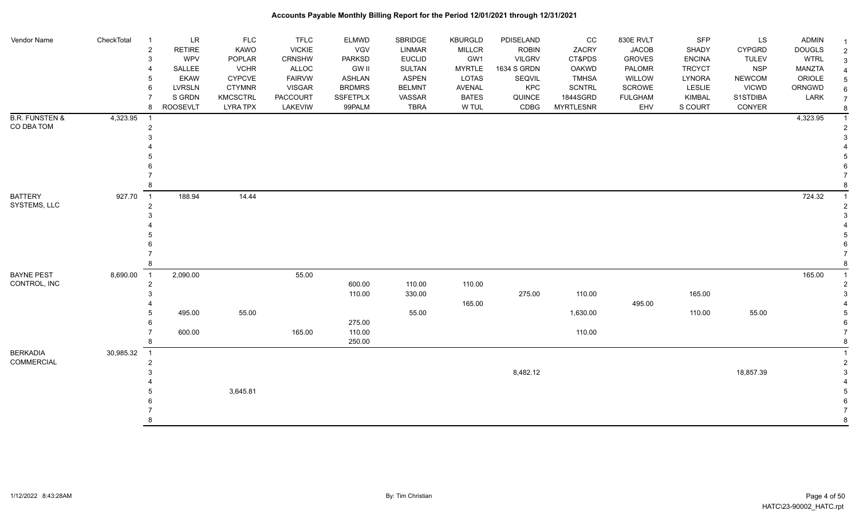| Vendor Name               | CheckTotal | $\overline{1}$                           | LR<br><b>FLC</b>             | <b>TFLC</b>   | <b>ELMWD</b>     | SBRIDGE       | <b>KBURGLD</b> | PDISELAND     | cc               | 830E RVLT      | <b>SFP</b>    | LS            | <b>ADMIN</b>  |  |
|---------------------------|------------|------------------------------------------|------------------------------|---------------|------------------|---------------|----------------|---------------|------------------|----------------|---------------|---------------|---------------|--|
|                           |            | $\overline{\mathbf{c}}$<br><b>RETIRE</b> | KAWO                         | <b>VICKIE</b> | VGV              | LINMAR        | <b>MILLCR</b>  | <b>ROBIN</b>  | ZACRY            | <b>JACOB</b>   | SHADY         | <b>CYPGRD</b> | <b>DOUGLS</b> |  |
|                           |            | 3                                        | <b>WPV</b><br>POPLAR         | CRNSHW        | PARKSD           | <b>EUCLID</b> | GW1            | <b>VILGRV</b> | CT&PDS           | <b>GROVES</b>  | <b>ENCINA</b> | <b>TULEV</b>  | <b>WTRL</b>   |  |
|                           |            | SALLEE                                   | <b>VCHR</b>                  | ALLOC         | <b>GW II</b>     | <b>SULTAN</b> | <b>MYRTLE</b>  | 1634 S GRDN   | <b>OAKWD</b>     | PALOMR         | <b>TRCYCT</b> | <b>NSP</b>    | MANZTA        |  |
|                           |            | 5                                        | <b>EKAW</b><br><b>CYPCVE</b> | <b>FAIRVW</b> | <b>ASHLAN</b>    | <b>ASPEN</b>  | LOTAS          | SEQVIL        | <b>TMHSA</b>     | WILLOW         | <b>LYNORA</b> | <b>NEWCOM</b> | ORIOLE        |  |
|                           |            | <b>LVRSLN</b><br>6                       | <b>CTYMNR</b>                | <b>VISGAR</b> | <b>BRDMRS</b>    | <b>BELMNT</b> | AVENAL         | KPC           | <b>SCNTRL</b>    | SCROWE         | <b>LESLIE</b> | <b>VICWD</b>  | ORNGWD        |  |
|                           |            | S GRDN                                   | <b>KMCSCTRL</b>              | PACCOURT      | <b>SSFETPLX</b>  | VASSAR        | <b>BATES</b>   | QUINCE        | 1844SGRD         | <b>FULGHAM</b> | KIMBAL        | S1STDIBA      | LARK          |  |
|                           |            | <b>ROOSEVLT</b><br>8                     | <b>LYRA TPX</b>              | LAKEVIW       | 99PALM           | <b>TBRA</b>   | W TUL          | CDBG          | <b>MYRTLESNR</b> | EHV            | S COURT       | CONYER        |               |  |
| <b>B.R. FUNSTEN &amp;</b> | 4,323.95   |                                          |                              |               |                  |               |                |               |                  |                |               |               | 4,323.95      |  |
| CO DBA TOM                |            | $\overline{2}$                           |                              |               |                  |               |                |               |                  |                |               |               |               |  |
|                           |            |                                          |                              |               |                  |               |                |               |                  |                |               |               |               |  |
|                           |            |                                          |                              |               |                  |               |                |               |                  |                |               |               |               |  |
|                           |            |                                          |                              |               |                  |               |                |               |                  |                |               |               |               |  |
|                           |            |                                          |                              |               |                  |               |                |               |                  |                |               |               |               |  |
|                           |            |                                          |                              |               |                  |               |                |               |                  |                |               |               |               |  |
|                           |            |                                          |                              |               |                  |               |                |               |                  |                |               |               |               |  |
| <b>BATTERY</b>            | 927.70     | 188.94<br>$\overline{1}$                 | 14.44                        |               |                  |               |                |               |                  |                |               |               | 724.32        |  |
| SYSTEMS, LLC              |            | $\overline{2}$                           |                              |               |                  |               |                |               |                  |                |               |               |               |  |
|                           |            |                                          |                              |               |                  |               |                |               |                  |                |               |               |               |  |
|                           |            |                                          |                              |               |                  |               |                |               |                  |                |               |               |               |  |
|                           |            |                                          |                              |               |                  |               |                |               |                  |                |               |               |               |  |
|                           |            |                                          |                              |               |                  |               |                |               |                  |                |               |               |               |  |
|                           |            |                                          |                              |               |                  |               |                |               |                  |                |               |               |               |  |
|                           |            |                                          |                              |               |                  |               |                |               |                  |                |               |               |               |  |
| <b>BAYNE PEST</b>         | 8,690.00   | 2,090.00<br>$\overline{1}$               |                              | 55.00         |                  |               |                |               |                  |                |               |               | 165.00        |  |
| CONTROL, INC              |            | 2                                        |                              |               | 600.00           | 110.00        | 110.00         |               |                  |                |               |               |               |  |
|                           |            |                                          |                              |               | 110.00           | 330.00        |                | 275.00        | 110.00           |                | 165.00        |               |               |  |
|                           |            |                                          |                              |               |                  |               | 165.00         |               |                  | 495.00         |               |               |               |  |
|                           |            | 495.00                                   | 55.00                        |               |                  | 55.00         |                |               | 1,630.00         |                | 110.00        | 55.00         |               |  |
|                           |            |                                          |                              |               | 275.00           |               |                |               | 110.00           |                |               |               |               |  |
|                           |            | 600.00                                   |                              | 165.00        | 110.00<br>250.00 |               |                |               |                  |                |               |               |               |  |
|                           |            |                                          |                              |               |                  |               |                |               |                  |                |               |               |               |  |
| <b>BERKADIA</b>           | 30,985.32  | $\overline{1}$                           |                              |               |                  |               |                |               |                  |                |               |               |               |  |
| <b>COMMERCIAL</b>         |            | $\overline{2}$                           |                              |               |                  |               |                |               |                  |                |               |               |               |  |
|                           |            |                                          |                              |               |                  |               |                | 8,482.12      |                  |                |               | 18,857.39     |               |  |
|                           |            |                                          | 3,645.81                     |               |                  |               |                |               |                  |                |               |               |               |  |
|                           |            |                                          |                              |               |                  |               |                |               |                  |                |               |               |               |  |
|                           |            |                                          |                              |               |                  |               |                |               |                  |                |               |               |               |  |
|                           |            |                                          |                              |               |                  |               |                |               |                  |                |               |               |               |  |
|                           |            |                                          |                              |               |                  |               |                |               |                  |                |               |               |               |  |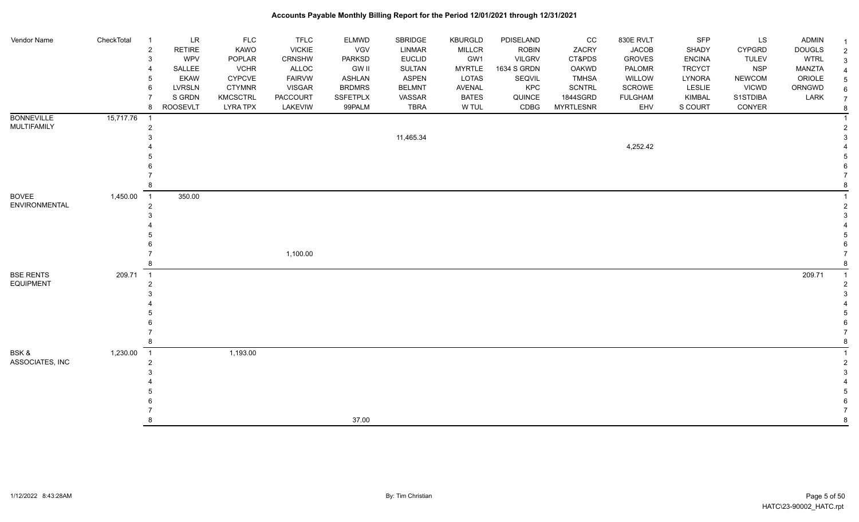| Vendor Name                          | CheckTotal | <b>LR</b><br>-1<br><b>RETIRE</b><br>$\overline{2}$<br>WPV<br>3<br>SALLEE<br><b>EKAW</b><br><b>LVRSLN</b><br>6<br>S GRDN<br><b>ROOSEVLT</b><br>8 | <b>FLC</b><br>KAWO<br>POPLAR<br><b>VCHR</b><br>CYPCVE<br><b>CTYMNR</b><br><b>KMCSCTRL</b><br><b>LYRA TPX</b> | <b>TFLC</b><br><b>VICKIE</b><br>CRNSHW<br>ALLOC<br><b>FAIRVW</b><br><b>VISGAR</b><br><b>PACCOURT</b><br>LAKEVIW | ELMWD<br>VGV<br>PARKSD<br><b>GW II</b><br><b>ASHLAN</b><br><b>BRDMRS</b><br>SSFETPLX<br>99PALM | SBRIDGE<br>LINMAR<br><b>EUCLID</b><br><b>SULTAN</b><br><b>ASPEN</b><br><b>BELMNT</b><br>VASSAR<br><b>TBRA</b> | KBURGLD<br>MILLCR<br>GW1<br><b>MYRTLE</b><br>LOTAS<br>AVENAL<br><b>BATES</b><br>W TUL | PDISELAND<br><b>ROBIN</b><br><b>VILGRV</b><br>1634 S GRDN<br>SEQVIL<br>KPC<br>QUINCE<br>CDBG | cc<br>ZACRY<br>CT&PDS<br><b>OAKWD</b><br><b>TMHSA</b><br><b>SCNTRL</b><br>1844SGRD<br><b>MYRTLESNR</b> | 830E RVLT<br><b>JACOB</b><br><b>GROVES</b><br>PALOMR<br>WILLOW<br>SCROWE<br><b>FULGHAM</b><br>EHV | <b>SFP</b><br>SHADY<br><b>ENCINA</b><br><b>TRCYCT</b><br>LYNORA<br>LESLIE<br>KIMBAL<br>S COURT | LS<br>CYPGRD<br><b>TULEV</b><br><b>NSP</b><br><b>NEWCOM</b><br><b>VICWD</b><br>S1STDIBA<br>CONYER | <b>ADMIN</b><br><b>DOUGLS</b><br><b>WTRL</b><br>MANZTA<br>ORIOLE<br>ORNGWD<br>LARK | -1<br>$\overline{2}$<br>3<br>$\overline{4}$<br>5<br>6<br>$\overline{7}$ |
|--------------------------------------|------------|-------------------------------------------------------------------------------------------------------------------------------------------------|--------------------------------------------------------------------------------------------------------------|-----------------------------------------------------------------------------------------------------------------|------------------------------------------------------------------------------------------------|---------------------------------------------------------------------------------------------------------------|---------------------------------------------------------------------------------------|----------------------------------------------------------------------------------------------|--------------------------------------------------------------------------------------------------------|---------------------------------------------------------------------------------------------------|------------------------------------------------------------------------------------------------|---------------------------------------------------------------------------------------------------|------------------------------------------------------------------------------------|-------------------------------------------------------------------------|
| <b>BONNEVILLE</b>                    | 15,717.76  | $\overline{\phantom{1}}$                                                                                                                        |                                                                                                              |                                                                                                                 |                                                                                                |                                                                                                               |                                                                                       |                                                                                              |                                                                                                        |                                                                                                   |                                                                                                |                                                                                                   |                                                                                    | -8                                                                      |
| MULTIFAMILY                          |            | $\overline{2}$                                                                                                                                  |                                                                                                              |                                                                                                                 |                                                                                                | 11,465.34                                                                                                     |                                                                                       |                                                                                              |                                                                                                        | 4,252.42                                                                                          |                                                                                                |                                                                                                   |                                                                                    |                                                                         |
| <b>BOVEE</b>                         | 1,450.00   | 350.00<br>$\overline{\phantom{0}}$ 1                                                                                                            |                                                                                                              |                                                                                                                 |                                                                                                |                                                                                                               |                                                                                       |                                                                                              |                                                                                                        |                                                                                                   |                                                                                                |                                                                                                   |                                                                                    |                                                                         |
| ENVIRONMENTAL                        |            | $\overline{2}$                                                                                                                                  |                                                                                                              |                                                                                                                 |                                                                                                |                                                                                                               |                                                                                       |                                                                                              |                                                                                                        |                                                                                                   |                                                                                                |                                                                                                   |                                                                                    | 2                                                                       |
|                                      |            |                                                                                                                                                 |                                                                                                              | 1,100.00                                                                                                        |                                                                                                |                                                                                                               |                                                                                       |                                                                                              |                                                                                                        |                                                                                                   |                                                                                                |                                                                                                   |                                                                                    |                                                                         |
| <b>BSE RENTS</b><br><b>EQUIPMENT</b> | 209.71     | $\overline{\phantom{0}}$ 1<br>$\overline{2}$                                                                                                    |                                                                                                              |                                                                                                                 |                                                                                                |                                                                                                               |                                                                                       |                                                                                              |                                                                                                        |                                                                                                   |                                                                                                |                                                                                                   | 209.71                                                                             |                                                                         |
| BSK &                                | 1,230.00   | $\overline{1}$                                                                                                                                  | 1,193.00                                                                                                     |                                                                                                                 |                                                                                                |                                                                                                               |                                                                                       |                                                                                              |                                                                                                        |                                                                                                   |                                                                                                |                                                                                                   |                                                                                    |                                                                         |
| ASSOCIATES, INC                      |            | $\overline{2}$<br>8                                                                                                                             |                                                                                                              |                                                                                                                 | 37.00                                                                                          |                                                                                                               |                                                                                       |                                                                                              |                                                                                                        |                                                                                                   |                                                                                                |                                                                                                   |                                                                                    | 8                                                                       |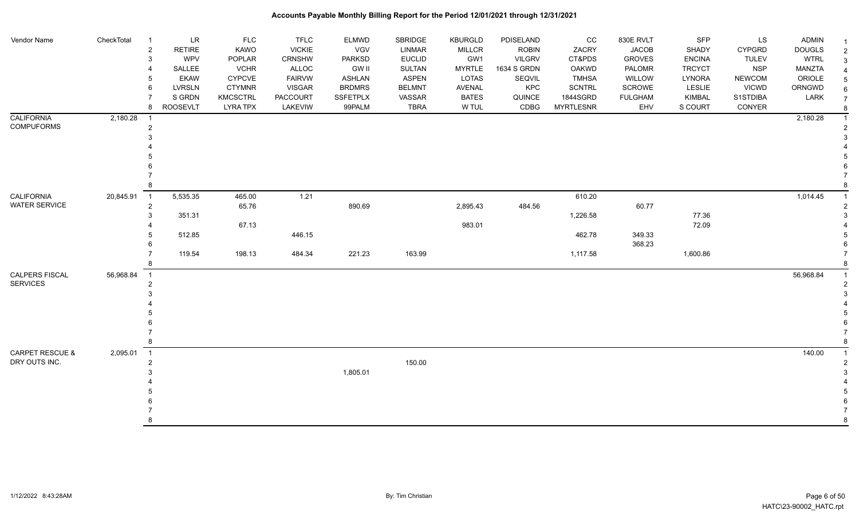| Vendor Name          | CheckTotal  | <b>LR</b><br>$\overline{1}$<br><b>RETIRE</b><br>$\overline{2}$ | <b>FLC</b><br>KAWO | <b>TFLC</b><br><b>VICKIE</b> | <b>ELMWD</b><br>VGV | <b>SBRIDGE</b><br>LINMAR | <b>KBURGLD</b><br><b>MILLCR</b> | PDISELAND<br><b>ROBIN</b> | cc<br>ZACRY      | 830E RVLT<br><b>JACOB</b> | SFP<br>SHADY  | <b>LS</b><br><b>CYPGRD</b> | <b>ADMIN</b><br><b>DOUGLS</b> | $\overline{2}$ |
|----------------------|-------------|----------------------------------------------------------------|--------------------|------------------------------|---------------------|--------------------------|---------------------------------|---------------------------|------------------|---------------------------|---------------|----------------------------|-------------------------------|----------------|
|                      |             | WPV<br>3                                                       | POPLAR             | CRNSHW                       | <b>PARKSD</b>       | <b>EUCLID</b>            | GW1                             | <b>VILGRV</b>             | CT&PDS           | <b>GROVES</b>             | <b>ENCINA</b> | <b>TULEV</b>               | <b>WTRL</b>                   |                |
|                      |             | SALLEE                                                         | <b>VCHR</b>        | ALLOC                        | <b>GW II</b>        | <b>SULTAN</b>            | <b>MYRTLE</b>                   | 1634 S GRDN               | OAKWD            | PALOMR                    | <b>TRCYCT</b> | <b>NSP</b>                 | <b>MANZTA</b>                 |                |
|                      |             | <b>EKAW</b>                                                    | <b>CYPCVE</b>      | <b>FAIRVW</b>                | ASHLAN              | ASPEN                    | LOTAS                           | SEQVIL                    | <b>TMHSA</b>     | WILLOW                    | LYNORA        | <b>NEWCOM</b>              | ORIOLE                        |                |
|                      |             | <b>LVRSLN</b><br>6                                             | <b>CTYMNR</b>      | <b>VISGAR</b>                | <b>BRDMRS</b>       | <b>BELMNT</b>            | <b>AVENAL</b>                   | KPC                       | <b>SCNTRL</b>    | SCROWE                    | LESLIE        | <b>VICWD</b>               | ORNGWD                        |                |
|                      |             | S GRDN                                                         | <b>KMCSCTRL</b>    | <b>PACCOURT</b>              | <b>SSFETPLX</b>     | VASSAR                   | <b>BATES</b>                    | QUINCE                    | 1844SGRD         | <b>FULGHAM</b>            | KIMBAL        | S1STDIBA                   | LARK                          |                |
|                      |             | <b>ROOSEVLT</b><br>8                                           | <b>LYRA TPX</b>    | LAKEVIW                      | 99PALM              | <b>TBRA</b>              | W TUL                           | CDBG                      | <b>MYRTLESNR</b> | EHV                       | S COURT       | CONYER                     |                               |                |
| <b>CALIFORNIA</b>    | 2,180.28    |                                                                |                    |                              |                     |                          |                                 |                           |                  |                           |               |                            | 2,180.28                      |                |
| <b>COMPUFORMS</b>    |             | $\overline{2}$                                                 |                    |                              |                     |                          |                                 |                           |                  |                           |               |                            |                               |                |
|                      |             |                                                                |                    |                              |                     |                          |                                 |                           |                  |                           |               |                            |                               |                |
|                      |             |                                                                |                    |                              |                     |                          |                                 |                           |                  |                           |               |                            |                               |                |
|                      |             |                                                                |                    |                              |                     |                          |                                 |                           |                  |                           |               |                            |                               |                |
|                      |             |                                                                |                    |                              |                     |                          |                                 |                           |                  |                           |               |                            |                               |                |
|                      |             |                                                                |                    |                              |                     |                          |                                 |                           |                  |                           |               |                            |                               |                |
| CALIFORNIA           | 20,845.91 1 | 5,535.35                                                       | 465.00             | 1.21                         |                     |                          |                                 |                           | 610.20           |                           |               |                            | 1,014.45                      |                |
| <b>WATER SERVICE</b> |             | $\overline{c}$                                                 | 65.76              |                              | 890.69              |                          | 2,895.43                        | 484.56                    |                  | 60.77                     |               |                            |                               |                |
|                      |             | 351.31                                                         |                    |                              |                     |                          |                                 |                           | 1,226.58         |                           | 77.36         |                            |                               |                |
|                      |             |                                                                | 67.13              |                              |                     |                          | 983.01                          |                           |                  |                           | 72.09         |                            |                               |                |
|                      |             | 512.85                                                         |                    | 446.15                       |                     |                          |                                 |                           | 462.78           | 349.33                    |               |                            |                               |                |
|                      |             |                                                                |                    |                              |                     |                          |                                 |                           |                  | 368.23                    |               |                            |                               |                |
|                      |             | 119.54                                                         | 198.13             | 484.34                       | 221.23              | 163.99                   |                                 |                           | 1,117.58         |                           | 1,600.86      |                            |                               |                |
|                      |             |                                                                |                    |                              |                     |                          |                                 |                           |                  |                           |               |                            |                               |                |
| CALPERS FISCAL       | 56,968.84   | $\overline{1}$                                                 |                    |                              |                     |                          |                                 |                           |                  |                           |               |                            | 56,968.84                     |                |
| <b>SERVICES</b>      |             | $\overline{2}$                                                 |                    |                              |                     |                          |                                 |                           |                  |                           |               |                            |                               |                |
|                      |             |                                                                |                    |                              |                     |                          |                                 |                           |                  |                           |               |                            |                               |                |
|                      |             |                                                                |                    |                              |                     |                          |                                 |                           |                  |                           |               |                            |                               |                |
|                      |             |                                                                |                    |                              |                     |                          |                                 |                           |                  |                           |               |                            |                               |                |
|                      |             |                                                                |                    |                              |                     |                          |                                 |                           |                  |                           |               |                            |                               |                |
|                      |             |                                                                |                    |                              |                     |                          |                                 |                           |                  |                           |               |                            |                               |                |
|                      |             |                                                                |                    |                              |                     |                          |                                 |                           |                  |                           |               |                            |                               |                |
| CARPET RESCUE &      | 2,095.01    | $\overline{1}$                                                 |                    |                              |                     |                          |                                 |                           |                  |                           |               |                            | 140.00                        |                |
| DRY OUTS INC.        |             | $\overline{2}$                                                 |                    |                              |                     | 150.00                   |                                 |                           |                  |                           |               |                            |                               |                |
|                      |             |                                                                |                    |                              | 1,805.01            |                          |                                 |                           |                  |                           |               |                            |                               |                |
|                      |             |                                                                |                    |                              |                     |                          |                                 |                           |                  |                           |               |                            |                               |                |
|                      |             |                                                                |                    |                              |                     |                          |                                 |                           |                  |                           |               |                            |                               |                |
|                      |             |                                                                |                    |                              |                     |                          |                                 |                           |                  |                           |               |                            |                               |                |
|                      |             | 8                                                              |                    |                              |                     |                          |                                 |                           |                  |                           |               |                            |                               | 8              |
|                      |             |                                                                |                    |                              |                     |                          |                                 |                           |                  |                           |               |                            |                               |                |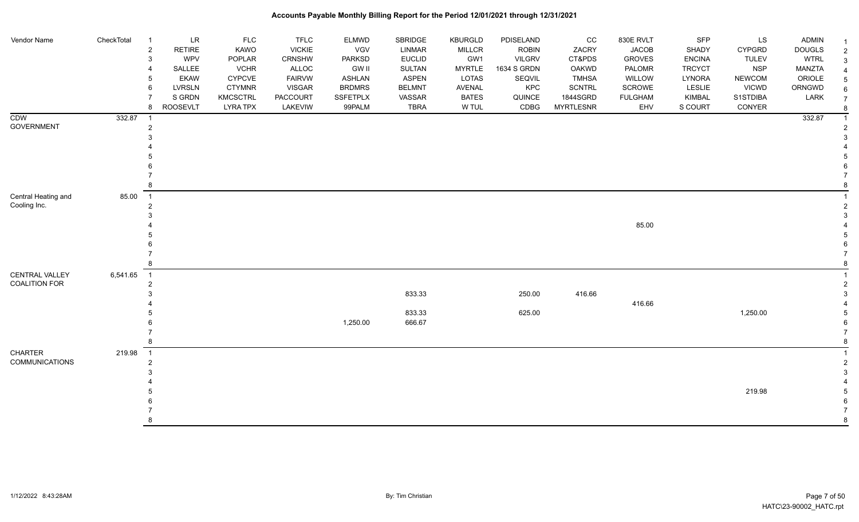| Vendor Name           | CheckTotal | $\overline{1}$             | $\ensuremath{\mathsf{LR}}\xspace$ | FLC             | <b>TFLC</b>   | <b>ELMWD</b>  | SBRIDGE       | <b>KBURGLD</b> | PDISELAND     | $_{\rm CC}$      | 830E RVLT      | SFP           | LS            | <b>ADMIN</b>  |  |
|-----------------------|------------|----------------------------|-----------------------------------|-----------------|---------------|---------------|---------------|----------------|---------------|------------------|----------------|---------------|---------------|---------------|--|
|                       |            | $\overline{c}$             | RETIRE                            | KAWO            | <b>VICKIE</b> | VGV           | <b>LINMAR</b> | <b>MILLCR</b>  | <b>ROBIN</b>  | ZACRY            | <b>JACOB</b>   | SHADY         | <b>CYPGRD</b> | <b>DOUGLS</b> |  |
|                       |            | $\mathbf 3$                | WPV                               | POPLAR          | CRNSHW        | <b>PARKSD</b> | <b>EUCLID</b> | GW1            | <b>VILGRV</b> | CT&PDS           | <b>GROVES</b>  | <b>ENCINA</b> | <b>TULEV</b>  | <b>WTRL</b>   |  |
|                       |            | $\overline{4}$             | SALLEE                            | <b>VCHR</b>     | <b>ALLOC</b>  | <b>GW II</b>  | SULTAN        | <b>MYRTLE</b>  | 1634 S GRDN   | OAKWD            | PALOMR         | <b>TRCYCT</b> | <b>NSP</b>    | MANZTA        |  |
|                       |            | 5                          | <b>EKAW</b>                       | <b>CYPCVE</b>   | <b>FAIRVW</b> | <b>ASHLAN</b> | <b>ASPEN</b>  | LOTAS          | SEQVIL        | <b>TMHSA</b>     | WILLOW         | LYNORA        | <b>NEWCOM</b> | ORIOLE        |  |
|                       |            | 6                          | LVRSLN                            | <b>CTYMNR</b>   | <b>VISGAR</b> | <b>BRDMRS</b> | <b>BELMNT</b> | AVENAL         | KPC           | SCNTRL           | <b>SCROWE</b>  | LESLIE        | <b>VICWD</b>  | ORNGWD        |  |
|                       |            | $\overline{7}$             | S GRDN                            | <b>KMCSCTRL</b> | PACCOURT      | SSFETPLX      | VASSAR        | <b>BATES</b>   | QUINCE        | 1844SGRD         | <b>FULGHAM</b> | KIMBAL        | S1STDIBA      | LARK          |  |
|                       |            | 8                          | <b>ROOSEVLT</b>                   | <b>LYRA TPX</b> | LAKEVIW       | 99PALM        | <b>TBRA</b>   | W TUL          | CDBG          | <b>MYRTLESNR</b> | EHV            | S COURT       | CONYER        |               |  |
| CDW                   | 332.87     | $\overline{\mathbf{1}}$    |                                   |                 |               |               |               |                |               |                  |                |               |               | 332.87        |  |
| <b>GOVERNMENT</b>     |            | $\overline{2}$             |                                   |                 |               |               |               |                |               |                  |                |               |               |               |  |
|                       |            | 3                          |                                   |                 |               |               |               |                |               |                  |                |               |               |               |  |
|                       |            |                            |                                   |                 |               |               |               |                |               |                  |                |               |               |               |  |
|                       |            |                            |                                   |                 |               |               |               |                |               |                  |                |               |               |               |  |
|                       |            |                            |                                   |                 |               |               |               |                |               |                  |                |               |               |               |  |
|                       |            |                            |                                   |                 |               |               |               |                |               |                  |                |               |               |               |  |
|                       |            | 8                          |                                   |                 |               |               |               |                |               |                  |                |               |               |               |  |
| Central Heating and   | 85.00      | $\overline{1}$             |                                   |                 |               |               |               |                |               |                  |                |               |               |               |  |
| Cooling Inc.          |            | $\overline{2}$             |                                   |                 |               |               |               |                |               |                  |                |               |               |               |  |
|                       |            | 3                          |                                   |                 |               |               |               |                |               |                  |                |               |               |               |  |
|                       |            |                            |                                   |                 |               |               |               |                |               |                  | 85.00          |               |               |               |  |
|                       |            |                            |                                   |                 |               |               |               |                |               |                  |                |               |               |               |  |
|                       |            |                            |                                   |                 |               |               |               |                |               |                  |                |               |               |               |  |
|                       |            |                            |                                   |                 |               |               |               |                |               |                  |                |               |               |               |  |
|                       |            | 8                          |                                   |                 |               |               |               |                |               |                  |                |               |               |               |  |
| CENTRAL VALLEY        | 6,541.65   | $\overline{\phantom{0}}$ 1 |                                   |                 |               |               |               |                |               |                  |                |               |               |               |  |
| <b>COALITION FOR</b>  |            | $\overline{2}$             |                                   |                 |               |               |               |                |               |                  |                |               |               |               |  |
|                       |            | 3                          |                                   |                 |               |               | 833.33        |                | 250.00        | 416.66           |                |               |               |               |  |
|                       |            |                            |                                   |                 |               |               |               |                |               |                  | 416.66         |               |               |               |  |
|                       |            |                            |                                   |                 |               |               | 833.33        |                | 625.00        |                  |                |               | 1,250.00      |               |  |
|                       |            |                            |                                   |                 |               | 1,250.00      | 666.67        |                |               |                  |                |               |               |               |  |
|                       |            |                            |                                   |                 |               |               |               |                |               |                  |                |               |               |               |  |
|                       |            | 8                          |                                   |                 |               |               |               |                |               |                  |                |               |               |               |  |
| <b>CHARTER</b>        | 219.98     | $\overline{\phantom{1}}$   |                                   |                 |               |               |               |                |               |                  |                |               |               |               |  |
| <b>COMMUNICATIONS</b> |            | $\sqrt{2}$                 |                                   |                 |               |               |               |                |               |                  |                |               |               |               |  |
|                       |            | 3                          |                                   |                 |               |               |               |                |               |                  |                |               |               |               |  |
|                       |            |                            |                                   |                 |               |               |               |                |               |                  |                |               |               |               |  |
|                       |            |                            |                                   |                 |               |               |               |                |               |                  |                |               | 219.98        |               |  |
|                       |            |                            |                                   |                 |               |               |               |                |               |                  |                |               |               |               |  |
|                       |            |                            |                                   |                 |               |               |               |                |               |                  |                |               |               |               |  |
|                       |            | 8                          |                                   |                 |               |               |               |                |               |                  |                |               |               |               |  |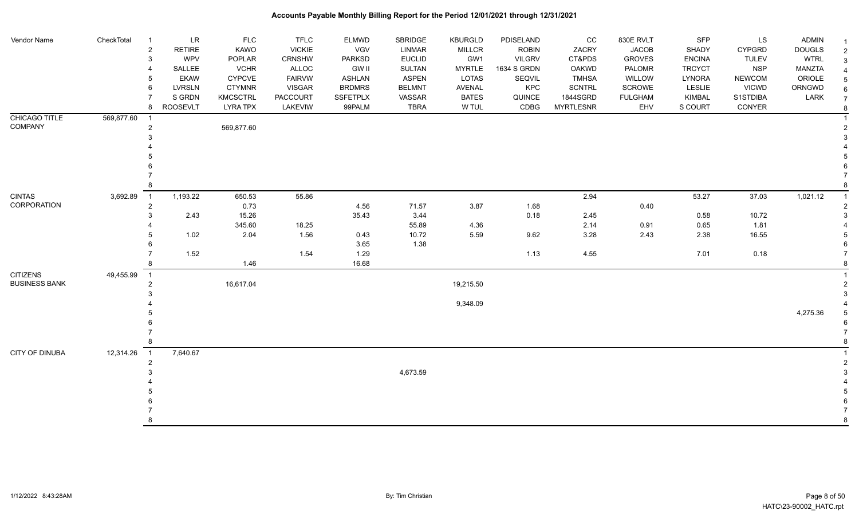| Vendor Name                     | CheckTotal | LR<br>$\overline{1}$<br>$\overline{c}$<br><b>RETIRE</b><br>3<br><b>WPV</b><br>SALLEE<br><b>EKAW</b><br>5<br><b>LVRSLN</b><br>6<br>S GRDN | <b>FLC</b><br>KAWO<br>POPLAR<br><b>VCHR</b><br><b>CYPCVE</b><br><b>CTYMNR</b><br>KMCSCTRL | <b>TFLC</b><br><b>VICKIE</b><br>CRNSHW<br>ALLOC<br><b>FAIRVW</b><br><b>VISGAR</b><br><b>PACCOURT</b> | <b>ELMWD</b><br>VGV<br>PARKSD<br><b>GW II</b><br>ASHLAN<br><b>BRDMRS</b><br><b>SSFETPLX</b> | <b>SBRIDGE</b><br><b>LINMAR</b><br><b>EUCLID</b><br>SULTAN<br><b>ASPEN</b><br><b>BELMNT</b><br>VASSAR | <b>KBURGLD</b><br><b>MILLCR</b><br>GW1<br><b>MYRTLE</b><br>LOTAS<br>AVENAL<br><b>BATES</b> | PDISELAND<br><b>ROBIN</b><br><b>VILGRV</b><br>1634 S GRDN<br>SEQVIL<br>KPC<br>QUINCE | cc<br>ZACRY<br>CT&PDS<br><b>OAKWD</b><br><b>TMHSA</b><br><b>SCNTRL</b><br>1844SGRD | 830E RVLT<br><b>JACOB</b><br><b>GROVES</b><br>PALOMR<br>WILLOW<br>SCROWE<br><b>FULGHAM</b> | SFP<br>SHADY<br><b>ENCINA</b><br><b>TRCYCT</b><br><b>LYNORA</b><br>LESLIE<br>KIMBAL | LS<br><b>CYPGRD</b><br><b>TULEV</b><br><b>NSP</b><br><b>NEWCOM</b><br><b>VICWD</b><br>S1STDIBA | <b>ADMIN</b><br><b>DOUGLS</b><br><b>WTRL</b><br><b>MANZTA</b><br>ORIOLE<br>ORNGWD<br>LARK | $\overline{\mathbf{1}}$<br>2<br>3<br>$\sqrt{5}$<br>6<br>$\overline{7}$ |
|---------------------------------|------------|------------------------------------------------------------------------------------------------------------------------------------------|-------------------------------------------------------------------------------------------|------------------------------------------------------------------------------------------------------|---------------------------------------------------------------------------------------------|-------------------------------------------------------------------------------------------------------|--------------------------------------------------------------------------------------------|--------------------------------------------------------------------------------------|------------------------------------------------------------------------------------|--------------------------------------------------------------------------------------------|-------------------------------------------------------------------------------------|------------------------------------------------------------------------------------------------|-------------------------------------------------------------------------------------------|------------------------------------------------------------------------|
|                                 |            | <b>ROOSEVLT</b><br>8                                                                                                                     | <b>LYRA TPX</b>                                                                           | LAKEVIW                                                                                              | 99PALM                                                                                      | <b>TBRA</b>                                                                                           | W TUL                                                                                      | CDBG                                                                                 | <b>MYRTLESNR</b>                                                                   | EHV                                                                                        | S COURT                                                                             | CONYER                                                                                         |                                                                                           | 8                                                                      |
| CHICAGO TITLE<br><b>COMPANY</b> | 569,877.60 | - 1<br>$\overline{2}$                                                                                                                    | 569,877.60                                                                                |                                                                                                      |                                                                                             |                                                                                                       |                                                                                            |                                                                                      |                                                                                    |                                                                                            |                                                                                     |                                                                                                |                                                                                           |                                                                        |
|                                 |            |                                                                                                                                          |                                                                                           |                                                                                                      |                                                                                             |                                                                                                       |                                                                                            |                                                                                      |                                                                                    |                                                                                            |                                                                                     |                                                                                                |                                                                                           |                                                                        |
| <b>CINTAS</b>                   | 3,692.89   | 1,193.22<br>$\overline{1}$                                                                                                               | 650.53                                                                                    | 55.86                                                                                                |                                                                                             |                                                                                                       |                                                                                            |                                                                                      | 2.94                                                                               |                                                                                            | 53.27                                                                               | 37.03                                                                                          | 1,021.12                                                                                  |                                                                        |
| CORPORATION                     |            | $\overline{c}$                                                                                                                           | 0.73                                                                                      |                                                                                                      | 4.56                                                                                        | 71.57                                                                                                 | 3.87                                                                                       | 1.68                                                                                 |                                                                                    | 0.40                                                                                       |                                                                                     |                                                                                                |                                                                                           |                                                                        |
|                                 |            | 2.43                                                                                                                                     | 15.26<br>345.60                                                                           | 18.25                                                                                                | 35.43                                                                                       | 3.44<br>55.89                                                                                         | 4.36                                                                                       | 0.18                                                                                 | 2.45<br>2.14                                                                       | 0.91                                                                                       | 0.58<br>0.65                                                                        | 10.72<br>1.81                                                                                  |                                                                                           |                                                                        |
|                                 |            | 1.02                                                                                                                                     | 2.04                                                                                      | 1.56                                                                                                 | 0.43<br>3.65                                                                                | 10.72<br>1.38                                                                                         | 5.59                                                                                       | 9.62                                                                                 | 3.28                                                                               | 2.43                                                                                       | 2.38                                                                                | 16.55                                                                                          |                                                                                           |                                                                        |
|                                 |            | 1.52                                                                                                                                     | 1.46                                                                                      | 1.54                                                                                                 | 1.29<br>16.68                                                                               |                                                                                                       |                                                                                            | 1.13                                                                                 | 4.55                                                                               |                                                                                            | 7.01                                                                                | 0.18                                                                                           |                                                                                           |                                                                        |
| <b>CITIZENS</b>                 | 49,455.99  | $\overline{1}$                                                                                                                           |                                                                                           |                                                                                                      |                                                                                             |                                                                                                       |                                                                                            |                                                                                      |                                                                                    |                                                                                            |                                                                                     |                                                                                                |                                                                                           |                                                                        |
| <b>BUSINESS BANK</b>            |            | 2                                                                                                                                        | 16,617.04                                                                                 |                                                                                                      |                                                                                             |                                                                                                       | 19,215.50                                                                                  |                                                                                      |                                                                                    |                                                                                            |                                                                                     |                                                                                                |                                                                                           |                                                                        |
|                                 |            |                                                                                                                                          |                                                                                           |                                                                                                      |                                                                                             |                                                                                                       | 9,348.09                                                                                   |                                                                                      |                                                                                    |                                                                                            |                                                                                     |                                                                                                |                                                                                           |                                                                        |
|                                 |            |                                                                                                                                          |                                                                                           |                                                                                                      |                                                                                             |                                                                                                       |                                                                                            |                                                                                      |                                                                                    |                                                                                            |                                                                                     |                                                                                                | 4,275.36                                                                                  |                                                                        |
|                                 |            |                                                                                                                                          |                                                                                           |                                                                                                      |                                                                                             |                                                                                                       |                                                                                            |                                                                                      |                                                                                    |                                                                                            |                                                                                     |                                                                                                |                                                                                           |                                                                        |
| CITY OF DINUBA                  | 12,314.26  | 7,640.67<br>$\overline{1}$                                                                                                               |                                                                                           |                                                                                                      |                                                                                             |                                                                                                       |                                                                                            |                                                                                      |                                                                                    |                                                                                            |                                                                                     |                                                                                                |                                                                                           |                                                                        |
|                                 |            | 2                                                                                                                                        |                                                                                           |                                                                                                      |                                                                                             |                                                                                                       |                                                                                            |                                                                                      |                                                                                    |                                                                                            |                                                                                     |                                                                                                |                                                                                           |                                                                        |
|                                 |            |                                                                                                                                          |                                                                                           |                                                                                                      |                                                                                             | 4,673.59                                                                                              |                                                                                            |                                                                                      |                                                                                    |                                                                                            |                                                                                     |                                                                                                |                                                                                           |                                                                        |
|                                 |            |                                                                                                                                          |                                                                                           |                                                                                                      |                                                                                             |                                                                                                       |                                                                                            |                                                                                      |                                                                                    |                                                                                            |                                                                                     |                                                                                                |                                                                                           |                                                                        |
|                                 |            |                                                                                                                                          |                                                                                           |                                                                                                      |                                                                                             |                                                                                                       |                                                                                            |                                                                                      |                                                                                    |                                                                                            |                                                                                     |                                                                                                |                                                                                           |                                                                        |
|                                 |            |                                                                                                                                          |                                                                                           |                                                                                                      |                                                                                             |                                                                                                       |                                                                                            |                                                                                      |                                                                                    |                                                                                            |                                                                                     |                                                                                                |                                                                                           |                                                                        |
|                                 |            |                                                                                                                                          |                                                                                           |                                                                                                      |                                                                                             |                                                                                                       |                                                                                            |                                                                                      |                                                                                    |                                                                                            |                                                                                     |                                                                                                |                                                                                           | 8                                                                      |
|                                 |            |                                                                                                                                          |                                                                                           |                                                                                                      |                                                                                             |                                                                                                       |                                                                                            |                                                                                      |                                                                                    |                                                                                            |                                                                                     |                                                                                                |                                                                                           |                                                                        |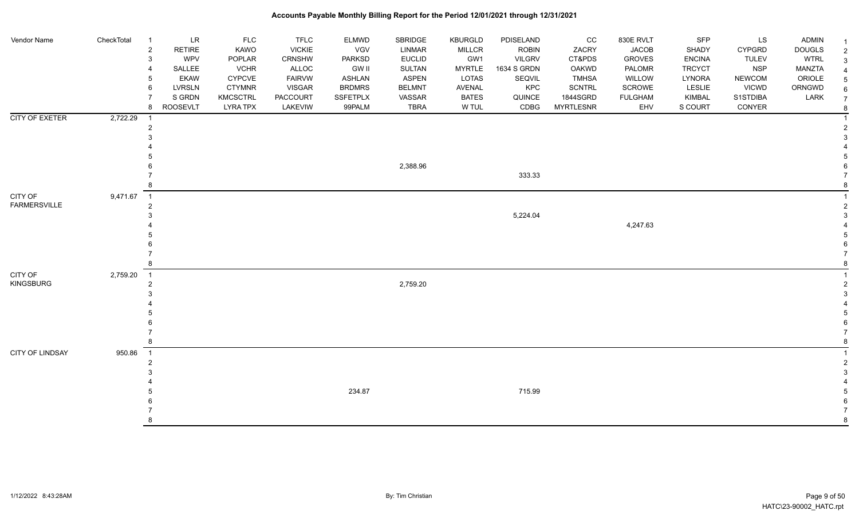| Vendor Name                    | CheckTotal | $\overline{1}$<br>$\overline{c}$<br>$\mathbf{3}$<br>4<br>-5<br>6<br>8 | $\ensuremath{\mathsf{LR}}\xspace$<br>RETIRE<br>WPV<br>SALLEE<br><b>EKAW</b><br><b>LVRSLN</b><br>S GRDN<br><b>ROOSEVLT</b> | <b>FLC</b><br>KAWO<br>POPLAR<br><b>VCHR</b><br><b>CYPCVE</b><br><b>CTYMNR</b><br><b>KMCSCTRL</b><br><b>LYRA TPX</b> | <b>TFLC</b><br><b>VICKIE</b><br>CRNSHW<br>ALLOC<br><b>FAIRVW</b><br><b>VISGAR</b><br>PACCOURT<br>LAKEVIW | <b>ELMWD</b><br>VGV<br><b>PARKSD</b><br><b>GW II</b><br><b>ASHLAN</b><br><b>BRDMRS</b><br><b>SSFETPLX</b><br>99PALM | SBRIDGE<br><b>LINMAR</b><br><b>EUCLID</b><br><b>SULTAN</b><br>ASPEN<br><b>BELMNT</b><br>VASSAR<br><b>TBRA</b> | <b>KBURGLD</b><br><b>MILLCR</b><br>GW1<br><b>MYRTLE</b><br>LOTAS<br>AVENAL<br><b>BATES</b><br>W TUL | PDISELAND<br><b>ROBIN</b><br>VILGRV<br>1634 S GRDN<br>SEQVIL<br>KPC<br>QUINCE<br>CDBG | CC<br>ZACRY<br>CT&PDS<br>OAKWD<br><b>TMHSA</b><br><b>SCNTRL</b><br>1844SGRD<br><b>MYRTLESNR</b> | 830E RVLT<br><b>JACOB</b><br><b>GROVES</b><br>PALOMR<br>WILLOW<br>SCROWE<br><b>FULGHAM</b><br>EHV | SFP<br>SHADY<br><b>ENCINA</b><br><b>TRCYCT</b><br>LYNORA<br>LESLIE<br>KIMBAL<br>S COURT | LS<br><b>CYPGRD</b><br><b>TULEV</b><br><b>NSP</b><br><b>NEWCOM</b><br><b>VICWD</b><br>S1STDIBA<br>CONYER | ADMIN<br><b>DOUGLS</b><br><b>WTRL</b><br><b>MANZTA</b><br>ORIOLE<br>ORNGWD<br>LARK | $\overline{2}$<br>3<br>6<br>$\overline{7}$<br>8 |
|--------------------------------|------------|-----------------------------------------------------------------------|---------------------------------------------------------------------------------------------------------------------------|---------------------------------------------------------------------------------------------------------------------|----------------------------------------------------------------------------------------------------------|---------------------------------------------------------------------------------------------------------------------|---------------------------------------------------------------------------------------------------------------|-----------------------------------------------------------------------------------------------------|---------------------------------------------------------------------------------------|-------------------------------------------------------------------------------------------------|---------------------------------------------------------------------------------------------------|-----------------------------------------------------------------------------------------|----------------------------------------------------------------------------------------------------------|------------------------------------------------------------------------------------|-------------------------------------------------|
| <b>CITY OF EXETER</b>          | 2,722.29   | 2                                                                     |                                                                                                                           |                                                                                                                     |                                                                                                          |                                                                                                                     | 2,388.96                                                                                                      |                                                                                                     | 333.33                                                                                |                                                                                                 |                                                                                                   |                                                                                         |                                                                                                          |                                                                                    |                                                 |
| CITY OF<br><b>FARMERSVILLE</b> | 9,471.67 1 | $\overline{2}$                                                        |                                                                                                                           |                                                                                                                     |                                                                                                          |                                                                                                                     |                                                                                                               |                                                                                                     | 5,224.04                                                                              |                                                                                                 | 4,247.63                                                                                          |                                                                                         |                                                                                                          |                                                                                    |                                                 |
| CITY OF<br><b>KINGSBURG</b>    | 2,759.20   | $\overline{1}$<br>$\overline{2}$<br>8                                 |                                                                                                                           |                                                                                                                     |                                                                                                          |                                                                                                                     | 2,759.20                                                                                                      |                                                                                                     |                                                                                       |                                                                                                 |                                                                                                   |                                                                                         |                                                                                                          |                                                                                    |                                                 |
| CITY OF LINDSAY                | 950.86     | $\overline{1}$<br>$\overline{2}$                                      |                                                                                                                           |                                                                                                                     |                                                                                                          | 234.87                                                                                                              |                                                                                                               |                                                                                                     | 715.99                                                                                |                                                                                                 |                                                                                                   |                                                                                         |                                                                                                          |                                                                                    |                                                 |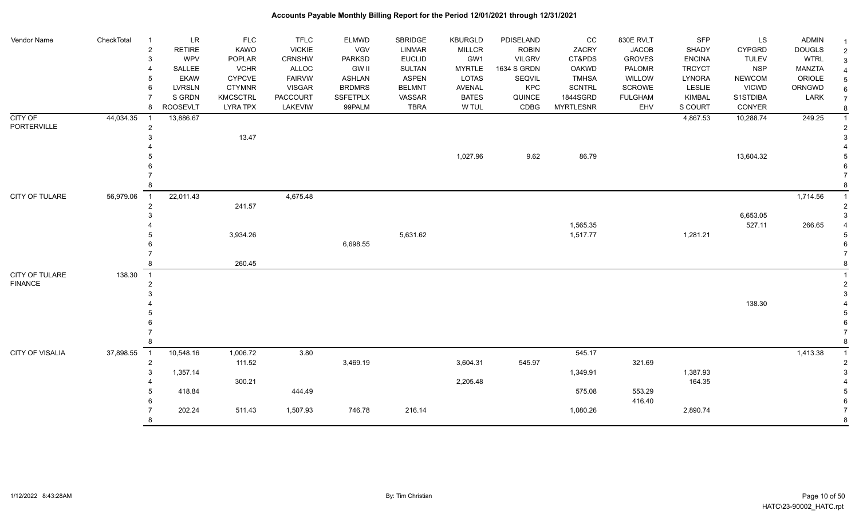| Vendor Name                      | CheckTotal | LR<br>-1<br><b>RETIRE</b><br>2<br>WPV<br>3<br>SALLEE<br><b>EKAW</b><br>5<br><b>LVRSLN</b><br>6<br>S GRDN | <b>FLC</b><br><b>KAWO</b><br>POPLAR<br><b>VCHR</b><br><b>CYPCVE</b><br><b>CTYMNR</b><br><b>KMCSCTRL</b> | <b>TFLC</b><br><b>VICKIE</b><br>CRNSHW<br>ALLOC<br><b>FAIRVW</b><br><b>VISGAR</b><br><b>PACCOURT</b> | <b>ELMWD</b><br><b>VGV</b><br><b>PARKSD</b><br><b>GW II</b><br><b>ASHLAN</b><br><b>BRDMRS</b><br><b>SSFETPLX</b> | SBRIDGE<br><b>LINMAR</b><br><b>EUCLID</b><br><b>SULTAN</b><br><b>ASPEN</b><br><b>BELMNT</b><br>VASSAR | <b>KBURGLD</b><br><b>MILLCR</b><br>GW1<br><b>MYRTLE</b><br>LOTAS<br>AVENAL<br><b>BATES</b> | PDISELAND<br><b>ROBIN</b><br><b>VILGRV</b><br>1634 S GRDN<br>SEQVIL<br>KPC<br>QUINCE | cc<br>ZACRY<br>CT&PDS<br><b>OAKWD</b><br><b>TMHSA</b><br><b>SCNTRL</b><br>1844SGRD | 830E RVLT<br><b>JACOB</b><br><b>GROVES</b><br>PALOMR<br>WILLOW<br>SCROWE<br><b>FULGHAM</b> | SFP<br><b>SHADY</b><br><b>ENCINA</b><br><b>TRCYCT</b><br><b>LYNORA</b><br><b>LESLIE</b><br><b>KIMBAL</b> | LS<br><b>CYPGRD</b><br><b>TULEV</b><br><b>NSP</b><br><b>NEWCOM</b><br><b>VICWD</b><br>S1STDIBA | ADMIN<br><b>DOUGLS</b><br><b>WTRL</b><br>MANZTA<br>ORIOLE<br>ORNGWD<br>LARK | $\overline{c}$<br>$\mathbf{3}$<br>$\overline{4}$<br>5<br>6<br>$\overline{7}$ |
|----------------------------------|------------|----------------------------------------------------------------------------------------------------------|---------------------------------------------------------------------------------------------------------|------------------------------------------------------------------------------------------------------|------------------------------------------------------------------------------------------------------------------|-------------------------------------------------------------------------------------------------------|--------------------------------------------------------------------------------------------|--------------------------------------------------------------------------------------|------------------------------------------------------------------------------------|--------------------------------------------------------------------------------------------|----------------------------------------------------------------------------------------------------------|------------------------------------------------------------------------------------------------|-----------------------------------------------------------------------------|------------------------------------------------------------------------------|
|                                  |            | <b>ROOSEVLT</b><br>8                                                                                     | <b>LYRA TPX</b>                                                                                         | LAKEVIW                                                                                              | 99PALM                                                                                                           | <b>TBRA</b>                                                                                           | W TUL                                                                                      | CDBG                                                                                 | <b>MYRTLESNR</b>                                                                   | EHV                                                                                        | S COURT                                                                                                  | CONYER                                                                                         |                                                                             | $\boldsymbol{8}$                                                             |
| CITY OF<br>PORTERVILLE           | 44,034.35  | 13,886.67<br>$\overline{c}$                                                                              | 13.47                                                                                                   |                                                                                                      |                                                                                                                  |                                                                                                       |                                                                                            |                                                                                      |                                                                                    |                                                                                            | 4,867.53                                                                                                 | 10,288.74                                                                                      | 249.25                                                                      | $\overline{1}$<br>$\overline{2}$                                             |
|                                  |            |                                                                                                          |                                                                                                         |                                                                                                      |                                                                                                                  |                                                                                                       | 1,027.96                                                                                   | 9.62                                                                                 | 86.79                                                                              |                                                                                            |                                                                                                          | 13,604.32                                                                                      |                                                                             |                                                                              |
|                                  |            |                                                                                                          |                                                                                                         |                                                                                                      |                                                                                                                  |                                                                                                       |                                                                                            |                                                                                      |                                                                                    |                                                                                            |                                                                                                          |                                                                                                |                                                                             |                                                                              |
| CITY OF TULARE                   | 56,979.06  | 22,011.43<br>$\overline{1}$<br>$\overline{2}$                                                            | 241.57                                                                                                  | 4,675.48                                                                                             |                                                                                                                  |                                                                                                       |                                                                                            |                                                                                      |                                                                                    |                                                                                            |                                                                                                          |                                                                                                | 1,714.56                                                                    |                                                                              |
|                                  |            |                                                                                                          | 3,934.26                                                                                                |                                                                                                      | 6,698.55                                                                                                         | 5,631.62                                                                                              |                                                                                            |                                                                                      | 1,565.35<br>1,517.77                                                               |                                                                                            | 1,281.21                                                                                                 | 6,653.05<br>527.11                                                                             | 266.65                                                                      | 3<br>5                                                                       |
|                                  |            |                                                                                                          | 260.45                                                                                                  |                                                                                                      |                                                                                                                  |                                                                                                       |                                                                                            |                                                                                      |                                                                                    |                                                                                            |                                                                                                          |                                                                                                |                                                                             |                                                                              |
| CITY OF TULARE<br><b>FINANCE</b> | 138.30     | $\overline{1}$<br>2                                                                                      |                                                                                                         |                                                                                                      |                                                                                                                  |                                                                                                       |                                                                                            |                                                                                      |                                                                                    |                                                                                            |                                                                                                          |                                                                                                |                                                                             | $\overline{2}$<br>3                                                          |
|                                  |            |                                                                                                          |                                                                                                         |                                                                                                      |                                                                                                                  |                                                                                                       |                                                                                            |                                                                                      |                                                                                    |                                                                                            |                                                                                                          | 138.30                                                                                         |                                                                             | 5<br>8                                                                       |
| CITY OF VISALIA                  | 37,898.55  | 10,548.16<br>$\overline{1}$<br>$\overline{c}$                                                            | 1,006.72<br>111.52                                                                                      | 3.80                                                                                                 | 3,469.19                                                                                                         |                                                                                                       | 3,604.31                                                                                   | 545.97                                                                               | 545.17                                                                             | 321.69                                                                                     |                                                                                                          |                                                                                                | 1,413.38                                                                    | $\overline{2}$                                                               |
|                                  |            | 3<br>1,357.14                                                                                            | 300.21                                                                                                  |                                                                                                      |                                                                                                                  |                                                                                                       | 2,205.48                                                                                   |                                                                                      | 1,349.91                                                                           |                                                                                            | 1,387.93<br>164.35                                                                                       |                                                                                                |                                                                             | 3                                                                            |
|                                  |            | 418.84                                                                                                   |                                                                                                         | 444.49                                                                                               |                                                                                                                  |                                                                                                       |                                                                                            |                                                                                      | 575.08                                                                             | 553.29<br>416.40                                                                           |                                                                                                          |                                                                                                |                                                                             | .5                                                                           |
|                                  |            | 202.24<br>8                                                                                              | 511.43                                                                                                  | 1,507.93                                                                                             | 746.78                                                                                                           | 216.14                                                                                                |                                                                                            |                                                                                      | 1,080.26                                                                           |                                                                                            | 2,890.74                                                                                                 |                                                                                                |                                                                             | 8                                                                            |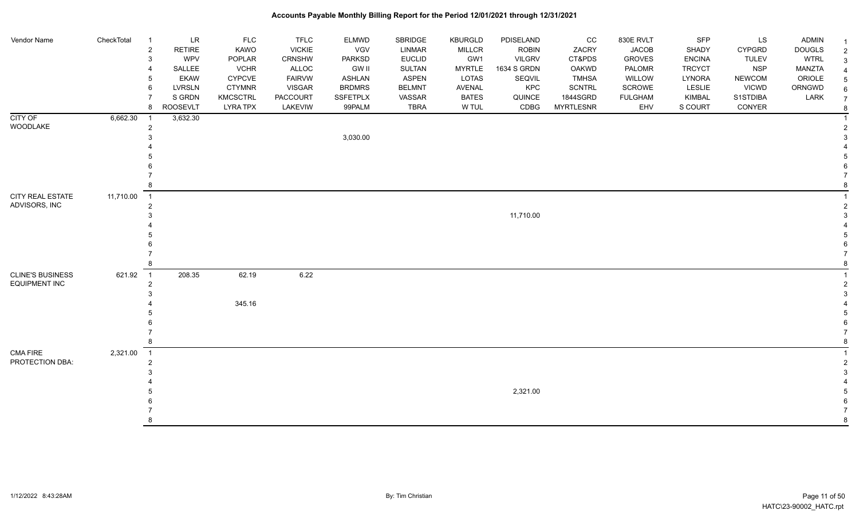| Vendor Name             | CheckTotal | $\overline{1}$ | <b>LR</b>       | <b>FLC</b>      | <b>TFLC</b>     | ELMWD         | SBRIDGE       | <b>KBURGLD</b> | PDISELAND     | CC               | 830E RVLT      | <b>SFP</b>    | LS            | ADMIN         |  |
|-------------------------|------------|----------------|-----------------|-----------------|-----------------|---------------|---------------|----------------|---------------|------------------|----------------|---------------|---------------|---------------|--|
|                         |            | $\overline{c}$ | <b>RETIRE</b>   | KAWO            | <b>VICKIE</b>   | VGV           | LINMAR        | <b>MILLCR</b>  | <b>ROBIN</b>  | ZACRY            | <b>JACOB</b>   | SHADY         | <b>CYPGRD</b> | <b>DOUGLS</b> |  |
|                         |            | $\mathbf{3}$   | WPV             | POPLAR          | CRNSHW          | PARKSD        | <b>EUCLID</b> | GW1            | <b>VILGRV</b> | CT&PDS           | <b>GROVES</b>  | <b>ENCINA</b> | <b>TULEV</b>  | <b>WTRL</b>   |  |
|                         |            | -4             | SALLEE          | <b>VCHR</b>     | ALLOC           | <b>GW II</b>  | <b>SULTAN</b> | <b>MYRTLE</b>  | 1634 S GRDN   | OAKWD            | PALOMR         | <b>TRCYCT</b> | <b>NSP</b>    | MANZTA        |  |
|                         |            | 5              | <b>EKAW</b>     | <b>CYPCVE</b>   | <b>FAIRVW</b>   | <b>ASHLAN</b> | <b>ASPEN</b>  | LOTAS          | SEQVIL        | <b>TMHSA</b>     | <b>WILLOW</b>  | LYNORA        | <b>NEWCOM</b> | ORIOLE        |  |
|                         |            | 6              | <b>LVRSLN</b>   | <b>CTYMNR</b>   | <b>VISGAR</b>   | <b>BRDMRS</b> | <b>BELMNT</b> | AVENAL         | KPC           | SCNTRL           | SCROWE         | LESLIE        | <b>VICWD</b>  | ORNGWD        |  |
|                         |            | $\overline{7}$ | S GRDN          | <b>KMCSCTRL</b> | <b>PACCOURT</b> | SSFETPLX      | VASSAR        | <b>BATES</b>   | QUINCE        | 1844SGRD         | <b>FULGHAM</b> | KIMBAL        | S1STDIBA      | LARK          |  |
|                         |            | 8              | <b>ROOSEVLT</b> | <b>LYRA TPX</b> | LAKEVIW         | 99PALM        | <b>TBRA</b>   | W TUL          | CDBG          | <b>MYRTLESNR</b> | EHV            | S COURT       | CONYER        |               |  |
| CITY OF                 | 6,662.30   | -1             | 3,632.30        |                 |                 |               |               |                |               |                  |                |               |               |               |  |
| WOODLAKE                |            | $\overline{c}$ |                 |                 |                 |               |               |                |               |                  |                |               |               |               |  |
|                         |            | 3              |                 |                 |                 | 3,030.00      |               |                |               |                  |                |               |               |               |  |
|                         |            |                |                 |                 |                 |               |               |                |               |                  |                |               |               |               |  |
|                         |            |                |                 |                 |                 |               |               |                |               |                  |                |               |               |               |  |
|                         |            |                |                 |                 |                 |               |               |                |               |                  |                |               |               |               |  |
|                         |            |                |                 |                 |                 |               |               |                |               |                  |                |               |               |               |  |
| <b>CITY REAL ESTATE</b> |            | 8              |                 |                 |                 |               |               |                |               |                  |                |               |               |               |  |
|                         | 11,710.00  | $\overline{1}$ |                 |                 |                 |               |               |                |               |                  |                |               |               |               |  |
| ADVISORS, INC           |            | $\overline{c}$ |                 |                 |                 |               |               |                |               |                  |                |               |               |               |  |
|                         |            | 3              |                 |                 |                 |               |               |                | 11,710.00     |                  |                |               |               |               |  |
|                         |            |                |                 |                 |                 |               |               |                |               |                  |                |               |               |               |  |
|                         |            | .5             |                 |                 |                 |               |               |                |               |                  |                |               |               |               |  |
|                         |            | -6             |                 |                 |                 |               |               |                |               |                  |                |               |               |               |  |
|                         |            | 8              |                 |                 |                 |               |               |                |               |                  |                |               |               |               |  |
| <b>CLINE'S BUSINESS</b> | 621.92     | $\overline{1}$ | 208.35          | 62.19           | 6.22            |               |               |                |               |                  |                |               |               |               |  |
| <b>EQUIPMENT INC</b>    |            | $\overline{c}$ |                 |                 |                 |               |               |                |               |                  |                |               |               |               |  |
|                         |            | 3              |                 |                 |                 |               |               |                |               |                  |                |               |               |               |  |
|                         |            |                |                 | 345.16          |                 |               |               |                |               |                  |                |               |               |               |  |
|                         |            |                |                 |                 |                 |               |               |                |               |                  |                |               |               |               |  |
|                         |            |                |                 |                 |                 |               |               |                |               |                  |                |               |               |               |  |
|                         |            |                |                 |                 |                 |               |               |                |               |                  |                |               |               |               |  |
|                         |            | 8              |                 |                 |                 |               |               |                |               |                  |                |               |               |               |  |
| <b>CMA FIRE</b>         | 2,321.00   | $\overline{1}$ |                 |                 |                 |               |               |                |               |                  |                |               |               |               |  |
| PROTECTION DBA:         |            | $\overline{c}$ |                 |                 |                 |               |               |                |               |                  |                |               |               |               |  |
|                         |            | 3              |                 |                 |                 |               |               |                |               |                  |                |               |               |               |  |
|                         |            |                |                 |                 |                 |               |               |                |               |                  |                |               |               |               |  |
|                         |            |                |                 |                 |                 |               |               |                | 2,321.00      |                  |                |               |               |               |  |
|                         |            |                |                 |                 |                 |               |               |                |               |                  |                |               |               |               |  |
|                         |            |                |                 |                 |                 |               |               |                |               |                  |                |               |               |               |  |
|                         |            | R              |                 |                 |                 |               |               |                |               |                  |                |               |               |               |  |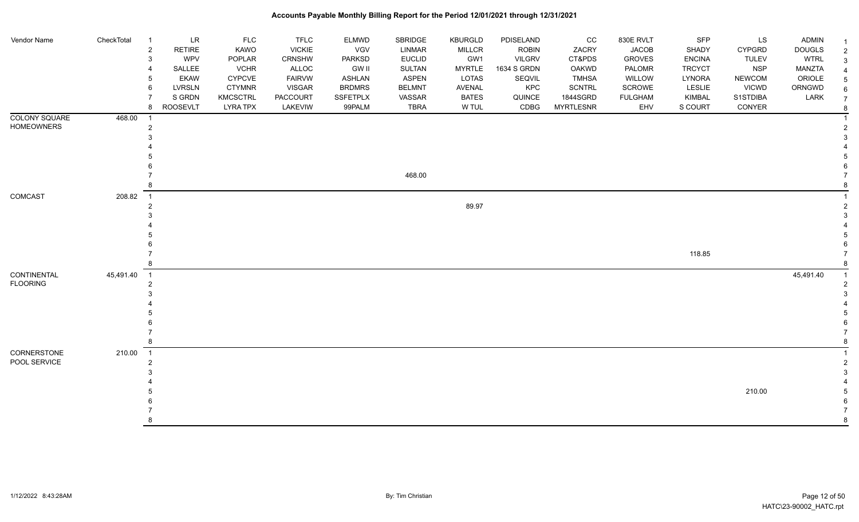| Vendor Name                    | CheckTotal | $\overline{1}$<br>2<br>3<br>4<br>5<br>6<br>7<br>8    | <b>LR</b><br>RETIRE<br>WPV<br>SALLEE<br><b>EKAW</b><br><b>LVRSLN</b><br>S GRDN<br><b>ROOSEVLT</b> | <b>FLC</b><br>KAWO<br>POPLAR<br><b>VCHR</b><br><b>CYPCVE</b><br><b>CTYMNR</b><br><b>KMCSCTRL</b><br><b>LYRA TPX</b> | <b>TFLC</b><br><b>VICKIE</b><br><b>CRNSHW</b><br>ALLOC<br><b>FAIRVW</b><br><b>VISGAR</b><br>PACCOURT<br>LAKEVIW | ELMWD<br>VGV<br><b>PARKSD</b><br><b>GW II</b><br><b>ASHLAN</b><br><b>BRDMRS</b><br>SSFETPLX<br>99PALM | SBRIDGE<br><b>LINMAR</b><br><b>EUCLID</b><br>SULTAN<br><b>ASPEN</b><br><b>BELMNT</b><br>VASSAR<br><b>TBRA</b> | <b>KBURGLD</b><br><b>MILLCR</b><br>GW1<br><b>MYRTLE</b><br>LOTAS<br>AVENAL<br><b>BATES</b><br>W TUL | PDISELAND<br><b>ROBIN</b><br><b>VILGRV</b><br>1634 S GRDN<br>SEQVIL<br>KPC<br>QUINCE<br>CDBG | CC<br>ZACRY<br>CT&PDS<br>OAKWD<br><b>TMHSA</b><br>SCNTRL<br>1844SGRD<br><b>MYRTLESNR</b> | 830E RVLT<br><b>JACOB</b><br><b>GROVES</b><br>PALOMR<br><b>WILLOW</b><br>SCROWE<br><b>FULGHAM</b><br>EHV | SFP<br>SHADY<br><b>ENCINA</b><br><b>TRCYCT</b><br>LYNORA<br><b>LESLIE</b><br>KIMBAL<br>S COURT | LS<br><b>CYPGRD</b><br><b>TULEV</b><br><b>NSP</b><br><b>NEWCOM</b><br><b>VICWD</b><br>S1STDIBA<br>CONYER | <b>ADMIN</b><br><b>DOUGLS</b><br><b>WTRL</b><br><b>MANZTA</b><br>ORIOLE<br>ORNGWD<br>LARK | $\mathcal{P}$<br>3<br>$\overline{7}$<br>8 |
|--------------------------------|------------|------------------------------------------------------|---------------------------------------------------------------------------------------------------|---------------------------------------------------------------------------------------------------------------------|-----------------------------------------------------------------------------------------------------------------|-------------------------------------------------------------------------------------------------------|---------------------------------------------------------------------------------------------------------------|-----------------------------------------------------------------------------------------------------|----------------------------------------------------------------------------------------------|------------------------------------------------------------------------------------------|----------------------------------------------------------------------------------------------------------|------------------------------------------------------------------------------------------------|----------------------------------------------------------------------------------------------------------|-------------------------------------------------------------------------------------------|-------------------------------------------|
| COLONY SQUARE<br>HOMEOWNERS    | 468.00     | $\overline{1}$<br>$\overline{2}$<br>3<br>8           |                                                                                                   |                                                                                                                     |                                                                                                                 |                                                                                                       | 468.00                                                                                                        |                                                                                                     |                                                                                              |                                                                                          |                                                                                                          |                                                                                                |                                                                                                          |                                                                                           |                                           |
| COMCAST                        | 208.82     | $\overline{\phantom{1}}$<br>2<br>3                   |                                                                                                   |                                                                                                                     |                                                                                                                 |                                                                                                       |                                                                                                               | 89.97                                                                                               |                                                                                              |                                                                                          |                                                                                                          | 118.85                                                                                         |                                                                                                          |                                                                                           |                                           |
| CONTINENTAL<br><b>FLOORING</b> | 45,491.40  | $\overline{\phantom{0}}$ 1<br>$\overline{2}$<br>8    |                                                                                                   |                                                                                                                     |                                                                                                                 |                                                                                                       |                                                                                                               |                                                                                                     |                                                                                              |                                                                                          |                                                                                                          |                                                                                                |                                                                                                          | 45,491.40                                                                                 |                                           |
| CORNERSTONE<br>POOL SERVICE    | 210.00     | $\overline{\phantom{1}}$<br>$\overline{2}$<br>3<br>8 |                                                                                                   |                                                                                                                     |                                                                                                                 |                                                                                                       |                                                                                                               |                                                                                                     |                                                                                              |                                                                                          |                                                                                                          |                                                                                                | 210.00                                                                                                   |                                                                                           | 8                                         |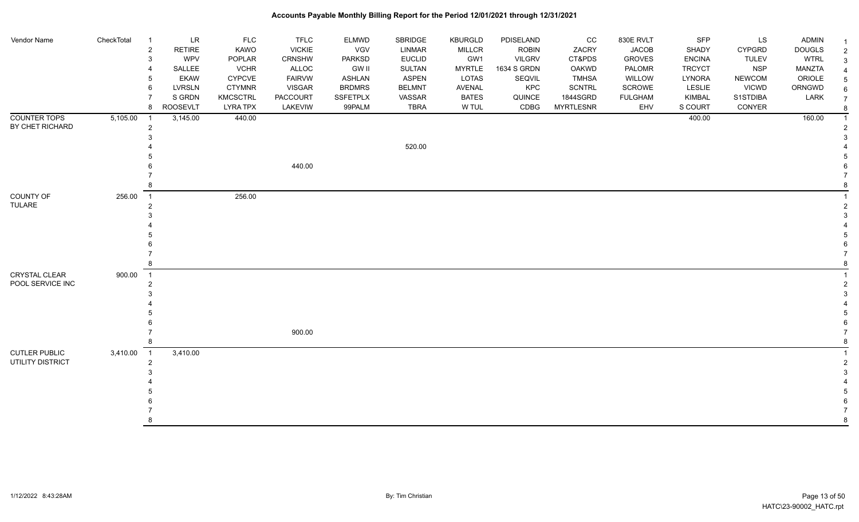| Vendor Name          | CheckTotal | $\overline{1}$ | ${\sf LR}$      | <b>FLC</b>      | <b>TFLC</b>   | <b>ELMWD</b>    | SBRIDGE       | <b>KBURGLD</b> | PDISELAND     | CC               | 830E RVLT      | <b>SFP</b>    | LS            | <b>ADMIN</b>  | $\mathbf 1$    |
|----------------------|------------|----------------|-----------------|-----------------|---------------|-----------------|---------------|----------------|---------------|------------------|----------------|---------------|---------------|---------------|----------------|
|                      |            | $\overline{2}$ | <b>RETIRE</b>   | KAWO            | <b>VICKIE</b> | VGV             | <b>LINMAR</b> | MILLCR         | <b>ROBIN</b>  | ZACRY            | <b>JACOB</b>   | SHADY         | <b>CYPGRD</b> | <b>DOUGLS</b> | $\overline{2}$ |
|                      |            | 3              | WPV             | POPLAR          | <b>CRNSHW</b> | <b>PARKSD</b>   | <b>EUCLID</b> | GW1            | <b>VILGRV</b> | CT&PDS           | <b>GROVES</b>  | <b>ENCINA</b> | <b>TULEV</b>  | <b>WTRL</b>   | 3              |
|                      |            | 4              | SALLEE          | <b>VCHR</b>     | ALLOC         | <b>GW II</b>    | <b>SULTAN</b> | <b>MYRTLE</b>  | 1634 S GRDN   | OAKWD            | PALOMR         | <b>TRCYCT</b> | <b>NSP</b>    | <b>MANZTA</b> |                |
|                      |            | 5              | <b>EKAW</b>     | <b>CYPCVE</b>   | <b>FAIRVW</b> | <b>ASHLAN</b>   | <b>ASPEN</b>  | <b>LOTAS</b>   | SEQVIL        | <b>TMHSA</b>     | WILLOW         | LYNORA        | <b>NEWCOM</b> | ORIOLE        |                |
|                      |            | 6              | <b>LVRSLN</b>   | <b>CTYMNR</b>   | <b>VISGAR</b> | <b>BRDMRS</b>   | <b>BELMNT</b> | AVENAL         | KPC           | <b>SCNTRL</b>    | <b>SCROWE</b>  | <b>LESLIE</b> | <b>VICWD</b>  | ORNGWD        | 6              |
|                      |            | $\overline{7}$ | S GRDN          | <b>KMCSCTRL</b> | PACCOURT      | <b>SSFETPLX</b> | VASSAR        | <b>BATES</b>   | QUINCE        | 1844SGRD         | <b>FULGHAM</b> | KIMBAL        | S1STDIBA      | LARK          |                |
|                      |            | 8              | <b>ROOSEVLT</b> | <b>LYRA TPX</b> | LAKEVIW       | 99PALM          | <b>TBRA</b>   | W TUL          | CDBG          | <b>MYRTLESNR</b> | EHV            | S COURT       | CONYER        |               | 8              |
| <b>COUNTER TOPS</b>  | 5,105.00   | $\overline{1}$ | 3,145.00        | 440.00          |               |                 |               |                |               |                  |                | 400.00        |               | 160.00        |                |
| BY CHET RICHARD      |            | $\overline{2}$ |                 |                 |               |                 |               |                |               |                  |                |               |               |               |                |
|                      |            | 3              |                 |                 |               |                 |               |                |               |                  |                |               |               |               |                |
|                      |            |                |                 |                 |               |                 | 520.00        |                |               |                  |                |               |               |               |                |
|                      |            |                |                 |                 |               |                 |               |                |               |                  |                |               |               |               |                |
|                      |            | 6              |                 |                 | 440.00        |                 |               |                |               |                  |                |               |               |               |                |
|                      |            |                |                 |                 |               |                 |               |                |               |                  |                |               |               |               |                |
|                      |            | 8              |                 |                 |               |                 |               |                |               |                  |                |               |               |               |                |
| <b>COUNTY OF</b>     | 256.00     | $\overline{1}$ |                 | 256.00          |               |                 |               |                |               |                  |                |               |               |               |                |
| TULARE               |            | $\overline{c}$ |                 |                 |               |                 |               |                |               |                  |                |               |               |               |                |
|                      |            | 3              |                 |                 |               |                 |               |                |               |                  |                |               |               |               |                |
|                      |            |                |                 |                 |               |                 |               |                |               |                  |                |               |               |               |                |
|                      |            | 5              |                 |                 |               |                 |               |                |               |                  |                |               |               |               |                |
|                      |            |                |                 |                 |               |                 |               |                |               |                  |                |               |               |               |                |
|                      |            | 7              |                 |                 |               |                 |               |                |               |                  |                |               |               |               |                |
|                      |            | 8              |                 |                 |               |                 |               |                |               |                  |                |               |               |               |                |
| <b>CRYSTAL CLEAR</b> | 900.00     | $\overline{1}$ |                 |                 |               |                 |               |                |               |                  |                |               |               |               |                |
| POOL SERVICE INC     |            | $\overline{c}$ |                 |                 |               |                 |               |                |               |                  |                |               |               |               |                |
|                      |            | 3              |                 |                 |               |                 |               |                |               |                  |                |               |               |               |                |
|                      |            |                |                 |                 |               |                 |               |                |               |                  |                |               |               |               |                |
|                      |            | 5              |                 |                 |               |                 |               |                |               |                  |                |               |               |               |                |
|                      |            | 6              |                 |                 |               |                 |               |                |               |                  |                |               |               |               |                |
|                      |            | $\overline{7}$ |                 |                 | 900.00        |                 |               |                |               |                  |                |               |               |               |                |
|                      |            | 8              |                 |                 |               |                 |               |                |               |                  |                |               |               |               |                |
| <b>CUTLER PUBLIC</b> | 3,410.00   | $\overline{1}$ | 3,410.00        |                 |               |                 |               |                |               |                  |                |               |               |               |                |
| UTILITY DISTRICT     |            | $\overline{2}$ |                 |                 |               |                 |               |                |               |                  |                |               |               |               |                |
|                      |            | 3              |                 |                 |               |                 |               |                |               |                  |                |               |               |               |                |
|                      |            |                |                 |                 |               |                 |               |                |               |                  |                |               |               |               |                |
|                      |            |                |                 |                 |               |                 |               |                |               |                  |                |               |               |               |                |
|                      |            |                |                 |                 |               |                 |               |                |               |                  |                |               |               |               |                |
|                      |            |                |                 |                 |               |                 |               |                |               |                  |                |               |               |               |                |
|                      |            | R              |                 |                 |               |                 |               |                |               |                  |                |               |               |               | 8              |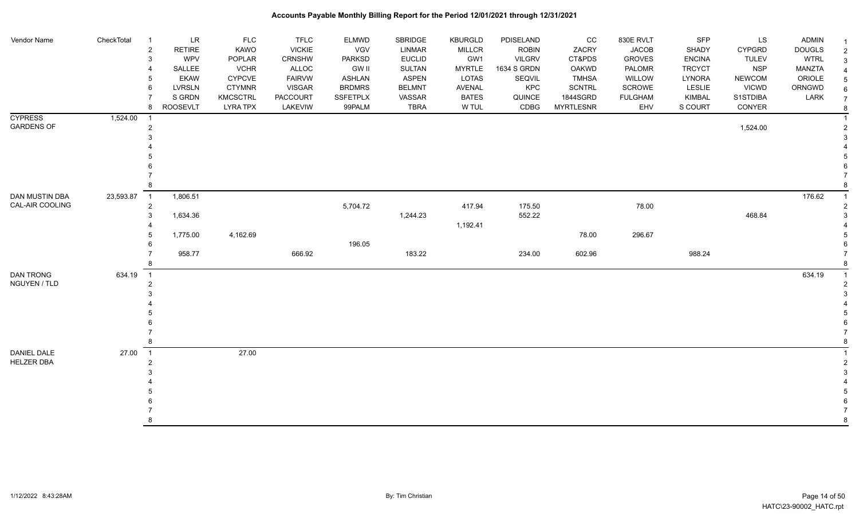| Vendor Name                         | CheckTotal | <b>LR</b><br>$\overline{\mathbf{1}}$<br>$\overline{2}$<br><b>RETIRE</b><br>WPV<br>3<br>SALLEE<br><b>EKAW</b><br>5 | <b>FLC</b><br>KAWO<br>POPLAR<br><b>VCHR</b><br>CYPCVE | <b>TFLC</b><br><b>VICKIE</b><br><b>CRNSHW</b><br>ALLOC<br><b>FAIRVW</b> | ELMWD<br>VGV<br><b>PARKSD</b><br><b>GW II</b><br>ASHLAN | SBRIDGE<br><b>LINMAR</b><br><b>EUCLID</b><br><b>SULTAN</b><br><b>ASPEN</b> | <b>KBURGLD</b><br><b>MILLCR</b><br>GW1<br><b>MYRTLE</b><br>LOTAS | PDISELAND<br><b>ROBIN</b><br><b>VILGRV</b><br>1634 S GRDN<br>SEQVIL | CC<br>ZACRY<br>CT&PDS<br><b>OAKWD</b><br><b>TMHSA</b> | 830E RVLT<br><b>JACOB</b><br><b>GROVES</b><br>PALOMR<br>WILLOW | <b>SFP</b><br><b>SHADY</b><br><b>ENCINA</b><br><b>TRCYCT</b><br>LYNORA | LS<br><b>CYPGRD</b><br><b>TULEV</b><br><b>NSP</b><br><b>NEWCOM</b> | ADMIN<br><b>DOUGLS</b><br><b>WTRL</b><br><b>MANZTA</b><br>ORIOLE | $\overline{2}$<br>3 |
|-------------------------------------|------------|-------------------------------------------------------------------------------------------------------------------|-------------------------------------------------------|-------------------------------------------------------------------------|---------------------------------------------------------|----------------------------------------------------------------------------|------------------------------------------------------------------|---------------------------------------------------------------------|-------------------------------------------------------|----------------------------------------------------------------|------------------------------------------------------------------------|--------------------------------------------------------------------|------------------------------------------------------------------|---------------------|
|                                     |            | <b>LVRSLN</b><br>6                                                                                                | <b>CTYMNR</b>                                         | <b>VISGAR</b>                                                           | <b>BRDMRS</b>                                           | <b>BELMNT</b>                                                              | AVENAL                                                           | KPC                                                                 | <b>SCNTRL</b>                                         | SCROWE                                                         | <b>LESLIE</b>                                                          | <b>VICWD</b>                                                       | ORNGWD                                                           |                     |
|                                     |            | S GRDN<br><b>ROOSEVLT</b><br>8                                                                                    | <b>KMCSCTRL</b><br><b>LYRA TPX</b>                    | <b>PACCOURT</b><br>LAKEVIW                                              | <b>SSFETPLX</b><br>99PALM                               | VASSAR<br><b>TBRA</b>                                                      | <b>BATES</b><br>W TUL                                            | QUINCE<br>CDBG                                                      | 1844SGRD<br><b>MYRTLESNR</b>                          | <b>FULGHAM</b><br>EHV                                          | <b>KIMBAL</b><br>S COURT                                               | S1STDIBA<br>CONYER                                                 | LARK                                                             | $\overline{7}$<br>8 |
| <b>CYPRESS</b><br><b>GARDENS OF</b> | 1,524.00   | $\overline{\mathbf{1}}$<br>$\overline{c}$                                                                         |                                                       |                                                                         |                                                         |                                                                            |                                                                  |                                                                     |                                                       |                                                                |                                                                        | 1,524.00                                                           |                                                                  |                     |
|                                     |            |                                                                                                                   |                                                       |                                                                         |                                                         |                                                                            |                                                                  |                                                                     |                                                       |                                                                |                                                                        |                                                                    |                                                                  |                     |
|                                     |            |                                                                                                                   |                                                       |                                                                         |                                                         |                                                                            |                                                                  |                                                                     |                                                       |                                                                |                                                                        |                                                                    |                                                                  |                     |
| DAN MUSTIN DBA                      | 23,593.87  | $\overline{1}$<br>1,806.51                                                                                        |                                                       |                                                                         |                                                         |                                                                            |                                                                  |                                                                     |                                                       |                                                                |                                                                        |                                                                    | 176.62                                                           |                     |
| CAL-AIR COOLING                     |            | $\overline{2}$<br>1,634.36<br>3                                                                                   |                                                       |                                                                         | 5,704.72                                                | 1,244.23                                                                   | 417.94<br>1,192.41                                               | 175.50<br>552.22                                                    |                                                       | 78.00                                                          |                                                                        | 468.84                                                             |                                                                  |                     |
|                                     |            | 1,775.00<br>5<br>6                                                                                                | 4,162.69                                              |                                                                         | 196.05                                                  |                                                                            |                                                                  |                                                                     | 78.00                                                 | 296.67                                                         |                                                                        |                                                                    |                                                                  |                     |
|                                     |            | 958.77                                                                                                            |                                                       | 666.92                                                                  |                                                         | 183.22                                                                     |                                                                  | 234.00                                                              | 602.96                                                |                                                                | 988.24                                                                 |                                                                    |                                                                  |                     |
| DAN TRONG<br>NGUYEN / TLD           | 634.19     | $\overline{1}$<br>$\overline{2}$                                                                                  |                                                       |                                                                         |                                                         |                                                                            |                                                                  |                                                                     |                                                       |                                                                |                                                                        |                                                                    | 634.19                                                           |                     |
|                                     |            |                                                                                                                   |                                                       |                                                                         |                                                         |                                                                            |                                                                  |                                                                     |                                                       |                                                                |                                                                        |                                                                    |                                                                  |                     |
|                                     |            |                                                                                                                   |                                                       |                                                                         |                                                         |                                                                            |                                                                  |                                                                     |                                                       |                                                                |                                                                        |                                                                    |                                                                  |                     |
|                                     |            |                                                                                                                   |                                                       |                                                                         |                                                         |                                                                            |                                                                  |                                                                     |                                                       |                                                                |                                                                        |                                                                    |                                                                  |                     |
| DANIEL DALE<br><b>HELZER DBA</b>    | 27.00      | $\overline{1}$                                                                                                    | 27.00                                                 |                                                                         |                                                         |                                                                            |                                                                  |                                                                     |                                                       |                                                                |                                                                        |                                                                    |                                                                  |                     |
|                                     |            |                                                                                                                   |                                                       |                                                                         |                                                         |                                                                            |                                                                  |                                                                     |                                                       |                                                                |                                                                        |                                                                    |                                                                  |                     |
|                                     |            |                                                                                                                   |                                                       |                                                                         |                                                         |                                                                            |                                                                  |                                                                     |                                                       |                                                                |                                                                        |                                                                    |                                                                  |                     |
|                                     |            | 8                                                                                                                 |                                                       |                                                                         |                                                         |                                                                            |                                                                  |                                                                     |                                                       |                                                                |                                                                        |                                                                    |                                                                  | 8                   |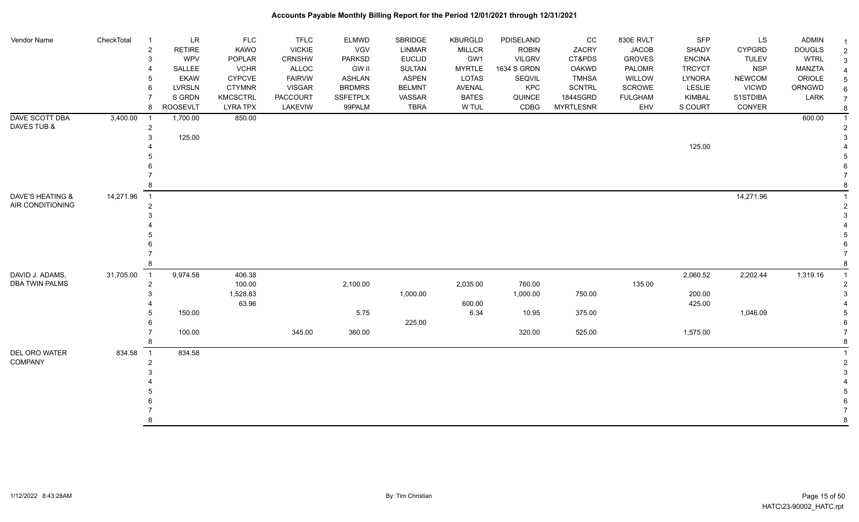| Vendor Name           | CheckTotal | $\overline{1}$ | <b>LR</b>       | <b>FLC</b>      | <b>TFLC</b>   | ELMWD           | SBRIDGE       | <b>KBURGLD</b> | PDISELAND     | $_{\rm CC}$      | 830E RVLT      | SFP           | LS            | <b>ADMIN</b>  | -1            |
|-----------------------|------------|----------------|-----------------|-----------------|---------------|-----------------|---------------|----------------|---------------|------------------|----------------|---------------|---------------|---------------|---------------|
|                       |            | $\overline{2}$ | <b>RETIRE</b>   | KAWO            | <b>VICKIE</b> | <b>VGV</b>      | <b>LINMAR</b> | <b>MILLCR</b>  | <b>ROBIN</b>  | ZACRY            | <b>JACOB</b>   | SHADY         | <b>CYPGRD</b> | <b>DOUGLS</b> | 2             |
|                       |            | 3              | WPV             | POPLAR          | CRNSHW        | <b>PARKSD</b>   | <b>EUCLID</b> | GW1            | <b>VILGRV</b> | CT&PDS           | <b>GROVES</b>  | <b>ENCINA</b> | <b>TULEV</b>  | <b>WTRL</b>   | 3             |
|                       |            | $\overline{4}$ | <b>SALLEE</b>   | <b>VCHR</b>     | ALLOC         | <b>GW II</b>    | <b>SULTAN</b> | <b>MYRTLE</b>  | 1634 S GRDN   | <b>OAKWD</b>     | PALOMR         | <b>TRCYCT</b> | <b>NSP</b>    | <b>MANZTA</b> |               |
|                       |            | 5              | <b>EKAW</b>     | <b>CYPCVE</b>   | <b>FAIRVW</b> | <b>ASHLAN</b>   | <b>ASPEN</b>  | LOTAS          | SEQVIL        | <b>TMHSA</b>     | <b>WILLOW</b>  | <b>LYNORA</b> | <b>NEWCOM</b> | ORIOLE        |               |
|                       |            | 6              | <b>LVRSLN</b>   | <b>CTYMNR</b>   | <b>VISGAR</b> | <b>BRDMRS</b>   | <b>BELMNT</b> | AVENAL         | KPC           | SCNTRL           | SCROWE         | <b>LESLIE</b> | <b>VICWD</b>  | ORNGWD        |               |
|                       |            | $\overline{7}$ | S GRDN          | <b>KMCSCTRL</b> | PACCOURT      | <b>SSFETPLX</b> | VASSAR        | <b>BATES</b>   | QUINCE        | 1844SGRD         | <b>FULGHAM</b> | KIMBAL        | S1STDIBA      | LARK          |               |
|                       |            | 8              | <b>ROOSEVLT</b> | <b>LYRA TPX</b> | LAKEVIW       | 99PALM          | <b>TBRA</b>   | W TUL          | CDBG          | <b>MYRTLESNR</b> | EHV            | S COURT       | CONYER        |               | 8             |
| DAVE SCOTT DBA        | 3,400.00   | - 1            | 1,700.00        | 850.00          |               |                 |               |                |               |                  |                |               |               | 600.00        |               |
| DAVES TUB &           |            | $\overline{2}$ |                 |                 |               |                 |               |                |               |                  |                |               |               |               |               |
|                       |            | 3              | 125.00          |                 |               |                 |               |                |               |                  |                |               |               |               |               |
|                       |            |                |                 |                 |               |                 |               |                |               |                  |                | 125.00        |               |               |               |
|                       |            |                |                 |                 |               |                 |               |                |               |                  |                |               |               |               |               |
|                       |            |                |                 |                 |               |                 |               |                |               |                  |                |               |               |               |               |
|                       |            |                |                 |                 |               |                 |               |                |               |                  |                |               |               |               |               |
|                       |            | 8              |                 |                 |               |                 |               |                |               |                  |                |               |               |               |               |
| DAVE'S HEATING &      | 14,271.96  | $\overline{1}$ |                 |                 |               |                 |               |                |               |                  |                |               | 14,271.96     |               |               |
| AIR CONDITIONING      |            | $\overline{c}$ |                 |                 |               |                 |               |                |               |                  |                |               |               |               |               |
|                       |            | 3              |                 |                 |               |                 |               |                |               |                  |                |               |               |               |               |
|                       |            |                |                 |                 |               |                 |               |                |               |                  |                |               |               |               |               |
|                       |            |                |                 |                 |               |                 |               |                |               |                  |                |               |               |               |               |
|                       |            |                |                 |                 |               |                 |               |                |               |                  |                |               |               |               |               |
|                       |            |                |                 |                 |               |                 |               |                |               |                  |                |               |               |               |               |
|                       |            | 8              |                 |                 |               |                 |               |                |               |                  |                |               |               |               |               |
| DAVID J. ADAMS,       | 31,705.00  | $\overline{1}$ | 9,974.58        | 406.38          |               |                 |               |                |               |                  |                | 2,060.52      | 2,202.44      | 1,319.16      |               |
| <b>DBA TWIN PALMS</b> |            | $\overline{2}$ |                 | 100.00          |               | 2,100.00        |               | 2,035.00       | 760.00        |                  | 135.00         |               |               |               |               |
|                       |            | 3              |                 | 1,528.83        |               |                 | 1,000.00      |                | 1,000.00      | 750.00           |                | 200.00        |               |               |               |
|                       |            |                |                 | 63.96           |               |                 |               | 600.00         |               |                  |                | 425.00        |               |               |               |
|                       |            | 5              | 150.00          |                 |               | 5.75            |               | 6.34           | 10.95         | 375.00           |                |               | 1,046.09      |               |               |
|                       |            | 6              |                 |                 |               |                 | 225.00        |                |               |                  |                |               |               |               |               |
|                       |            | $\overline{7}$ | 100.00          |                 | 345.00        | 360.00          |               |                | 320.00        | 525.00           |                | 1,575.00      |               |               |               |
|                       |            | 8              |                 |                 |               |                 |               |                |               |                  |                |               |               |               | 8             |
| DEL ORO WATER         | 834.58     | $\overline{1}$ | 834.58          |                 |               |                 |               |                |               |                  |                |               |               |               |               |
| COMPANY               |            | $\overline{2}$ |                 |                 |               |                 |               |                |               |                  |                |               |               |               | $\mathcal{P}$ |
|                       |            | 3              |                 |                 |               |                 |               |                |               |                  |                |               |               |               |               |
|                       |            |                |                 |                 |               |                 |               |                |               |                  |                |               |               |               |               |
|                       |            |                |                 |                 |               |                 |               |                |               |                  |                |               |               |               |               |
|                       |            |                |                 |                 |               |                 |               |                |               |                  |                |               |               |               |               |
|                       |            |                |                 |                 |               |                 |               |                |               |                  |                |               |               |               |               |
|                       |            | 8              |                 |                 |               |                 |               |                |               |                  |                |               |               |               | 8             |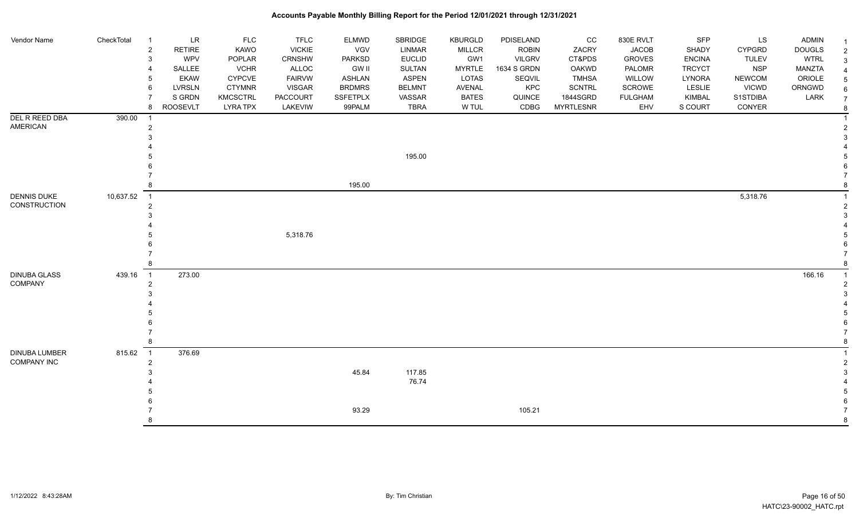| Vendor Name                         | CheckTotal | LR<br>- 1<br><b>RETIRE</b><br>$\overline{c}$<br>WPV<br>3<br>SALLEE<br><b>EKAW</b><br><b>LVRSLN</b><br>6<br>S GRDN<br>8<br><b>ROOSEVLT</b> | FLC<br>KAWO<br>POPLAR<br><b>VCHR</b><br><b>CYPCVE</b><br><b>CTYMNR</b><br><b>KMCSCTRL</b><br><b>LYRA TPX</b> | <b>TFLC</b><br><b>VICKIE</b><br><b>CRNSHW</b><br><b>ALLOC</b><br><b>FAIRVW</b><br>VISGAR<br>PACCOURT<br>LAKEVIW | ELMWD<br><b>VGV</b><br><b>PARKSD</b><br><b>GW II</b><br>ASHLAN<br><b>BRDMRS</b><br><b>SSFETPLX</b><br>99PALM | SBRIDGE<br><b>LINMAR</b><br><b>EUCLID</b><br><b>SULTAN</b><br><b>ASPEN</b><br><b>BELMNT</b><br>VASSAR<br><b>TBRA</b> | <b>KBURGLD</b><br><b>MILLCR</b><br>GW1<br><b>MYRTLE</b><br>LOTAS<br><b>AVENAL</b><br><b>BATES</b><br>W TUL | PDISELAND<br><b>ROBIN</b><br><b>VILGRV</b><br>1634 S GRDN<br>SEQVIL<br>KPC<br>QUINCE<br>CDBG | $_{\rm CC}$<br>ZACRY<br>CT&PDS<br>OAKWD<br><b>TMHSA</b><br><b>SCNTRL</b><br>1844SGRD<br><b>MYRTLESNR</b> | 830E RVLT<br><b>JACOB</b><br><b>GROVES</b><br>PALOMR<br>WILLOW<br>SCROWE<br><b>FULGHAM</b><br>EHV | SFP<br>SHADY<br><b>ENCINA</b><br><b>TRCYCT</b><br>LYNORA<br><b>LESLIE</b><br>KIMBAL<br>S COURT | LS<br><b>CYPGRD</b><br><b>TULEV</b><br><b>NSP</b><br><b>NEWCOM</b><br><b>VICWD</b><br>S1STDIBA<br>CONYER | <b>ADMIN</b><br><b>DOUGLS</b><br><b>WTRL</b><br><b>MANZTA</b><br>ORIOLE<br>ORNGWD<br>LARK | $\overline{2}$<br>3<br>6<br>$\overline{7}$ |
|-------------------------------------|------------|-------------------------------------------------------------------------------------------------------------------------------------------|--------------------------------------------------------------------------------------------------------------|-----------------------------------------------------------------------------------------------------------------|--------------------------------------------------------------------------------------------------------------|----------------------------------------------------------------------------------------------------------------------|------------------------------------------------------------------------------------------------------------|----------------------------------------------------------------------------------------------|----------------------------------------------------------------------------------------------------------|---------------------------------------------------------------------------------------------------|------------------------------------------------------------------------------------------------|----------------------------------------------------------------------------------------------------------|-------------------------------------------------------------------------------------------|--------------------------------------------|
| DEL R REED DBA                      | 390.00     |                                                                                                                                           |                                                                                                              |                                                                                                                 |                                                                                                              |                                                                                                                      |                                                                                                            |                                                                                              |                                                                                                          |                                                                                                   |                                                                                                |                                                                                                          |                                                                                           |                                            |
| <b>AMERICAN</b>                     |            | $\overline{1}$<br>$\overline{2}$                                                                                                          |                                                                                                              |                                                                                                                 |                                                                                                              |                                                                                                                      |                                                                                                            |                                                                                              |                                                                                                          |                                                                                                   |                                                                                                |                                                                                                          |                                                                                           |                                            |
|                                     |            |                                                                                                                                           |                                                                                                              |                                                                                                                 |                                                                                                              |                                                                                                                      |                                                                                                            |                                                                                              |                                                                                                          |                                                                                                   |                                                                                                |                                                                                                          |                                                                                           |                                            |
|                                     |            |                                                                                                                                           |                                                                                                              |                                                                                                                 |                                                                                                              | 195.00                                                                                                               |                                                                                                            |                                                                                              |                                                                                                          |                                                                                                   |                                                                                                |                                                                                                          |                                                                                           |                                            |
|                                     |            |                                                                                                                                           |                                                                                                              |                                                                                                                 |                                                                                                              |                                                                                                                      |                                                                                                            |                                                                                              |                                                                                                          |                                                                                                   |                                                                                                |                                                                                                          |                                                                                           |                                            |
|                                     |            |                                                                                                                                           |                                                                                                              |                                                                                                                 | 195.00                                                                                                       |                                                                                                                      |                                                                                                            |                                                                                              |                                                                                                          |                                                                                                   |                                                                                                |                                                                                                          |                                                                                           |                                            |
| <b>DENNIS DUKE</b>                  | 10,637.52  | $\overline{1}$                                                                                                                            |                                                                                                              |                                                                                                                 |                                                                                                              |                                                                                                                      |                                                                                                            |                                                                                              |                                                                                                          |                                                                                                   |                                                                                                | 5,318.76                                                                                                 |                                                                                           |                                            |
| CONSTRUCTION                        |            | $\overline{c}$                                                                                                                            |                                                                                                              |                                                                                                                 |                                                                                                              |                                                                                                                      |                                                                                                            |                                                                                              |                                                                                                          |                                                                                                   |                                                                                                |                                                                                                          |                                                                                           |                                            |
|                                     |            |                                                                                                                                           |                                                                                                              |                                                                                                                 |                                                                                                              |                                                                                                                      |                                                                                                            |                                                                                              |                                                                                                          |                                                                                                   |                                                                                                |                                                                                                          |                                                                                           |                                            |
|                                     |            |                                                                                                                                           |                                                                                                              |                                                                                                                 |                                                                                                              |                                                                                                                      |                                                                                                            |                                                                                              |                                                                                                          |                                                                                                   |                                                                                                |                                                                                                          |                                                                                           |                                            |
|                                     |            |                                                                                                                                           |                                                                                                              | 5,318.76                                                                                                        |                                                                                                              |                                                                                                                      |                                                                                                            |                                                                                              |                                                                                                          |                                                                                                   |                                                                                                |                                                                                                          |                                                                                           |                                            |
|                                     |            |                                                                                                                                           |                                                                                                              |                                                                                                                 |                                                                                                              |                                                                                                                      |                                                                                                            |                                                                                              |                                                                                                          |                                                                                                   |                                                                                                |                                                                                                          |                                                                                           |                                            |
|                                     |            | 8                                                                                                                                         |                                                                                                              |                                                                                                                 |                                                                                                              |                                                                                                                      |                                                                                                            |                                                                                              |                                                                                                          |                                                                                                   |                                                                                                |                                                                                                          |                                                                                           |                                            |
| <b>DINUBA GLASS</b>                 | 439.16     | 273.00<br>$\overline{\phantom{0}}$ 1                                                                                                      |                                                                                                              |                                                                                                                 |                                                                                                              |                                                                                                                      |                                                                                                            |                                                                                              |                                                                                                          |                                                                                                   |                                                                                                |                                                                                                          | 166.16                                                                                    |                                            |
| COMPANY                             |            | $\overline{2}$                                                                                                                            |                                                                                                              |                                                                                                                 |                                                                                                              |                                                                                                                      |                                                                                                            |                                                                                              |                                                                                                          |                                                                                                   |                                                                                                |                                                                                                          |                                                                                           |                                            |
|                                     |            |                                                                                                                                           |                                                                                                              |                                                                                                                 |                                                                                                              |                                                                                                                      |                                                                                                            |                                                                                              |                                                                                                          |                                                                                                   |                                                                                                |                                                                                                          |                                                                                           |                                            |
|                                     |            |                                                                                                                                           |                                                                                                              |                                                                                                                 |                                                                                                              |                                                                                                                      |                                                                                                            |                                                                                              |                                                                                                          |                                                                                                   |                                                                                                |                                                                                                          |                                                                                           |                                            |
|                                     |            |                                                                                                                                           |                                                                                                              |                                                                                                                 |                                                                                                              |                                                                                                                      |                                                                                                            |                                                                                              |                                                                                                          |                                                                                                   |                                                                                                |                                                                                                          |                                                                                           |                                            |
|                                     |            |                                                                                                                                           |                                                                                                              |                                                                                                                 |                                                                                                              |                                                                                                                      |                                                                                                            |                                                                                              |                                                                                                          |                                                                                                   |                                                                                                |                                                                                                          |                                                                                           |                                            |
|                                     |            |                                                                                                                                           |                                                                                                              |                                                                                                                 |                                                                                                              |                                                                                                                      |                                                                                                            |                                                                                              |                                                                                                          |                                                                                                   |                                                                                                |                                                                                                          |                                                                                           |                                            |
|                                     |            | 8                                                                                                                                         |                                                                                                              |                                                                                                                 |                                                                                                              |                                                                                                                      |                                                                                                            |                                                                                              |                                                                                                          |                                                                                                   |                                                                                                |                                                                                                          |                                                                                           |                                            |
| DINUBA LUMBER<br><b>COMPANY INC</b> | 815.62     | 376.69<br>$\overline{1}$                                                                                                                  |                                                                                                              |                                                                                                                 |                                                                                                              |                                                                                                                      |                                                                                                            |                                                                                              |                                                                                                          |                                                                                                   |                                                                                                |                                                                                                          |                                                                                           |                                            |
|                                     |            | $\overline{2}$                                                                                                                            |                                                                                                              |                                                                                                                 | 45.84                                                                                                        | 117.85                                                                                                               |                                                                                                            |                                                                                              |                                                                                                          |                                                                                                   |                                                                                                |                                                                                                          |                                                                                           |                                            |
|                                     |            |                                                                                                                                           |                                                                                                              |                                                                                                                 |                                                                                                              | 76.74                                                                                                                |                                                                                                            |                                                                                              |                                                                                                          |                                                                                                   |                                                                                                |                                                                                                          |                                                                                           |                                            |
|                                     |            |                                                                                                                                           |                                                                                                              |                                                                                                                 |                                                                                                              |                                                                                                                      |                                                                                                            |                                                                                              |                                                                                                          |                                                                                                   |                                                                                                |                                                                                                          |                                                                                           |                                            |
|                                     |            |                                                                                                                                           |                                                                                                              |                                                                                                                 |                                                                                                              |                                                                                                                      |                                                                                                            |                                                                                              |                                                                                                          |                                                                                                   |                                                                                                |                                                                                                          |                                                                                           |                                            |
|                                     |            |                                                                                                                                           |                                                                                                              |                                                                                                                 | 93.29                                                                                                        |                                                                                                                      |                                                                                                            | 105.21                                                                                       |                                                                                                          |                                                                                                   |                                                                                                |                                                                                                          |                                                                                           |                                            |
|                                     |            | 8                                                                                                                                         |                                                                                                              |                                                                                                                 |                                                                                                              |                                                                                                                      |                                                                                                            |                                                                                              |                                                                                                          |                                                                                                   |                                                                                                |                                                                                                          |                                                                                           | 8                                          |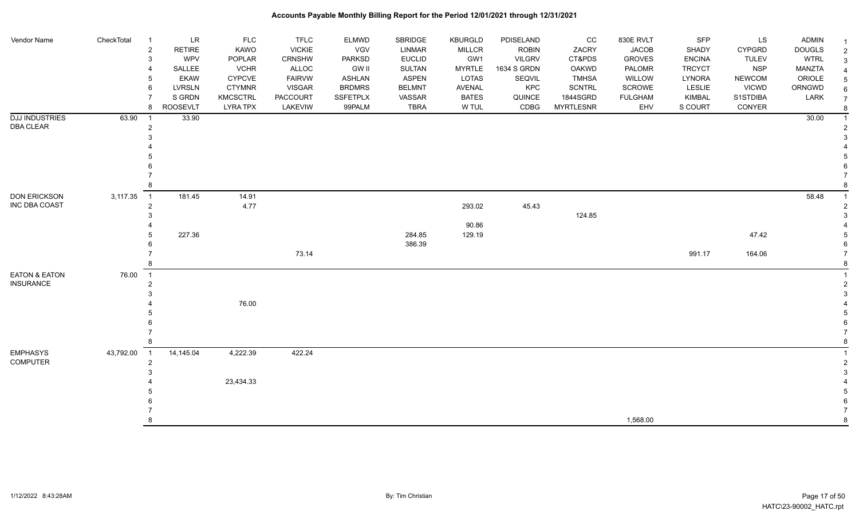| Vendor Name                        | CheckTotal | $\overline{1}$<br>$\overline{2}$<br>3 | <b>LR</b><br><b>RETIRE</b><br><b>WPV</b> | <b>FLC</b><br>KAWO<br>POPLAR       | <b>TFLC</b><br><b>VICKIE</b><br>CRNSHW | <b>ELMWD</b><br><b>VGV</b><br><b>PARKSD</b> | SBRIDGE<br><b>LINMAR</b><br><b>EUCLID</b> | <b>KBURGLD</b><br>MILLCR<br>GW1 | PDISELAND<br><b>ROBIN</b><br><b>VILGRV</b> | cc<br>ZACRY<br>CT&PDS        | 830E RVLT<br><b>JACOB</b><br><b>GROVES</b> | SFP<br>SHADY<br><b>ENCINA</b> | LS<br><b>CYPGRD</b><br><b>TULEV</b> | <b>ADMIN</b><br><b>DOUGLS</b><br><b>WTRL</b> |  |
|------------------------------------|------------|---------------------------------------|------------------------------------------|------------------------------------|----------------------------------------|---------------------------------------------|-------------------------------------------|---------------------------------|--------------------------------------------|------------------------------|--------------------------------------------|-------------------------------|-------------------------------------|----------------------------------------------|--|
|                                    |            | $\overline{4}$                        | SALLEE                                   | <b>VCHR</b>                        | <b>ALLOC</b>                           | <b>GW II</b>                                | <b>SULTAN</b>                             | <b>MYRTLE</b>                   | 1634 S GRDN                                | <b>OAKWD</b>                 | PALOMR                                     | <b>TRCYCT</b>                 | <b>NSP</b>                          | MANZTA                                       |  |
|                                    |            | 5                                     | <b>EKAW</b>                              | <b>CYPCVE</b>                      | <b>FAIRVW</b>                          | <b>ASHLAN</b>                               | <b>ASPEN</b>                              | LOTAS                           | SEQVIL                                     | <b>TMHSA</b>                 | WILLOW                                     | LYNORA                        | <b>NEWCOM</b>                       | ORIOLE                                       |  |
|                                    |            | 6                                     | <b>LVRSLN</b>                            | <b>CTYMNR</b>                      | <b>VISGAR</b>                          | <b>BRDMRS</b>                               | <b>BELMNT</b>                             | AVENAL                          | KPC                                        | <b>SCNTRL</b>                | SCROWE                                     | <b>LESLIE</b>                 | <b>VICWD</b>                        | ORNGWD                                       |  |
|                                    |            | $\overline{7}$<br>8                   | S GRDN<br><b>ROOSEVLT</b>                | <b>KMCSCTRL</b><br><b>LYRA TPX</b> | PACCOURT<br>LAKEVIW                    | SSFETPLX<br>99PALM                          | VASSAR<br><b>TBRA</b>                     | <b>BATES</b><br>W TUL           | QUINCE<br>CDBG                             | 1844SGRD<br><b>MYRTLESNR</b> | <b>FULGHAM</b><br>EHV                      | KIMBAL<br>S COURT             | S1STDIBA<br>CONYER                  | LARK                                         |  |
| <b>DJJ INDUSTRIES</b>              | 63.90      | - 1                                   | 33.90                                    |                                    |                                        |                                             |                                           |                                 |                                            |                              |                                            |                               |                                     | 30.00                                        |  |
| <b>DBA CLEAR</b>                   |            | $\overline{2}$                        |                                          |                                    |                                        |                                             |                                           |                                 |                                            |                              |                                            |                               |                                     |                                              |  |
|                                    |            | 3                                     |                                          |                                    |                                        |                                             |                                           |                                 |                                            |                              |                                            |                               |                                     |                                              |  |
|                                    |            |                                       |                                          |                                    |                                        |                                             |                                           |                                 |                                            |                              |                                            |                               |                                     |                                              |  |
|                                    |            |                                       |                                          |                                    |                                        |                                             |                                           |                                 |                                            |                              |                                            |                               |                                     |                                              |  |
|                                    |            |                                       |                                          |                                    |                                        |                                             |                                           |                                 |                                            |                              |                                            |                               |                                     |                                              |  |
|                                    |            |                                       |                                          |                                    |                                        |                                             |                                           |                                 |                                            |                              |                                            |                               |                                     |                                              |  |
|                                    |            |                                       |                                          |                                    |                                        |                                             |                                           |                                 |                                            |                              |                                            |                               |                                     |                                              |  |
| <b>DON ERICKSON</b>                | 3,117.35   | $\overline{1}$                        | 181.45                                   | 14.91                              |                                        |                                             |                                           |                                 |                                            |                              |                                            |                               |                                     | 58.48                                        |  |
| <b>INC DBA COAST</b>               |            | $\overline{2}$                        |                                          | 4.77                               |                                        |                                             |                                           | 293.02                          | 45.43                                      |                              |                                            |                               |                                     |                                              |  |
|                                    |            | 3                                     |                                          |                                    |                                        |                                             |                                           |                                 |                                            | 124.85                       |                                            |                               |                                     |                                              |  |
|                                    |            | 5                                     | 227.36                                   |                                    |                                        |                                             | 284.85                                    | 90.86<br>129.19                 |                                            |                              |                                            |                               | 47.42                               |                                              |  |
|                                    |            | 6                                     |                                          |                                    |                                        |                                             | 386.39                                    |                                 |                                            |                              |                                            |                               |                                     |                                              |  |
|                                    |            | $\overline{7}$                        |                                          |                                    | 73.14                                  |                                             |                                           |                                 |                                            |                              |                                            | 991.17                        | 164.06                              |                                              |  |
|                                    |            | 8                                     |                                          |                                    |                                        |                                             |                                           |                                 |                                            |                              |                                            |                               |                                     |                                              |  |
| <b>EATON &amp; EATON</b>           | 76.00      | $\overline{1}$                        |                                          |                                    |                                        |                                             |                                           |                                 |                                            |                              |                                            |                               |                                     |                                              |  |
| <b>INSURANCE</b>                   |            | $\overline{2}$                        |                                          |                                    |                                        |                                             |                                           |                                 |                                            |                              |                                            |                               |                                     |                                              |  |
|                                    |            | 3                                     |                                          |                                    |                                        |                                             |                                           |                                 |                                            |                              |                                            |                               |                                     |                                              |  |
|                                    |            |                                       |                                          | 76.00                              |                                        |                                             |                                           |                                 |                                            |                              |                                            |                               |                                     |                                              |  |
|                                    |            |                                       |                                          |                                    |                                        |                                             |                                           |                                 |                                            |                              |                                            |                               |                                     |                                              |  |
|                                    |            |                                       |                                          |                                    |                                        |                                             |                                           |                                 |                                            |                              |                                            |                               |                                     |                                              |  |
|                                    |            |                                       |                                          |                                    |                                        |                                             |                                           |                                 |                                            |                              |                                            |                               |                                     |                                              |  |
|                                    |            | 8                                     |                                          |                                    |                                        |                                             |                                           |                                 |                                            |                              |                                            |                               |                                     |                                              |  |
| <b>EMPHASYS</b><br><b>COMPUTER</b> | 43,792.00  | $\overline{1}$<br>$\overline{2}$      | 14,145.04                                | 4,222.39                           | 422.24                                 |                                             |                                           |                                 |                                            |                              |                                            |                               |                                     |                                              |  |
|                                    |            | 3                                     |                                          |                                    |                                        |                                             |                                           |                                 |                                            |                              |                                            |                               |                                     |                                              |  |
|                                    |            |                                       |                                          | 23,434.33                          |                                        |                                             |                                           |                                 |                                            |                              |                                            |                               |                                     |                                              |  |
|                                    |            |                                       |                                          |                                    |                                        |                                             |                                           |                                 |                                            |                              |                                            |                               |                                     |                                              |  |
|                                    |            |                                       |                                          |                                    |                                        |                                             |                                           |                                 |                                            |                              |                                            |                               |                                     |                                              |  |
|                                    |            |                                       |                                          |                                    |                                        |                                             |                                           |                                 |                                            |                              |                                            |                               |                                     |                                              |  |
|                                    |            | 8                                     |                                          |                                    |                                        |                                             |                                           |                                 |                                            |                              | 1,568.00                                   |                               |                                     |                                              |  |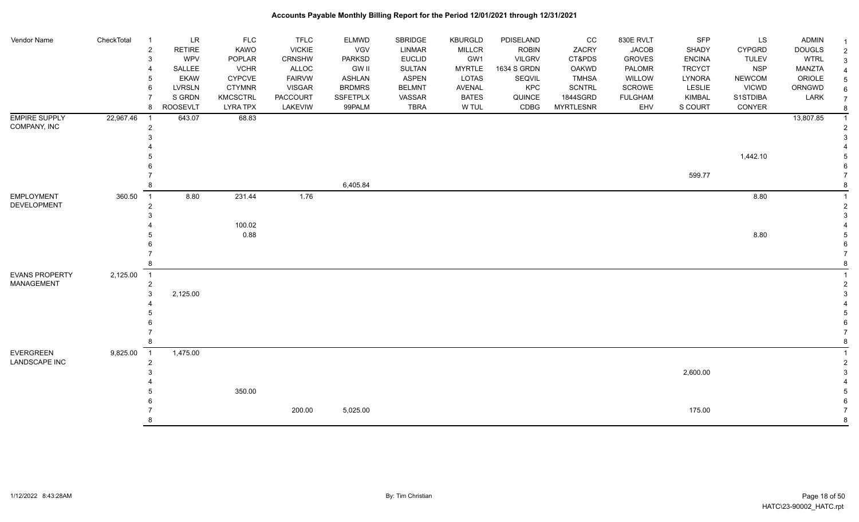| Vendor Name           | CheckTotal | $\overline{1}$ | <b>LR</b>       | <b>FLC</b>      | <b>TFLC</b>   | <b>ELMWD</b>    | SBRIDGE       | <b>KBURGLD</b> | PDISELAND     | cc               | 830E RVLT      | <b>SFP</b>    | LS            | <b>ADMIN</b>  | -1 |
|-----------------------|------------|----------------|-----------------|-----------------|---------------|-----------------|---------------|----------------|---------------|------------------|----------------|---------------|---------------|---------------|----|
|                       |            | $\overline{2}$ | <b>RETIRE</b>   | KAWO            | <b>VICKIE</b> | <b>VGV</b>      | LINMAR        | <b>MILLCR</b>  | <b>ROBIN</b>  | ZACRY            | <b>JACOB</b>   | <b>SHADY</b>  | <b>CYPGRD</b> | <b>DOUGLS</b> |    |
|                       |            | 3              | WPV             | POPLAR          | <b>CRNSHW</b> | <b>PARKSD</b>   | <b>EUCLID</b> | GW1            | <b>VILGRV</b> | CT&PDS           | <b>GROVES</b>  | <b>ENCINA</b> | <b>TULEV</b>  | <b>WTRL</b>   |    |
|                       |            |                | SALLEE          | <b>VCHR</b>     | ALLOC         | <b>GW II</b>    | <b>SULTAN</b> | <b>MYRTLE</b>  | 1634 S GRDN   | OAKWD            | PALOMR         | <b>TRCYCT</b> | <b>NSP</b>    | MANZTA        |    |
|                       |            | 5              | <b>EKAW</b>     | <b>CYPCVE</b>   | <b>FAIRVW</b> | <b>ASHLAN</b>   | <b>ASPEN</b>  | LOTAS          | SEQVIL        | <b>TMHSA</b>     | WILLOW         | <b>LYNORA</b> | <b>NEWCOM</b> | ORIOLE        |    |
|                       |            | 6              | <b>LVRSLN</b>   | <b>CTYMNR</b>   | <b>VISGAR</b> | <b>BRDMRS</b>   | <b>BELMNT</b> | AVENAL         | KPC           | <b>SCNTRL</b>    | <b>SCROWE</b>  | <b>LESLIE</b> | <b>VICWD</b>  | ORNGWD        |    |
|                       |            | $\overline{7}$ | S GRDN          | <b>KMCSCTRL</b> | PACCOURT      | <b>SSFETPLX</b> | VASSAR        | <b>BATES</b>   | QUINCE        | 1844SGRD         | <b>FULGHAM</b> | KIMBAL        | S1STDIBA      | LARK          |    |
|                       |            | 8              | <b>ROOSEVLT</b> | <b>LYRA TPX</b> | LAKEVIW       | 99PALM          | <b>TBRA</b>   | W TUL          | CDBG          | <b>MYRTLESNR</b> | EHV            | S COURT       | CONYER        |               |    |
| <b>EMPIRE SUPPLY</b>  | 22,967.46  | $\overline{1}$ | 643.07          | 68.83           |               |                 |               |                |               |                  |                |               |               | 13,807.85     |    |
| COMPANY, INC          |            | $\sqrt{2}$     |                 |                 |               |                 |               |                |               |                  |                |               |               |               |    |
|                       |            | 3              |                 |                 |               |                 |               |                |               |                  |                |               |               |               |    |
|                       |            |                |                 |                 |               |                 |               |                |               |                  |                |               |               |               |    |
|                       |            |                |                 |                 |               |                 |               |                |               |                  |                |               | 1,442.10      |               |    |
|                       |            |                |                 |                 |               |                 |               |                |               |                  |                |               |               |               |    |
|                       |            |                |                 |                 |               |                 |               |                |               |                  |                | 599.77        |               |               |    |
|                       |            | 8              |                 |                 |               | 6,405.84        |               |                |               |                  |                |               |               |               |    |
| <b>EMPLOYMENT</b>     | 360.50     | $\overline{1}$ | 8.80            | 231.44          | 1.76          |                 |               |                |               |                  |                |               | 8.80          |               |    |
| DEVELOPMENT           |            | $\overline{c}$ |                 |                 |               |                 |               |                |               |                  |                |               |               |               |    |
|                       |            | 3              |                 |                 |               |                 |               |                |               |                  |                |               |               |               |    |
|                       |            |                |                 | 100.02          |               |                 |               |                |               |                  |                |               |               |               |    |
|                       |            |                |                 | 0.88            |               |                 |               |                |               |                  |                |               | 8.80          |               |    |
|                       |            |                |                 |                 |               |                 |               |                |               |                  |                |               |               |               |    |
|                       |            |                |                 |                 |               |                 |               |                |               |                  |                |               |               |               |    |
|                       |            | 8              |                 |                 |               |                 |               |                |               |                  |                |               |               |               |    |
| <b>EVANS PROPERTY</b> | 2,125.00   | $\overline{1}$ |                 |                 |               |                 |               |                |               |                  |                |               |               |               |    |
| <b>MANAGEMENT</b>     |            | $\overline{c}$ |                 |                 |               |                 |               |                |               |                  |                |               |               |               |    |
|                       |            | 3              | 2,125.00        |                 |               |                 |               |                |               |                  |                |               |               |               |    |
|                       |            |                |                 |                 |               |                 |               |                |               |                  |                |               |               |               |    |
|                       |            |                |                 |                 |               |                 |               |                |               |                  |                |               |               |               |    |
|                       |            |                |                 |                 |               |                 |               |                |               |                  |                |               |               |               |    |
|                       |            |                |                 |                 |               |                 |               |                |               |                  |                |               |               |               |    |
|                       |            | 8              |                 |                 |               |                 |               |                |               |                  |                |               |               |               |    |
| <b>EVERGREEN</b>      | 9,825.00   | $\overline{1}$ | 1,475.00        |                 |               |                 |               |                |               |                  |                |               |               |               |    |
| <b>LANDSCAPE INC</b>  |            | $\overline{2}$ |                 |                 |               |                 |               |                |               |                  |                |               |               |               |    |
|                       |            | 3              |                 |                 |               |                 |               |                |               |                  |                | 2,600.00      |               |               |    |
|                       |            |                |                 |                 |               |                 |               |                |               |                  |                |               |               |               |    |
|                       |            |                |                 | 350.00          |               |                 |               |                |               |                  |                |               |               |               |    |
|                       |            |                |                 |                 |               |                 |               |                |               |                  |                |               |               |               |    |
|                       |            |                |                 |                 | 200.00        | 5,025.00        |               |                |               |                  |                | 175.00        |               |               |    |
|                       |            | 8              |                 |                 |               |                 |               |                |               |                  |                |               |               |               |    |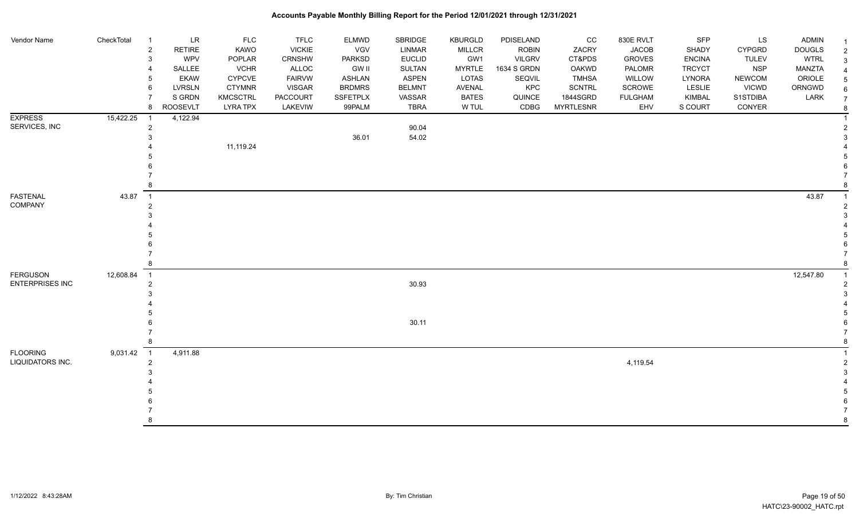| Vendor Name            | CheckTotal | $\overline{1}$ | <b>LR</b>       | <b>FLC</b>      | <b>TFLC</b>     | ELMWD         | SBRIDGE       | <b>KBURGLD</b> | PDISELAND     | cc               | 830E RVLT      | <b>SFP</b>    | LS            | <b>ADMIN</b>  |  |
|------------------------|------------|----------------|-----------------|-----------------|-----------------|---------------|---------------|----------------|---------------|------------------|----------------|---------------|---------------|---------------|--|
|                        |            | $\overline{2}$ | <b>RETIRE</b>   | KAWO            | <b>VICKIE</b>   | VGV           | LINMAR        | <b>MILLCR</b>  | <b>ROBIN</b>  | ZACRY            | <b>JACOB</b>   | SHADY         | <b>CYPGRD</b> | <b>DOUGLS</b> |  |
|                        |            | $\mathbf{3}$   | <b>WPV</b>      | POPLAR          | CRNSHW          | PARKSD        | <b>EUCLID</b> | GW1            | <b>VILGRV</b> | CT&PDS           | <b>GROVES</b>  | <b>ENCINA</b> | <b>TULEV</b>  | <b>WTRL</b>   |  |
|                        |            | $\overline{4}$ | SALLEE          | <b>VCHR</b>     | ALLOC           | <b>GW II</b>  | SULTAN        | <b>MYRTLE</b>  | 1634 S GRDN   | OAKWD            | PALOMR         | <b>TRCYCT</b> | <b>NSP</b>    | MANZTA        |  |
|                        |            | 5              | <b>EKAW</b>     | CYPCVE          | <b>FAIRVW</b>   | <b>ASHLAN</b> | <b>ASPEN</b>  | <b>LOTAS</b>   | SEQVIL        | <b>TMHSA</b>     | <b>WILLOW</b>  | LYNORA        | <b>NEWCOM</b> | ORIOLE        |  |
|                        |            | 6              | <b>LVRSLN</b>   | <b>CTYMNR</b>   | <b>VISGAR</b>   | <b>BRDMRS</b> | <b>BELMNT</b> | <b>AVENAL</b>  | KPC           | <b>SCNTRL</b>    | SCROWE         | LESLIE        | <b>VICWD</b>  | ORNGWD        |  |
|                        |            | $\overline{7}$ | S GRDN          | <b>KMCSCTRL</b> | <b>PACCOURT</b> | SSFETPLX      | VASSAR        | <b>BATES</b>   | QUINCE        | 1844SGRD         | <b>FULGHAM</b> | KIMBAL        | S1STDIBA      | LARK          |  |
|                        |            | 8              | <b>ROOSEVLT</b> | <b>LYRA TPX</b> | LAKEVIW         | 99PALM        | <b>TBRA</b>   | W TUL          | CDBG          | <b>MYRTLESNR</b> | EHV            | S COURT       | CONYER        |               |  |
| <b>EXPRESS</b>         | 15,422.25  |                | 4,122.94        |                 |                 |               |               |                |               |                  |                |               |               |               |  |
| SERVICES, INC          |            | $\overline{c}$ |                 |                 |                 |               | 90.04         |                |               |                  |                |               |               |               |  |
|                        |            | $\mathbf{3}$   |                 |                 |                 | 36.01         | 54.02         |                |               |                  |                |               |               |               |  |
|                        |            |                |                 | 11,119.24       |                 |               |               |                |               |                  |                |               |               |               |  |
|                        |            |                |                 |                 |                 |               |               |                |               |                  |                |               |               |               |  |
|                        |            |                |                 |                 |                 |               |               |                |               |                  |                |               |               |               |  |
|                        |            |                |                 |                 |                 |               |               |                |               |                  |                |               |               |               |  |
|                        |            | 8              |                 |                 |                 |               |               |                |               |                  |                |               |               |               |  |
|                        |            |                |                 |                 |                 |               |               |                |               |                  |                |               |               |               |  |
| <b>FASTENAL</b>        | 43.87      | $\overline{1}$ |                 |                 |                 |               |               |                |               |                  |                |               |               | 43.87         |  |
| COMPANY                |            | $\overline{c}$ |                 |                 |                 |               |               |                |               |                  |                |               |               |               |  |
|                        |            | 3              |                 |                 |                 |               |               |                |               |                  |                |               |               |               |  |
|                        |            |                |                 |                 |                 |               |               |                |               |                  |                |               |               |               |  |
|                        |            |                |                 |                 |                 |               |               |                |               |                  |                |               |               |               |  |
|                        |            | 6              |                 |                 |                 |               |               |                |               |                  |                |               |               |               |  |
|                        |            |                |                 |                 |                 |               |               |                |               |                  |                |               |               |               |  |
|                        |            | 8              |                 |                 |                 |               |               |                |               |                  |                |               |               |               |  |
| <b>FERGUSON</b>        | 12,608.84  | $\overline{1}$ |                 |                 |                 |               |               |                |               |                  |                |               |               | 12,547.80     |  |
| <b>ENTERPRISES INC</b> |            | 2              |                 |                 |                 |               | 30.93         |                |               |                  |                |               |               |               |  |
|                        |            | 3              |                 |                 |                 |               |               |                |               |                  |                |               |               |               |  |
|                        |            |                |                 |                 |                 |               |               |                |               |                  |                |               |               |               |  |
|                        |            |                |                 |                 |                 |               |               |                |               |                  |                |               |               |               |  |
|                        |            |                |                 |                 |                 |               | 30.11         |                |               |                  |                |               |               |               |  |
|                        |            |                |                 |                 |                 |               |               |                |               |                  |                |               |               |               |  |
|                        |            | 8              |                 |                 |                 |               |               |                |               |                  |                |               |               |               |  |
| <b>FLOORING</b>        | 9,031.42 1 |                | 4,911.88        |                 |                 |               |               |                |               |                  |                |               |               |               |  |
| LIQUIDATORS INC.       |            | $\overline{2}$ |                 |                 |                 |               |               |                |               |                  | 4,119.54       |               |               |               |  |
|                        |            | 3              |                 |                 |                 |               |               |                |               |                  |                |               |               |               |  |
|                        |            |                |                 |                 |                 |               |               |                |               |                  |                |               |               |               |  |
|                        |            |                |                 |                 |                 |               |               |                |               |                  |                |               |               |               |  |
|                        |            |                |                 |                 |                 |               |               |                |               |                  |                |               |               |               |  |
|                        |            |                |                 |                 |                 |               |               |                |               |                  |                |               |               |               |  |
|                        |            | $\mathsf{R}$   |                 |                 |                 |               |               |                |               |                  |                |               |               |               |  |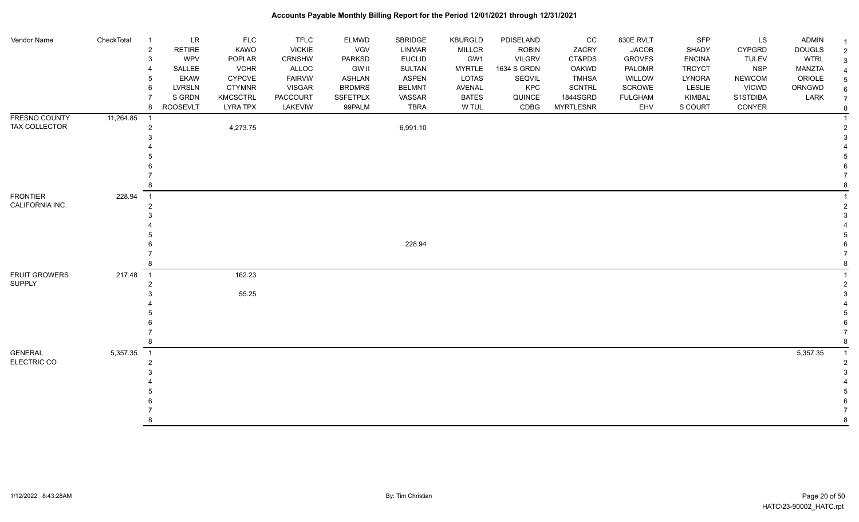| Vendor Name          | CheckTotal | $\overline{1}$ | <b>LR</b>       | <b>FLC</b>      | <b>TFLC</b>   | ELMWD           | SBRIDGE       | <b>KBURGLD</b> | PDISELAND     | CC               | 830E RVLT      | <b>SFP</b>    | LS            | <b>ADMIN</b>  |  |
|----------------------|------------|----------------|-----------------|-----------------|---------------|-----------------|---------------|----------------|---------------|------------------|----------------|---------------|---------------|---------------|--|
|                      |            | $\overline{c}$ | <b>RETIRE</b>   | KAWO            | <b>VICKIE</b> | <b>VGV</b>      | <b>LINMAR</b> | <b>MILLCR</b>  | <b>ROBIN</b>  | ZACRY            | <b>JACOB</b>   | SHADY         | <b>CYPGRD</b> | <b>DOUGLS</b> |  |
|                      |            | 3              | WPV             | POPLAR          | CRNSHW        | <b>PARKSD</b>   | <b>EUCLID</b> | GW1            | <b>VILGRV</b> | CT&PDS           | <b>GROVES</b>  | <b>ENCINA</b> | <b>TULEV</b>  | <b>WTRL</b>   |  |
|                      |            | 4              | SALLEE          | <b>VCHR</b>     | ALLOC         | <b>GW II</b>    | <b>SULTAN</b> | <b>MYRTLE</b>  | 1634 S GRDN   | OAKWD            | PALOMR         | <b>TRCYCT</b> | <b>NSP</b>    | MANZTA        |  |
|                      |            | 5              | <b>EKAW</b>     | <b>CYPCVE</b>   | <b>FAIRVW</b> | <b>ASHLAN</b>   | <b>ASPEN</b>  | LOTAS          | SEQVIL        | <b>TMHSA</b>     | WILLOW         | <b>LYNORA</b> | <b>NEWCOM</b> | ORIOLE        |  |
|                      |            | 6              | LVRSLN          | <b>CTYMNR</b>   | VISGAR        | <b>BRDMRS</b>   | <b>BELMNT</b> | AVENAL         | KPC           | <b>SCNTRL</b>    | SCROWE         | <b>LESLIE</b> | <b>VICWD</b>  | ORNGWD        |  |
|                      |            | 7              | S GRDN          | <b>KMCSCTRL</b> | PACCOURT      | <b>SSFETPLX</b> | VASSAR        | <b>BATES</b>   | QUINCE        | 1844SGRD         | <b>FULGHAM</b> | KIMBAL        | S1STDIBA      | LARK          |  |
|                      |            | 8              | <b>ROOSEVLT</b> | <b>LYRA TPX</b> | LAKEVIW       | 99PALM          | <b>TBRA</b>   | W TUL          | CDBG          | <b>MYRTLESNR</b> | EHV            | S COURT       | CONYER        |               |  |
| FRESNO COUNTY        | 11,264.85  | $\overline{1}$ |                 |                 |               |                 |               |                |               |                  |                |               |               |               |  |
| TAX COLLECTOR        |            | $\overline{2}$ |                 | 4,273.75        |               |                 | 6,991.10      |                |               |                  |                |               |               |               |  |
|                      |            | 3              |                 |                 |               |                 |               |                |               |                  |                |               |               |               |  |
|                      |            |                |                 |                 |               |                 |               |                |               |                  |                |               |               |               |  |
|                      |            | .5             |                 |                 |               |                 |               |                |               |                  |                |               |               |               |  |
|                      |            |                |                 |                 |               |                 |               |                |               |                  |                |               |               |               |  |
|                      |            |                |                 |                 |               |                 |               |                |               |                  |                |               |               |               |  |
|                      |            | 8              |                 |                 |               |                 |               |                |               |                  |                |               |               |               |  |
| <b>FRONTIER</b>      | 228.94     | $\overline{1}$ |                 |                 |               |                 |               |                |               |                  |                |               |               |               |  |
| CALIFORNIA INC.      |            | $\overline{2}$ |                 |                 |               |                 |               |                |               |                  |                |               |               |               |  |
|                      |            | 3              |                 |                 |               |                 |               |                |               |                  |                |               |               |               |  |
|                      |            |                |                 |                 |               |                 |               |                |               |                  |                |               |               |               |  |
|                      |            |                |                 |                 |               |                 |               |                |               |                  |                |               |               |               |  |
|                      |            | 6              |                 |                 |               |                 | 228.94        |                |               |                  |                |               |               |               |  |
|                      |            |                |                 |                 |               |                 |               |                |               |                  |                |               |               |               |  |
|                      |            | 8              |                 |                 |               |                 |               |                |               |                  |                |               |               |               |  |
| <b>FRUIT GROWERS</b> | 217.48 1   |                |                 | 162.23          |               |                 |               |                |               |                  |                |               |               |               |  |
| <b>SUPPLY</b>        |            | 2              |                 |                 |               |                 |               |                |               |                  |                |               |               |               |  |
|                      |            | 3              |                 | 55.25           |               |                 |               |                |               |                  |                |               |               |               |  |
|                      |            |                |                 |                 |               |                 |               |                |               |                  |                |               |               |               |  |
|                      |            |                |                 |                 |               |                 |               |                |               |                  |                |               |               |               |  |
|                      |            |                |                 |                 |               |                 |               |                |               |                  |                |               |               |               |  |
|                      |            | 7              |                 |                 |               |                 |               |                |               |                  |                |               |               |               |  |
|                      |            | 8              |                 |                 |               |                 |               |                |               |                  |                |               |               |               |  |
| <b>GENERAL</b>       | 5,357.35   | $\overline{1}$ |                 |                 |               |                 |               |                |               |                  |                |               |               | 5,357.35      |  |
| ELECTRIC CO          |            | $\overline{2}$ |                 |                 |               |                 |               |                |               |                  |                |               |               |               |  |
|                      |            | 3              |                 |                 |               |                 |               |                |               |                  |                |               |               |               |  |
|                      |            |                |                 |                 |               |                 |               |                |               |                  |                |               |               |               |  |
|                      |            |                |                 |                 |               |                 |               |                |               |                  |                |               |               |               |  |
|                      |            |                |                 |                 |               |                 |               |                |               |                  |                |               |               |               |  |
|                      |            |                |                 |                 |               |                 |               |                |               |                  |                |               |               |               |  |
|                      |            | <sub>R</sub>   |                 |                 |               |                 |               |                |               |                  |                |               |               |               |  |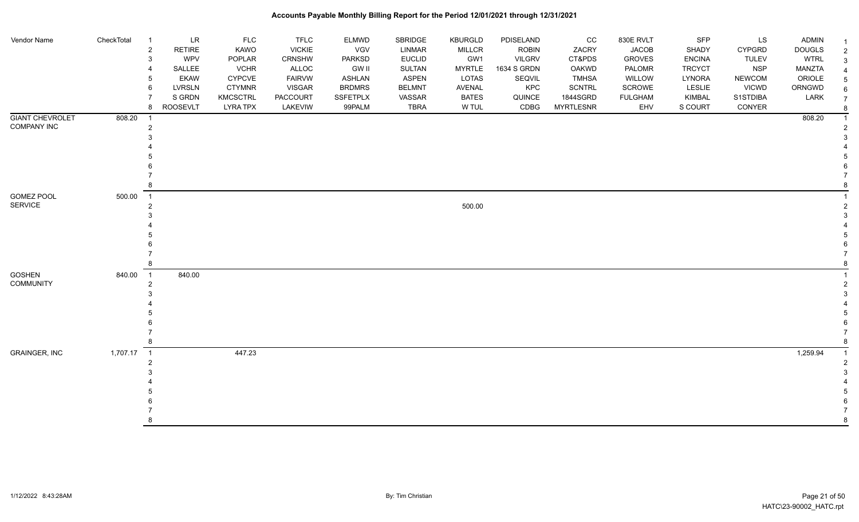| Vendor Name                           | CheckTotal | LR<br>$\overline{1}$<br><b>RETIRE</b><br>$\overline{2}$<br>3<br>WPV<br>SALLEE<br>EKAW<br>5<br><b>LVRSLN</b><br>6<br>S GRDN<br><b>ROOSEVLT</b><br>8 | <b>FLC</b><br><b>KAWO</b><br>POPLAR<br><b>VCHR</b><br><b>CYPCVE</b><br><b>CTYMNR</b><br><b>KMCSCTRL</b><br><b>LYRA TPX</b> | <b>TFLC</b><br><b>VICKIE</b><br><b>CRNSHW</b><br>ALLOC<br><b>FAIRVW</b><br><b>VISGAR</b><br><b>PACCOURT</b><br>LAKEVIW | ELMWD<br>VGV<br>PARKSD<br><b>GW II</b><br><b>ASHLAN</b><br><b>BRDMRS</b><br>SSFETPLX<br>99PALM | SBRIDGE<br><b>LINMAR</b><br><b>EUCLID</b><br>SULTAN<br><b>ASPEN</b><br><b>BELMNT</b><br>VASSAR<br><b>TBRA</b> | <b>KBURGLD</b><br><b>MILLCR</b><br>GW1<br><b>MYRTLE</b><br><b>LOTAS</b><br>AVENAL<br><b>BATES</b><br>W TUL | PDISELAND<br><b>ROBIN</b><br><b>VILGRV</b><br>1634 S GRDN<br>SEQVIL<br>KPC<br>QUINCE<br>CDBG | CC<br>ZACRY<br>CT&PDS<br><b>OAKWD</b><br><b>TMHSA</b><br>SCNTRL<br>1844SGRD<br><b>MYRTLESNR</b> | 830E RVLT<br><b>JACOB</b><br><b>GROVES</b><br>PALOMR<br>WILLOW<br>SCROWE<br><b>FULGHAM</b><br>EHV | SFP<br>SHADY<br><b>ENCINA</b><br><b>TRCYCT</b><br><b>LYNORA</b><br><b>LESLIE</b><br>KIMBAL<br>S COURT | LS<br><b>CYPGRD</b><br><b>TULEV</b><br><b>NSP</b><br><b>NEWCOM</b><br><b>VICWD</b><br>S1STDIBA<br>CONYER | ADMIN<br><b>DOUGLS</b><br><b>WTRL</b><br><b>MANZTA</b><br>ORIOLE<br>ORNGWD<br>LARK | 2<br>3<br>6 |
|---------------------------------------|------------|----------------------------------------------------------------------------------------------------------------------------------------------------|----------------------------------------------------------------------------------------------------------------------------|------------------------------------------------------------------------------------------------------------------------|------------------------------------------------------------------------------------------------|---------------------------------------------------------------------------------------------------------------|------------------------------------------------------------------------------------------------------------|----------------------------------------------------------------------------------------------|-------------------------------------------------------------------------------------------------|---------------------------------------------------------------------------------------------------|-------------------------------------------------------------------------------------------------------|----------------------------------------------------------------------------------------------------------|------------------------------------------------------------------------------------|-------------|
| <b>GIANT CHEVROLET</b><br>COMPANY INC | 808.20     | $\overline{1}$<br>2                                                                                                                                |                                                                                                                            |                                                                                                                        |                                                                                                |                                                                                                               |                                                                                                            |                                                                                              |                                                                                                 |                                                                                                   |                                                                                                       |                                                                                                          | 808.20                                                                             |             |
| <b>GOMEZ POOL</b><br><b>SERVICE</b>   | 500.00     | $\overline{\phantom{1}}$<br>2                                                                                                                      |                                                                                                                            |                                                                                                                        |                                                                                                |                                                                                                               | 500.00                                                                                                     |                                                                                              |                                                                                                 |                                                                                                   |                                                                                                       |                                                                                                          |                                                                                    |             |
| <b>GOSHEN</b><br><b>COMMUNITY</b>     | 840.00     | $\overline{1}$<br>840.00<br>2                                                                                                                      |                                                                                                                            |                                                                                                                        |                                                                                                |                                                                                                               |                                                                                                            |                                                                                              |                                                                                                 |                                                                                                   |                                                                                                       |                                                                                                          |                                                                                    |             |
| GRAINGER, INC                         | 1,707.17 1 | $\mathfrak{p}$                                                                                                                                     | 447.23                                                                                                                     |                                                                                                                        |                                                                                                |                                                                                                               |                                                                                                            |                                                                                              |                                                                                                 |                                                                                                   |                                                                                                       |                                                                                                          | 1,259.94                                                                           |             |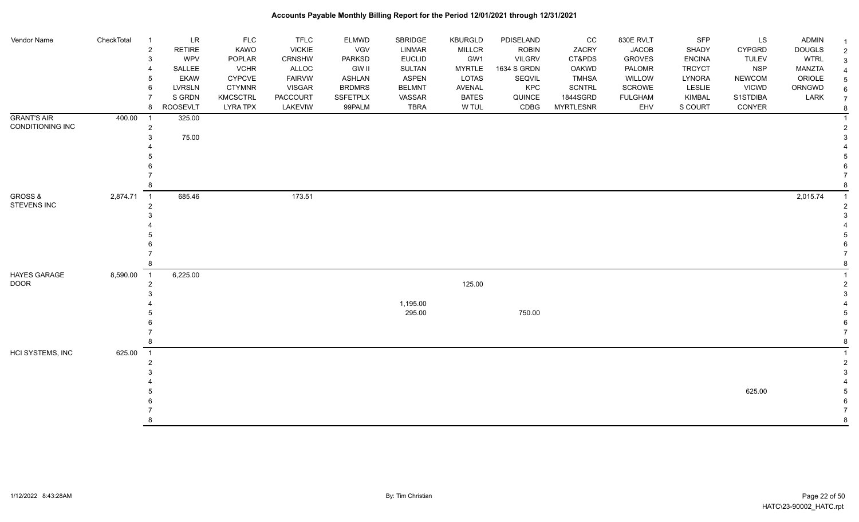| Vendor Name                 | CheckTotal | $\overline{1}$          | <b>LR</b>       | <b>FLC</b>      | <b>TFLC</b>   | ELMWD           | SBRIDGE       | <b>KBURGLD</b> | PDISELAND     | CC               | 830E RVLT      | SFP           | LS            | <b>ADMIN</b>  | -1 |
|-----------------------------|------------|-------------------------|-----------------|-----------------|---------------|-----------------|---------------|----------------|---------------|------------------|----------------|---------------|---------------|---------------|----|
|                             |            | $\sqrt{2}$              | RETIRE          | KAWO            | <b>VICKIE</b> | VGV             | <b>LINMAR</b> | <b>MILLCR</b>  | <b>ROBIN</b>  | ZACRY            | <b>JACOB</b>   | SHADY         | <b>CYPGRD</b> | <b>DOUGLS</b> |    |
|                             |            | 3                       | <b>WPV</b>      | POPLAR          | CRNSHW        | PARKSD          | <b>EUCLID</b> | GW1            | <b>VILGRV</b> | CT&PDS           | <b>GROVES</b>  | <b>ENCINA</b> | <b>TULEV</b>  | <b>WTRL</b>   |    |
|                             |            | $\overline{4}$          | SALLEE          | <b>VCHR</b>     | ALLOC         | <b>GW II</b>    | <b>SULTAN</b> | <b>MYRTLE</b>  | 1634 S GRDN   | OAKWD            | PALOMR         | <b>TRCYCT</b> | <b>NSP</b>    | MANZTA        |    |
|                             |            | 5                       | <b>EKAW</b>     | <b>CYPCVE</b>   | <b>FAIRVW</b> | <b>ASHLAN</b>   | <b>ASPEN</b>  | LOTAS          | SEQVIL        | <b>TMHSA</b>     | WILLOW         | LYNORA        | <b>NEWCOM</b> | ORIOLE        |    |
|                             |            | 6                       | <b>LVRSLN</b>   | <b>CTYMNR</b>   | <b>VISGAR</b> | <b>BRDMRS</b>   | <b>BELMNT</b> | <b>AVENAL</b>  | KPC           | <b>SCNTRL</b>    | <b>SCROWE</b>  | <b>LESLIE</b> | <b>VICWD</b>  | ORNGWD        |    |
|                             |            | $\overline{7}$          | S GRDN          | <b>KMCSCTRL</b> | PACCOURT      | <b>SSFETPLX</b> | VASSAR        | <b>BATES</b>   | QUINCE        | 1844SGRD         | <b>FULGHAM</b> | KIMBAL        | S1STDIBA      | LARK          |    |
|                             |            | 8                       | <b>ROOSEVLT</b> | <b>LYRA TPX</b> | LAKEVIW       | 99PALM          | <b>TBRA</b>   | W TUL          | CDBG          | <b>MYRTLESNR</b> | EHV            | S COURT       | CONYER        |               |    |
| <b>GRANT'S AIR</b>          | 400.00     | $\overline{\mathbf{1}}$ | 325.00          |                 |               |                 |               |                |               |                  |                |               |               |               |    |
| CONDITIONING INC            |            | $\boldsymbol{2}$        |                 |                 |               |                 |               |                |               |                  |                |               |               |               |    |
|                             |            | 3                       | 75.00           |                 |               |                 |               |                |               |                  |                |               |               |               |    |
|                             |            |                         |                 |                 |               |                 |               |                |               |                  |                |               |               |               |    |
|                             |            |                         |                 |                 |               |                 |               |                |               |                  |                |               |               |               |    |
|                             |            |                         |                 |                 |               |                 |               |                |               |                  |                |               |               |               |    |
|                             |            |                         |                 |                 |               |                 |               |                |               |                  |                |               |               |               |    |
|                             |            | 8                       |                 |                 |               |                 |               |                |               |                  |                |               |               |               |    |
| <b>GROSS &amp;</b>          | 2,874.71   | $\overline{1}$          | 685.46          |                 | 173.51        |                 |               |                |               |                  |                |               |               | 2,015.74      |    |
| STEVENS INC                 |            | $\overline{2}$          |                 |                 |               |                 |               |                |               |                  |                |               |               |               |    |
|                             |            | 3                       |                 |                 |               |                 |               |                |               |                  |                |               |               |               |    |
|                             |            |                         |                 |                 |               |                 |               |                |               |                  |                |               |               |               |    |
|                             |            |                         |                 |                 |               |                 |               |                |               |                  |                |               |               |               |    |
|                             |            |                         |                 |                 |               |                 |               |                |               |                  |                |               |               |               |    |
|                             |            |                         |                 |                 |               |                 |               |                |               |                  |                |               |               |               |    |
|                             |            | -8                      |                 |                 |               |                 |               |                |               |                  |                |               |               |               |    |
|                             |            |                         |                 |                 |               |                 |               |                |               |                  |                |               |               |               |    |
| HAYES GARAGE<br><b>DOOR</b> | 8,590.00   | $\overline{1}$          | 6,225.00        |                 |               |                 |               |                |               |                  |                |               |               |               |    |
|                             |            | $\boldsymbol{2}$<br>3   |                 |                 |               |                 |               | 125.00         |               |                  |                |               |               |               |    |
|                             |            |                         |                 |                 |               |                 | 1,195.00      |                |               |                  |                |               |               |               |    |
|                             |            |                         |                 |                 |               |                 | 295.00        |                | 750.00        |                  |                |               |               |               |    |
|                             |            |                         |                 |                 |               |                 |               |                |               |                  |                |               |               |               |    |
|                             |            |                         |                 |                 |               |                 |               |                |               |                  |                |               |               |               |    |
|                             |            | 8                       |                 |                 |               |                 |               |                |               |                  |                |               |               |               |    |
|                             |            |                         |                 |                 |               |                 |               |                |               |                  |                |               |               |               |    |
| <b>HCI SYSTEMS, INC</b>     | 625.00     | $\overline{1}$          |                 |                 |               |                 |               |                |               |                  |                |               |               |               |    |
|                             |            | $\overline{2}$          |                 |                 |               |                 |               |                |               |                  |                |               |               |               |    |
|                             |            | 3                       |                 |                 |               |                 |               |                |               |                  |                |               |               |               |    |
|                             |            |                         |                 |                 |               |                 |               |                |               |                  |                |               |               |               |    |
|                             |            |                         |                 |                 |               |                 |               |                |               |                  |                |               | 625.00        |               |    |
|                             |            |                         |                 |                 |               |                 |               |                |               |                  |                |               |               |               |    |
|                             |            |                         |                 |                 |               |                 |               |                |               |                  |                |               |               |               |    |
|                             |            | R                       |                 |                 |               |                 |               |                |               |                  |                |               |               |               |    |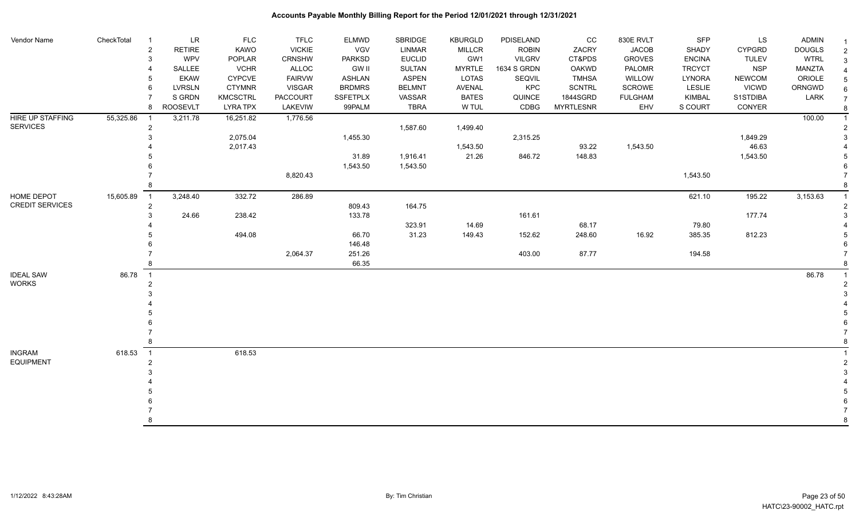| Vendor Name            | CheckTotal | -1             | LR              | <b>FLC</b>      | <b>TFLC</b>   | <b>ELMWD</b>    | <b>SBRIDGE</b> | <b>KBURGLD</b> | PDISELAND     | CC               | 830E RVLT      | SFP           | <b>LS</b>     | <b>ADMIN</b>  | -1             |
|------------------------|------------|----------------|-----------------|-----------------|---------------|-----------------|----------------|----------------|---------------|------------------|----------------|---------------|---------------|---------------|----------------|
|                        |            | $\overline{2}$ | <b>RETIRE</b>   | KAWO            | <b>VICKIE</b> | VGV             | <b>LINMAR</b>  | <b>MILLCR</b>  | <b>ROBIN</b>  | ZACRY            | <b>JACOB</b>   | <b>SHADY</b>  | <b>CYPGRD</b> | <b>DOUGLS</b> | $\overline{2}$ |
|                        |            | 3              | WPV             | POPLAR          | CRNSHW        | <b>PARKSD</b>   | <b>EUCLID</b>  | GW1            | <b>VILGRV</b> | CT&PDS           | <b>GROVES</b>  | <b>ENCINA</b> | <b>TULEV</b>  | <b>WTRL</b>   | 3              |
|                        |            |                | SALLEE          | <b>VCHR</b>     | <b>ALLOC</b>  | <b>GW II</b>    | <b>SULTAN</b>  | <b>MYRTLE</b>  | 1634 S GRDN   | <b>OAKWD</b>     | PALOMR         | <b>TRCYCT</b> | <b>NSP</b>    | MANZTA        |                |
|                        |            |                | EKAW            | <b>CYPCVE</b>   | <b>FAIRVW</b> | <b>ASHLAN</b>   | <b>ASPEN</b>   | LOTAS          | <b>SEQVIL</b> | <b>TMHSA</b>     | WILLOW         | LYNORA        | <b>NEWCOM</b> | ORIOLE        | 5              |
|                        |            | 6              | <b>LVRSLN</b>   | <b>CTYMNR</b>   | <b>VISGAR</b> | <b>BRDMRS</b>   | <b>BELMNT</b>  | <b>AVENAL</b>  | KPC           | <b>SCNTRL</b>    | SCROWE         | LESLIE        | <b>VICWD</b>  | ORNGWD        | 6              |
|                        |            |                | S GRDN          | <b>KMCSCTRL</b> | PACCOURT      | <b>SSFETPLX</b> | VASSAR         | <b>BATES</b>   | QUINCE        | 1844SGRD         | <b>FULGHAM</b> | <b>KIMBAL</b> | S1STDIBA      | LARK          | $\overline{7}$ |
|                        |            | 8              | <b>ROOSEVLT</b> | <b>LYRA TPX</b> | LAKEVIW       | 99PALM          | <b>TBRA</b>    | W TUL          | CDBG          | <b>MYRTLESNR</b> | EHV            | S COURT       | CONYER        |               | 8              |
| HIRE UP STAFFING       | 55,325.86  | $\overline{1}$ | 3,211.78        | 16,251.82       | 1,776.56      |                 |                |                |               |                  |                |               |               | 100.00        |                |
| <b>SERVICES</b>        |            | $\overline{2}$ |                 |                 |               |                 | 1,587.60       | 1,499.40       |               |                  |                |               |               |               |                |
|                        |            |                |                 | 2,075.04        |               | 1,455.30        |                |                | 2,315.25      |                  |                |               | 1,849.29      |               |                |
|                        |            |                |                 | 2,017.43        |               |                 |                | 1,543.50       |               | 93.22            | 1,543.50       |               | 46.63         |               |                |
|                        |            |                |                 |                 |               | 31.89           | 1,916.41       | 21.26          | 846.72        | 148.83           |                |               | 1,543.50      |               |                |
|                        |            |                |                 |                 |               | 1,543.50        | 1,543.50       |                |               |                  |                |               |               |               |                |
|                        |            |                |                 |                 | 8,820.43      |                 |                |                |               |                  |                | 1,543.50      |               |               |                |
|                        |            |                |                 |                 |               |                 |                |                |               |                  |                |               |               |               |                |
| HOME DEPOT             | 15,605.89  | $\overline{1}$ | 3,248.40        | 332.72          | 286.89        |                 |                |                |               |                  |                | 621.10        | 195.22        | 3,153.63      |                |
| <b>CREDIT SERVICES</b> |            | $\overline{2}$ |                 |                 |               | 809.43          | 164.75         |                |               |                  |                |               |               |               |                |
|                        |            |                | 24.66           | 238.42          |               | 133.78          |                |                | 161.61        |                  |                |               | 177.74        |               |                |
|                        |            |                |                 |                 |               |                 | 323.91         | 14.69          |               | 68.17            |                | 79.80         |               |               |                |
|                        |            |                |                 | 494.08          |               | 66.70           | 31.23          | 149.43         | 152.62        | 248.60           | 16.92          | 385.35        | 812.23        |               |                |
|                        |            |                |                 |                 |               | 146.48          |                |                |               |                  |                |               |               |               |                |
|                        |            |                |                 |                 | 2,064.37      | 251.26          |                |                | 403.00        | 87.77            |                | 194.58        |               |               |                |
|                        |            |                |                 |                 |               | 66.35           |                |                |               |                  |                |               |               |               |                |
| <b>IDEAL SAW</b>       | 86.78      | $\overline{1}$ |                 |                 |               |                 |                |                |               |                  |                |               |               | 86.78         |                |
| <b>WORKS</b>           |            | $\overline{2}$ |                 |                 |               |                 |                |                |               |                  |                |               |               |               |                |
|                        |            |                |                 |                 |               |                 |                |                |               |                  |                |               |               |               |                |
|                        |            |                |                 |                 |               |                 |                |                |               |                  |                |               |               |               |                |
|                        |            |                |                 |                 |               |                 |                |                |               |                  |                |               |               |               |                |
|                        |            |                |                 |                 |               |                 |                |                |               |                  |                |               |               |               |                |
|                        |            |                |                 |                 |               |                 |                |                |               |                  |                |               |               |               |                |
|                        |            |                |                 |                 |               |                 |                |                |               |                  |                |               |               |               |                |
| <b>INGRAM</b>          | 618.53     | $\overline{1}$ |                 | 618.53          |               |                 |                |                |               |                  |                |               |               |               |                |
| <b>EQUIPMENT</b>       |            |                |                 |                 |               |                 |                |                |               |                  |                |               |               |               |                |
|                        |            |                |                 |                 |               |                 |                |                |               |                  |                |               |               |               |                |
|                        |            |                |                 |                 |               |                 |                |                |               |                  |                |               |               |               |                |
|                        |            |                |                 |                 |               |                 |                |                |               |                  |                |               |               |               |                |
|                        |            |                |                 |                 |               |                 |                |                |               |                  |                |               |               |               |                |
|                        |            |                |                 |                 |               |                 |                |                |               |                  |                |               |               |               |                |
|                        |            | 8              |                 |                 |               |                 |                |                |               |                  |                |               |               |               | 8              |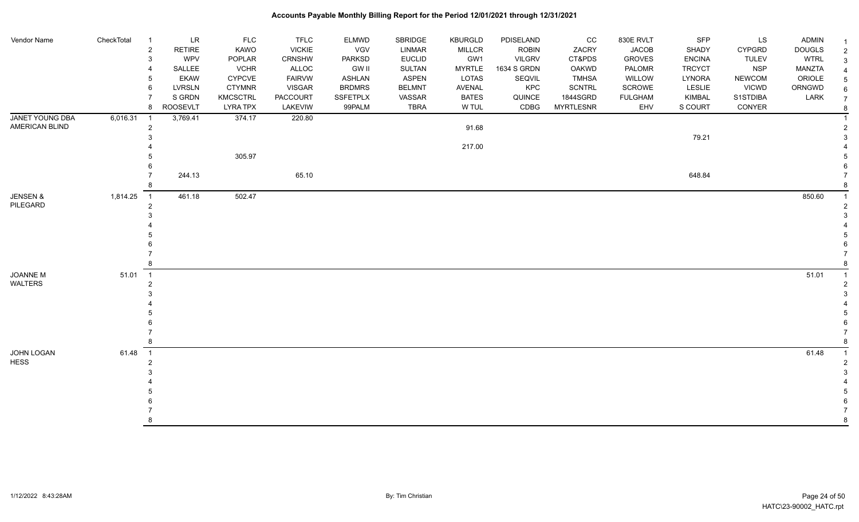| Vendor Name               | CheckTotal | LR<br>-1<br><b>RETIRE</b><br>$\overline{\mathbf{c}}$<br>WPV<br>3<br>SALLEE<br><b>EKAW</b> | <b>FLC</b><br>KAWO<br>POPLAR<br><b>VCHR</b><br><b>CYPCVE</b> | <b>TFLC</b><br><b>VICKIE</b><br>CRNSHW<br>ALLOC<br><b>FAIRVW</b> | ELMWD<br>VGV<br>PARKSD<br><b>GW II</b><br>ASHLAN | SBRIDGE<br>LINMAR<br><b>EUCLID</b><br><b>SULTAN</b><br><b>ASPEN</b> | <b>KBURGLD</b><br>MILLCR<br>GW1<br><b>MYRTLE</b><br><b>LOTAS</b> | PDISELAND<br><b>ROBIN</b><br><b>VILGRV</b><br>1634 S GRDN<br>SEQVIL | cc<br>ZACRY<br>CT&PDS<br><b>OAKWD</b><br><b>TMHSA</b> | 830E RVLT<br><b>JACOB</b><br><b>GROVES</b><br>PALOMR<br>WILLOW | SFP<br>SHADY<br><b>ENCINA</b><br><b>TRCYCT</b><br>LYNORA | LS<br><b>CYPGRD</b><br><b>TULEV</b><br><b>NSP</b><br><b>NEWCOM</b> | <b>ADMIN</b><br><b>DOUGLS</b><br><b>WTRL</b><br>MANZTA<br>ORIOLE | -1<br>$\overline{2}$<br>3<br>5 |
|---------------------------|------------|-------------------------------------------------------------------------------------------|--------------------------------------------------------------|------------------------------------------------------------------|--------------------------------------------------|---------------------------------------------------------------------|------------------------------------------------------------------|---------------------------------------------------------------------|-------------------------------------------------------|----------------------------------------------------------------|----------------------------------------------------------|--------------------------------------------------------------------|------------------------------------------------------------------|--------------------------------|
|                           |            | <b>LVRSLN</b><br>6<br>S GRDN                                                              | <b>CTYMNR</b><br><b>KMCSCTRL</b>                             | <b>VISGAR</b><br><b>PACCOURT</b>                                 | <b>BRDMRS</b><br><b>SSFETPLX</b>                 | <b>BELMNT</b><br>VASSAR                                             | <b>AVENAL</b><br><b>BATES</b>                                    | KPC<br>QUINCE                                                       | <b>SCNTRL</b><br>1844SGRD                             | SCROWE<br><b>FULGHAM</b>                                       | LESLIE<br><b>KIMBAL</b>                                  | <b>VICWD</b><br>S1STDIBA                                           | ORNGWD<br>LARK                                                   | 6<br>$\overline{7}$            |
|                           |            | ROOSEVLT<br>8                                                                             | <b>LYRA TPX</b>                                              | LAKEVIW                                                          | 99PALM                                           | <b>TBRA</b>                                                         | W TUL                                                            | CDBG                                                                | <b>MYRTLESNR</b>                                      | EHV                                                            | S COURT                                                  | CONYER                                                             |                                                                  | 8                              |
| <b>JANET YOUNG DBA</b>    | 6,016.31   | 3,769.41<br>$\overline{1}$                                                                | 374.17                                                       | 220.80                                                           |                                                  |                                                                     |                                                                  |                                                                     |                                                       |                                                                |                                                          |                                                                    |                                                                  |                                |
| AMERICAN BLIND            |            | $\overline{2}$                                                                            |                                                              |                                                                  |                                                  |                                                                     | 91.68                                                            |                                                                     |                                                       |                                                                | 79.21                                                    |                                                                    |                                                                  | $\mathcal{P}$                  |
|                           |            |                                                                                           |                                                              |                                                                  |                                                  |                                                                     | 217.00                                                           |                                                                     |                                                       |                                                                |                                                          |                                                                    |                                                                  |                                |
|                           |            |                                                                                           | 305.97                                                       |                                                                  |                                                  |                                                                     |                                                                  |                                                                     |                                                       |                                                                |                                                          |                                                                    |                                                                  |                                |
|                           |            |                                                                                           |                                                              |                                                                  |                                                  |                                                                     |                                                                  |                                                                     |                                                       |                                                                |                                                          |                                                                    |                                                                  |                                |
|                           |            | 244.13                                                                                    |                                                              | 65.10                                                            |                                                  |                                                                     |                                                                  |                                                                     |                                                       |                                                                | 648.84                                                   |                                                                    |                                                                  |                                |
| <b>JENSEN &amp;</b>       | 1,814.25   | $\overline{1}$<br>461.18                                                                  | 502.47                                                       |                                                                  |                                                  |                                                                     |                                                                  |                                                                     |                                                       |                                                                |                                                          |                                                                    | 850.60                                                           |                                |
| PILEGARD                  |            | $\overline{2}$                                                                            |                                                              |                                                                  |                                                  |                                                                     |                                                                  |                                                                     |                                                       |                                                                |                                                          |                                                                    |                                                                  |                                |
|                           |            |                                                                                           |                                                              |                                                                  |                                                  |                                                                     |                                                                  |                                                                     |                                                       |                                                                |                                                          |                                                                    |                                                                  |                                |
|                           |            |                                                                                           |                                                              |                                                                  |                                                  |                                                                     |                                                                  |                                                                     |                                                       |                                                                |                                                          |                                                                    |                                                                  |                                |
|                           |            |                                                                                           |                                                              |                                                                  |                                                  |                                                                     |                                                                  |                                                                     |                                                       |                                                                |                                                          |                                                                    |                                                                  |                                |
|                           |            |                                                                                           |                                                              |                                                                  |                                                  |                                                                     |                                                                  |                                                                     |                                                       |                                                                |                                                          |                                                                    |                                                                  |                                |
| JOANNE M                  | 51.01      | $\overline{1}$                                                                            |                                                              |                                                                  |                                                  |                                                                     |                                                                  |                                                                     |                                                       |                                                                |                                                          |                                                                    | 51.01                                                            |                                |
| WALTERS                   |            | 2                                                                                         |                                                              |                                                                  |                                                  |                                                                     |                                                                  |                                                                     |                                                       |                                                                |                                                          |                                                                    |                                                                  |                                |
|                           |            |                                                                                           |                                                              |                                                                  |                                                  |                                                                     |                                                                  |                                                                     |                                                       |                                                                |                                                          |                                                                    |                                                                  |                                |
|                           |            |                                                                                           |                                                              |                                                                  |                                                  |                                                                     |                                                                  |                                                                     |                                                       |                                                                |                                                          |                                                                    |                                                                  |                                |
|                           |            |                                                                                           |                                                              |                                                                  |                                                  |                                                                     |                                                                  |                                                                     |                                                       |                                                                |                                                          |                                                                    |                                                                  |                                |
|                           |            |                                                                                           |                                                              |                                                                  |                                                  |                                                                     |                                                                  |                                                                     |                                                       |                                                                |                                                          |                                                                    |                                                                  |                                |
|                           |            |                                                                                           |                                                              |                                                                  |                                                  |                                                                     |                                                                  |                                                                     |                                                       |                                                                |                                                          |                                                                    |                                                                  |                                |
| JOHN LOGAN<br><b>HESS</b> | 61.48      | $\overline{1}$<br>$\overline{2}$                                                          |                                                              |                                                                  |                                                  |                                                                     |                                                                  |                                                                     |                                                       |                                                                |                                                          |                                                                    | 61.48                                                            |                                |
|                           |            |                                                                                           |                                                              |                                                                  |                                                  |                                                                     |                                                                  |                                                                     |                                                       |                                                                |                                                          |                                                                    |                                                                  |                                |
|                           |            |                                                                                           |                                                              |                                                                  |                                                  |                                                                     |                                                                  |                                                                     |                                                       |                                                                |                                                          |                                                                    |                                                                  |                                |
|                           |            |                                                                                           |                                                              |                                                                  |                                                  |                                                                     |                                                                  |                                                                     |                                                       |                                                                |                                                          |                                                                    |                                                                  |                                |
|                           |            |                                                                                           |                                                              |                                                                  |                                                  |                                                                     |                                                                  |                                                                     |                                                       |                                                                |                                                          |                                                                    |                                                                  |                                |
|                           |            |                                                                                           |                                                              |                                                                  |                                                  |                                                                     |                                                                  |                                                                     |                                                       |                                                                |                                                          |                                                                    |                                                                  | 8                              |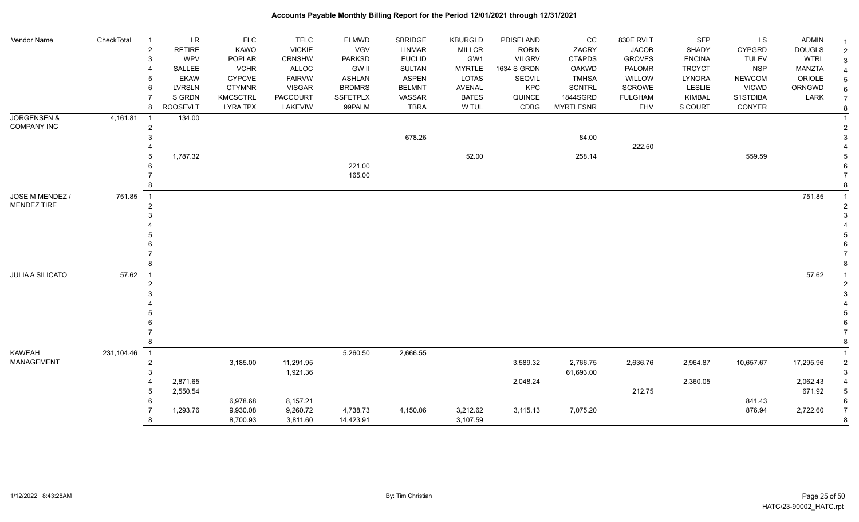| Vendor Name            | CheckTotal | LR<br>- 1                       | <b>FLC</b>            | <b>TFLC</b>            | <b>ELMWD</b>           | SBRIDGE                        | <b>KBURGLD</b>       | PDISELAND                    | CC                     | 830E RVLT               | SFP                            | LS                         | <b>ADMIN</b>                 |                     |
|------------------------|------------|---------------------------------|-----------------------|------------------------|------------------------|--------------------------------|----------------------|------------------------------|------------------------|-------------------------|--------------------------------|----------------------------|------------------------------|---------------------|
|                        |            | <b>RETIRE</b><br>$\overline{c}$ | <b>KAWO</b>           | <b>VICKIE</b>          | VGV                    | <b>LINMAR</b>                  | <b>MILLCR</b>        | <b>ROBIN</b>                 | ZACRY                  | <b>JACOB</b>            | SHADY                          | <b>CYPGRD</b>              | <b>DOUGLS</b>                |                     |
|                        |            | <b>WPV</b><br>3<br>SALLEE       | POPLAR<br><b>VCHR</b> | CRNSHW<br><b>ALLOC</b> | PARKSD<br><b>GW II</b> | <b>EUCLID</b><br><b>SULTAN</b> | GW1<br><b>MYRTLE</b> | <b>VILGRV</b><br>1634 S GRDN | CT&PDS<br><b>OAKWD</b> | <b>GROVES</b><br>PALOMR | <b>ENCINA</b><br><b>TRCYCT</b> | <b>TULEV</b><br><b>NSP</b> | <b>WTRL</b><br><b>MANZTA</b> |                     |
|                        |            | <b>EKAW</b>                     | <b>CYPCVE</b>         | <b>FAIRVW</b>          | <b>ASHLAN</b>          | <b>ASPEN</b>                   | LOTAS                | SEQVIL                       | <b>TMHSA</b>           | WILLOW                  | <b>LYNORA</b>                  | <b>NEWCOM</b>              | ORIOLE                       |                     |
|                        |            | <b>LVRSLN</b>                   | <b>CTYMNR</b>         | <b>VISGAR</b>          | <b>BRDMRS</b>          | <b>BELMNT</b>                  | AVENAL               | KPC                          | <b>SCNTRL</b>          | <b>SCROWE</b>           | LESLIE                         | <b>VICWD</b>               | ORNGWD                       |                     |
|                        |            | S GRDN                          | <b>KMCSCTRL</b>       | <b>PACCOURT</b>        | <b>SSFETPLX</b>        | VASSAR                         | <b>BATES</b>         | QUINCE                       | 1844SGRD               | <b>FULGHAM</b>          | <b>KIMBAL</b>                  | S1STDIBA                   | LARK                         | $\overline{7}$      |
|                        |            | <b>ROOSEVLT</b><br>8            | <b>LYRA TPX</b>       | LAKEVIW                | 99PALM                 | <b>TBRA</b>                    | W TUL                | CDBG                         | <b>MYRTLESNR</b>       | EHV                     | S COURT                        | CONYER                     |                              | 8                   |
| <b>JORGENSEN &amp;</b> | 4,161.81   | 134.00<br>- 1                   |                       |                        |                        |                                |                      |                              |                        |                         |                                |                            |                              |                     |
| <b>COMPANY INC</b>     |            | 2                               |                       |                        |                        |                                |                      |                              |                        |                         |                                |                            |                              |                     |
|                        |            |                                 |                       |                        |                        | 678.26                         |                      |                              | 84.00                  |                         |                                |                            |                              |                     |
|                        |            |                                 |                       |                        |                        |                                |                      |                              |                        | 222.50                  |                                |                            |                              |                     |
|                        |            | 1,787.32                        |                       |                        |                        |                                | 52.00                |                              | 258.14                 |                         |                                | 559.59                     |                              |                     |
|                        |            |                                 |                       |                        | 221.00                 |                                |                      |                              |                        |                         |                                |                            |                              |                     |
|                        |            |                                 |                       |                        | 165.00                 |                                |                      |                              |                        |                         |                                |                            |                              |                     |
|                        |            |                                 |                       |                        |                        |                                |                      |                              |                        |                         |                                |                            |                              |                     |
| JOSE M MENDEZ /        | 751.85     | $\overline{1}$                  |                       |                        |                        |                                |                      |                              |                        |                         |                                |                            | 751.85                       |                     |
| MENDEZ TIRE            |            |                                 |                       |                        |                        |                                |                      |                              |                        |                         |                                |                            |                              |                     |
|                        |            |                                 |                       |                        |                        |                                |                      |                              |                        |                         |                                |                            |                              |                     |
|                        |            |                                 |                       |                        |                        |                                |                      |                              |                        |                         |                                |                            |                              |                     |
|                        |            |                                 |                       |                        |                        |                                |                      |                              |                        |                         |                                |                            |                              |                     |
|                        |            |                                 |                       |                        |                        |                                |                      |                              |                        |                         |                                |                            |                              |                     |
|                        |            |                                 |                       |                        |                        |                                |                      |                              |                        |                         |                                |                            |                              |                     |
| JULIA A SILICATO       | 57.62      | $\overline{1}$                  |                       |                        |                        |                                |                      |                              |                        |                         |                                |                            | 57.62                        |                     |
|                        |            |                                 |                       |                        |                        |                                |                      |                              |                        |                         |                                |                            |                              |                     |
|                        |            |                                 |                       |                        |                        |                                |                      |                              |                        |                         |                                |                            |                              |                     |
|                        |            |                                 |                       |                        |                        |                                |                      |                              |                        |                         |                                |                            |                              |                     |
|                        |            |                                 |                       |                        |                        |                                |                      |                              |                        |                         |                                |                            |                              |                     |
|                        |            |                                 |                       |                        |                        |                                |                      |                              |                        |                         |                                |                            |                              |                     |
|                        |            |                                 |                       |                        |                        |                                |                      |                              |                        |                         |                                |                            |                              |                     |
|                        |            |                                 |                       |                        |                        |                                |                      |                              |                        |                         |                                |                            |                              |                     |
| <b>KAWEAH</b>          | 231,104.46 | $\overline{1}$                  |                       |                        | 5,260.50               | 2,666.55                       |                      |                              |                        |                         |                                |                            |                              |                     |
| <b>MANAGEMENT</b>      |            | $\overline{2}$                  | 3,185.00              | 11,291.95              |                        |                                |                      | 3,589.32                     | 2,766.75               | 2,636.76                | 2,964.87                       | 10,657.67                  | 17,295.96                    |                     |
|                        |            |                                 |                       | 1,921.36               |                        |                                |                      |                              | 61,693.00              |                         |                                |                            |                              |                     |
|                        |            | 2,871.65                        |                       |                        |                        |                                |                      | 2,048.24                     |                        |                         | 2,360.05                       |                            | 2,062.43                     |                     |
|                        |            | 2,550.54                        |                       |                        |                        |                                |                      |                              |                        | 212.75                  |                                |                            | 671.92                       |                     |
|                        |            |                                 | 6,978.68              | 8,157.21               |                        |                                |                      |                              |                        |                         |                                | 841.43                     |                              |                     |
|                        |            | 1,293.76                        | 9,930.08<br>8,700.93  | 9,260.72               | 4,738.73               | 4,150.06                       | 3,212.62<br>3,107.59 | 3,115.13                     | 7,075.20               |                         |                                | 876.94                     | 2,722.60                     | $\overline{7}$<br>8 |
|                        |            |                                 |                       | 3,811.60               | 14,423.91              |                                |                      |                              |                        |                         |                                |                            |                              |                     |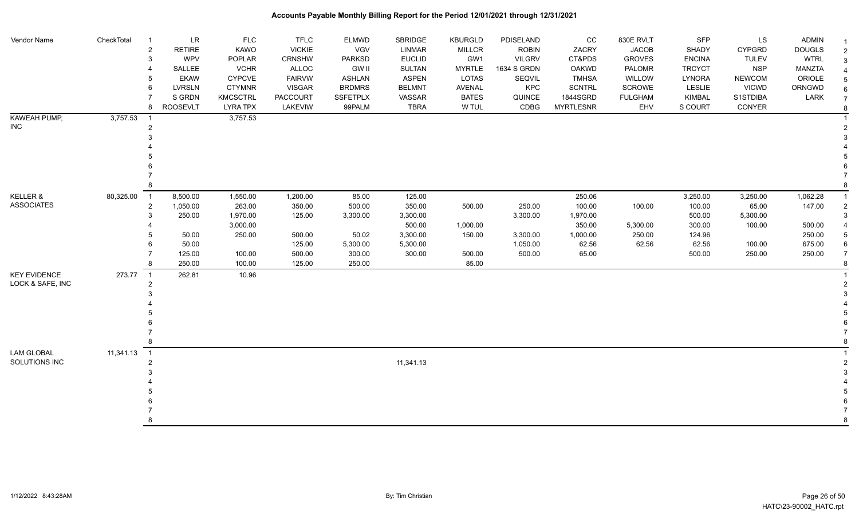| Vendor Name         | CheckTotal | LR<br>- 1<br><b>RETIRE</b><br>$\overline{2}$ | <b>FLC</b><br><b>KAWO</b> | <b>TFLC</b><br><b>VICKIE</b> | <b>ELMWD</b><br><b>VGV</b> | <b>SBRIDGE</b><br><b>LINMAR</b> | <b>KBURGLD</b><br><b>MILLCR</b> | PDISELAND<br><b>ROBIN</b> | cc<br>ZACRY      | 830E RVLT<br><b>JACOB</b> | SFP<br>SHADY  | LS<br><b>CYPGRD</b> | <b>ADMIN</b><br><b>DOUGLS</b> | $\mathcal{P}$  |
|---------------------|------------|----------------------------------------------|---------------------------|------------------------------|----------------------------|---------------------------------|---------------------------------|---------------------------|------------------|---------------------------|---------------|---------------------|-------------------------------|----------------|
|                     |            | 3<br><b>WPV</b>                              | <b>POPLAR</b>             | CRNSHW                       | PARKSD                     | <b>EUCLID</b>                   | GW1                             | <b>VILGRV</b>             | CT&PDS           | <b>GROVES</b>             | <b>ENCINA</b> | <b>TULEV</b>        | <b>WTRL</b>                   | 3              |
|                     |            | SALLEE                                       | <b>VCHR</b>               | ALLOC                        | <b>GW II</b>               | <b>SULTAN</b>                   | <b>MYRTLE</b>                   | 1634 S GRDN               | <b>OAKWD</b>     | PALOMR                    | <b>TRCYCT</b> | <b>NSP</b>          | <b>MANZTA</b>                 |                |
|                     |            | <b>EKAW</b>                                  | <b>CYPCVE</b>             | <b>FAIRVW</b>                | ASHLAN                     | <b>ASPEN</b>                    | LOTAS                           | <b>SEQVIL</b>             | <b>TMHSA</b>     | WILLOW                    | <b>LYNORA</b> | <b>NEWCOM</b>       | ORIOLE                        |                |
|                     |            | <b>LVRSLN</b><br>6                           | <b>CTYMNR</b>             | <b>VISGAR</b>                | <b>BRDMRS</b>              | <b>BELMNT</b>                   | AVENAL                          | KPC                       | <b>SCNTRL</b>    | SCROWE                    | <b>LESLIE</b> | <b>VICWD</b>        | ORNGWD                        |                |
|                     |            | S GRDN                                       | <b>KMCSCTRL</b>           | <b>PACCOURT</b>              | <b>SSFETPLX</b>            | VASSAR                          | <b>BATES</b>                    | QUINCE                    | 1844SGRD         | <b>FULGHAM</b>            | <b>KIMBAL</b> | S1STDIBA            | LARK                          | $\overline{7}$ |
|                     |            | <b>ROOSEVLT</b><br>8                         | <b>LYRA TPX</b>           | LAKEVIW                      | 99PALM                     | <b>TBRA</b>                     | W TUL                           | CDBG                      | <b>MYRTLESNR</b> | EHV                       | S COURT       | CONYER              |                               | 8              |
| KAWEAH PUMP,        | 3,757.53   | - 1                                          | 3,757.53                  |                              |                            |                                 |                                 |                           |                  |                           |               |                     |                               |                |
| INC.                |            | 2                                            |                           |                              |                            |                                 |                                 |                           |                  |                           |               |                     |                               |                |
|                     |            |                                              |                           |                              |                            |                                 |                                 |                           |                  |                           |               |                     |                               |                |
|                     |            |                                              |                           |                              |                            |                                 |                                 |                           |                  |                           |               |                     |                               |                |
|                     |            |                                              |                           |                              |                            |                                 |                                 |                           |                  |                           |               |                     |                               |                |
|                     |            |                                              |                           |                              |                            |                                 |                                 |                           |                  |                           |               |                     |                               |                |
|                     |            |                                              |                           |                              |                            |                                 |                                 |                           |                  |                           |               |                     |                               |                |
|                     |            | 8                                            |                           |                              |                            |                                 |                                 |                           |                  |                           |               |                     |                               |                |
| KELLER &            | 80,325.00  | $\overline{1}$<br>8,500.00                   | 1,550.00                  | 1,200.00                     | 85.00                      | 125.00                          |                                 |                           | 250.06           |                           | 3,250.00      | 3,250.00            | 1,062.28                      |                |
| <b>ASSOCIATES</b>   |            | 1,050.00<br>$\overline{2}$                   | 263.00                    | 350.00                       | 500.00                     | 350.00                          | 500.00                          | 250.00                    | 100.00           | 100.00                    | 100.00        | 65.00               | 147.00                        |                |
|                     |            | 250.00<br>3                                  | 1,970.00                  | 125.00                       | 3,300.00                   | 3.300.00                        |                                 | 3,300.00                  | 1,970.00         |                           | 500.00        | 5,300.00            |                               |                |
|                     |            |                                              | 3,000.00                  |                              |                            | 500.00                          | 1,000.00                        |                           | 350.00           | 5,300.00                  | 300.00        | 100.00              | 500.00                        |                |
|                     |            | 50.00                                        | 250.00                    | 500.00                       | 50.02                      | 3,300.00                        | 150.00                          | 3,300.00                  | 1,000.00         | 250.00                    | 124.96        |                     | 250.00                        |                |
|                     |            | 50.00                                        |                           | 125.00                       | 5,300.00                   | 5,300.00                        |                                 | 1,050.00                  | 62.56            | 62.56                     | 62.56         | 100.00              | 675.00                        | 6              |
|                     |            | 125.00                                       | 100.00                    | 500.00                       | 300.00                     | 300.00                          | 500.00                          | 500.00                    | 65.00            |                           | 500.00        | 250.00              | 250.00                        | $\overline{7}$ |
|                     |            | 250.00                                       | 100.00                    | 125.00                       | 250.00                     |                                 | 85.00                           |                           |                  |                           |               |                     |                               |                |
| <b>KEY EVIDENCE</b> | 273.77     | 262.81<br>$\overline{1}$                     | 10.96                     |                              |                            |                                 |                                 |                           |                  |                           |               |                     |                               |                |
| LOCK & SAFE, INC    |            |                                              |                           |                              |                            |                                 |                                 |                           |                  |                           |               |                     |                               |                |
|                     |            |                                              |                           |                              |                            |                                 |                                 |                           |                  |                           |               |                     |                               |                |
|                     |            |                                              |                           |                              |                            |                                 |                                 |                           |                  |                           |               |                     |                               |                |
|                     |            |                                              |                           |                              |                            |                                 |                                 |                           |                  |                           |               |                     |                               |                |
|                     |            |                                              |                           |                              |                            |                                 |                                 |                           |                  |                           |               |                     |                               |                |
|                     |            |                                              |                           |                              |                            |                                 |                                 |                           |                  |                           |               |                     |                               |                |
|                     |            |                                              |                           |                              |                            |                                 |                                 |                           |                  |                           |               |                     |                               |                |
| <b>LAM GLOBAL</b>   | 11,341.13  | $\overline{1}$                               |                           |                              |                            |                                 |                                 |                           |                  |                           |               |                     |                               |                |
| SOLUTIONS INC       |            | $\overline{2}$                               |                           |                              |                            | 11.341.13                       |                                 |                           |                  |                           |               |                     |                               |                |
|                     |            |                                              |                           |                              |                            |                                 |                                 |                           |                  |                           |               |                     |                               |                |
|                     |            |                                              |                           |                              |                            |                                 |                                 |                           |                  |                           |               |                     |                               |                |
|                     |            |                                              |                           |                              |                            |                                 |                                 |                           |                  |                           |               |                     |                               |                |
|                     |            |                                              |                           |                              |                            |                                 |                                 |                           |                  |                           |               |                     |                               |                |
|                     |            |                                              |                           |                              |                            |                                 |                                 |                           |                  |                           |               |                     |                               |                |
|                     |            |                                              |                           |                              |                            |                                 |                                 |                           |                  |                           |               |                     |                               |                |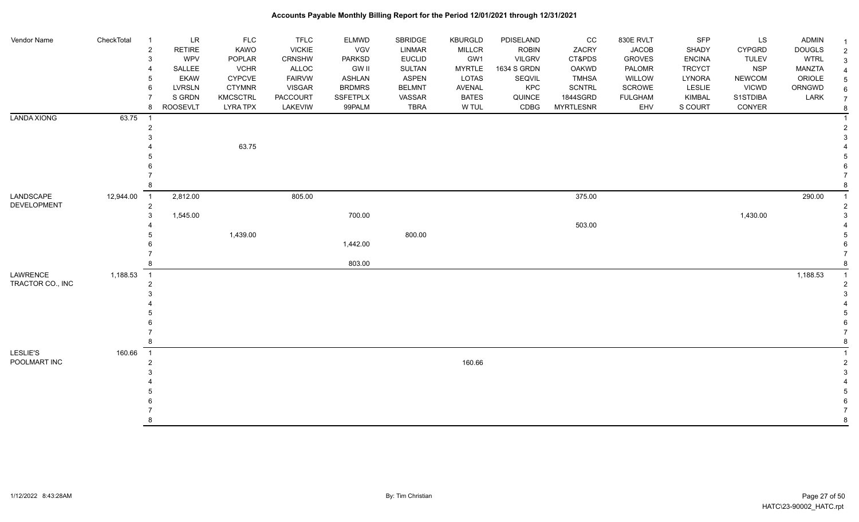| Vendor Name              | CheckTotal                             | <b>LR</b><br>$\overline{1}$<br>$\overline{2}$<br><b>RETIRE</b> | <b>FLC</b><br>KAWO | <b>TFLC</b><br><b>VICKIE</b> | ELMWD<br>VGV  | SBRIDGE<br>LINMAR | <b>KBURGLD</b><br><b>MILLCR</b> | PDISELAND<br><b>ROBIN</b> | CC<br>ZACRY      | 830E RVLT<br><b>JACOB</b> | <b>SFP</b><br>SHADY | <b>LS</b><br><b>CYPGRD</b> | <b>ADMIN</b><br><b>DOUGLS</b> |  |
|--------------------------|----------------------------------------|----------------------------------------------------------------|--------------------|------------------------------|---------------|-------------------|---------------------------------|---------------------------|------------------|---------------------------|---------------------|----------------------------|-------------------------------|--|
|                          |                                        | WPV<br>3                                                       | POPLAR             | CRNSHW                       | PARKSD        | <b>EUCLID</b>     | GW1                             | <b>VILGRV</b>             | CT&PDS           | <b>GROVES</b>             | <b>ENCINA</b>       | <b>TULEV</b>               | <b>WTRL</b>                   |  |
|                          |                                        | SALLEE                                                         | <b>VCHR</b>        | ALLOC                        | <b>GW II</b>  | SULTAN            | <b>MYRTLE</b>                   | 1634 S GRDN               | OAKWD            | PALOMR                    | <b>TRCYCT</b>       | <b>NSP</b>                 | <b>MANZTA</b>                 |  |
|                          |                                        | <b>EKAW</b>                                                    | CYPCVE             | <b>FAIRVW</b>                | <b>ASHLAN</b> | <b>ASPEN</b>      | <b>LOTAS</b>                    | SEQVIL                    | <b>TMHSA</b>     | WILLOW                    | LYNORA              | <b>NEWCOM</b>              | ORIOLE                        |  |
|                          |                                        | 6<br><b>LVRSLN</b>                                             | <b>CTYMNR</b>      | <b>VISGAR</b>                | <b>BRDMRS</b> | <b>BELMNT</b>     | AVENAL                          | KPC                       | SCNTRL           | SCROWE                    | LESLIE              | <b>VICWD</b>               | ORNGWD                        |  |
|                          |                                        | S GRDN                                                         | <b>KMCSCTRL</b>    | PACCOURT                     | SSFETPLX      | VASSAR            | <b>BATES</b>                    | QUINCE                    | 1844SGRD         | <b>FULGHAM</b>            | KIMBAL              | S1STDIBA                   | LARK                          |  |
|                          |                                        | <b>ROOSEVLT</b><br>8                                           | <b>LYRA TPX</b>    | LAKEVIW                      | 99PALM        | <b>TBRA</b>       | W TUL                           | CDBG                      | <b>MYRTLESNR</b> | EHV                       | S COURT             | CONYER                     |                               |  |
| <b>LANDA XIONG</b>       | 63.75<br>$\overline{\phantom{0}}$      |                                                                |                    |                              |               |                   |                                 |                           |                  |                           |                     |                            |                               |  |
|                          |                                        | 2                                                              |                    |                              |               |                   |                                 |                           |                  |                           |                     |                            |                               |  |
|                          |                                        |                                                                |                    |                              |               |                   |                                 |                           |                  |                           |                     |                            |                               |  |
|                          |                                        |                                                                | 63.75              |                              |               |                   |                                 |                           |                  |                           |                     |                            |                               |  |
|                          |                                        |                                                                |                    |                              |               |                   |                                 |                           |                  |                           |                     |                            |                               |  |
|                          |                                        |                                                                |                    |                              |               |                   |                                 |                           |                  |                           |                     |                            |                               |  |
|                          |                                        |                                                                |                    |                              |               |                   |                                 |                           |                  |                           |                     |                            |                               |  |
|                          |                                        |                                                                |                    |                              |               |                   |                                 |                           |                  |                           |                     |                            |                               |  |
| LANDSCAPE<br>DEVELOPMENT | 12,944.00<br>$\overline{1}$            | 2,812.00<br>$\overline{a}$                                     |                    | 805.00                       |               |                   |                                 |                           | 375.00           |                           |                     |                            | 290.00                        |  |
|                          |                                        | 1,545.00<br>3                                                  |                    |                              | 700.00        |                   |                                 |                           |                  |                           |                     | 1,430.00                   |                               |  |
|                          |                                        |                                                                |                    |                              |               |                   |                                 |                           | 503.00           |                           |                     |                            |                               |  |
|                          |                                        |                                                                | 1,439.00           |                              |               | 800.00            |                                 |                           |                  |                           |                     |                            |                               |  |
|                          |                                        |                                                                |                    |                              | 1,442.00      |                   |                                 |                           |                  |                           |                     |                            |                               |  |
|                          |                                        |                                                                |                    |                              |               |                   |                                 |                           |                  |                           |                     |                            |                               |  |
|                          |                                        |                                                                |                    |                              | 803.00        |                   |                                 |                           |                  |                           |                     |                            |                               |  |
| LAWRENCE                 | 1,188.53<br>$\overline{\phantom{0}}$ 1 |                                                                |                    |                              |               |                   |                                 |                           |                  |                           |                     |                            | 1,188.53                      |  |
| TRACTOR CO., INC         |                                        | 2                                                              |                    |                              |               |                   |                                 |                           |                  |                           |                     |                            |                               |  |
|                          |                                        |                                                                |                    |                              |               |                   |                                 |                           |                  |                           |                     |                            |                               |  |
|                          |                                        |                                                                |                    |                              |               |                   |                                 |                           |                  |                           |                     |                            |                               |  |
|                          |                                        |                                                                |                    |                              |               |                   |                                 |                           |                  |                           |                     |                            |                               |  |
|                          |                                        |                                                                |                    |                              |               |                   |                                 |                           |                  |                           |                     |                            |                               |  |
|                          |                                        |                                                                |                    |                              |               |                   |                                 |                           |                  |                           |                     |                            |                               |  |
|                          |                                        |                                                                |                    |                              |               |                   |                                 |                           |                  |                           |                     |                            |                               |  |
| <b>LESLIE'S</b>          | 160.66<br>$\overline{1}$               |                                                                |                    |                              |               |                   |                                 |                           |                  |                           |                     |                            |                               |  |
| POOLMART INC             |                                        | 2                                                              |                    |                              |               |                   | 160.66                          |                           |                  |                           |                     |                            |                               |  |
|                          |                                        |                                                                |                    |                              |               |                   |                                 |                           |                  |                           |                     |                            |                               |  |
|                          |                                        |                                                                |                    |                              |               |                   |                                 |                           |                  |                           |                     |                            |                               |  |
|                          |                                        |                                                                |                    |                              |               |                   |                                 |                           |                  |                           |                     |                            |                               |  |
|                          |                                        |                                                                |                    |                              |               |                   |                                 |                           |                  |                           |                     |                            |                               |  |
|                          |                                        |                                                                |                    |                              |               |                   |                                 |                           |                  |                           |                     |                            |                               |  |
|                          |                                        | 8                                                              |                    |                              |               |                   |                                 |                           |                  |                           |                     |                            |                               |  |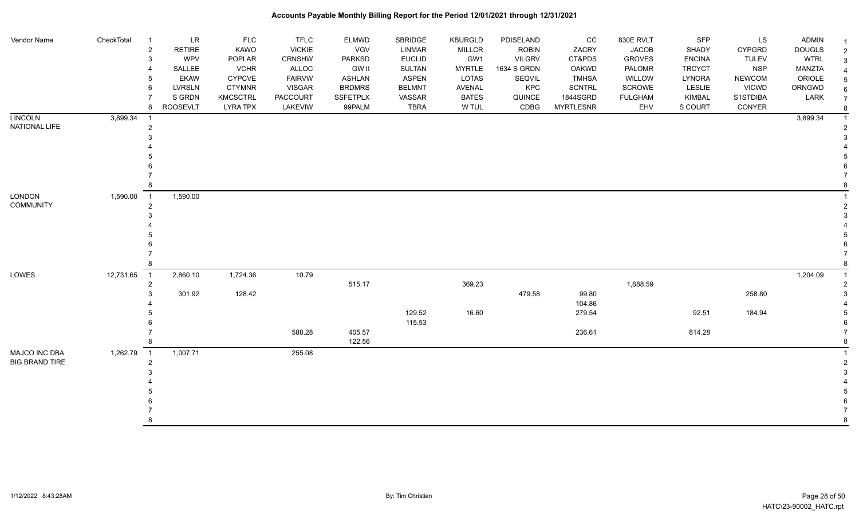| Vendor Name           | CheckTotal | <b>LR</b><br>$\overline{1}$            | <b>FLC</b>      | <b>TFLC</b>   | <b>ELMWD</b>    | <b>SBRIDGE</b> | <b>KBURGLD</b> | PDISELAND    | cc               | 830E RVLT      | SFP           | <b>LS</b>     | <b>ADMIN</b>  |                |
|-----------------------|------------|----------------------------------------|-----------------|---------------|-----------------|----------------|----------------|--------------|------------------|----------------|---------------|---------------|---------------|----------------|
|                       |            | $\overline{2}$<br><b>RETIRE</b>        | KAWO            | <b>VICKIE</b> | VGV             | <b>LINMAR</b>  | <b>MILLCR</b>  | <b>ROBIN</b> | ZACRY            | <b>JACOB</b>   | SHADY         | <b>CYPGRD</b> | <b>DOUGLS</b> | 2              |
|                       |            | WPV<br>3                               | POPLAR          | CRNSHW        | PARKSD          | <b>EUCLID</b>  | GW1            | VILGRV       | CT&PDS           | <b>GROVES</b>  | <b>ENCINA</b> | <b>TULEV</b>  | <b>WTRL</b>   | 3              |
|                       |            | SALLEE<br>4                            | <b>VCHR</b>     | ALLOC         | <b>GW II</b>    | <b>SULTAN</b>  | <b>MYRTLE</b>  | 1634 S GRDN  | OAKWD            | PALOMR         | <b>TRCYCT</b> | <b>NSP</b>    | MANZTA        |                |
|                       |            | <b>EKAW</b><br>5                       | <b>CYPCVE</b>   | <b>FAIRVW</b> | ASHLAN          | <b>ASPEN</b>   | LOTAS          | SEQVIL       | <b>TMHSA</b>     | WILLOW         | LYNORA        | <b>NEWCOM</b> | ORIOLE        |                |
|                       |            | <b>LVRSLN</b><br>6                     | <b>CTYMNR</b>   | <b>VISGAR</b> | <b>BRDMRS</b>   | <b>BELMNT</b>  | <b>AVENAL</b>  | KPC          | SCNTRL           | SCROWE         | <b>LESLIE</b> | <b>VICWD</b>  | ORNGWD        |                |
|                       |            | S GRDN                                 | <b>KMCSCTRL</b> | PACCOURT      | <b>SSFETPLX</b> | VASSAR         | <b>BATES</b>   | QUINCE       | 1844SGRD         | <b>FULGHAM</b> | KIMBAL        | S1STDIBA      | LARK          | $\overline{7}$ |
|                       |            | 8<br><b>ROOSEVLT</b>                   | <b>LYRA TPX</b> | LAKEVIW       | 99PALM          | <b>TBRA</b>    | W TUL          | CDBG         | <b>MYRTLESNR</b> | EHV            | S COURT       | CONYER        |               |                |
| <b>LINCOLN</b>        | 3,899.34   | - 1                                    |                 |               |                 |                |                |              |                  |                |               |               | 3,899.34      |                |
| NATIONAL LIFE         |            | $\overline{2}$                         |                 |               |                 |                |                |              |                  |                |               |               |               |                |
|                       |            |                                        |                 |               |                 |                |                |              |                  |                |               |               |               |                |
|                       |            |                                        |                 |               |                 |                |                |              |                  |                |               |               |               |                |
|                       |            |                                        |                 |               |                 |                |                |              |                  |                |               |               |               |                |
|                       |            |                                        |                 |               |                 |                |                |              |                  |                |               |               |               |                |
|                       |            |                                        |                 |               |                 |                |                |              |                  |                |               |               |               |                |
|                       |            | 8                                      |                 |               |                 |                |                |              |                  |                |               |               |               |                |
| <b>LONDON</b>         | 1,590.00   | 1,590.00<br>$\overline{1}$             |                 |               |                 |                |                |              |                  |                |               |               |               |                |
| <b>COMMUNITY</b>      |            | $\overline{2}$                         |                 |               |                 |                |                |              |                  |                |               |               |               |                |
|                       |            |                                        |                 |               |                 |                |                |              |                  |                |               |               |               |                |
|                       |            |                                        |                 |               |                 |                |                |              |                  |                |               |               |               |                |
|                       |            |                                        |                 |               |                 |                |                |              |                  |                |               |               |               |                |
|                       |            |                                        |                 |               |                 |                |                |              |                  |                |               |               |               |                |
|                       |            |                                        |                 |               |                 |                |                |              |                  |                |               |               |               |                |
|                       |            |                                        |                 |               |                 |                |                |              |                  |                |               |               |               |                |
| LOWES                 | 12,731.65  | $\overline{\phantom{0}}$ 1<br>2,860.10 | 1,724.36        | 10.79         |                 |                |                |              |                  |                |               |               | 1,204.09      |                |
|                       |            | $\overline{2}$                         |                 |               | 515.17          |                | 369.23         |              |                  | 1,688.59       |               |               |               |                |
|                       |            | 301.92<br>3                            | 128.42          |               |                 |                |                | 479.58       | 99.80            |                |               | 258.80        |               |                |
|                       |            |                                        |                 |               |                 |                |                |              | 104.86           |                |               |               |               |                |
|                       |            |                                        |                 |               |                 | 129.52         | 16.60          |              | 279.54           |                | 92.51         | 184.94        |               |                |
|                       |            |                                        |                 |               |                 | 115.53         |                |              |                  |                |               |               |               |                |
|                       |            |                                        |                 | 588.28        | 405.57          |                |                |              | 236.61           |                | 814.28        |               |               |                |
|                       |            |                                        |                 |               | 122.56          |                |                |              |                  |                |               |               |               |                |
| MAJCO INC DBA         | 1,262.79   | 1,007.71<br>$\overline{1}$             |                 | 255.08        |                 |                |                |              |                  |                |               |               |               |                |
| <b>BIG BRAND TIRE</b> |            | $\overline{2}$                         |                 |               |                 |                |                |              |                  |                |               |               |               |                |
|                       |            |                                        |                 |               |                 |                |                |              |                  |                |               |               |               |                |
|                       |            |                                        |                 |               |                 |                |                |              |                  |                |               |               |               |                |
|                       |            |                                        |                 |               |                 |                |                |              |                  |                |               |               |               |                |
|                       |            |                                        |                 |               |                 |                |                |              |                  |                |               |               |               |                |
|                       |            |                                        |                 |               |                 |                |                |              |                  |                |               |               |               |                |
|                       |            | 8                                      |                 |               |                 |                |                |              |                  |                |               |               |               | R              |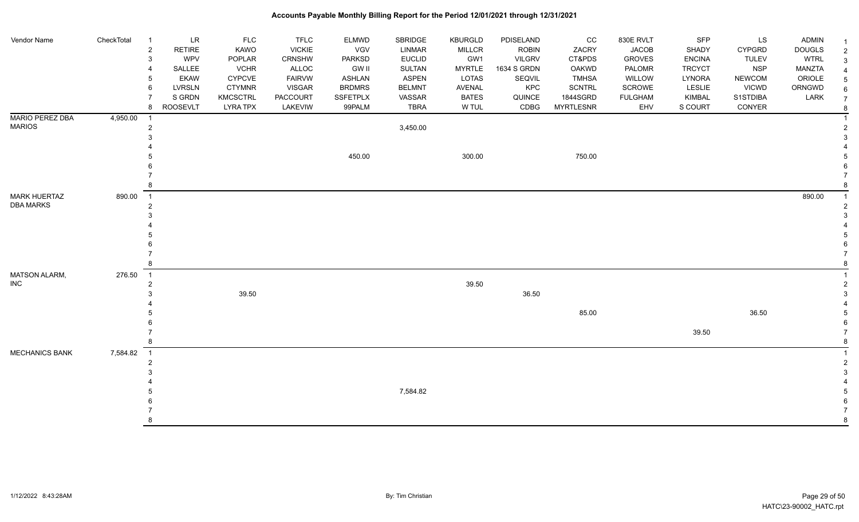| Vendor Name                             | CheckTotal | LR<br>-1                   | <b>FLC</b>      | <b>TFLC</b>   | ELMWD           | SBRIDGE       | <b>KBURGLD</b> | PDISELAND     | $_{\rm CC}$      | 830E RVLT      | SFP           | LS            | <b>ADMIN</b>  | - 1            |
|-----------------------------------------|------------|----------------------------|-----------------|---------------|-----------------|---------------|----------------|---------------|------------------|----------------|---------------|---------------|---------------|----------------|
|                                         |            | $\overline{2}$<br>RETIRE   | KAWO            | <b>VICKIE</b> | VGV             | LINMAR        | <b>MILLCR</b>  | <b>ROBIN</b>  | ZACRY            | <b>JACOB</b>   | SHADY         | <b>CYPGRD</b> | <b>DOUGLS</b> | $\overline{2}$ |
|                                         |            | WPV<br>3                   | POPLAR          | CRNSHW        | <b>PARKSD</b>   | <b>EUCLID</b> | GW1            | <b>VILGRV</b> | CT&PDS           | <b>GROVES</b>  | <b>ENCINA</b> | <b>TULEV</b>  | <b>WTRL</b>   | 3              |
|                                         |            | SALLEE                     | <b>VCHR</b>     | ALLOC         | <b>GW II</b>    | SULTAN        | <b>MYRTLE</b>  | 1634 S GRDN   | OAKWD            | PALOMR         | <b>TRCYCT</b> | <b>NSP</b>    | <b>MANZTA</b> |                |
|                                         |            | <b>EKAW</b>                | CYPCVE          | <b>FAIRVW</b> | ASHLAN          | <b>ASPEN</b>  | <b>LOTAS</b>   | SEQVIL        | <b>TMHSA</b>     | WILLOW         | LYNORA        | <b>NEWCOM</b> | ORIOLE        |                |
|                                         |            | <b>LVRSLN</b><br>6         | <b>CTYMNR</b>   | <b>VISGAR</b> | <b>BRDMRS</b>   | <b>BELMNT</b> | AVENAL         | KPC           | <b>SCNTRL</b>    | SCROWE         | <b>LESLIE</b> | <b>VICWD</b>  | ORNGWD        |                |
|                                         |            | S GRDN                     | <b>KMCSCTRL</b> | PACCOURT      | <b>SSFETPLX</b> | VASSAR        | <b>BATES</b>   | QUINCE        | 1844SGRD         | <b>FULGHAM</b> | KIMBAL        | S1STDIBA      | LARK          | 7              |
|                                         |            | <b>ROOSEVLT</b><br>8       | <b>LYRA TPX</b> | LAKEVIW       | 99PALM          | <b>TBRA</b>   | W TUL          | CDBG          | <b>MYRTLESNR</b> | EHV            | S COURT       | CONYER        |               |                |
| <b>MARIO PEREZ DBA</b><br><b>MARIOS</b> | 4,950.00   | $\overline{1}$             |                 |               |                 |               |                |               |                  |                |               |               |               |                |
|                                         |            | $\overline{2}$             |                 |               |                 | 3,450.00      |                |               |                  |                |               |               |               |                |
|                                         |            |                            |                 |               |                 |               |                |               |                  |                |               |               |               |                |
|                                         |            |                            |                 |               | 450.00          |               | 300.00         |               | 750.00           |                |               |               |               |                |
|                                         |            |                            |                 |               |                 |               |                |               |                  |                |               |               |               |                |
|                                         |            |                            |                 |               |                 |               |                |               |                  |                |               |               |               |                |
|                                         |            |                            |                 |               |                 |               |                |               |                  |                |               |               |               |                |
| <b>MARK HUERTAZ</b>                     | 890.00     | $\overline{1}$             |                 |               |                 |               |                |               |                  |                |               |               | 890.00        |                |
| <b>DBA MARKS</b>                        |            | $\overline{2}$             |                 |               |                 |               |                |               |                  |                |               |               |               |                |
|                                         |            |                            |                 |               |                 |               |                |               |                  |                |               |               |               |                |
|                                         |            |                            |                 |               |                 |               |                |               |                  |                |               |               |               |                |
|                                         |            |                            |                 |               |                 |               |                |               |                  |                |               |               |               |                |
|                                         |            |                            |                 |               |                 |               |                |               |                  |                |               |               |               |                |
|                                         |            |                            |                 |               |                 |               |                |               |                  |                |               |               |               |                |
|                                         |            |                            |                 |               |                 |               |                |               |                  |                |               |               |               |                |
| MATSON ALARM,                           | 276.50     | $\overline{1}$             |                 |               |                 |               |                |               |                  |                |               |               |               |                |
| <b>INC</b>                              |            | $\overline{2}$             |                 |               |                 |               | 39.50          |               |                  |                |               |               |               |                |
|                                         |            |                            | 39.50           |               |                 |               |                | 36.50         |                  |                |               |               |               |                |
|                                         |            |                            |                 |               |                 |               |                |               |                  |                |               |               |               |                |
|                                         |            |                            |                 |               |                 |               |                |               | 85.00            |                |               | 36.50         |               |                |
|                                         |            |                            |                 |               |                 |               |                |               |                  |                |               |               |               |                |
|                                         |            |                            |                 |               |                 |               |                |               |                  |                | 39.50         |               |               |                |
|                                         |            | 8                          |                 |               |                 |               |                |               |                  |                |               |               |               |                |
| <b>MECHANICS BANK</b>                   | 7,584.82   | $\overline{\phantom{0}}$ 1 |                 |               |                 |               |                |               |                  |                |               |               |               |                |
|                                         |            | $\overline{2}$             |                 |               |                 |               |                |               |                  |                |               |               |               |                |
|                                         |            |                            |                 |               |                 |               |                |               |                  |                |               |               |               |                |
|                                         |            |                            |                 |               |                 |               |                |               |                  |                |               |               |               |                |
|                                         |            |                            |                 |               |                 | 7,584.82      |                |               |                  |                |               |               |               |                |
|                                         |            |                            |                 |               |                 |               |                |               |                  |                |               |               |               |                |
|                                         |            |                            |                 |               |                 |               |                |               |                  |                |               |               |               |                |
|                                         |            | 8                          |                 |               |                 |               |                |               |                  |                |               |               |               | 8              |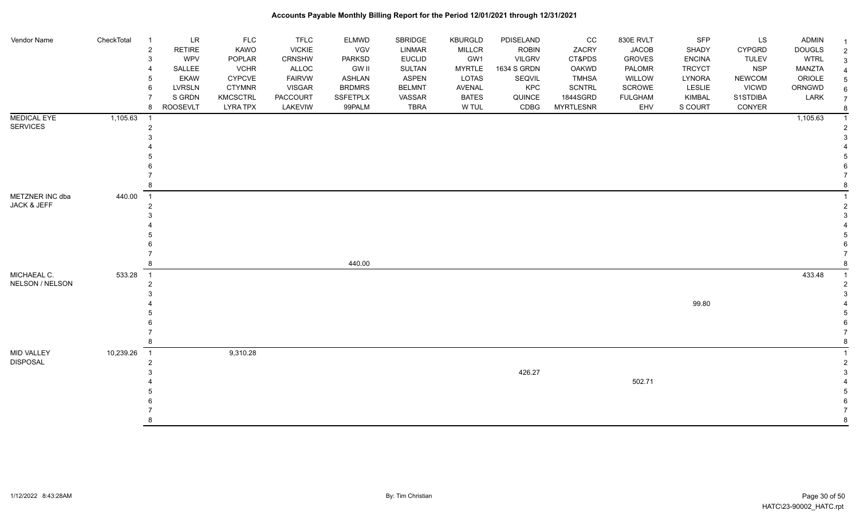| Vendor Name                           | CheckTotal | LR<br>$\overline{1}$<br><b>RETIRE</b><br>$\overline{2}$ | <b>FLC</b><br><b>KAWO</b> | <b>TFLC</b><br><b>VICKIE</b> | ELMWD<br>VGV  | <b>SBRIDGE</b><br>LINMAR | <b>KBURGLD</b><br><b>MILLCR</b> | PDISELAND<br><b>ROBIN</b> | cc<br>ZACRY      | 830E RVLT<br><b>JACOB</b> | SFP<br>SHADY  | LS<br><b>CYPGRD</b> | <b>ADMIN</b><br><b>DOUGLS</b> | $\overline{2}$ |
|---------------------------------------|------------|---------------------------------------------------------|---------------------------|------------------------------|---------------|--------------------------|---------------------------------|---------------------------|------------------|---------------------------|---------------|---------------------|-------------------------------|----------------|
|                                       |            | WPV<br>3                                                | POPLAR                    | CRNSHW                       | PARKSD        | <b>EUCLID</b>            | GW1                             | <b>VILGRV</b>             | CT&PDS           | <b>GROVES</b>             | <b>ENCINA</b> | <b>TULEV</b>        | <b>WTRL</b>                   | 3              |
|                                       |            | SALLEE<br>4                                             | <b>VCHR</b>               | ALLOC                        | <b>GW II</b>  | SULTAN                   | <b>MYRTLE</b>                   | 1634 S GRDN               | <b>OAKWD</b>     | PALOMR                    | <b>TRCYCT</b> | <b>NSP</b>          | <b>MANZTA</b>                 |                |
|                                       |            | <b>EKAW</b><br>5                                        | <b>CYPCVE</b>             | <b>FAIRVW</b>                | <b>ASHLAN</b> | <b>ASPEN</b>             | LOTAS                           | SEQVIL                    | <b>TMHSA</b>     | WILLOW                    | LYNORA        | <b>NEWCOM</b>       | ORIOLE                        |                |
|                                       |            | <b>LVRSLN</b><br>6                                      | <b>CTYMNR</b>             | <b>VISGAR</b>                | <b>BRDMRS</b> | <b>BELMNT</b>            | AVENAL                          | KPC                       | SCNTRL           | <b>SCROWE</b>             | <b>LESLIE</b> | <b>VICWD</b>        | ORNGWD                        | 6              |
|                                       |            | S GRDN                                                  | <b>KMCSCTRL</b>           | PACCOURT                     | SSFETPLX      | VASSAR                   | <b>BATES</b>                    | QUINCE                    | 1844SGRD         | <b>FULGHAM</b>            | KIMBAL        | S1STDIBA            | LARK                          |                |
|                                       |            | <b>ROOSEVLT</b><br>8                                    | <b>LYRA TPX</b>           | LAKEVIW                      | 99PALM        | <b>TBRA</b>              | W TUL                           | CDBG                      | <b>MYRTLESNR</b> | EHV                       | S COURT       | CONYER              |                               |                |
| <b>MEDICAL EYE</b><br><b>SERVICES</b> | 1,105.63   | - 1                                                     |                           |                              |               |                          |                                 |                           |                  |                           |               |                     | 1,105.63                      |                |
|                                       |            | $\overline{2}$                                          |                           |                              |               |                          |                                 |                           |                  |                           |               |                     |                               |                |
|                                       |            |                                                         |                           |                              |               |                          |                                 |                           |                  |                           |               |                     |                               |                |
|                                       |            |                                                         |                           |                              |               |                          |                                 |                           |                  |                           |               |                     |                               |                |
|                                       |            |                                                         |                           |                              |               |                          |                                 |                           |                  |                           |               |                     |                               |                |
|                                       |            |                                                         |                           |                              |               |                          |                                 |                           |                  |                           |               |                     |                               |                |
|                                       |            |                                                         |                           |                              |               |                          |                                 |                           |                  |                           |               |                     |                               |                |
| METZNER INC dba                       | 440.00     | $\overline{1}$                                          |                           |                              |               |                          |                                 |                           |                  |                           |               |                     |                               |                |
| JACK & JEFF                           |            | 2                                                       |                           |                              |               |                          |                                 |                           |                  |                           |               |                     |                               |                |
|                                       |            |                                                         |                           |                              |               |                          |                                 |                           |                  |                           |               |                     |                               |                |
|                                       |            |                                                         |                           |                              |               |                          |                                 |                           |                  |                           |               |                     |                               |                |
|                                       |            |                                                         |                           |                              |               |                          |                                 |                           |                  |                           |               |                     |                               |                |
|                                       |            |                                                         |                           |                              |               |                          |                                 |                           |                  |                           |               |                     |                               |                |
|                                       |            |                                                         |                           |                              | 440.00        |                          |                                 |                           |                  |                           |               |                     |                               |                |
| MICHAEAL C.                           | 533.28     | $\overline{1}$                                          |                           |                              |               |                          |                                 |                           |                  |                           |               |                     | 433.48                        |                |
| NELSON / NELSON                       |            | 2                                                       |                           |                              |               |                          |                                 |                           |                  |                           |               |                     |                               |                |
|                                       |            |                                                         |                           |                              |               |                          |                                 |                           |                  |                           |               |                     |                               |                |
|                                       |            |                                                         |                           |                              |               |                          |                                 |                           |                  |                           | 99.80         |                     |                               |                |
|                                       |            |                                                         |                           |                              |               |                          |                                 |                           |                  |                           |               |                     |                               |                |
|                                       |            |                                                         |                           |                              |               |                          |                                 |                           |                  |                           |               |                     |                               |                |
|                                       |            |                                                         |                           |                              |               |                          |                                 |                           |                  |                           |               |                     |                               |                |
|                                       |            |                                                         |                           |                              |               |                          |                                 |                           |                  |                           |               |                     |                               |                |
| <b>MID VALLEY</b>                     | 10,239.26  | $\overline{1}$                                          | 9,310.28                  |                              |               |                          |                                 |                           |                  |                           |               |                     |                               |                |
| <b>DISPOSAL</b>                       |            | $\overline{2}$                                          |                           |                              |               |                          |                                 |                           |                  |                           |               |                     |                               |                |
|                                       |            |                                                         |                           |                              |               |                          |                                 | 426.27                    |                  |                           |               |                     |                               |                |
|                                       |            |                                                         |                           |                              |               |                          |                                 |                           |                  | 502.71                    |               |                     |                               |                |
|                                       |            |                                                         |                           |                              |               |                          |                                 |                           |                  |                           |               |                     |                               |                |
|                                       |            |                                                         |                           |                              |               |                          |                                 |                           |                  |                           |               |                     |                               |                |
|                                       |            |                                                         |                           |                              |               |                          |                                 |                           |                  |                           |               |                     |                               |                |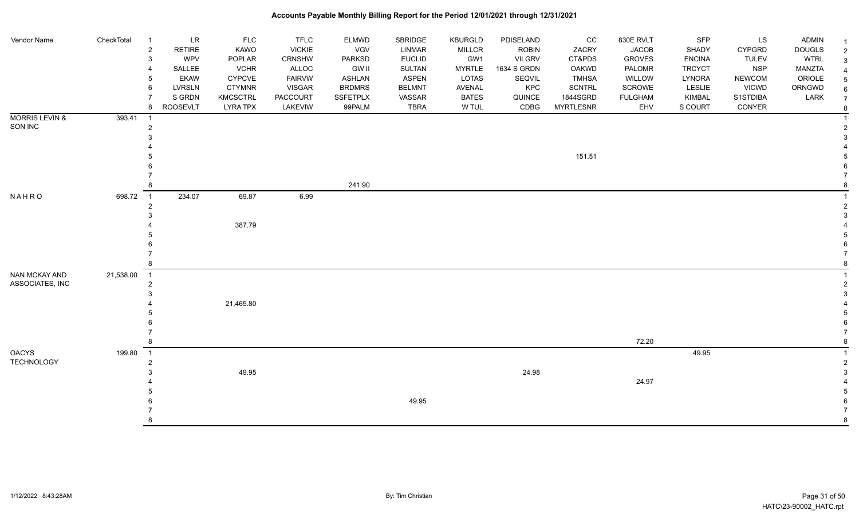| Vendor Name                      | CheckTotal | $\overline{1}$<br>$\overline{2}$<br>3<br>$\overline{4}$<br>5<br>6<br>8 | <b>LR</b><br><b>RETIRE</b><br>WPV<br>SALLEE<br><b>EKAW</b><br><b>LVRSLN</b><br>S GRDN<br><b>ROOSEVLT</b> | <b>FLC</b><br>KAWO<br>POPLAR<br><b>VCHR</b><br>CYPCVE<br><b>CTYMNR</b><br><b>KMCSCTRL</b><br><b>LYRA TPX</b> | <b>TFLC</b><br><b>VICKIE</b><br>CRNSHW<br>ALLOC<br><b>FAIRVW</b><br><b>VISGAR</b><br><b>PACCOURT</b> | <b>ELMWD</b><br><b>VGV</b><br><b>PARKSD</b><br><b>GW II</b><br>ASHLAN<br><b>BRDMRS</b><br>SSFETPLX<br>99PALM | SBRIDGE<br>LINMAR<br><b>EUCLID</b><br>SULTAN<br><b>ASPEN</b><br><b>BELMNT</b><br>VASSAR | <b>KBURGLD</b><br><b>MILLCR</b><br>GW1<br><b>MYRTLE</b><br>LOTAS<br>AVENAL<br><b>BATES</b><br>W TUL | PDISELAND<br><b>ROBIN</b><br><b>VILGRV</b><br>1634 S GRDN<br>SEQVIL<br>KPC<br>QUINCE<br>CDBG | CC<br>ZACRY<br>CT&PDS<br>OAKWD<br><b>TMHSA</b><br>SCNTRL<br>1844SGRD<br><b>MYRTLESNR</b> | 830E RVLT<br><b>JACOB</b><br><b>GROVES</b><br>PALOMR<br>WILLOW<br>SCROWE<br><b>FULGHAM</b><br>EHV | <b>SFP</b><br><b>SHADY</b><br><b>ENCINA</b><br><b>TRCYCT</b><br>LYNORA<br><b>LESLIE</b><br>KIMBAL<br>S COURT | LS<br><b>CYPGRD</b><br><b>TULEV</b><br><b>NSP</b><br><b>NEWCOM</b><br><b>VICWD</b><br>S1STDIBA<br>CONYER | <b>ADMIN</b><br><b>DOUGLS</b><br><b>WTRL</b><br><b>MANZTA</b><br>ORIOLE<br>ORNGWD<br>LARK | 2<br>3<br>6<br>$\overline{7}$ |
|----------------------------------|------------|------------------------------------------------------------------------|----------------------------------------------------------------------------------------------------------|--------------------------------------------------------------------------------------------------------------|------------------------------------------------------------------------------------------------------|--------------------------------------------------------------------------------------------------------------|-----------------------------------------------------------------------------------------|-----------------------------------------------------------------------------------------------------|----------------------------------------------------------------------------------------------|------------------------------------------------------------------------------------------|---------------------------------------------------------------------------------------------------|--------------------------------------------------------------------------------------------------------------|----------------------------------------------------------------------------------------------------------|-------------------------------------------------------------------------------------------|-------------------------------|
| <b>MORRIS LEVIN &amp;</b>        | 393.41     | $\overline{1}$                                                         |                                                                                                          |                                                                                                              | LAKEVIW                                                                                              |                                                                                                              | TBRA                                                                                    |                                                                                                     |                                                                                              |                                                                                          |                                                                                                   |                                                                                                              |                                                                                                          |                                                                                           | 8                             |
| SON INC                          |            | 2<br>3                                                                 |                                                                                                          |                                                                                                              |                                                                                                      |                                                                                                              |                                                                                         |                                                                                                     |                                                                                              |                                                                                          |                                                                                                   |                                                                                                              |                                                                                                          |                                                                                           |                               |
|                                  |            |                                                                        |                                                                                                          |                                                                                                              |                                                                                                      |                                                                                                              |                                                                                         |                                                                                                     |                                                                                              | 151.51                                                                                   |                                                                                                   |                                                                                                              |                                                                                                          |                                                                                           |                               |
|                                  |            |                                                                        |                                                                                                          |                                                                                                              |                                                                                                      |                                                                                                              |                                                                                         |                                                                                                     |                                                                                              |                                                                                          |                                                                                                   |                                                                                                              |                                                                                                          |                                                                                           |                               |
|                                  |            | 8                                                                      |                                                                                                          |                                                                                                              |                                                                                                      | 241.90                                                                                                       |                                                                                         |                                                                                                     |                                                                                              |                                                                                          |                                                                                                   |                                                                                                              |                                                                                                          |                                                                                           |                               |
| NAHRO                            | 698.72     | $\overline{1}$                                                         | 234.07                                                                                                   | 69.87                                                                                                        | 6.99                                                                                                 |                                                                                                              |                                                                                         |                                                                                                     |                                                                                              |                                                                                          |                                                                                                   |                                                                                                              |                                                                                                          |                                                                                           |                               |
|                                  |            | $\overline{2}$                                                         |                                                                                                          |                                                                                                              |                                                                                                      |                                                                                                              |                                                                                         |                                                                                                     |                                                                                              |                                                                                          |                                                                                                   |                                                                                                              |                                                                                                          |                                                                                           | $\mathcal{P}$                 |
|                                  |            | 3                                                                      |                                                                                                          | 387.79                                                                                                       |                                                                                                      |                                                                                                              |                                                                                         |                                                                                                     |                                                                                              |                                                                                          |                                                                                                   |                                                                                                              |                                                                                                          |                                                                                           |                               |
|                                  |            |                                                                        |                                                                                                          |                                                                                                              |                                                                                                      |                                                                                                              |                                                                                         |                                                                                                     |                                                                                              |                                                                                          |                                                                                                   |                                                                                                              |                                                                                                          |                                                                                           |                               |
|                                  |            |                                                                        |                                                                                                          |                                                                                                              |                                                                                                      |                                                                                                              |                                                                                         |                                                                                                     |                                                                                              |                                                                                          |                                                                                                   |                                                                                                              |                                                                                                          |                                                                                           |                               |
|                                  |            |                                                                        |                                                                                                          |                                                                                                              |                                                                                                      |                                                                                                              |                                                                                         |                                                                                                     |                                                                                              |                                                                                          |                                                                                                   |                                                                                                              |                                                                                                          |                                                                                           |                               |
|                                  |            | 8                                                                      |                                                                                                          |                                                                                                              |                                                                                                      |                                                                                                              |                                                                                         |                                                                                                     |                                                                                              |                                                                                          |                                                                                                   |                                                                                                              |                                                                                                          |                                                                                           |                               |
| NAN MCKAY AND<br>ASSOCIATES, INC | 21,538.00  | $\overline{\phantom{0}}$ 1<br>$\overline{2}$                           |                                                                                                          |                                                                                                              |                                                                                                      |                                                                                                              |                                                                                         |                                                                                                     |                                                                                              |                                                                                          |                                                                                                   |                                                                                                              |                                                                                                          |                                                                                           |                               |
|                                  |            | 3                                                                      |                                                                                                          |                                                                                                              |                                                                                                      |                                                                                                              |                                                                                         |                                                                                                     |                                                                                              |                                                                                          |                                                                                                   |                                                                                                              |                                                                                                          |                                                                                           |                               |
|                                  |            |                                                                        |                                                                                                          | 21,465.80                                                                                                    |                                                                                                      |                                                                                                              |                                                                                         |                                                                                                     |                                                                                              |                                                                                          |                                                                                                   |                                                                                                              |                                                                                                          |                                                                                           |                               |
|                                  |            |                                                                        |                                                                                                          |                                                                                                              |                                                                                                      |                                                                                                              |                                                                                         |                                                                                                     |                                                                                              |                                                                                          |                                                                                                   |                                                                                                              |                                                                                                          |                                                                                           |                               |
|                                  |            |                                                                        |                                                                                                          |                                                                                                              |                                                                                                      |                                                                                                              |                                                                                         |                                                                                                     |                                                                                              |                                                                                          |                                                                                                   |                                                                                                              |                                                                                                          |                                                                                           |                               |
|                                  |            | 8                                                                      |                                                                                                          |                                                                                                              |                                                                                                      |                                                                                                              |                                                                                         |                                                                                                     |                                                                                              |                                                                                          | 72.20                                                                                             |                                                                                                              |                                                                                                          |                                                                                           |                               |
| <b>OACYS</b>                     | 199.80     | $\overline{\phantom{1}}$                                               |                                                                                                          |                                                                                                              |                                                                                                      |                                                                                                              |                                                                                         |                                                                                                     |                                                                                              |                                                                                          |                                                                                                   | 49.95                                                                                                        |                                                                                                          |                                                                                           |                               |
| <b>TECHNOLOGY</b>                |            | $\overline{2}$                                                         |                                                                                                          |                                                                                                              |                                                                                                      |                                                                                                              |                                                                                         |                                                                                                     |                                                                                              |                                                                                          |                                                                                                   |                                                                                                              |                                                                                                          |                                                                                           |                               |
|                                  |            | 3                                                                      |                                                                                                          | 49.95                                                                                                        |                                                                                                      |                                                                                                              |                                                                                         |                                                                                                     | 24.98                                                                                        |                                                                                          | 24.97                                                                                             |                                                                                                              |                                                                                                          |                                                                                           |                               |
|                                  |            |                                                                        |                                                                                                          |                                                                                                              |                                                                                                      |                                                                                                              |                                                                                         |                                                                                                     |                                                                                              |                                                                                          |                                                                                                   |                                                                                                              |                                                                                                          |                                                                                           |                               |
|                                  |            |                                                                        |                                                                                                          |                                                                                                              |                                                                                                      |                                                                                                              | 49.95                                                                                   |                                                                                                     |                                                                                              |                                                                                          |                                                                                                   |                                                                                                              |                                                                                                          |                                                                                           |                               |
|                                  |            |                                                                        |                                                                                                          |                                                                                                              |                                                                                                      |                                                                                                              |                                                                                         |                                                                                                     |                                                                                              |                                                                                          |                                                                                                   |                                                                                                              |                                                                                                          |                                                                                           |                               |
|                                  |            | 8                                                                      |                                                                                                          |                                                                                                              |                                                                                                      |                                                                                                              |                                                                                         |                                                                                                     |                                                                                              |                                                                                          |                                                                                                   |                                                                                                              |                                                                                                          |                                                                                           | 8                             |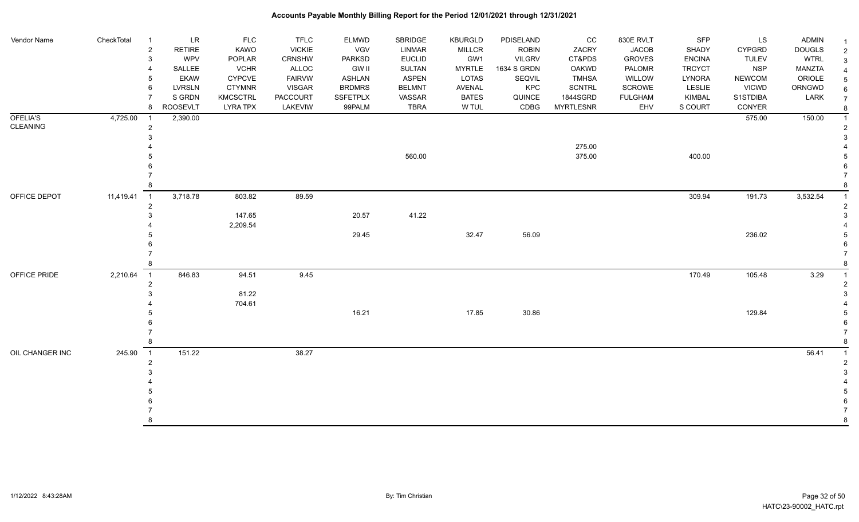| Vendor Name     | CheckTotal  | LR<br>- 1<br>$\overline{2}$<br><b>RETIRE</b> | <b>FLC</b><br><b>KAWO</b> | <b>TFLC</b><br><b>VICKIE</b> | <b>ELMWD</b><br>VGV | SBRIDGE<br><b>LINMAR</b> | <b>KBURGLD</b><br><b>MILLCR</b> | PDISELAND<br><b>ROBIN</b> | CC<br>ZACRY      | 830E RVLT<br><b>JACOB</b> | SFP<br>SHADY  | LS<br><b>CYPGRD</b> | <b>ADMIN</b><br><b>DOUGLS</b> | 2              |
|-----------------|-------------|----------------------------------------------|---------------------------|------------------------------|---------------------|--------------------------|---------------------------------|---------------------------|------------------|---------------------------|---------------|---------------------|-------------------------------|----------------|
|                 |             | WPV<br>3                                     | POPLAR                    | <b>CRNSHW</b>                | PARKSD              | <b>EUCLID</b>            | GW1                             | <b>VILGRV</b>             | CT&PDS           | <b>GROVES</b>             | <b>ENCINA</b> | <b>TULEV</b>        | <b>WTRL</b>                   | 3              |
|                 |             | SALLEE                                       | <b>VCHR</b>               | ALLOC                        | <b>GW II</b>        | SULTAN                   | <b>MYRTLE</b>                   | 1634 S GRDN               | <b>OAKWD</b>     | PALOMR                    | <b>TRCYCT</b> | <b>NSP</b>          | <b>MANZTA</b>                 |                |
|                 |             | <b>EKAW</b>                                  | <b>CYPCVE</b>             | <b>FAIRVW</b>                | <b>ASHLAN</b>       | <b>ASPEN</b>             | <b>LOTAS</b>                    | SEQVIL                    | <b>TMHSA</b>     | WILLOW                    | LYNORA        | <b>NEWCOM</b>       | ORIOLE                        |                |
|                 |             | <b>LVRSLN</b><br>6                           | <b>CTYMNR</b>             | <b>VISGAR</b>                | <b>BRDMRS</b>       | <b>BELMNT</b>            | AVENAL                          | KPC                       | <b>SCNTRL</b>    | SCROWE                    | LESLIE        | <b>VICWD</b>        | ORNGWD                        | 6              |
|                 |             | S GRDN                                       | <b>KMCSCTRL</b>           | PACCOURT                     | <b>SSFETPLX</b>     | VASSAR                   | <b>BATES</b>                    | QUINCE                    | 1844SGRD         | <b>FULGHAM</b>            | <b>KIMBAL</b> | S1STDIBA            | LARK                          | $\overline{7}$ |
|                 |             | ROOSEVLT<br>8                                | <b>LYRA TPX</b>           | LAKEVIW                      | 99PALM              | <b>TBRA</b>              | W TUL                           | CDBG                      | <b>MYRTLESNR</b> | EHV                       | S COURT       | CONYER              |                               | 8              |
| OFELIA'S        | 4,725.00    | 2,390.00<br>- 1                              |                           |                              |                     |                          |                                 |                           |                  |                           |               | 575.00              | 150.00                        |                |
| CLEANING        |             | 2                                            |                           |                              |                     |                          |                                 |                           |                  |                           |               |                     |                               |                |
|                 |             |                                              |                           |                              |                     |                          |                                 |                           |                  |                           |               |                     |                               |                |
|                 |             |                                              |                           |                              |                     |                          |                                 |                           | 275.00           |                           |               |                     |                               |                |
|                 |             |                                              |                           |                              |                     | 560.00                   |                                 |                           | 375.00           |                           | 400.00        |                     |                               |                |
|                 |             |                                              |                           |                              |                     |                          |                                 |                           |                  |                           |               |                     |                               |                |
|                 |             |                                              |                           |                              |                     |                          |                                 |                           |                  |                           |               |                     |                               |                |
|                 |             |                                              |                           |                              |                     |                          |                                 |                           |                  |                           |               |                     |                               |                |
| OFFICE DEPOT    | 11,419.41 1 | 3,718.78<br>2                                | 803.82                    | 89.59                        |                     |                          |                                 |                           |                  |                           | 309.94        | 191.73              | 3,532.54                      |                |
|                 |             |                                              | 147.65                    |                              | 20.57               | 41.22                    |                                 |                           |                  |                           |               |                     |                               |                |
|                 |             |                                              | 2,209.54                  |                              |                     |                          |                                 |                           |                  |                           |               |                     |                               |                |
|                 |             |                                              |                           |                              | 29.45               |                          | 32.47                           | 56.09                     |                  |                           |               | 236.02              |                               |                |
|                 |             |                                              |                           |                              |                     |                          |                                 |                           |                  |                           |               |                     |                               |                |
|                 |             |                                              |                           |                              |                     |                          |                                 |                           |                  |                           |               |                     |                               |                |
|                 |             |                                              |                           |                              |                     |                          |                                 |                           |                  |                           |               |                     |                               |                |
| OFFICE PRIDE    | 2,210.64    | $\overline{1}$<br>846.83                     | 94.51                     | 9.45                         |                     |                          |                                 |                           |                  |                           | 170.49        | 105.48              | 3.29                          |                |
|                 |             | $\overline{c}$                               |                           |                              |                     |                          |                                 |                           |                  |                           |               |                     |                               |                |
|                 |             |                                              | 81.22                     |                              |                     |                          |                                 |                           |                  |                           |               |                     |                               |                |
|                 |             |                                              | 704.61                    |                              |                     |                          |                                 |                           |                  |                           |               |                     |                               |                |
|                 |             |                                              |                           |                              | 16.21               |                          | 17.85                           | 30.86                     |                  |                           |               | 129.84              |                               |                |
|                 |             |                                              |                           |                              |                     |                          |                                 |                           |                  |                           |               |                     |                               |                |
|                 |             |                                              |                           |                              |                     |                          |                                 |                           |                  |                           |               |                     |                               |                |
|                 |             |                                              |                           |                              |                     |                          |                                 |                           |                  |                           |               |                     |                               |                |
| OIL CHANGER INC | 245.90      | 151.22<br>$\overline{1}$                     |                           | 38.27                        |                     |                          |                                 |                           |                  |                           |               |                     | 56.41                         |                |
|                 |             |                                              |                           |                              |                     |                          |                                 |                           |                  |                           |               |                     |                               |                |
|                 |             |                                              |                           |                              |                     |                          |                                 |                           |                  |                           |               |                     |                               |                |
|                 |             |                                              |                           |                              |                     |                          |                                 |                           |                  |                           |               |                     |                               |                |
|                 |             |                                              |                           |                              |                     |                          |                                 |                           |                  |                           |               |                     |                               |                |
|                 |             |                                              |                           |                              |                     |                          |                                 |                           |                  |                           |               |                     |                               |                |
|                 |             |                                              |                           |                              |                     |                          |                                 |                           |                  |                           |               |                     |                               |                |
|                 |             |                                              |                           |                              |                     |                          |                                 |                           |                  |                           |               |                     |                               | 8              |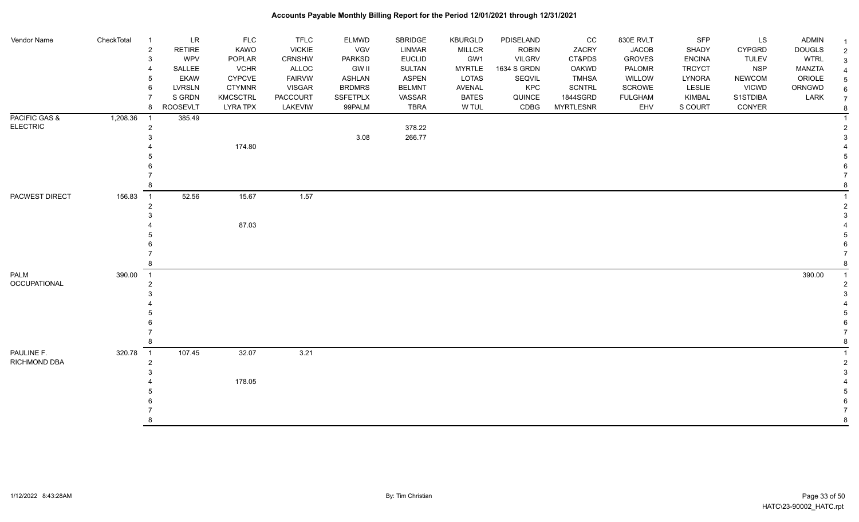| Vendor Name         | CheckTotal | $\overline{1}$ | <b>LR</b>       | <b>FLC</b>      | <b>TFLC</b>     | <b>ELMWD</b>  | SBRIDGE       | <b>KBURGLD</b> | PDISELAND     | cc               | 830E RVLT      | <b>SFP</b>    | LS            | <b>ADMIN</b>  |  |
|---------------------|------------|----------------|-----------------|-----------------|-----------------|---------------|---------------|----------------|---------------|------------------|----------------|---------------|---------------|---------------|--|
|                     |            | $\overline{2}$ | <b>RETIRE</b>   | KAWO            | <b>VICKIE</b>   | VGV           | LINMAR        | <b>MILLCR</b>  | <b>ROBIN</b>  | ZACRY            | <b>JACOB</b>   | SHADY         | <b>CYPGRD</b> | <b>DOUGLS</b> |  |
|                     |            | $\mathbf{3}$   | WPV             | POPLAR          | CRNSHW          | PARKSD        | <b>EUCLID</b> | GW1            | <b>VILGRV</b> | CT&PDS           | <b>GROVES</b>  | <b>ENCINA</b> | <b>TULEV</b>  | <b>WTRL</b>   |  |
|                     |            | $\overline{4}$ | SALLEE          | <b>VCHR</b>     | ALLOC           | <b>GW II</b>  | SULTAN        | <b>MYRTLE</b>  | 1634 S GRDN   | OAKWD            | PALOMR         | <b>TRCYCT</b> | <b>NSP</b>    | MANZTA        |  |
|                     |            | 5              | <b>EKAW</b>     | CYPCVE          | <b>FAIRVW</b>   | <b>ASHLAN</b> | ASPEN         | LOTAS          | SEQVIL        | <b>TMHSA</b>     | <b>WILLOW</b>  | LYNORA        | <b>NEWCOM</b> | ORIOLE        |  |
|                     |            | 6              | <b>LVRSLN</b>   | <b>CTYMNR</b>   | <b>VISGAR</b>   | <b>BRDMRS</b> | <b>BELMNT</b> | AVENAL         | KPC           | <b>SCNTRL</b>    | SCROWE         | LESLIE        | <b>VICWD</b>  | ORNGWD        |  |
|                     |            | $\overline{7}$ | S GRDN          | <b>KMCSCTRL</b> | <b>PACCOURT</b> | SSFETPLX      | VASSAR        | <b>BATES</b>   | QUINCE        | 1844SGRD         | <b>FULGHAM</b> | KIMBAL        | S1STDIBA      | LARK          |  |
|                     |            | 8              | <b>ROOSEVLT</b> | <b>LYRA TPX</b> | LAKEVIW         | 99PALM        | <b>TBRA</b>   | W TUL          | CDBG          | <b>MYRTLESNR</b> | EHV            | S COURT       | CONYER        |               |  |
| PACIFIC GAS &       | 1,208.36   | $\overline{1}$ | 385.49          |                 |                 |               |               |                |               |                  |                |               |               |               |  |
| <b>ELECTRIC</b>     |            | $\overline{c}$ |                 |                 |                 |               | 378.22        |                |               |                  |                |               |               |               |  |
|                     |            | $\mathbf{3}$   |                 |                 |                 | 3.08          | 266.77        |                |               |                  |                |               |               |               |  |
|                     |            |                |                 | 174.80          |                 |               |               |                |               |                  |                |               |               |               |  |
|                     |            |                |                 |                 |                 |               |               |                |               |                  |                |               |               |               |  |
|                     |            |                |                 |                 |                 |               |               |                |               |                  |                |               |               |               |  |
|                     |            |                |                 |                 |                 |               |               |                |               |                  |                |               |               |               |  |
|                     |            | 8              |                 |                 |                 |               |               |                |               |                  |                |               |               |               |  |
| PACWEST DIRECT      | 156.83     | $\overline{1}$ | 52.56           | 15.67           | 1.57            |               |               |                |               |                  |                |               |               |               |  |
|                     |            | $\overline{c}$ |                 |                 |                 |               |               |                |               |                  |                |               |               |               |  |
|                     |            | 3              |                 |                 |                 |               |               |                |               |                  |                |               |               |               |  |
|                     |            |                |                 | 87.03           |                 |               |               |                |               |                  |                |               |               |               |  |
|                     |            |                |                 |                 |                 |               |               |                |               |                  |                |               |               |               |  |
|                     |            |                |                 |                 |                 |               |               |                |               |                  |                |               |               |               |  |
|                     |            |                |                 |                 |                 |               |               |                |               |                  |                |               |               |               |  |
|                     |            | 8              |                 |                 |                 |               |               |                |               |                  |                |               |               |               |  |
| <b>PALM</b>         | 390.00     | $\overline{1}$ |                 |                 |                 |               |               |                |               |                  |                |               |               | 390.00        |  |
| <b>OCCUPATIONAL</b> |            | $\overline{2}$ |                 |                 |                 |               |               |                |               |                  |                |               |               |               |  |
|                     |            | 3              |                 |                 |                 |               |               |                |               |                  |                |               |               |               |  |
|                     |            |                |                 |                 |                 |               |               |                |               |                  |                |               |               |               |  |
|                     |            |                |                 |                 |                 |               |               |                |               |                  |                |               |               |               |  |
|                     |            |                |                 |                 |                 |               |               |                |               |                  |                |               |               |               |  |
|                     |            | $\overline{7}$ |                 |                 |                 |               |               |                |               |                  |                |               |               |               |  |
|                     |            | 8              |                 |                 |                 |               |               |                |               |                  |                |               |               |               |  |
| PAULINE F.          | 320.78     | $\overline{1}$ | 107.45          | 32.07           | 3.21            |               |               |                |               |                  |                |               |               |               |  |
| RICHMOND DBA        |            | $\overline{2}$ |                 |                 |                 |               |               |                |               |                  |                |               |               |               |  |
|                     |            | 3              |                 |                 |                 |               |               |                |               |                  |                |               |               |               |  |
|                     |            |                |                 | 178.05          |                 |               |               |                |               |                  |                |               |               |               |  |
|                     |            |                |                 |                 |                 |               |               |                |               |                  |                |               |               |               |  |
|                     |            |                |                 |                 |                 |               |               |                |               |                  |                |               |               |               |  |
|                     |            |                |                 |                 |                 |               |               |                |               |                  |                |               |               |               |  |
|                     |            | $\mathsf{R}$   |                 |                 |                 |               |               |                |               |                  |                |               |               |               |  |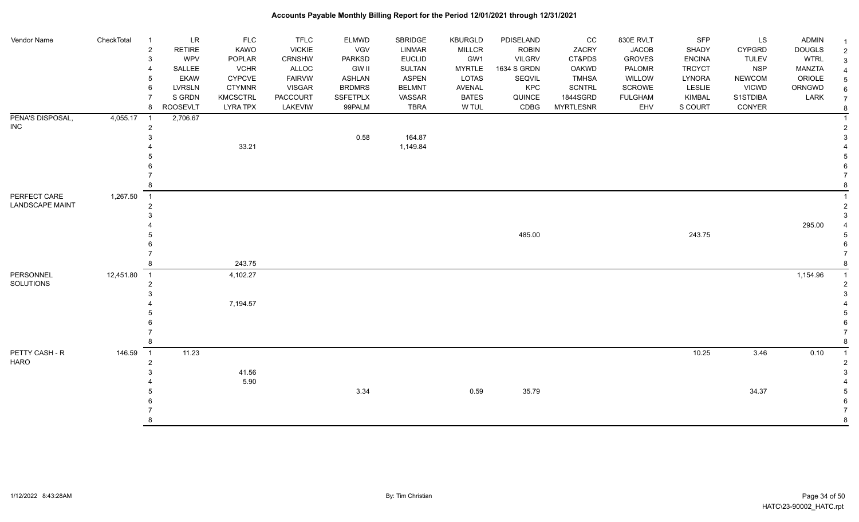| Vendor Name            | CheckTotal | - 1            | <b>LR</b>       | <b>FLC</b>      | <b>TFLC</b>     | <b>ELMWD</b>  | SBRIDGE       | <b>KBURGLD</b> | PDISELAND     | CC               | 830E RVLT      | <b>SFP</b>    | LS            | <b>ADMIN</b>  |  |
|------------------------|------------|----------------|-----------------|-----------------|-----------------|---------------|---------------|----------------|---------------|------------------|----------------|---------------|---------------|---------------|--|
|                        |            | $\overline{2}$ | <b>RETIRE</b>   | KAWO            | <b>VICKIE</b>   | <b>VGV</b>    | LINMAR        | <b>MILLCR</b>  | <b>ROBIN</b>  | ZACRY            | <b>JACOB</b>   | SHADY         | <b>CYPGRD</b> | <b>DOUGLS</b> |  |
|                        |            | 3              | <b>WPV</b>      | POPLAR          | CRNSHW          | <b>PARKSD</b> | <b>EUCLID</b> | GW1            | <b>VILGRV</b> | CT&PDS           | <b>GROVES</b>  | <b>ENCINA</b> | <b>TULEV</b>  | <b>WTRL</b>   |  |
|                        |            | 4              | SALLEE          | <b>VCHR</b>     | <b>ALLOC</b>    | <b>GW II</b>  | <b>SULTAN</b> | <b>MYRTLE</b>  | 1634 S GRDN   | OAKWD            | PALOMR         | <b>TRCYCT</b> | <b>NSP</b>    | MANZTA        |  |
|                        |            | 5              | <b>EKAW</b>     | <b>CYPCVE</b>   | <b>FAIRVW</b>   | <b>ASHLAN</b> | <b>ASPEN</b>  | LOTAS          | SEQVIL        | <b>TMHSA</b>     | WILLOW         | <b>LYNORA</b> | <b>NEWCOM</b> | ORIOLE        |  |
|                        |            | 6              | <b>LVRSLN</b>   | <b>CTYMNR</b>   | <b>VISGAR</b>   | <b>BRDMRS</b> | <b>BELMNT</b> | AVENAL         | KPC           | <b>SCNTRL</b>    | <b>SCROWE</b>  | LESLIE        | <b>VICWD</b>  | ORNGWD        |  |
|                        |            | $\overline{7}$ | S GRDN          | <b>KMCSCTRL</b> | <b>PACCOURT</b> | SSFETPLX      | VASSAR        | <b>BATES</b>   | QUINCE        | 1844SGRD         | <b>FULGHAM</b> | KIMBAL        | S1STDIBA      | LARK          |  |
|                        |            | 8              | <b>ROOSEVLT</b> | <b>LYRA TPX</b> | LAKEVIW         | 99PALM        | <b>TBRA</b>   | W TUL          | CDBG          | <b>MYRTLESNR</b> | EHV            | S COURT       | CONYER        |               |  |
| PENA'S DISPOSAL,       | 4,055.17   | $\overline{1}$ | 2,706.67        |                 |                 |               |               |                |               |                  |                |               |               |               |  |
| <b>INC</b>             |            | $\overline{2}$ |                 |                 |                 |               |               |                |               |                  |                |               |               |               |  |
|                        |            | 3              |                 |                 |                 | 0.58          | 164.87        |                |               |                  |                |               |               |               |  |
|                        |            |                |                 | 33.21           |                 |               | 1,149.84      |                |               |                  |                |               |               |               |  |
|                        |            |                |                 |                 |                 |               |               |                |               |                  |                |               |               |               |  |
|                        |            |                |                 |                 |                 |               |               |                |               |                  |                |               |               |               |  |
|                        |            |                |                 |                 |                 |               |               |                |               |                  |                |               |               |               |  |
|                        |            | 8              |                 |                 |                 |               |               |                |               |                  |                |               |               |               |  |
| PERFECT CARE           | 1,267.50   | $\overline{1}$ |                 |                 |                 |               |               |                |               |                  |                |               |               |               |  |
| <b>LANDSCAPE MAINT</b> |            | $\overline{2}$ |                 |                 |                 |               |               |                |               |                  |                |               |               |               |  |
|                        |            | 3              |                 |                 |                 |               |               |                |               |                  |                |               |               |               |  |
|                        |            |                |                 |                 |                 |               |               |                |               |                  |                |               |               | 295.00        |  |
|                        |            |                |                 |                 |                 |               |               |                | 485.00        |                  |                | 243.75        |               |               |  |
|                        |            |                |                 |                 |                 |               |               |                |               |                  |                |               |               |               |  |
|                        |            |                |                 |                 |                 |               |               |                |               |                  |                |               |               |               |  |
|                        |            | 8              |                 | 243.75          |                 |               |               |                |               |                  |                |               |               |               |  |
| PERSONNEL              | 12,451.80  | $\overline{1}$ |                 | 4,102.27        |                 |               |               |                |               |                  |                |               |               | 1,154.96      |  |
| SOLUTIONS              |            | $\overline{2}$ |                 |                 |                 |               |               |                |               |                  |                |               |               |               |  |
|                        |            | 3              |                 |                 |                 |               |               |                |               |                  |                |               |               |               |  |
|                        |            |                |                 | 7,194.57        |                 |               |               |                |               |                  |                |               |               |               |  |
|                        |            |                |                 |                 |                 |               |               |                |               |                  |                |               |               |               |  |
|                        |            |                |                 |                 |                 |               |               |                |               |                  |                |               |               |               |  |
|                        |            |                |                 |                 |                 |               |               |                |               |                  |                |               |               |               |  |
|                        |            | 8              |                 |                 |                 |               |               |                |               |                  |                |               |               |               |  |
| PETTY CASH - R         | 146.59     | $\overline{1}$ | 11.23           |                 |                 |               |               |                |               |                  |                | 10.25         | 3.46          | 0.10          |  |
| <b>HARO</b>            |            | $\overline{2}$ |                 |                 |                 |               |               |                |               |                  |                |               |               |               |  |
|                        |            | 3              |                 | 41.56           |                 |               |               |                |               |                  |                |               |               |               |  |
|                        |            |                |                 | 5.90            |                 |               |               |                |               |                  |                |               |               |               |  |
|                        |            |                |                 |                 |                 | 3.34          |               | 0.59           | 35.79         |                  |                |               | 34.37         |               |  |
|                        |            |                |                 |                 |                 |               |               |                |               |                  |                |               |               |               |  |
|                        |            |                |                 |                 |                 |               |               |                |               |                  |                |               |               |               |  |
|                        |            | 8              |                 |                 |                 |               |               |                |               |                  |                |               |               |               |  |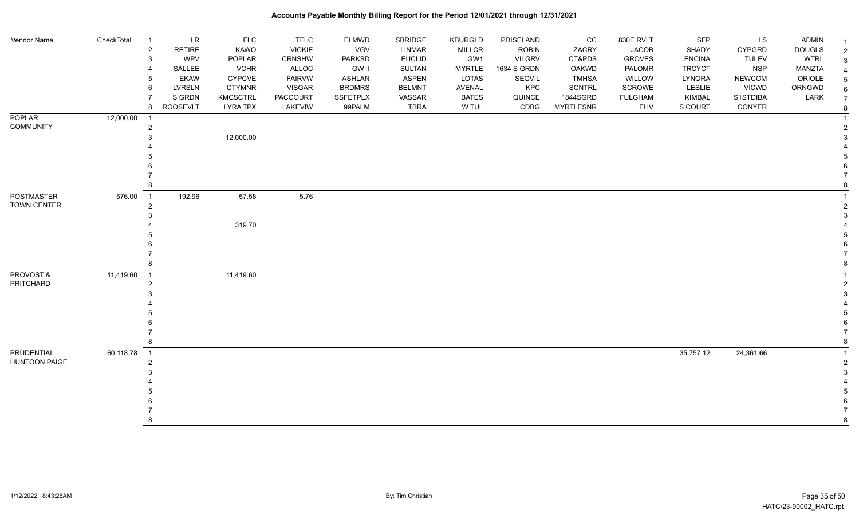| Vendor Name                        | CheckTotal | LR<br>$\overline{1}$<br>$\overline{2}$<br><b>RETIRE</b><br>WPV<br>3<br>SALLEE<br>4<br><b>EKAW</b><br>5<br><b>LVRSLN</b><br>6<br>S GRDN<br>8<br><b>ROOSEVLT</b> | <b>FLC</b><br><b>KAWO</b><br>POPLAR<br><b>VCHR</b><br><b>CYPCVE</b><br><b>CTYMNR</b><br><b>KMCSCTRL</b><br><b>LYRA TPX</b> | <b>TFLC</b><br><b>VICKIE</b><br>CRNSHW<br>ALLOC<br><b>FAIRVW</b><br><b>VISGAR</b><br>PACCOURT<br>LAKEVIW | ELMWD<br><b>VGV</b><br>PARKSD<br><b>GW II</b><br>ASHLAN<br><b>BRDMRS</b><br>SSFETPLX<br>99PALM | SBRIDGE<br>LINMAR<br><b>EUCLID</b><br>SULTAN<br><b>ASPEN</b><br><b>BELMNT</b><br>VASSAR<br><b>TBRA</b> | <b>KBURGLD</b><br><b>MILLCR</b><br>GW1<br><b>MYRTLE</b><br><b>LOTAS</b><br>AVENAL<br><b>BATES</b><br>W TUL | PDISELAND<br><b>ROBIN</b><br><b>VILGRV</b><br>1634 S GRDN<br>SEQVIL<br>KPC<br>QUINCE<br>CDBG | CC<br>ZACRY<br>CT&PDS<br><b>OAKWD</b><br><b>TMHSA</b><br><b>SCNTRL</b><br>1844SGRD<br><b>MYRTLESNR</b> | 830E RVLT<br><b>JACOB</b><br><b>GROVES</b><br>PALOMR<br>WILLOW<br>SCROWE<br><b>FULGHAM</b><br>EHV | <b>SFP</b><br>SHADY<br><b>ENCINA</b><br><b>TRCYCT</b><br>LYNORA<br><b>LESLIE</b><br>KIMBAL<br>S COURT | LS<br>CYPGRD<br><b>TULEV</b><br><b>NSP</b><br><b>NEWCOM</b><br><b>VICWD</b><br>S1STDIBA<br>CONYER | <b>ADMIN</b><br><b>DOUGLS</b><br><b>WTRL</b><br>MANZTA<br>ORIOLE<br>ORNGWD<br>LARK | -1<br>$\overline{2}$<br>3<br>Δ<br>5<br>6<br>$\overline{7}$<br>-8 |
|------------------------------------|------------|----------------------------------------------------------------------------------------------------------------------------------------------------------------|----------------------------------------------------------------------------------------------------------------------------|----------------------------------------------------------------------------------------------------------|------------------------------------------------------------------------------------------------|--------------------------------------------------------------------------------------------------------|------------------------------------------------------------------------------------------------------------|----------------------------------------------------------------------------------------------|--------------------------------------------------------------------------------------------------------|---------------------------------------------------------------------------------------------------|-------------------------------------------------------------------------------------------------------|---------------------------------------------------------------------------------------------------|------------------------------------------------------------------------------------|------------------------------------------------------------------|
| <b>POPLAR</b><br><b>COMMUNITY</b>  | 12,000.00  | $\overline{1}$<br>$\overline{c}$<br>3<br>8                                                                                                                     | 12,000.00                                                                                                                  |                                                                                                          |                                                                                                |                                                                                                        |                                                                                                            |                                                                                              |                                                                                                        |                                                                                                   |                                                                                                       |                                                                                                   |                                                                                    |                                                                  |
| <b>POSTMASTER</b><br>TOWN CENTER   | 576.00     | 192.96<br>$\overline{\phantom{0}}$ 1<br>$\overline{2}$<br>3                                                                                                    | 57.58<br>319.70                                                                                                            | 5.76                                                                                                     |                                                                                                |                                                                                                        |                                                                                                            |                                                                                              |                                                                                                        |                                                                                                   |                                                                                                       |                                                                                                   |                                                                                    |                                                                  |
| PROVOST &<br>PRITCHARD             | 11,419.60  | $\overline{1}$<br>$\overline{2}$<br>8                                                                                                                          | 11,419.60                                                                                                                  |                                                                                                          |                                                                                                |                                                                                                        |                                                                                                            |                                                                                              |                                                                                                        |                                                                                                   |                                                                                                       |                                                                                                   |                                                                                    |                                                                  |
| PRUDENTIAL<br><b>HUNTOON PAIGE</b> | 60,118.78  | $\overline{1}$<br>$\overline{2}$<br>8                                                                                                                          |                                                                                                                            |                                                                                                          |                                                                                                |                                                                                                        |                                                                                                            |                                                                                              |                                                                                                        |                                                                                                   | 35,757.12                                                                                             | 24,361.66                                                                                         |                                                                                    | 2<br>8                                                           |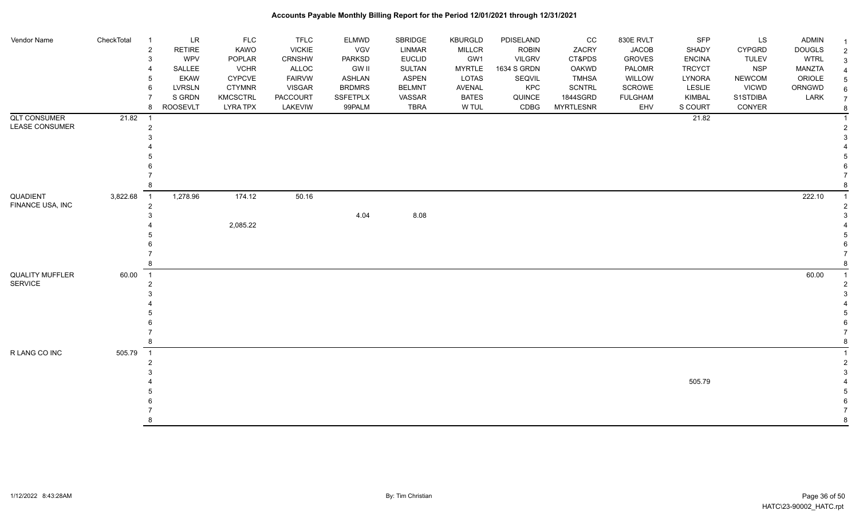| Vendor Name                              | CheckTotal | $\ensuremath{\mathsf{LR}}\xspace$<br>$\overline{1}$<br>$\overline{2}$<br><b>RETIRE</b><br>WPV<br>3<br>SALLEE<br>4<br><b>EKAW</b><br>5<br><b>LVRSLN</b><br>6<br>S GRDN | <b>FLC</b><br>KAWO<br>POPLAR<br><b>VCHR</b><br><b>CYPCVE</b><br><b>CTYMNR</b><br><b>KMCSCTRL</b> | <b>TFLC</b><br><b>VICKIE</b><br><b>CRNSHW</b><br>ALLOC<br><b>FAIRVW</b><br><b>VISGAR</b><br>PACCOURT | ELMWD<br>VGV<br>PARKSD<br><b>GW II</b><br>ASHLAN<br><b>BRDMRS</b><br>SSFETPLX | SBRIDGE<br><b>LINMAR</b><br><b>EUCLID</b><br><b>SULTAN</b><br><b>ASPEN</b><br><b>BELMNT</b><br>VASSAR | <b>KBURGLD</b><br><b>MILLCR</b><br>GW1<br><b>MYRTLE</b><br><b>LOTAS</b><br><b>AVENAL</b><br><b>BATES</b> | PDISELAND<br><b>ROBIN</b><br><b>VILGRV</b><br>1634 S GRDN<br>SEQVIL<br><b>KPC</b><br>QUINCE | CC<br>ZACRY<br>CT&PDS<br>OAKWD<br><b>TMHSA</b><br>SCNTRL<br>1844SGRD | 830E RVLT<br><b>JACOB</b><br><b>GROVES</b><br>PALOMR<br>WILLOW<br><b>SCROWE</b><br><b>FULGHAM</b> | SFP<br>SHADY<br><b>ENCINA</b><br><b>TRCYCT</b><br>LYNORA<br>LESLIE<br>KIMBAL | LS<br><b>CYPGRD</b><br><b>TULEV</b><br><b>NSP</b><br><b>NEWCOM</b><br><b>VICWD</b><br>S1STDIBA | <b>ADMIN</b><br><b>DOUGLS</b><br><b>WTRL</b><br><b>MANZTA</b><br>ORIOLE<br>ORNGWD<br>LARK | $\mathcal{P}$<br>3<br>$\overline{7}$ |
|------------------------------------------|------------|-----------------------------------------------------------------------------------------------------------------------------------------------------------------------|--------------------------------------------------------------------------------------------------|------------------------------------------------------------------------------------------------------|-------------------------------------------------------------------------------|-------------------------------------------------------------------------------------------------------|----------------------------------------------------------------------------------------------------------|---------------------------------------------------------------------------------------------|----------------------------------------------------------------------|---------------------------------------------------------------------------------------------------|------------------------------------------------------------------------------|------------------------------------------------------------------------------------------------|-------------------------------------------------------------------------------------------|--------------------------------------|
|                                          |            | 8<br><b>ROOSEVLT</b>                                                                                                                                                  | <b>LYRA TPX</b>                                                                                  | LAKEVIW                                                                                              | 99PALM                                                                        | <b>TBRA</b>                                                                                           | W TUL                                                                                                    | CDBG                                                                                        | <b>MYRTLESNR</b>                                                     | EHV                                                                                               | S COURT                                                                      | CONYER                                                                                         |                                                                                           | 8                                    |
| <b>QLT CONSUMER</b><br>LEASE CONSUMER    | 21.82      | -1<br>2<br>3                                                                                                                                                          |                                                                                                  |                                                                                                      |                                                                               |                                                                                                       |                                                                                                          |                                                                                             |                                                                      |                                                                                                   | 21.82                                                                        |                                                                                                |                                                                                           |                                      |
|                                          |            | 8                                                                                                                                                                     |                                                                                                  |                                                                                                      |                                                                               |                                                                                                       |                                                                                                          |                                                                                             |                                                                      |                                                                                                   |                                                                              |                                                                                                |                                                                                           |                                      |
| QUADIENT<br>FINANCE USA, INC             | 3,822.68   | 1,278.96<br>$\overline{1}$<br>$\overline{c}$<br>3<br>8                                                                                                                | 174.12<br>2,085.22                                                                               | 50.16                                                                                                | 4.04                                                                          | 8.08                                                                                                  |                                                                                                          |                                                                                             |                                                                      |                                                                                                   |                                                                              |                                                                                                | 222.10                                                                                    |                                      |
| <b>QUALITY MUFFLER</b><br><b>SERVICE</b> | 60.00      | $\overline{1}$<br>$\overline{2}$<br>8                                                                                                                                 |                                                                                                  |                                                                                                      |                                                                               |                                                                                                       |                                                                                                          |                                                                                             |                                                                      |                                                                                                   |                                                                              |                                                                                                | 60.00                                                                                     |                                      |
| R LANG CO INC                            | 505.79     | $\overline{1}$<br>$\overline{2}$<br>8                                                                                                                                 |                                                                                                  |                                                                                                      |                                                                               |                                                                                                       |                                                                                                          |                                                                                             |                                                                      |                                                                                                   | 505.79                                                                       |                                                                                                |                                                                                           | 8                                    |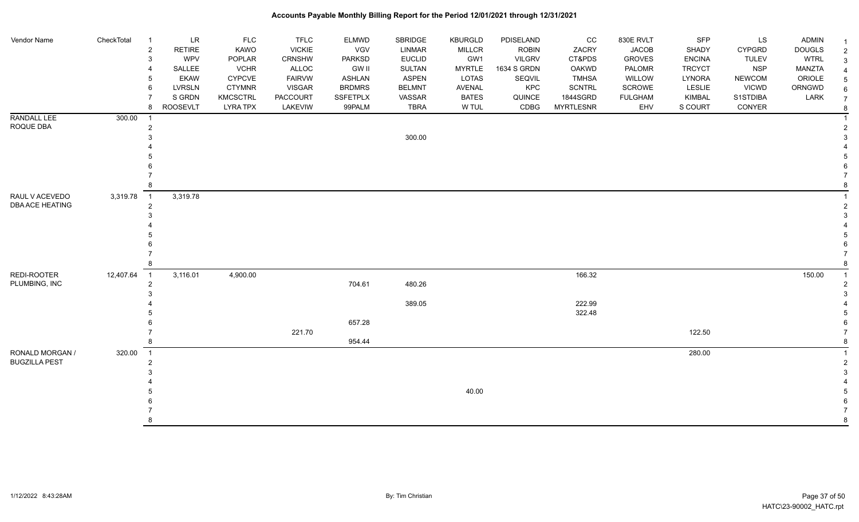| Vendor Name              | CheckTotal | <b>LR</b><br>$\overline{1}$<br>$\overline{2}$<br><b>RETIRE</b><br>WPV<br>$\mathbf{3}$<br>SALLEE<br>4 | FLC<br>KAWO<br>POPLAR<br><b>VCHR</b> | <b>TFLC</b><br><b>VICKIE</b><br>CRNSHW<br><b>ALLOC</b> | ELMWD<br>VGV<br><b>PARKSD</b><br><b>GW II</b> | SBRIDGE<br><b>LINMAR</b><br><b>EUCLID</b><br><b>SULTAN</b> | <b>KBURGLD</b><br><b>MILLCR</b><br>GW1<br><b>MYRTLE</b> | PDISELAND<br><b>ROBIN</b><br><b>VILGRV</b><br>1634 S GRDN | CC<br>ZACRY<br>CT&PDS<br>OAKWD | 830E RVLT<br><b>JACOB</b><br><b>GROVES</b><br>PALOMR | SFP<br>SHADY<br><b>ENCINA</b><br><b>TRCYCT</b> | LS<br><b>CYPGRD</b><br><b>TULEV</b><br><b>NSP</b> | <b>ADMIN</b><br><b>DOUGLS</b><br><b>WTRL</b><br>MANZTA | $\overline{2}$<br>3 |
|--------------------------|------------|------------------------------------------------------------------------------------------------------|--------------------------------------|--------------------------------------------------------|-----------------------------------------------|------------------------------------------------------------|---------------------------------------------------------|-----------------------------------------------------------|--------------------------------|------------------------------------------------------|------------------------------------------------|---------------------------------------------------|--------------------------------------------------------|---------------------|
|                          |            | <b>EKAW</b><br>5                                                                                     | CYPCVE                               | <b>FAIRVW</b>                                          | <b>ASHLAN</b>                                 | <b>ASPEN</b>                                               | LOTAS                                                   | SEQVIL                                                    | <b>TMHSA</b>                   | WILLOW                                               | LYNORA                                         | <b>NEWCOM</b>                                     | ORIOLE                                                 |                     |
|                          |            | <b>LVRSLN</b><br>6                                                                                   | <b>CTYMNR</b>                        | <b>VISGAR</b>                                          | <b>BRDMRS</b>                                 | <b>BELMNT</b>                                              | <b>AVENAL</b>                                           | KPC                                                       | <b>SCNTRL</b>                  | SCROWE                                               | LESLIE                                         | <b>VICWD</b>                                      | ORNGWD                                                 |                     |
|                          |            | S GRDN                                                                                               | <b>KMCSCTRL</b>                      | PACCOURT                                               | <b>SSFETPLX</b>                               | VASSAR                                                     | <b>BATES</b>                                            | QUINCE                                                    | 1844SGRD                       | <b>FULGHAM</b>                                       | <b>KIMBAL</b>                                  | S1STDIBA                                          | LARK                                                   | $\overline{7}$      |
|                          |            | 8<br><b>ROOSEVLT</b>                                                                                 | <b>LYRA TPX</b>                      | LAKEVIW                                                | 99PALM                                        | <b>TBRA</b>                                                | W TUL                                                   | CDBG                                                      | <b>MYRTLESNR</b>               | EHV                                                  | S COURT                                        | CONYER                                            |                                                        |                     |
| RANDALL LEE<br>ROQUE DBA | 300.00     | $\overline{\mathbf{1}}$<br>$\overline{c}$                                                            |                                      |                                                        |                                               |                                                            |                                                         |                                                           |                                |                                                      |                                                |                                                   |                                                        |                     |
|                          |            | 3                                                                                                    |                                      |                                                        |                                               | 300.00                                                     |                                                         |                                                           |                                |                                                      |                                                |                                                   |                                                        |                     |
|                          |            |                                                                                                      |                                      |                                                        |                                               |                                                            |                                                         |                                                           |                                |                                                      |                                                |                                                   |                                                        |                     |
|                          |            |                                                                                                      |                                      |                                                        |                                               |                                                            |                                                         |                                                           |                                |                                                      |                                                |                                                   |                                                        |                     |
|                          |            |                                                                                                      |                                      |                                                        |                                               |                                                            |                                                         |                                                           |                                |                                                      |                                                |                                                   |                                                        |                     |
|                          |            |                                                                                                      |                                      |                                                        |                                               |                                                            |                                                         |                                                           |                                |                                                      |                                                |                                                   |                                                        |                     |
|                          |            | 8                                                                                                    |                                      |                                                        |                                               |                                                            |                                                         |                                                           |                                |                                                      |                                                |                                                   |                                                        |                     |
| RAUL V ACEVEDO           | 3,319.78   | 3,319.78<br>$\overline{1}$                                                                           |                                      |                                                        |                                               |                                                            |                                                         |                                                           |                                |                                                      |                                                |                                                   |                                                        |                     |
| DBA ACE HEATING          |            | $\overline{2}$                                                                                       |                                      |                                                        |                                               |                                                            |                                                         |                                                           |                                |                                                      |                                                |                                                   |                                                        |                     |
|                          |            |                                                                                                      |                                      |                                                        |                                               |                                                            |                                                         |                                                           |                                |                                                      |                                                |                                                   |                                                        |                     |
|                          |            |                                                                                                      |                                      |                                                        |                                               |                                                            |                                                         |                                                           |                                |                                                      |                                                |                                                   |                                                        |                     |
|                          |            |                                                                                                      |                                      |                                                        |                                               |                                                            |                                                         |                                                           |                                |                                                      |                                                |                                                   |                                                        |                     |
|                          |            |                                                                                                      |                                      |                                                        |                                               |                                                            |                                                         |                                                           |                                |                                                      |                                                |                                                   |                                                        |                     |
|                          |            |                                                                                                      |                                      |                                                        |                                               |                                                            |                                                         |                                                           |                                |                                                      |                                                |                                                   |                                                        |                     |
| REDI-ROOTER              | 12,407.64  | $\overline{1}$<br>3,116.01                                                                           | 4,900.00                             |                                                        |                                               |                                                            |                                                         |                                                           | 166.32                         |                                                      |                                                |                                                   | 150.00                                                 |                     |
| PLUMBING, INC            |            | $\overline{2}$                                                                                       |                                      |                                                        | 704.61                                        | 480.26                                                     |                                                         |                                                           |                                |                                                      |                                                |                                                   |                                                        |                     |
|                          |            |                                                                                                      |                                      |                                                        |                                               |                                                            |                                                         |                                                           |                                |                                                      |                                                |                                                   |                                                        |                     |
|                          |            |                                                                                                      |                                      |                                                        |                                               | 389.05                                                     |                                                         |                                                           | 222.99                         |                                                      |                                                |                                                   |                                                        |                     |
|                          |            |                                                                                                      |                                      |                                                        |                                               |                                                            |                                                         |                                                           | 322.48                         |                                                      |                                                |                                                   |                                                        |                     |
|                          |            |                                                                                                      |                                      |                                                        | 657.28                                        |                                                            |                                                         |                                                           |                                |                                                      |                                                |                                                   |                                                        |                     |
|                          |            |                                                                                                      |                                      | 221.70                                                 |                                               |                                                            |                                                         |                                                           |                                |                                                      | 122.50                                         |                                                   |                                                        |                     |
|                          |            | 8                                                                                                    |                                      |                                                        | 954.44                                        |                                                            |                                                         |                                                           |                                |                                                      |                                                |                                                   |                                                        |                     |
| RONALD MORGAN /          | 320.00     | $\overline{1}$                                                                                       |                                      |                                                        |                                               |                                                            |                                                         |                                                           |                                |                                                      | 280.00                                         |                                                   |                                                        |                     |
| <b>BUGZILLA PEST</b>     |            | $\overline{2}$                                                                                       |                                      |                                                        |                                               |                                                            |                                                         |                                                           |                                |                                                      |                                                |                                                   |                                                        |                     |
|                          |            | 3                                                                                                    |                                      |                                                        |                                               |                                                            |                                                         |                                                           |                                |                                                      |                                                |                                                   |                                                        |                     |
|                          |            |                                                                                                      |                                      |                                                        |                                               |                                                            | 40.00                                                   |                                                           |                                |                                                      |                                                |                                                   |                                                        |                     |
|                          |            |                                                                                                      |                                      |                                                        |                                               |                                                            |                                                         |                                                           |                                |                                                      |                                                |                                                   |                                                        |                     |
|                          |            |                                                                                                      |                                      |                                                        |                                               |                                                            |                                                         |                                                           |                                |                                                      |                                                |                                                   |                                                        |                     |
|                          |            | 8                                                                                                    |                                      |                                                        |                                               |                                                            |                                                         |                                                           |                                |                                                      |                                                |                                                   |                                                        |                     |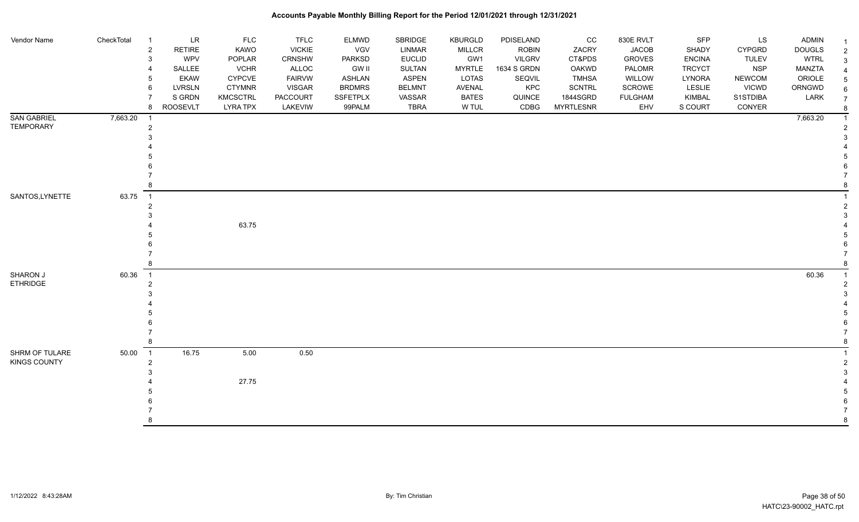| Vendor Name                           | CheckTotal | $\overline{1}$<br>$\overline{c}$<br>3 | LR<br><b>RETIRE</b><br>WPV<br>SALLEE | <b>FLC</b><br>KAWO<br>POPLAR<br><b>VCHR</b> | <b>TFLC</b><br><b>VICKIE</b><br><b>CRNSHW</b><br>ALLOC | <b>ELMWD</b><br><b>VGV</b><br><b>PARKSD</b><br><b>GW II</b> | SBRIDGE<br><b>LINMAR</b><br><b>EUCLID</b><br><b>SULTAN</b> | <b>KBURGLD</b><br><b>MILLCR</b><br>GW1<br><b>MYRTLE</b> | PDISELAND<br><b>ROBIN</b><br><b>VILGRV</b><br>1634 S GRDN | cc<br>ZACRY<br>CT&PDS<br><b>OAKWD</b> | 830E RVLT<br><b>JACOB</b><br><b>GROVES</b><br>PALOMR | SFP<br>SHADY<br><b>ENCINA</b><br><b>TRCYCT</b> | LS<br><b>CYPGRD</b><br><b>TULEV</b><br><b>NSP</b> | <b>ADMIN</b><br><b>DOUGLS</b><br><b>WTRL</b><br><b>MANZTA</b> | $\mathcal{P}$  |
|---------------------------------------|------------|---------------------------------------|--------------------------------------|---------------------------------------------|--------------------------------------------------------|-------------------------------------------------------------|------------------------------------------------------------|---------------------------------------------------------|-----------------------------------------------------------|---------------------------------------|------------------------------------------------------|------------------------------------------------|---------------------------------------------------|---------------------------------------------------------------|----------------|
|                                       |            | 5                                     | <b>EKAW</b>                          | <b>CYPCVE</b>                               | <b>FAIRVW</b>                                          | <b>ASHLAN</b>                                               | <b>ASPEN</b>                                               | <b>LOTAS</b>                                            | SEQVIL                                                    | <b>TMHSA</b>                          | WILLOW                                               | LYNORA                                         | <b>NEWCOM</b>                                     | ORIOLE                                                        |                |
|                                       |            | 6                                     | LVRSLN                               | <b>CTYMNR</b>                               | <b>VISGAR</b>                                          | <b>BRDMRS</b>                                               | <b>BELMNT</b>                                              | AVENAL                                                  | KPC                                                       | <b>SCNTRL</b>                         | SCROWE                                               | LESLIE                                         | <b>VICWD</b>                                      | ORNGWD                                                        |                |
|                                       |            |                                       | S GRDN                               | <b>KMCSCTRL</b>                             | PACCOURT                                               | SSFETPLX                                                    | VASSAR                                                     | <b>BATES</b>                                            | QUINCE                                                    | 1844SGRD                              | <b>FULGHAM</b>                                       | KIMBAL                                         | S1STDIBA                                          | LARK                                                          | $\overline{7}$ |
|                                       |            | 8                                     | <b>ROOSEVLT</b>                      | <b>LYRA TPX</b>                             | LAKEVIW                                                | 99PALM                                                      | <b>TBRA</b>                                                | W TUL                                                   | CDBG                                                      | <b>MYRTLESNR</b>                      | EHV                                                  | S COURT                                        | CONYER                                            |                                                               |                |
| <b>SAN GABRIEL</b>                    | 7,663.20   | $\overline{1}$                        |                                      |                                             |                                                        |                                                             |                                                            |                                                         |                                                           |                                       |                                                      |                                                |                                                   | 7,663.20                                                      |                |
| <b>TEMPORARY</b>                      |            | 2                                     |                                      |                                             |                                                        |                                                             |                                                            |                                                         |                                                           |                                       |                                                      |                                                |                                                   |                                                               |                |
|                                       |            |                                       |                                      |                                             |                                                        |                                                             |                                                            |                                                         |                                                           |                                       |                                                      |                                                |                                                   |                                                               |                |
|                                       |            |                                       |                                      |                                             |                                                        |                                                             |                                                            |                                                         |                                                           |                                       |                                                      |                                                |                                                   |                                                               |                |
|                                       |            |                                       |                                      |                                             |                                                        |                                                             |                                                            |                                                         |                                                           |                                       |                                                      |                                                |                                                   |                                                               |                |
|                                       |            |                                       |                                      |                                             |                                                        |                                                             |                                                            |                                                         |                                                           |                                       |                                                      |                                                |                                                   |                                                               |                |
|                                       |            |                                       |                                      |                                             |                                                        |                                                             |                                                            |                                                         |                                                           |                                       |                                                      |                                                |                                                   |                                                               |                |
| SANTOS, LYNETTE                       | 63.75      | $\overline{1}$                        |                                      |                                             |                                                        |                                                             |                                                            |                                                         |                                                           |                                       |                                                      |                                                |                                                   |                                                               |                |
|                                       |            |                                       |                                      |                                             |                                                        |                                                             |                                                            |                                                         |                                                           |                                       |                                                      |                                                |                                                   |                                                               |                |
|                                       |            |                                       |                                      |                                             |                                                        |                                                             |                                                            |                                                         |                                                           |                                       |                                                      |                                                |                                                   |                                                               |                |
|                                       |            |                                       |                                      | 63.75                                       |                                                        |                                                             |                                                            |                                                         |                                                           |                                       |                                                      |                                                |                                                   |                                                               |                |
|                                       |            |                                       |                                      |                                             |                                                        |                                                             |                                                            |                                                         |                                                           |                                       |                                                      |                                                |                                                   |                                                               |                |
|                                       |            |                                       |                                      |                                             |                                                        |                                                             |                                                            |                                                         |                                                           |                                       |                                                      |                                                |                                                   |                                                               |                |
|                                       |            |                                       |                                      |                                             |                                                        |                                                             |                                                            |                                                         |                                                           |                                       |                                                      |                                                |                                                   |                                                               |                |
| SHARON J                              | 60.36      | $\overline{1}$                        |                                      |                                             |                                                        |                                                             |                                                            |                                                         |                                                           |                                       |                                                      |                                                |                                                   | 60.36                                                         |                |
| <b>ETHRIDGE</b>                       |            |                                       |                                      |                                             |                                                        |                                                             |                                                            |                                                         |                                                           |                                       |                                                      |                                                |                                                   |                                                               |                |
|                                       |            |                                       |                                      |                                             |                                                        |                                                             |                                                            |                                                         |                                                           |                                       |                                                      |                                                |                                                   |                                                               |                |
|                                       |            |                                       |                                      |                                             |                                                        |                                                             |                                                            |                                                         |                                                           |                                       |                                                      |                                                |                                                   |                                                               |                |
|                                       |            |                                       |                                      |                                             |                                                        |                                                             |                                                            |                                                         |                                                           |                                       |                                                      |                                                |                                                   |                                                               |                |
|                                       |            |                                       |                                      |                                             |                                                        |                                                             |                                                            |                                                         |                                                           |                                       |                                                      |                                                |                                                   |                                                               |                |
|                                       |            |                                       |                                      |                                             |                                                        |                                                             |                                                            |                                                         |                                                           |                                       |                                                      |                                                |                                                   |                                                               |                |
|                                       |            | $\overline{1}$                        |                                      |                                             |                                                        |                                                             |                                                            |                                                         |                                                           |                                       |                                                      |                                                |                                                   |                                                               |                |
| SHRM OF TULARE<br><b>KINGS COUNTY</b> | 50.00      | 2                                     | 16.75                                | 5.00                                        | 0.50                                                   |                                                             |                                                            |                                                         |                                                           |                                       |                                                      |                                                |                                                   |                                                               |                |
|                                       |            |                                       |                                      |                                             |                                                        |                                                             |                                                            |                                                         |                                                           |                                       |                                                      |                                                |                                                   |                                                               |                |
|                                       |            |                                       |                                      | 27.75                                       |                                                        |                                                             |                                                            |                                                         |                                                           |                                       |                                                      |                                                |                                                   |                                                               |                |
|                                       |            |                                       |                                      |                                             |                                                        |                                                             |                                                            |                                                         |                                                           |                                       |                                                      |                                                |                                                   |                                                               |                |
|                                       |            |                                       |                                      |                                             |                                                        |                                                             |                                                            |                                                         |                                                           |                                       |                                                      |                                                |                                                   |                                                               |                |
|                                       |            |                                       |                                      |                                             |                                                        |                                                             |                                                            |                                                         |                                                           |                                       |                                                      |                                                |                                                   |                                                               |                |
|                                       |            |                                       |                                      |                                             |                                                        |                                                             |                                                            |                                                         |                                                           |                                       |                                                      |                                                |                                                   |                                                               |                |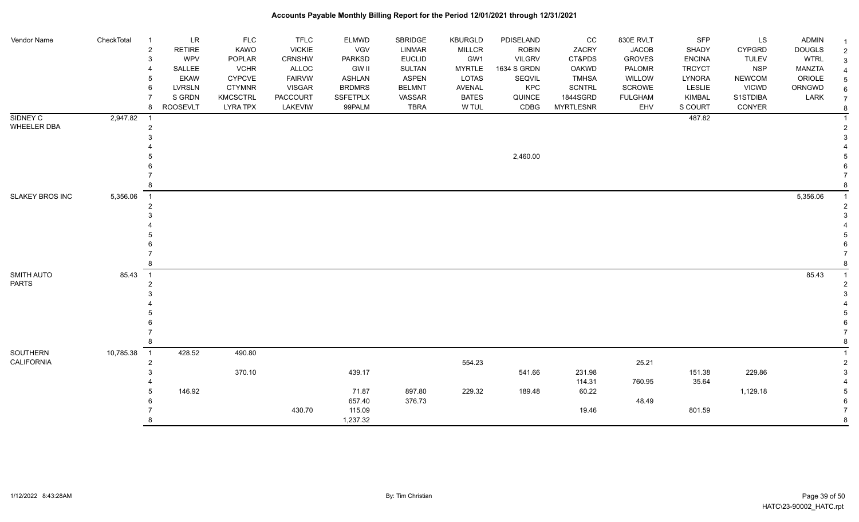| Vendor Name                | CheckTotal | LR<br>-1                         | <b>FLC</b>            | <b>TFLC</b>            | ELMWD                         | SBRIDGE                       | <b>KBURGLD</b>                | PDISELAND             | $_{\rm CC}$                  | 830E RVLT        | SFP                     | LS                            | <b>ADMIN</b>            |                     |
|----------------------------|------------|----------------------------------|-----------------------|------------------------|-------------------------------|-------------------------------|-------------------------------|-----------------------|------------------------------|------------------|-------------------------|-------------------------------|-------------------------|---------------------|
|                            |            | $\overline{c}$<br><b>RETIRE</b>  | KAWO                  | <b>VICKIE</b>          | VGV                           | LINMAR                        | <b>MILLCR</b>                 | <b>ROBIN</b>          | ZACRY                        | <b>JACOB</b>     | SHADY                   | <b>CYPGRD</b>                 | <b>DOUGLS</b>           | $\overline{2}$      |
|                            |            | WPV<br>3                         | POPLAR                | CRNSHW                 | PARKSD                        | <b>EUCLID</b>                 | GW1                           | <b>VILGRV</b>         | CT&PDS                       | <b>GROVES</b>    | <b>ENCINA</b>           | <b>TULEV</b>                  | <b>WTRL</b>             |                     |
|                            |            | <b>SALLEE</b><br><b>EKAW</b>     | <b>VCHR</b><br>CYPCVE | ALLOC<br><b>FAIRVW</b> | <b>GW II</b><br><b>ASHLAN</b> | <b>SULTAN</b><br><b>ASPEN</b> | <b>MYRTLE</b><br><b>LOTAS</b> | 1634 S GRDN<br>SEQVIL | <b>OAKWD</b><br><b>TMHSA</b> | PALOMR<br>WILLOW | <b>TRCYCT</b><br>LYNORA | <b>NSP</b>                    | <b>MANZTA</b><br>ORIOLE |                     |
|                            |            | <b>LVRSLN</b><br>6               | <b>CTYMNR</b>         | <b>VISGAR</b>          | <b>BRDMRS</b>                 | <b>BELMNT</b>                 | <b>AVENAL</b>                 | KPC                   | <b>SCNTRL</b>                | <b>SCROWE</b>    | LESLIE                  | <b>NEWCOM</b><br><b>VICWD</b> | ORNGWD                  |                     |
|                            |            | S GRDN                           | <b>KMCSCTRL</b>       | PACCOURT               | <b>SSFETPLX</b>               | VASSAR                        | <b>BATES</b>                  | QUINCE                | 1844SGRD                     | <b>FULGHAM</b>   | KIMBAL                  | S1STDIBA                      | LARK                    | 6<br>$\overline{7}$ |
|                            |            | <b>ROOSEVLT</b><br>8             | <b>LYRA TPX</b>       | LAKEVIW                | 99PALM                        | <b>TBRA</b>                   | W TUL                         | CDBG                  | <b>MYRTLESNR</b>             | EHV              | S COURT                 | CONYER                        |                         | 8                   |
| SIDNEY C                   | 2,947.82   | - 1                              |                       |                        |                               |                               |                               |                       |                              |                  | 487.82                  |                               |                         |                     |
| <b>WHEELER DBA</b>         |            | $\overline{2}$                   |                       |                        |                               |                               |                               |                       |                              |                  |                         |                               |                         |                     |
|                            |            |                                  |                       |                        |                               |                               |                               |                       |                              |                  |                         |                               |                         |                     |
|                            |            |                                  |                       |                        |                               |                               |                               |                       |                              |                  |                         |                               |                         |                     |
|                            |            |                                  |                       |                        |                               |                               |                               | 2,460.00              |                              |                  |                         |                               |                         |                     |
|                            |            |                                  |                       |                        |                               |                               |                               |                       |                              |                  |                         |                               |                         |                     |
|                            |            |                                  |                       |                        |                               |                               |                               |                       |                              |                  |                         |                               |                         |                     |
|                            |            |                                  |                       |                        |                               |                               |                               |                       |                              |                  |                         |                               |                         |                     |
| SLAKEY BROS INC            | 5,356.06   | $\overline{1}$                   |                       |                        |                               |                               |                               |                       |                              |                  |                         |                               | 5,356.06                |                     |
|                            |            | $\overline{2}$                   |                       |                        |                               |                               |                               |                       |                              |                  |                         |                               |                         |                     |
|                            |            |                                  |                       |                        |                               |                               |                               |                       |                              |                  |                         |                               |                         |                     |
|                            |            |                                  |                       |                        |                               |                               |                               |                       |                              |                  |                         |                               |                         |                     |
|                            |            |                                  |                       |                        |                               |                               |                               |                       |                              |                  |                         |                               |                         |                     |
|                            |            |                                  |                       |                        |                               |                               |                               |                       |                              |                  |                         |                               |                         |                     |
|                            |            | 8                                |                       |                        |                               |                               |                               |                       |                              |                  |                         |                               |                         |                     |
|                            |            |                                  |                       |                        |                               |                               |                               |                       |                              |                  |                         |                               |                         |                     |
| SMITH AUTO<br><b>PARTS</b> | 85.43      | $\overline{1}$<br>$\overline{2}$ |                       |                        |                               |                               |                               |                       |                              |                  |                         |                               | 85.43                   |                     |
|                            |            |                                  |                       |                        |                               |                               |                               |                       |                              |                  |                         |                               |                         |                     |
|                            |            |                                  |                       |                        |                               |                               |                               |                       |                              |                  |                         |                               |                         |                     |
|                            |            |                                  |                       |                        |                               |                               |                               |                       |                              |                  |                         |                               |                         |                     |
|                            |            |                                  |                       |                        |                               |                               |                               |                       |                              |                  |                         |                               |                         |                     |
|                            |            |                                  |                       |                        |                               |                               |                               |                       |                              |                  |                         |                               |                         |                     |
|                            |            |                                  |                       |                        |                               |                               |                               |                       |                              |                  |                         |                               |                         |                     |
| SOUTHERN                   | 10,785.38  | $\overline{1}$<br>428.52         | 490.80                |                        |                               |                               |                               |                       |                              |                  |                         |                               |                         |                     |
| <b>CALIFORNIA</b>          |            | $\overline{2}$                   |                       |                        |                               |                               | 554.23                        |                       |                              | 25.21            |                         |                               |                         |                     |
|                            |            | 3                                | 370.10                |                        | 439.17                        |                               |                               | 541.66                | 231.98                       |                  | 151.38                  | 229.86                        |                         |                     |
|                            |            |                                  |                       |                        |                               |                               |                               |                       | 114.31                       | 760.95           | 35.64                   |                               |                         |                     |
|                            |            | 146.92<br>5                      |                       |                        | 71.87                         | 897.80                        | 229.32                        | 189.48                | 60.22                        |                  |                         | 1,129.18                      |                         |                     |
|                            |            |                                  |                       |                        | 657.40                        | 376.73                        |                               |                       |                              | 48.49            |                         |                               |                         |                     |
|                            |            |                                  |                       | 430.70                 | 115.09                        |                               |                               |                       | 19.46                        |                  | 801.59                  |                               |                         |                     |
|                            |            | 8                                |                       |                        | 1,237.32                      |                               |                               |                       |                              |                  |                         |                               |                         | 8                   |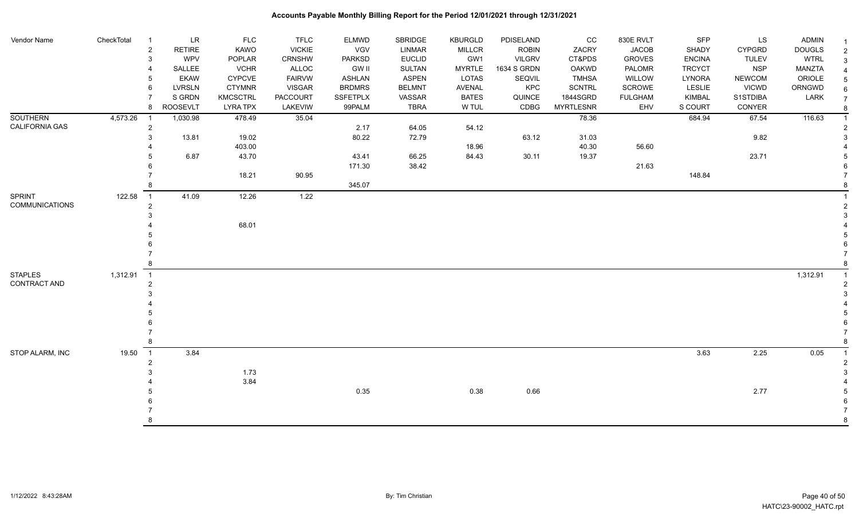| Vendor Name           | CheckTotal | $\overline{1}$<br>$\overline{2}$ | LR<br><b>RETIRE</b> | <b>FLC</b><br>KAWO | <b>TFLC</b><br><b>VICKIE</b> | <b>ELMWD</b><br><b>VGV</b> | <b>SBRIDGE</b><br><b>LINMAR</b> | <b>KBURGLD</b><br><b>MILLCR</b> | PDISELAND<br><b>ROBIN</b> | CC<br>ZACRY      | 830E RVLT<br><b>JACOB</b> | SFP<br>SHADY  | LS<br><b>CYPGRD</b> | ADMIN<br><b>DOUGLS</b> |                |
|-----------------------|------------|----------------------------------|---------------------|--------------------|------------------------------|----------------------------|---------------------------------|---------------------------------|---------------------------|------------------|---------------------------|---------------|---------------------|------------------------|----------------|
|                       |            |                                  | WPV                 | POPLAR             | CRNSHW                       | PARKSD                     | <b>EUCLID</b>                   | GW1                             | <b>VILGRV</b>             | CT&PDS           | <b>GROVES</b>             | <b>ENCINA</b> | <b>TULEV</b>        | <b>WTRL</b>            | $\overline{2}$ |
|                       |            |                                  | SALLEE              | <b>VCHR</b>        | ALLOC                        | <b>GW II</b>               | <b>SULTAN</b>                   | <b>MYRTLE</b>                   | 1634 S GRDN               | OAKWD            | PALOMR                    | <b>TRCYCT</b> | <b>NSP</b>          | MANZTA                 | 3              |
|                       |            |                                  | <b>EKAW</b>         | <b>CYPCVE</b>      | <b>FAIRVW</b>                | <b>ASHLAN</b>              | <b>ASPEN</b>                    | LOTAS                           | SEQVIL                    | <b>TMHSA</b>     | WILLOW                    | LYNORA        | <b>NEWCOM</b>       | ORIOLE                 |                |
|                       |            |                                  | <b>LVRSLN</b>       | <b>CTYMNR</b>      | <b>VISGAR</b>                | <b>BRDMRS</b>              | <b>BELMNT</b>                   | <b>AVENAL</b>                   | KPC                       | <b>SCNTRL</b>    | SCROWE                    | LESLIE        | <b>VICWD</b>        | ORNGWD                 | 6              |
|                       |            |                                  | S GRDN              | KMCSCTRL           | PACCOURT                     | <b>SSFETPLX</b>            | VASSAR                          | <b>BATES</b>                    | QUINCE                    | 1844SGRD         | <b>FULGHAM</b>            | <b>KIMBAL</b> | S1STDIBA            | LARK                   | $\overline{7}$ |
|                       |            | 8                                | <b>ROOSEVLT</b>     | <b>LYRA TPX</b>    | LAKEVIW                      | 99PALM                     | <b>TBRA</b>                     | W TUL                           | CDBG                      | <b>MYRTLESNR</b> | EHV                       | S COURT       | CONYER              |                        |                |
| <b>SOUTHERN</b>       | 4,573.26   |                                  | 1,030.98            | 478.49             | 35.04                        |                            |                                 |                                 |                           | 78.36            |                           | 684.94        | 67.54               | 116.63                 |                |
| CALIFORNIA GAS        |            | 2                                |                     |                    |                              | 2.17                       | 64.05                           | 54.12                           |                           |                  |                           |               |                     |                        |                |
|                       |            |                                  | 13.81               | 19.02              |                              | 80.22                      | 72.79                           |                                 | 63.12                     | 31.03            |                           |               | 9.82                |                        |                |
|                       |            |                                  |                     | 403.00             |                              |                            |                                 | 18.96                           |                           | 40.30            | 56.60                     |               |                     |                        |                |
|                       |            |                                  | 6.87                | 43.70              |                              | 43.41                      | 66.25                           | 84.43                           | 30.11                     | 19.37            |                           |               | 23.71               |                        |                |
|                       |            |                                  |                     |                    |                              | 171.30                     | 38.42                           |                                 |                           |                  | 21.63                     |               |                     |                        |                |
|                       |            |                                  |                     | 18.21              | 90.95                        |                            |                                 |                                 |                           |                  |                           | 148.84        |                     |                        |                |
|                       |            |                                  |                     |                    |                              | 345.07                     |                                 |                                 |                           |                  |                           |               |                     |                        |                |
| <b>SPRINT</b>         | 122.58     | $\overline{1}$                   | 41.09               | 12.26              | 1.22                         |                            |                                 |                                 |                           |                  |                           |               |                     |                        |                |
| <b>COMMUNICATIONS</b> |            |                                  |                     |                    |                              |                            |                                 |                                 |                           |                  |                           |               |                     |                        |                |
|                       |            |                                  |                     |                    |                              |                            |                                 |                                 |                           |                  |                           |               |                     |                        |                |
|                       |            |                                  |                     | 68.01              |                              |                            |                                 |                                 |                           |                  |                           |               |                     |                        |                |
|                       |            |                                  |                     |                    |                              |                            |                                 |                                 |                           |                  |                           |               |                     |                        |                |
|                       |            |                                  |                     |                    |                              |                            |                                 |                                 |                           |                  |                           |               |                     |                        |                |
|                       |            |                                  |                     |                    |                              |                            |                                 |                                 |                           |                  |                           |               |                     |                        |                |
|                       |            |                                  |                     |                    |                              |                            |                                 |                                 |                           |                  |                           |               |                     |                        |                |
| <b>STAPLES</b>        | 1,312.91   | $\overline{1}$                   |                     |                    |                              |                            |                                 |                                 |                           |                  |                           |               |                     | 1,312.91               |                |
| CONTRACT AND          |            |                                  |                     |                    |                              |                            |                                 |                                 |                           |                  |                           |               |                     |                        |                |
|                       |            |                                  |                     |                    |                              |                            |                                 |                                 |                           |                  |                           |               |                     |                        |                |
|                       |            |                                  |                     |                    |                              |                            |                                 |                                 |                           |                  |                           |               |                     |                        |                |
|                       |            |                                  |                     |                    |                              |                            |                                 |                                 |                           |                  |                           |               |                     |                        |                |
|                       |            |                                  |                     |                    |                              |                            |                                 |                                 |                           |                  |                           |               |                     |                        |                |
|                       |            |                                  |                     |                    |                              |                            |                                 |                                 |                           |                  |                           |               |                     |                        |                |
|                       |            | $\overline{1}$                   | 3.84                |                    |                              |                            |                                 |                                 |                           |                  |                           | 3.63          | 2.25                |                        |                |
| STOP ALARM, INC       | 19.50      |                                  |                     |                    |                              |                            |                                 |                                 |                           |                  |                           |               |                     | 0.05                   |                |
|                       |            |                                  |                     | 1.73               |                              |                            |                                 |                                 |                           |                  |                           |               |                     |                        |                |
|                       |            |                                  |                     | 3.84               |                              |                            |                                 |                                 |                           |                  |                           |               |                     |                        |                |
|                       |            |                                  |                     |                    |                              | 0.35                       |                                 | 0.38                            | 0.66                      |                  |                           |               | 2.77                |                        |                |
|                       |            |                                  |                     |                    |                              |                            |                                 |                                 |                           |                  |                           |               |                     |                        |                |
|                       |            |                                  |                     |                    |                              |                            |                                 |                                 |                           |                  |                           |               |                     |                        |                |
|                       |            |                                  |                     |                    |                              |                            |                                 |                                 |                           |                  |                           |               |                     |                        | 8              |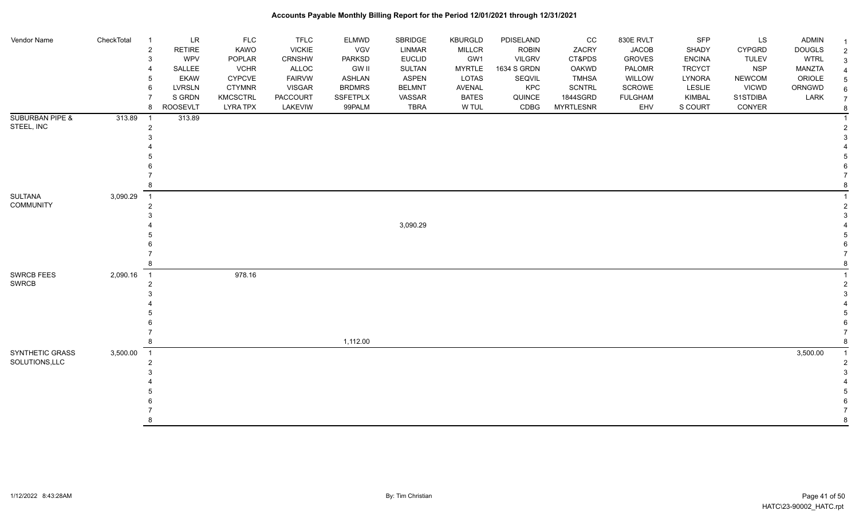| Vendor Name                | CheckTotal | $\overline{1}$ | LR              | <b>FLC</b>      | <b>TFLC</b>   | <b>ELMWD</b>    | SBRIDGE       | <b>KBURGLD</b> | PDISELAND    | cc               | 830E RVLT      | <b>SFP</b>    | <b>LS</b>     | <b>ADMIN</b>  |  |
|----------------------------|------------|----------------|-----------------|-----------------|---------------|-----------------|---------------|----------------|--------------|------------------|----------------|---------------|---------------|---------------|--|
|                            |            | $\overline{c}$ | RETIRE          | KAWO            | <b>VICKIE</b> | VGV             | LINMAR        | <b>MILLCR</b>  | <b>ROBIN</b> | ZACRY            | <b>JACOB</b>   | SHADY         | <b>CYPGRD</b> | <b>DOUGLS</b> |  |
|                            |            | 3              | <b>WPV</b>      | POPLAR          | CRNSHW        | PARKSD          | <b>EUCLID</b> | GW1            | VILGRV       | CT&PDS           | <b>GROVES</b>  | <b>ENCINA</b> | <b>TULEV</b>  | <b>WTRL</b>   |  |
|                            |            | $\overline{4}$ | SALLEE          | <b>VCHR</b>     | ALLOC         | <b>GW II</b>    | <b>SULTAN</b> | <b>MYRTLE</b>  | 1634 S GRDN  | <b>OAKWD</b>     | PALOMR         | <b>TRCYCT</b> | <b>NSP</b>    | MANZTA        |  |
|                            |            | 5              | <b>EKAW</b>     | <b>CYPCVE</b>   | <b>FAIRVW</b> | <b>ASHLAN</b>   | <b>ASPEN</b>  | LOTAS          | SEQVIL       | <b>TMHSA</b>     | WILLOW         | LYNORA        | <b>NEWCOM</b> | ORIOLE        |  |
|                            |            | 6              | <b>LVRSLN</b>   | <b>CTYMNR</b>   | <b>VISGAR</b> | <b>BRDMRS</b>   | <b>BELMNT</b> | <b>AVENAL</b>  | <b>KPC</b>   | <b>SCNTRL</b>    | <b>SCROWE</b>  | LESLIE        | <b>VICWD</b>  | ORNGWD        |  |
|                            |            | $\overline{7}$ | S GRDN          | <b>KMCSCTRL</b> | PACCOURT      | <b>SSFETPLX</b> | VASSAR        | <b>BATES</b>   | QUINCE       | 1844SGRD         | <b>FULGHAM</b> | KIMBAL        | S1STDIBA      | LARK          |  |
|                            |            | 8              | <b>ROOSEVLT</b> | <b>LYRA TPX</b> | LAKEVIW       | 99PALM          | <b>TBRA</b>   | W TUL          | CDBG         | <b>MYRTLESNR</b> | EHV            | S COURT       | CONYER        |               |  |
|                            |            |                |                 |                 |               |                 |               |                |              |                  |                |               |               |               |  |
| <b>SUBURBAN PIPE &amp;</b> | 313.89     | - 1            | 313.89          |                 |               |                 |               |                |              |                  |                |               |               |               |  |
| STEEL, INC                 |            | $\overline{2}$ |                 |                 |               |                 |               |                |              |                  |                |               |               |               |  |
|                            |            | 3              |                 |                 |               |                 |               |                |              |                  |                |               |               |               |  |
|                            |            |                |                 |                 |               |                 |               |                |              |                  |                |               |               |               |  |
|                            |            |                |                 |                 |               |                 |               |                |              |                  |                |               |               |               |  |
|                            |            |                |                 |                 |               |                 |               |                |              |                  |                |               |               |               |  |
|                            |            |                |                 |                 |               |                 |               |                |              |                  |                |               |               |               |  |
|                            |            | 8              |                 |                 |               |                 |               |                |              |                  |                |               |               |               |  |
| SULTANA                    | 3,090.29   | $\overline{1}$ |                 |                 |               |                 |               |                |              |                  |                |               |               |               |  |
| <b>COMMUNITY</b>           |            | $\overline{2}$ |                 |                 |               |                 |               |                |              |                  |                |               |               |               |  |
|                            |            | 3              |                 |                 |               |                 |               |                |              |                  |                |               |               |               |  |
|                            |            |                |                 |                 |               |                 | 3,090.29      |                |              |                  |                |               |               |               |  |
|                            |            |                |                 |                 |               |                 |               |                |              |                  |                |               |               |               |  |
|                            |            |                |                 |                 |               |                 |               |                |              |                  |                |               |               |               |  |
|                            |            |                |                 |                 |               |                 |               |                |              |                  |                |               |               |               |  |
|                            |            | 8              |                 |                 |               |                 |               |                |              |                  |                |               |               |               |  |
|                            |            |                |                 |                 |               |                 |               |                |              |                  |                |               |               |               |  |
| <b>SWRCB FEES</b>          | 2,090.16   | $\overline{1}$ |                 | 978.16          |               |                 |               |                |              |                  |                |               |               |               |  |
| <b>SWRCB</b>               |            | $\overline{2}$ |                 |                 |               |                 |               |                |              |                  |                |               |               |               |  |
|                            |            | 3              |                 |                 |               |                 |               |                |              |                  |                |               |               |               |  |
|                            |            |                |                 |                 |               |                 |               |                |              |                  |                |               |               |               |  |
|                            |            |                |                 |                 |               |                 |               |                |              |                  |                |               |               |               |  |
|                            |            |                |                 |                 |               |                 |               |                |              |                  |                |               |               |               |  |
|                            |            |                |                 |                 |               |                 |               |                |              |                  |                |               |               |               |  |
|                            |            |                |                 |                 |               | 1,112.00        |               |                |              |                  |                |               |               |               |  |
| SYNTHETIC GRASS            | 3,500.00   | $\overline{1}$ |                 |                 |               |                 |               |                |              |                  |                |               |               | 3,500.00      |  |
| SOLUTIONS, LLC             |            | $\overline{2}$ |                 |                 |               |                 |               |                |              |                  |                |               |               |               |  |
|                            |            | 3              |                 |                 |               |                 |               |                |              |                  |                |               |               |               |  |
|                            |            |                |                 |                 |               |                 |               |                |              |                  |                |               |               |               |  |
|                            |            |                |                 |                 |               |                 |               |                |              |                  |                |               |               |               |  |
|                            |            |                |                 |                 |               |                 |               |                |              |                  |                |               |               |               |  |
|                            |            |                |                 |                 |               |                 |               |                |              |                  |                |               |               |               |  |
|                            |            |                |                 |                 |               |                 |               |                |              |                  |                |               |               |               |  |
|                            |            |                |                 |                 |               |                 |               |                |              |                  |                |               |               |               |  |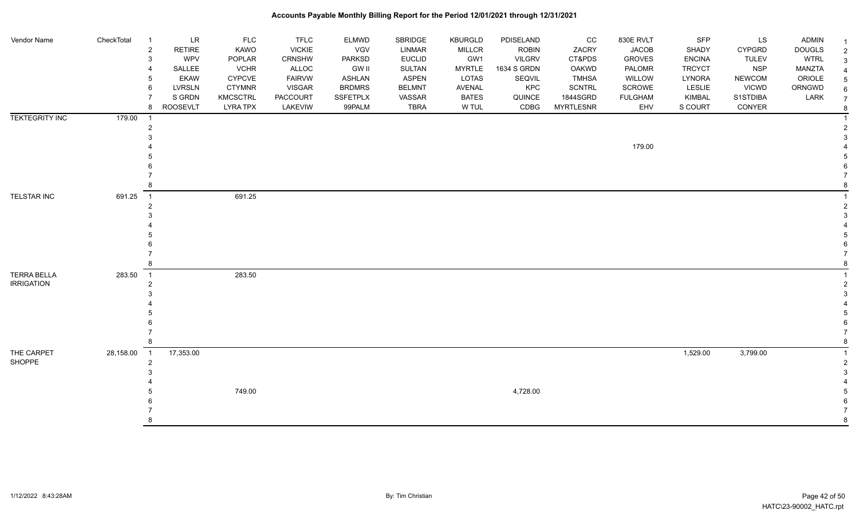| Vendor Name                             | CheckTotal | LR<br>-1<br>$\overline{2}$<br><b>RETIRE</b><br>WPV<br>3<br>SALLEE<br><b>EKAW</b><br>5<br><b>LVRSLN</b><br>6<br>S GRDN<br>8<br><b>ROOSEVLT</b> | <b>FLC</b><br>KAWO<br>POPLAR<br><b>VCHR</b><br><b>CYPCVE</b><br><b>CTYMNR</b><br><b>KMCSCTRL</b><br><b>LYRA TPX</b> | <b>TFLC</b><br><b>VICKIE</b><br>CRNSHW<br>ALLOC<br><b>FAIRVW</b><br><b>VISGAR</b><br>PACCOURT<br>LAKEVIW | ELMWD<br>VGV<br>PARKSD<br><b>GW II</b><br>ASHLAN<br><b>BRDMRS</b><br><b>SSFETPLX</b><br>99PALM | SBRIDGE<br><b>LINMAR</b><br><b>EUCLID</b><br><b>SULTAN</b><br><b>ASPEN</b><br><b>BELMNT</b><br>VASSAR<br><b>TBRA</b> | <b>KBURGLD</b><br><b>MILLCR</b><br>GW1<br><b>MYRTLE</b><br><b>LOTAS</b><br>AVENAL<br><b>BATES</b><br>W TUL | PDISELAND<br><b>ROBIN</b><br><b>VILGRV</b><br>1634 S GRDN<br>SEQVIL<br>KPC<br>QUINCE<br>CDBG | CC<br>ZACRY<br>CT&PDS<br>OAKWD<br><b>TMHSA</b><br>SCNTRL<br>1844SGRD<br><b>MYRTLESNR</b> | 830E RVLT<br><b>JACOB</b><br><b>GROVES</b><br>PALOMR<br>WILLOW<br>SCROWE<br><b>FULGHAM</b><br>EHV | SFP<br>SHADY<br><b>ENCINA</b><br><b>TRCYCT</b><br>LYNORA<br>LESLIE<br>KIMBAL<br>S COURT | LS<br><b>CYPGRD</b><br><b>TULEV</b><br><b>NSP</b><br><b>NEWCOM</b><br><b>VICWD</b><br>S1STDIBA<br>CONYER | <b>ADMIN</b><br><b>DOUGLS</b><br><b>WTRL</b><br><b>MANZTA</b><br>ORIOLE<br>ORNGWD<br>LARK | $\overline{2}$<br>3<br>6<br>$\overline{7}$<br>8 |
|-----------------------------------------|------------|-----------------------------------------------------------------------------------------------------------------------------------------------|---------------------------------------------------------------------------------------------------------------------|----------------------------------------------------------------------------------------------------------|------------------------------------------------------------------------------------------------|----------------------------------------------------------------------------------------------------------------------|------------------------------------------------------------------------------------------------------------|----------------------------------------------------------------------------------------------|------------------------------------------------------------------------------------------|---------------------------------------------------------------------------------------------------|-----------------------------------------------------------------------------------------|----------------------------------------------------------------------------------------------------------|-------------------------------------------------------------------------------------------|-------------------------------------------------|
| <b>TEKTEGRITY INC</b>                   | 179.00     | - 1<br>2                                                                                                                                      |                                                                                                                     |                                                                                                          |                                                                                                |                                                                                                                      |                                                                                                            |                                                                                              |                                                                                          | 179.00                                                                                            |                                                                                         |                                                                                                          |                                                                                           |                                                 |
| TELSTAR INC                             | 691.25     | $\overline{\phantom{1}}$<br>2<br>-8                                                                                                           | 691.25                                                                                                              |                                                                                                          |                                                                                                |                                                                                                                      |                                                                                                            |                                                                                              |                                                                                          |                                                                                                   |                                                                                         |                                                                                                          |                                                                                           |                                                 |
| <b>TERRA BELLA</b><br><b>IRRIGATION</b> | 283.50     | $\overline{\phantom{0}}$ 1<br>$\overline{2}$                                                                                                  | 283.50                                                                                                              |                                                                                                          |                                                                                                |                                                                                                                      |                                                                                                            |                                                                                              |                                                                                          |                                                                                                   |                                                                                         |                                                                                                          |                                                                                           |                                                 |
| THE CARPET<br>SHOPPE                    | 28,158.00  | 17,353.00<br>$\overline{1}$<br>$\overline{2}$<br>8                                                                                            | 749.00                                                                                                              |                                                                                                          |                                                                                                |                                                                                                                      |                                                                                                            | 4,728.00                                                                                     |                                                                                          |                                                                                                   | 1,529.00                                                                                | 3,799.00                                                                                                 |                                                                                           | R                                               |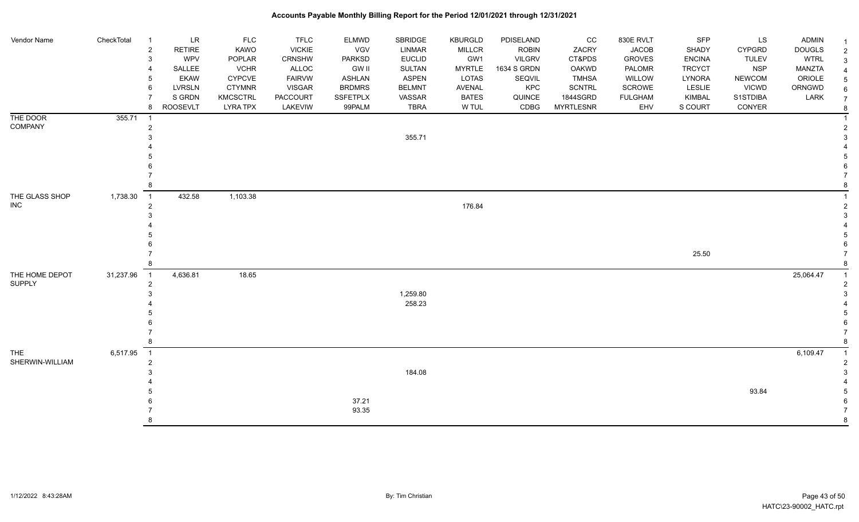| Vendor Name                  | CheckTotal | LR<br>$\overline{1}$<br><b>RETIRE</b><br>2<br><b>WPV</b><br>3<br>SALLEE<br><b>EKAW</b> | <b>FLC</b><br>KAWO<br>POPLAR<br><b>VCHR</b><br><b>CYPCVE</b> | <b>TFLC</b><br><b>VICKIE</b><br><b>CRNSHW</b><br>ALLOC<br><b>FAIRVW</b> | ELMWD<br><b>VGV</b><br><b>PARKSD</b><br><b>GW II</b><br><b>ASHLAN</b> | SBRIDGE<br><b>LINMAR</b><br><b>EUCLID</b><br><b>SULTAN</b><br><b>ASPEN</b> | <b>KBURGLD</b><br><b>MILLCR</b><br>GW1<br><b>MYRTLE</b><br>LOTAS | PDISELAND<br><b>ROBIN</b><br><b>VILGRV</b><br>1634 S GRDN<br>SEQVIL | CC<br>ZACRY<br>CT&PDS<br>OAKWD<br><b>TMHSA</b> | 830E RVLT<br><b>JACOB</b><br><b>GROVES</b><br>PALOMR<br>WILLOW | SFP<br>SHADY<br><b>ENCINA</b><br><b>TRCYCT</b><br>LYNORA | LS<br><b>CYPGRD</b><br><b>TULEV</b><br><b>NSP</b><br><b>NEWCOM</b> | ADMIN<br><b>DOUGLS</b><br><b>WTRL</b><br><b>MANZTA</b><br>ORIOLE |                     |
|------------------------------|------------|----------------------------------------------------------------------------------------|--------------------------------------------------------------|-------------------------------------------------------------------------|-----------------------------------------------------------------------|----------------------------------------------------------------------------|------------------------------------------------------------------|---------------------------------------------------------------------|------------------------------------------------|----------------------------------------------------------------|----------------------------------------------------------|--------------------------------------------------------------------|------------------------------------------------------------------|---------------------|
|                              |            | <b>LVRSLN</b><br>6<br>S GRDN                                                           | <b>CTYMNR</b><br><b>KMCSCTRL</b>                             | <b>VISGAR</b><br><b>PACCOURT</b>                                        | <b>BRDMRS</b><br><b>SSFETPLX</b>                                      | <b>BELMNT</b><br>VASSAR                                                    | AVENAL<br><b>BATES</b>                                           | KPC<br>QUINCE                                                       | SCNTRL<br>1844SGRD                             | SCROWE<br><b>FULGHAM</b>                                       | <b>LESLIE</b><br>KIMBAL                                  | <b>VICWD</b><br>S1STDIBA                                           | ORNGWD<br>LARK                                                   | 6<br>$\overline{7}$ |
|                              |            | <b>ROOSEVLT</b><br>8                                                                   | <b>LYRA TPX</b>                                              | LAKEVIW                                                                 | 99PALM                                                                | <b>TBRA</b>                                                                | W TUL                                                            | CDBG                                                                | <b>MYRTLESNR</b>                               | EHV                                                            | S COURT                                                  | CONYER                                                             |                                                                  |                     |
| THE DOOR                     | 355.71     | $\overline{1}$                                                                         |                                                              |                                                                         |                                                                       |                                                                            |                                                                  |                                                                     |                                                |                                                                |                                                          |                                                                    |                                                                  |                     |
| COMPANY                      |            | 2                                                                                      |                                                              |                                                                         |                                                                       |                                                                            |                                                                  |                                                                     |                                                |                                                                |                                                          |                                                                    |                                                                  |                     |
|                              |            |                                                                                        |                                                              |                                                                         |                                                                       | 355.71                                                                     |                                                                  |                                                                     |                                                |                                                                |                                                          |                                                                    |                                                                  |                     |
|                              |            |                                                                                        |                                                              |                                                                         |                                                                       |                                                                            |                                                                  |                                                                     |                                                |                                                                |                                                          |                                                                    |                                                                  |                     |
|                              |            |                                                                                        |                                                              |                                                                         |                                                                       |                                                                            |                                                                  |                                                                     |                                                |                                                                |                                                          |                                                                    |                                                                  |                     |
|                              |            |                                                                                        |                                                              |                                                                         |                                                                       |                                                                            |                                                                  |                                                                     |                                                |                                                                |                                                          |                                                                    |                                                                  |                     |
|                              |            |                                                                                        |                                                              |                                                                         |                                                                       |                                                                            |                                                                  |                                                                     |                                                |                                                                |                                                          |                                                                    |                                                                  |                     |
| THE GLASS SHOP<br><b>INC</b> | 1,738.30   | 432.58<br>$\overline{1}$<br>2                                                          | 1,103.38                                                     |                                                                         |                                                                       |                                                                            | 176.84                                                           |                                                                     |                                                |                                                                |                                                          |                                                                    |                                                                  |                     |
|                              |            |                                                                                        |                                                              |                                                                         |                                                                       |                                                                            |                                                                  |                                                                     |                                                |                                                                |                                                          |                                                                    |                                                                  |                     |
|                              |            |                                                                                        |                                                              |                                                                         |                                                                       |                                                                            |                                                                  |                                                                     |                                                |                                                                |                                                          |                                                                    |                                                                  |                     |
|                              |            |                                                                                        |                                                              |                                                                         |                                                                       |                                                                            |                                                                  |                                                                     |                                                |                                                                |                                                          |                                                                    |                                                                  |                     |
|                              |            |                                                                                        |                                                              |                                                                         |                                                                       |                                                                            |                                                                  |                                                                     |                                                |                                                                |                                                          |                                                                    |                                                                  |                     |
|                              |            |                                                                                        |                                                              |                                                                         |                                                                       |                                                                            |                                                                  |                                                                     |                                                |                                                                | 25.50                                                    |                                                                    |                                                                  |                     |
| THE HOME DEPOT               | 31,237.96  | 4,636.81<br>$\overline{1}$                                                             | 18.65                                                        |                                                                         |                                                                       |                                                                            |                                                                  |                                                                     |                                                |                                                                |                                                          |                                                                    | 25,064.47                                                        |                     |
| <b>SUPPLY</b>                |            | $\overline{2}$                                                                         |                                                              |                                                                         |                                                                       |                                                                            |                                                                  |                                                                     |                                                |                                                                |                                                          |                                                                    |                                                                  |                     |
|                              |            |                                                                                        |                                                              |                                                                         |                                                                       | 1,259.80                                                                   |                                                                  |                                                                     |                                                |                                                                |                                                          |                                                                    |                                                                  |                     |
|                              |            |                                                                                        |                                                              |                                                                         |                                                                       | 258.23                                                                     |                                                                  |                                                                     |                                                |                                                                |                                                          |                                                                    |                                                                  |                     |
|                              |            |                                                                                        |                                                              |                                                                         |                                                                       |                                                                            |                                                                  |                                                                     |                                                |                                                                |                                                          |                                                                    |                                                                  |                     |
|                              |            |                                                                                        |                                                              |                                                                         |                                                                       |                                                                            |                                                                  |                                                                     |                                                |                                                                |                                                          |                                                                    |                                                                  |                     |
|                              |            |                                                                                        |                                                              |                                                                         |                                                                       |                                                                            |                                                                  |                                                                     |                                                |                                                                |                                                          |                                                                    |                                                                  |                     |
| <b>THE</b>                   | 6,517.95   | $\overline{1}$                                                                         |                                                              |                                                                         |                                                                       |                                                                            |                                                                  |                                                                     |                                                |                                                                |                                                          |                                                                    | 6,109.47                                                         |                     |
| SHERWIN-WILLIAM              |            | $\overline{2}$                                                                         |                                                              |                                                                         |                                                                       |                                                                            |                                                                  |                                                                     |                                                |                                                                |                                                          |                                                                    |                                                                  |                     |
|                              |            |                                                                                        |                                                              |                                                                         |                                                                       | 184.08                                                                     |                                                                  |                                                                     |                                                |                                                                |                                                          |                                                                    |                                                                  |                     |
|                              |            |                                                                                        |                                                              |                                                                         |                                                                       |                                                                            |                                                                  |                                                                     |                                                |                                                                |                                                          | 93.84                                                              |                                                                  |                     |
|                              |            |                                                                                        |                                                              |                                                                         | 37.21                                                                 |                                                                            |                                                                  |                                                                     |                                                |                                                                |                                                          |                                                                    |                                                                  |                     |
|                              |            |                                                                                        |                                                              |                                                                         | 93.35                                                                 |                                                                            |                                                                  |                                                                     |                                                |                                                                |                                                          |                                                                    |                                                                  |                     |
|                              |            |                                                                                        |                                                              |                                                                         |                                                                       |                                                                            |                                                                  |                                                                     |                                                |                                                                |                                                          |                                                                    |                                                                  |                     |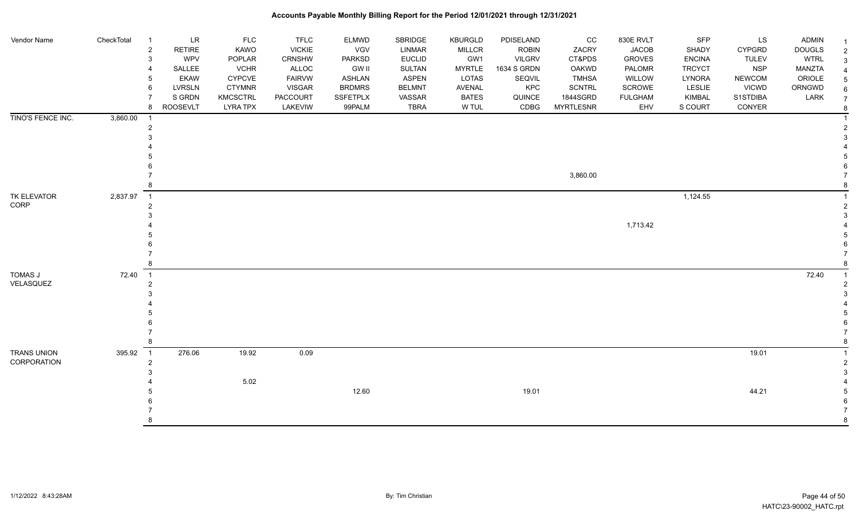| Vendor Name                       | CheckTotal | $\overline{1}$<br>$\overline{c}$<br>3<br>4<br>5<br>6<br>8 | $\ensuremath{\mathsf{LR}}\xspace$<br><b>RETIRE</b><br><b>WPV</b><br>SALLEE<br><b>EKAW</b><br><b>LVRSLN</b><br>S GRDN<br><b>ROOSEVLT</b> | <b>FLC</b><br>KAWO<br>POPLAR<br><b>VCHR</b><br><b>CYPCVE</b><br><b>CTYMNR</b><br><b>KMCSCTRL</b><br><b>LYRA TPX</b> | <b>TFLC</b><br><b>VICKIE</b><br>CRNSHW<br>ALLOC<br><b>FAIRVW</b><br><b>VISGAR</b><br><b>PACCOURT</b><br>LAKEVIW | ELMWD<br>VGV<br>PARKSD<br><b>GW II</b><br><b>ASHLAN</b><br><b>BRDMRS</b><br>SSFETPLX<br>99PALM | SBRIDGE<br>LINMAR<br><b>EUCLID</b><br><b>SULTAN</b><br><b>ASPEN</b><br><b>BELMNT</b><br>VASSAR<br><b>TBRA</b> | <b>KBURGLD</b><br><b>MILLCR</b><br>GW1<br><b>MYRTLE</b><br><b>LOTAS</b><br>AVENAL<br><b>BATES</b><br>W TUL | PDISELAND<br><b>ROBIN</b><br><b>VILGRV</b><br>1634 S GRDN<br>SEQVIL<br>KPC<br>QUINCE<br>CDBG | CC<br>ZACRY<br>CT&PDS<br>OAKWD<br><b>TMHSA</b><br>SCNTRL<br>1844SGRD<br><b>MYRTLESNR</b> | 830E RVLT<br><b>JACOB</b><br><b>GROVES</b><br>PALOMR<br>WILLOW<br><b>SCROWE</b><br><b>FULGHAM</b><br>EHV | SFP<br>SHADY<br><b>ENCINA</b><br><b>TRCYCT</b><br>LYNORA<br>LESLIE<br>KIMBAL<br>S COURT | LS<br><b>CYPGRD</b><br><b>TULEV</b><br><b>NSP</b><br><b>NEWCOM</b><br><b>VICWD</b><br>S1STDIBA<br>CONYER | <b>ADMIN</b><br><b>DOUGLS</b><br><b>WTRL</b><br><b>MANZTA</b><br>ORIOLE<br>ORNGWD<br>LARK | $\overline{2}$<br>6<br>$\overline{7}$<br>8 |
|-----------------------------------|------------|-----------------------------------------------------------|-----------------------------------------------------------------------------------------------------------------------------------------|---------------------------------------------------------------------------------------------------------------------|-----------------------------------------------------------------------------------------------------------------|------------------------------------------------------------------------------------------------|---------------------------------------------------------------------------------------------------------------|------------------------------------------------------------------------------------------------------------|----------------------------------------------------------------------------------------------|------------------------------------------------------------------------------------------|----------------------------------------------------------------------------------------------------------|-----------------------------------------------------------------------------------------|----------------------------------------------------------------------------------------------------------|-------------------------------------------------------------------------------------------|--------------------------------------------|
| TINO'S FENCE INC.                 | 3,860.00   | $\overline{1}$<br>2                                       |                                                                                                                                         |                                                                                                                     |                                                                                                                 |                                                                                                |                                                                                                               |                                                                                                            |                                                                                              | 3,860.00                                                                                 |                                                                                                          |                                                                                         |                                                                                                          |                                                                                           |                                            |
| TK ELEVATOR<br>CORP               | 2,837.97   | $\overline{1}$<br>2<br>8                                  |                                                                                                                                         |                                                                                                                     |                                                                                                                 |                                                                                                |                                                                                                               |                                                                                                            |                                                                                              |                                                                                          | 1,713.42                                                                                                 | 1,124.55                                                                                |                                                                                                          |                                                                                           |                                            |
| TOMAS J<br>VELASQUEZ              | 72.40      | $\overline{1}$<br>$\overline{2}$<br>$\mathcal{R}$<br>8    |                                                                                                                                         |                                                                                                                     |                                                                                                                 |                                                                                                |                                                                                                               |                                                                                                            |                                                                                              |                                                                                          |                                                                                                          |                                                                                         |                                                                                                          | 72.40                                                                                     |                                            |
| <b>TRANS UNION</b><br>CORPORATION | 395.92     | $\overline{\phantom{0}}$ 1<br>$\overline{c}$<br>3         | 276.06                                                                                                                                  | 19.92<br>5.02                                                                                                       | 0.09                                                                                                            | 12.60                                                                                          |                                                                                                               |                                                                                                            | 19.01                                                                                        |                                                                                          |                                                                                                          |                                                                                         | 19.01<br>44.21                                                                                           |                                                                                           |                                            |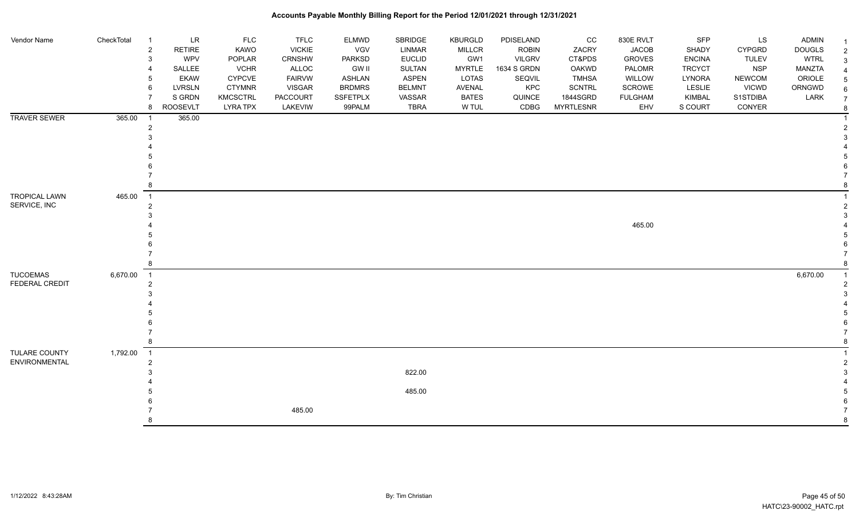| Vendor Name          | CheckTotal | $\overline{1}$             | LR              | <b>FLC</b>      | <b>TFLC</b>   | <b>ELMWD</b>    | SBRIDGE       | <b>KBURGLD</b> | PDISELAND     | CC               | 830E RVLT      | <b>SFP</b>    | LS            | <b>ADMIN</b>  |  |
|----------------------|------------|----------------------------|-----------------|-----------------|---------------|-----------------|---------------|----------------|---------------|------------------|----------------|---------------|---------------|---------------|--|
|                      |            | $\overline{2}$             | RETIRE          | <b>KAWO</b>     | <b>VICKIE</b> | <b>VGV</b>      | LINMAR        | <b>MILLCR</b>  | <b>ROBIN</b>  | ZACRY            | <b>JACOB</b>   | SHADY         | <b>CYPGRD</b> | <b>DOUGLS</b> |  |
|                      |            | 3                          | <b>WPV</b>      | POPLAR          | <b>CRNSHW</b> | <b>PARKSD</b>   | <b>EUCLID</b> | GW1            | <b>VILGRV</b> | CT&PDS           | <b>GROVES</b>  | <b>ENCINA</b> | <b>TULEV</b>  | <b>WTRL</b>   |  |
|                      |            |                            | SALLEE          | <b>VCHR</b>     | <b>ALLOC</b>  | GW II           | SULTAN        | <b>MYRTLE</b>  | 1634 S GRDN   | OAKWD            | PALOMR         | <b>TRCYCT</b> | <b>NSP</b>    | MANZTA        |  |
|                      |            | 5                          | <b>EKAW</b>     | <b>CYPCVE</b>   | <b>FAIRVW</b> | ASHLAN          | <b>ASPEN</b>  | LOTAS          | SEQVIL        | <b>TMHSA</b>     | WILLOW         | LYNORA        | <b>NEWCOM</b> | ORIOLE        |  |
|                      |            | 6                          | <b>LVRSLN</b>   | <b>CTYMNR</b>   | <b>VISGAR</b> | <b>BRDMRS</b>   | <b>BELMNT</b> | AVENAL         | <b>KPC</b>    | <b>SCNTRL</b>    | SCROWE         | LESLIE        | <b>VICWD</b>  | ORNGWD        |  |
|                      |            | $\overline{7}$             | S GRDN          | <b>KMCSCTRL</b> | PACCOURT      | <b>SSFETPLX</b> | VASSAR        | <b>BATES</b>   | QUINCE        | 1844SGRD         | <b>FULGHAM</b> | KIMBAL        | S1STDIBA      | LARK          |  |
|                      |            | 8                          | <b>ROOSEVLT</b> | <b>LYRA TPX</b> | LAKEVIW       | 99PALM          | <b>TBRA</b>   | W TUL          | CDBG          | <b>MYRTLESNR</b> | EHV            | S COURT       | CONYER        |               |  |
| <b>TRAVER SEWER</b>  | 365.00     | $\overline{\phantom{0}}$ 1 | 365.00          |                 |               |                 |               |                |               |                  |                |               |               |               |  |
|                      |            | $\overline{c}$             |                 |                 |               |                 |               |                |               |                  |                |               |               |               |  |
|                      |            | 3                          |                 |                 |               |                 |               |                |               |                  |                |               |               |               |  |
|                      |            |                            |                 |                 |               |                 |               |                |               |                  |                |               |               |               |  |
|                      |            |                            |                 |                 |               |                 |               |                |               |                  |                |               |               |               |  |
|                      |            |                            |                 |                 |               |                 |               |                |               |                  |                |               |               |               |  |
|                      |            |                            |                 |                 |               |                 |               |                |               |                  |                |               |               |               |  |
|                      |            | 8                          |                 |                 |               |                 |               |                |               |                  |                |               |               |               |  |
|                      |            |                            |                 |                 |               |                 |               |                |               |                  |                |               |               |               |  |
| <b>TROPICAL LAWN</b> | 465.00     | $\overline{1}$             |                 |                 |               |                 |               |                |               |                  |                |               |               |               |  |
| SERVICE, INC         |            | $\overline{2}$             |                 |                 |               |                 |               |                |               |                  |                |               |               |               |  |
|                      |            | 3                          |                 |                 |               |                 |               |                |               |                  |                |               |               |               |  |
|                      |            |                            |                 |                 |               |                 |               |                |               |                  | 465.00         |               |               |               |  |
|                      |            |                            |                 |                 |               |                 |               |                |               |                  |                |               |               |               |  |
|                      |            |                            |                 |                 |               |                 |               |                |               |                  |                |               |               |               |  |
|                      |            |                            |                 |                 |               |                 |               |                |               |                  |                |               |               |               |  |
|                      |            | 8                          |                 |                 |               |                 |               |                |               |                  |                |               |               |               |  |
| <b>TUCOEMAS</b>      | 6,670.00   | $\overline{\phantom{0}}$ 1 |                 |                 |               |                 |               |                |               |                  |                |               |               | 6,670.00      |  |
| FEDERAL CREDIT       |            | $\overline{2}$             |                 |                 |               |                 |               |                |               |                  |                |               |               |               |  |
|                      |            | 3                          |                 |                 |               |                 |               |                |               |                  |                |               |               |               |  |
|                      |            |                            |                 |                 |               |                 |               |                |               |                  |                |               |               |               |  |
|                      |            |                            |                 |                 |               |                 |               |                |               |                  |                |               |               |               |  |
|                      |            |                            |                 |                 |               |                 |               |                |               |                  |                |               |               |               |  |
|                      |            |                            |                 |                 |               |                 |               |                |               |                  |                |               |               |               |  |
|                      |            | 8                          |                 |                 |               |                 |               |                |               |                  |                |               |               |               |  |
| <b>TULARE COUNTY</b> | 1,792.00   | $\overline{\phantom{1}}$   |                 |                 |               |                 |               |                |               |                  |                |               |               |               |  |
| <b>ENVIRONMENTAL</b> |            | $\overline{2}$             |                 |                 |               |                 |               |                |               |                  |                |               |               |               |  |
|                      |            | 3                          |                 |                 |               |                 | 822.00        |                |               |                  |                |               |               |               |  |
|                      |            |                            |                 |                 |               |                 |               |                |               |                  |                |               |               |               |  |
|                      |            |                            |                 |                 |               |                 | 485.00        |                |               |                  |                |               |               |               |  |
|                      |            |                            |                 |                 |               |                 |               |                |               |                  |                |               |               |               |  |
|                      |            |                            |                 |                 | 485.00        |                 |               |                |               |                  |                |               |               |               |  |
|                      |            | 8                          |                 |                 |               |                 |               |                |               |                  |                |               |               |               |  |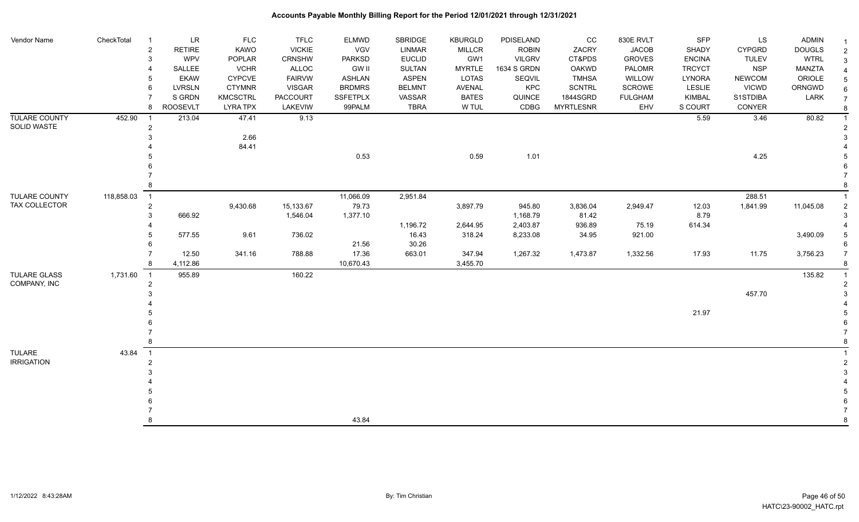| Vendor Name                  | CheckTotal | LR<br>-1                                             | <b>FLC</b>      | <b>TFLC</b>   | ELMWD           | SBRIDGE       | <b>KBURGLD</b> | PDISELAND     | $_{\rm CC}$      | 830E RVLT      | <b>SFP</b>    | LS            | <b>ADMIN</b>  |                |
|------------------------------|------------|------------------------------------------------------|-----------------|---------------|-----------------|---------------|----------------|---------------|------------------|----------------|---------------|---------------|---------------|----------------|
|                              |            | $\overline{2}$<br><b>RETIRE</b>                      | KAWO            | <b>VICKIE</b> | <b>VGV</b>      | <b>LINMAR</b> | <b>MILLCR</b>  | <b>ROBIN</b>  | ZACRY            | <b>JACOB</b>   | SHADY         | <b>CYPGRD</b> | <b>DOUGLS</b> | $\overline{2}$ |
|                              |            | WPV<br>3                                             | POPLAR          | <b>CRNSHW</b> | <b>PARKSD</b>   | <b>EUCLID</b> | GW1            | <b>VILGRV</b> | CT&PDS           | <b>GROVES</b>  | <b>ENCINA</b> | <b>TULEV</b>  | <b>WTRL</b>   | 3              |
|                              |            | SALLEE                                               | <b>VCHR</b>     | ALLOC         | <b>GW II</b>    | SULTAN        | <b>MYRTLE</b>  | 1634 S GRDN   | OAKWD            | PALOMR         | <b>TRCYCT</b> | <b>NSP</b>    | <b>MANZTA</b> |                |
|                              |            | <b>EKAW</b><br>5                                     | CYPCVE          | <b>FAIRVW</b> | <b>ASHLAN</b>   | <b>ASPEN</b>  | <b>LOTAS</b>   | SEQVIL        | <b>TMHSA</b>     | WILLOW         | LYNORA        | <b>NEWCOM</b> | ORIOLE        |                |
|                              |            | 6<br><b>LVRSLN</b>                                   | <b>CTYMNR</b>   | VISGAR        | <b>BRDMRS</b>   | <b>BELMNT</b> | <b>AVENAL</b>  | KPC           | <b>SCNTRL</b>    | <b>SCROWE</b>  | <b>LESLIE</b> | <b>VICWD</b>  | ORNGWD        |                |
|                              |            | S GRDN                                               | <b>KMCSCTRL</b> | PACCOURT      | <b>SSFETPLX</b> | VASSAR        | <b>BATES</b>   | QUINCE        | 1844SGRD         | <b>FULGHAM</b> | KIMBAL        | S1STDIBA      | LARK          | $\overline{7}$ |
|                              |            | <b>ROOSEVLT</b><br>8                                 | <b>LYRA TPX</b> | LAKEVIW       | 99PALM          | <b>TBRA</b>   | W TUL          | CDBG          | <b>MYRTLESNR</b> | EHV            | S COURT       | CONYER        |               | 8              |
| TULARE COUNTY<br>SOLID WASTE | 452.90     | 213.04<br>$\overline{\phantom{0}}$<br>$\overline{c}$ | 47.41           | 9.13          |                 |               |                |               |                  |                | 5.59          | 3.46          | 80.82         |                |
|                              |            | 3                                                    | 2.66            |               |                 |               |                |               |                  |                |               |               |               |                |
|                              |            |                                                      | 84.41           |               |                 |               |                |               |                  |                |               |               |               |                |
|                              |            |                                                      |                 |               | 0.53            |               | 0.59           | 1.01          |                  |                |               | 4.25          |               |                |
|                              |            |                                                      |                 |               |                 |               |                |               |                  |                |               |               |               |                |
|                              |            |                                                      |                 |               |                 |               |                |               |                  |                |               |               |               |                |
|                              |            | 8                                                    |                 |               |                 |               |                |               |                  |                |               |               |               |                |
| TULARE COUNTY                | 118,858.03 | $\overline{1}$                                       |                 |               | 11,066.09       | 2,951.84      |                |               |                  |                |               | 288.51        |               |                |
| TAX COLLECTOR                |            | $\overline{c}$                                       | 9,430.68        | 15,133.67     | 79.73           |               | 3,897.79       | 945.80        | 3,836.04         | 2,949.47       | 12.03         | 1,841.99      | 11,045.08     |                |
|                              |            | 666.92<br>3                                          |                 | 1,546.04      | 1,377.10        |               |                | 1,168.79      | 81.42            |                | 8.79          |               |               |                |
|                              |            |                                                      |                 |               |                 | 1,196.72      | 2,644.95       | 2,403.87      | 936.89           | 75.19          | 614.34        |               |               |                |
|                              |            | 577.55                                               | 9.61            | 736.02        |                 | 16.43         | 318.24         | 8,233.08      | 34.95            | 921.00         |               |               | 3,490.09      |                |
|                              |            |                                                      |                 |               | 21.56           | 30.26         |                |               |                  |                |               |               |               |                |
|                              |            | 12.50                                                | 341.16          | 788.88        | 17.36           | 663.01        | 347.94         | 1,267.32      | 1,473.87         | 1,332.56       | 17.93         | 11.75         | 3,756.23      |                |
|                              |            | 4,112.86<br>8                                        |                 |               | 10,670.43       |               | 3,455.70       |               |                  |                |               |               |               |                |
| TULARE GLASS<br>COMPANY, INC | 1,731.60   | 955.89<br>$\overline{1}$<br>$\overline{2}$           |                 | 160.22        |                 |               |                |               |                  |                |               |               | 135.82        |                |
|                              |            |                                                      |                 |               |                 |               |                |               |                  |                |               | 457.70        |               |                |
|                              |            |                                                      |                 |               |                 |               |                |               |                  |                |               |               |               |                |
|                              |            |                                                      |                 |               |                 |               |                |               |                  |                | 21.97         |               |               |                |
|                              |            |                                                      |                 |               |                 |               |                |               |                  |                |               |               |               |                |
|                              |            |                                                      |                 |               |                 |               |                |               |                  |                |               |               |               |                |
|                              |            | 8                                                    |                 |               |                 |               |                |               |                  |                |               |               |               |                |
| <b>TULARE</b>                | 43.84      | $\overline{1}$                                       |                 |               |                 |               |                |               |                  |                |               |               |               |                |
| <b>IRRIGATION</b>            |            | $\overline{2}$                                       |                 |               |                 |               |                |               |                  |                |               |               |               |                |
|                              |            |                                                      |                 |               |                 |               |                |               |                  |                |               |               |               |                |
|                              |            |                                                      |                 |               |                 |               |                |               |                  |                |               |               |               |                |
|                              |            |                                                      |                 |               |                 |               |                |               |                  |                |               |               |               |                |
|                              |            |                                                      |                 |               |                 |               |                |               |                  |                |               |               |               |                |
|                              |            |                                                      |                 |               |                 |               |                |               |                  |                |               |               |               |                |
|                              |            | 8                                                    |                 |               | 43.84           |               |                |               |                  |                |               |               |               | 8              |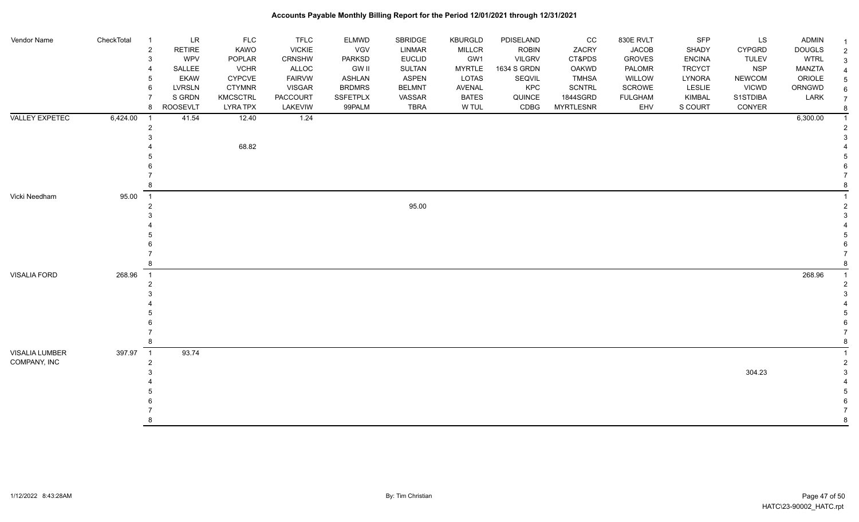| Vendor Name           | CheckTotal | $\overline{1}$ | <b>LR</b>       | <b>FLC</b>      | <b>TFLC</b>   | ELMWD         | SBRIDGE       | <b>KBURGLD</b> | PDISELAND     | cc               | 830E RVLT      | <b>SFP</b>    | LS            | <b>ADMIN</b>  |  |
|-----------------------|------------|----------------|-----------------|-----------------|---------------|---------------|---------------|----------------|---------------|------------------|----------------|---------------|---------------|---------------|--|
|                       |            | $\sqrt{2}$     | <b>RETIRE</b>   | KAWO            | <b>VICKIE</b> | <b>VGV</b>    | LINMAR        | <b>MILLCR</b>  | ROBIN         | ZACRY            | <b>JACOB</b>   | SHADY         | <b>CYPGRD</b> | <b>DOUGLS</b> |  |
|                       |            | $\mathbf{3}$   | WPV             | POPLAR          | CRNSHW        | PARKSD        | <b>EUCLID</b> | GW1            | <b>VILGRV</b> | CT&PDS           | <b>GROVES</b>  | <b>ENCINA</b> | <b>TULEV</b>  | <b>WTRL</b>   |  |
|                       |            | $\overline{4}$ | SALLEE          | <b>VCHR</b>     | ALLOC         | <b>GW II</b>  | <b>SULTAN</b> | <b>MYRTLE</b>  | 1634 S GRDN   | OAKWD            | PALOMR         | <b>TRCYCT</b> | <b>NSP</b>    | MANZTA        |  |
|                       |            | 5              | <b>EKAW</b>     | <b>CYPCVE</b>   | <b>FAIRVW</b> | ASHLAN        | ASPEN         | LOTAS          | SEQVIL        | <b>TMHSA</b>     | WILLOW         | LYNORA        | <b>NEWCOM</b> | ORIOLE        |  |
|                       |            | 6              | LVRSLN          | <b>CTYMNR</b>   | <b>VISGAR</b> | <b>BRDMRS</b> | <b>BELMNT</b> | AVENAL         | KPC           | <b>SCNTRL</b>    | SCROWE         | <b>LESLIE</b> | <b>VICWD</b>  | ORNGWD        |  |
|                       |            | $\overline{7}$ | S GRDN          | <b>KMCSCTRL</b> | PACCOURT      | SSFETPLX      | VASSAR        | <b>BATES</b>   | QUINCE        | 1844SGRD         | <b>FULGHAM</b> | KIMBAL        | S1STDIBA      | LARK          |  |
|                       |            | 8              | <b>ROOSEVLT</b> | <b>LYRA TPX</b> | LAKEVIW       | 99PALM        | <b>TBRA</b>   | W TUL          | CDBG          | <b>MYRTLESNR</b> | EHV            | S COURT       | CONYER        |               |  |
| <b>VALLEY EXPETEC</b> | 6,424.00   | -1             | 41.54           | 12.40           | 1.24          |               |               |                |               |                  |                |               |               | 6,300.00      |  |
|                       |            | $\sqrt{2}$     |                 |                 |               |               |               |                |               |                  |                |               |               |               |  |
|                       |            | 3              |                 |                 |               |               |               |                |               |                  |                |               |               |               |  |
|                       |            |                |                 | 68.82           |               |               |               |                |               |                  |                |               |               |               |  |
|                       |            |                |                 |                 |               |               |               |                |               |                  |                |               |               |               |  |
|                       |            |                |                 |                 |               |               |               |                |               |                  |                |               |               |               |  |
|                       |            |                |                 |                 |               |               |               |                |               |                  |                |               |               |               |  |
|                       |            | 8              |                 |                 |               |               |               |                |               |                  |                |               |               |               |  |
| Vicki Needham         | 95.00      | $\overline{1}$ |                 |                 |               |               |               |                |               |                  |                |               |               |               |  |
|                       |            | $\overline{c}$ |                 |                 |               |               | 95.00         |                |               |                  |                |               |               |               |  |
|                       |            | 3              |                 |                 |               |               |               |                |               |                  |                |               |               |               |  |
|                       |            |                |                 |                 |               |               |               |                |               |                  |                |               |               |               |  |
|                       |            |                |                 |                 |               |               |               |                |               |                  |                |               |               |               |  |
|                       |            |                |                 |                 |               |               |               |                |               |                  |                |               |               |               |  |
|                       |            | $\overline{7}$ |                 |                 |               |               |               |                |               |                  |                |               |               |               |  |
|                       |            | 8              |                 |                 |               |               |               |                |               |                  |                |               |               |               |  |
| <b>VISALIA FORD</b>   | 268.96     | $\overline{1}$ |                 |                 |               |               |               |                |               |                  |                |               |               | 268.96        |  |
|                       |            | $\overline{2}$ |                 |                 |               |               |               |                |               |                  |                |               |               |               |  |
|                       |            | 3              |                 |                 |               |               |               |                |               |                  |                |               |               |               |  |
|                       |            |                |                 |                 |               |               |               |                |               |                  |                |               |               |               |  |
|                       |            |                |                 |                 |               |               |               |                |               |                  |                |               |               |               |  |
|                       |            |                |                 |                 |               |               |               |                |               |                  |                |               |               |               |  |
|                       |            | $\overline{7}$ |                 |                 |               |               |               |                |               |                  |                |               |               |               |  |
|                       |            | 8              |                 |                 |               |               |               |                |               |                  |                |               |               |               |  |
| VISALIA LUMBER        | 397.97     | $\overline{1}$ | 93.74           |                 |               |               |               |                |               |                  |                |               |               |               |  |
| COMPANY, INC          |            | $\sqrt{2}$     |                 |                 |               |               |               |                |               |                  |                |               |               |               |  |
|                       |            | 3              |                 |                 |               |               |               |                |               |                  |                |               | 304.23        |               |  |
|                       |            |                |                 |                 |               |               |               |                |               |                  |                |               |               |               |  |
|                       |            |                |                 |                 |               |               |               |                |               |                  |                |               |               |               |  |
|                       |            |                |                 |                 |               |               |               |                |               |                  |                |               |               |               |  |
|                       |            |                |                 |                 |               |               |               |                |               |                  |                |               |               |               |  |
|                       |            | Я.             |                 |                 |               |               |               |                |               |                  |                |               |               |               |  |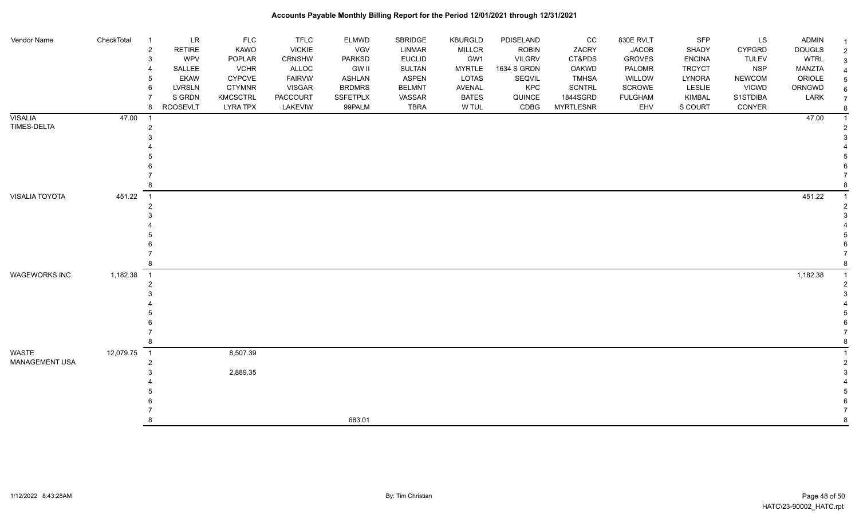| Vendor Name           | CheckTotal | LR<br>$\overline{2}$<br><b>RETIRE</b> | <b>FLC</b><br>KAWO | <b>TFLC</b><br><b>VICKIE</b> | ELMWD<br><b>VGV</b> | SBRIDGE<br><b>LINMAR</b> | <b>KBURGLD</b><br><b>MILLCR</b> | PDISELAND<br><b>ROBIN</b> | CC<br>ZACRY      | 830E RVLT<br><b>JACOB</b> | <b>SFP</b><br>SHADY | LS<br><b>CYPGRD</b> | ADMIN<br><b>DOUGLS</b> |  |
|-----------------------|------------|---------------------------------------|--------------------|------------------------------|---------------------|--------------------------|---------------------------------|---------------------------|------------------|---------------------------|---------------------|---------------------|------------------------|--|
|                       |            | WPV<br>3                              | POPLAR             | CRNSHW                       | PARKSD              | <b>EUCLID</b>            | GW1                             | <b>VILGRV</b>             | CT&PDS           | <b>GROVES</b>             | <b>ENCINA</b>       | <b>TULEV</b>        | <b>WTRL</b>            |  |
|                       |            | SALLEE                                | <b>VCHR</b>        | ALLOC                        | <b>GW II</b>        | SULTAN                   | <b>MYRTLE</b>                   | 1634 S GRDN               | OAKWD            | PALOMR                    | <b>TRCYCT</b>       | <b>NSP</b>          | MANZTA                 |  |
|                       |            | <b>EKAW</b><br>5                      | <b>CYPCVE</b>      | <b>FAIRVW</b>                | ASHLAN              | <b>ASPEN</b>             | LOTAS                           | SEQVIL                    | <b>TMHSA</b>     | WILLOW                    | LYNORA              | <b>NEWCOM</b>       | ORIOLE                 |  |
|                       |            | <b>LVRSLN</b><br>6                    | <b>CTYMNR</b>      | <b>VISGAR</b>                | <b>BRDMRS</b>       | <b>BELMNT</b>            | <b>AVENAL</b>                   | KPC                       | <b>SCNTRL</b>    | SCROWE                    | LESLIE              | <b>VICWD</b>        | ORNGWD                 |  |
|                       |            | S GRDN                                | KMCSCTRL           | <b>PACCOURT</b>              | <b>SSFETPLX</b>     | VASSAR                   | <b>BATES</b>                    | QUINCE                    | 1844SGRD         | <b>FULGHAM</b>            | KIMBAL              | S1STDIBA            | LARK                   |  |
|                       |            | <b>ROOSEVLT</b><br>8                  | <b>LYRA TPX</b>    | LAKEVIW                      | 99PALM              | <b>TBRA</b>              | W TUL                           | CDBG                      | <b>MYRTLESNR</b> | EHV                       | S COURT             | CONYER              |                        |  |
| <b>VISALIA</b>        | 47.00      |                                       |                    |                              |                     |                          |                                 |                           |                  |                           |                     |                     | 47.00                  |  |
| TIMES-DELTA           |            |                                       |                    |                              |                     |                          |                                 |                           |                  |                           |                     |                     |                        |  |
|                       |            |                                       |                    |                              |                     |                          |                                 |                           |                  |                           |                     |                     |                        |  |
|                       |            |                                       |                    |                              |                     |                          |                                 |                           |                  |                           |                     |                     |                        |  |
|                       |            |                                       |                    |                              |                     |                          |                                 |                           |                  |                           |                     |                     |                        |  |
|                       |            |                                       |                    |                              |                     |                          |                                 |                           |                  |                           |                     |                     |                        |  |
|                       |            |                                       |                    |                              |                     |                          |                                 |                           |                  |                           |                     |                     |                        |  |
|                       |            |                                       |                    |                              |                     |                          |                                 |                           |                  |                           |                     |                     |                        |  |
| <b>VISALIA TOYOTA</b> | 451.22     | $\overline{1}$                        |                    |                              |                     |                          |                                 |                           |                  |                           |                     |                     | 451.22                 |  |
|                       |            |                                       |                    |                              |                     |                          |                                 |                           |                  |                           |                     |                     |                        |  |
|                       |            |                                       |                    |                              |                     |                          |                                 |                           |                  |                           |                     |                     |                        |  |
|                       |            |                                       |                    |                              |                     |                          |                                 |                           |                  |                           |                     |                     |                        |  |
|                       |            |                                       |                    |                              |                     |                          |                                 |                           |                  |                           |                     |                     |                        |  |
|                       |            |                                       |                    |                              |                     |                          |                                 |                           |                  |                           |                     |                     |                        |  |
|                       |            |                                       |                    |                              |                     |                          |                                 |                           |                  |                           |                     |                     |                        |  |
| <b>WAGEWORKS INC</b>  | 1,182.38   | $\overline{1}$                        |                    |                              |                     |                          |                                 |                           |                  |                           |                     |                     | 1,182.38               |  |
|                       |            |                                       |                    |                              |                     |                          |                                 |                           |                  |                           |                     |                     |                        |  |
|                       |            |                                       |                    |                              |                     |                          |                                 |                           |                  |                           |                     |                     |                        |  |
|                       |            |                                       |                    |                              |                     |                          |                                 |                           |                  |                           |                     |                     |                        |  |
|                       |            |                                       |                    |                              |                     |                          |                                 |                           |                  |                           |                     |                     |                        |  |
|                       |            |                                       |                    |                              |                     |                          |                                 |                           |                  |                           |                     |                     |                        |  |
|                       |            |                                       |                    |                              |                     |                          |                                 |                           |                  |                           |                     |                     |                        |  |
|                       |            |                                       |                    |                              |                     |                          |                                 |                           |                  |                           |                     |                     |                        |  |
| WASTE                 | 12,079.75  | $\overline{1}$                        | 8,507.39           |                              |                     |                          |                                 |                           |                  |                           |                     |                     |                        |  |
| <b>MANAGEMENT USA</b> |            | 2                                     |                    |                              |                     |                          |                                 |                           |                  |                           |                     |                     |                        |  |
|                       |            |                                       | 2,889.35           |                              |                     |                          |                                 |                           |                  |                           |                     |                     |                        |  |
|                       |            |                                       |                    |                              |                     |                          |                                 |                           |                  |                           |                     |                     |                        |  |
|                       |            |                                       |                    |                              |                     |                          |                                 |                           |                  |                           |                     |                     |                        |  |
|                       |            |                                       |                    |                              |                     |                          |                                 |                           |                  |                           |                     |                     |                        |  |
|                       |            |                                       |                    |                              |                     |                          |                                 |                           |                  |                           |                     |                     |                        |  |
|                       |            |                                       |                    |                              | 683.01              |                          |                                 |                           |                  |                           |                     |                     |                        |  |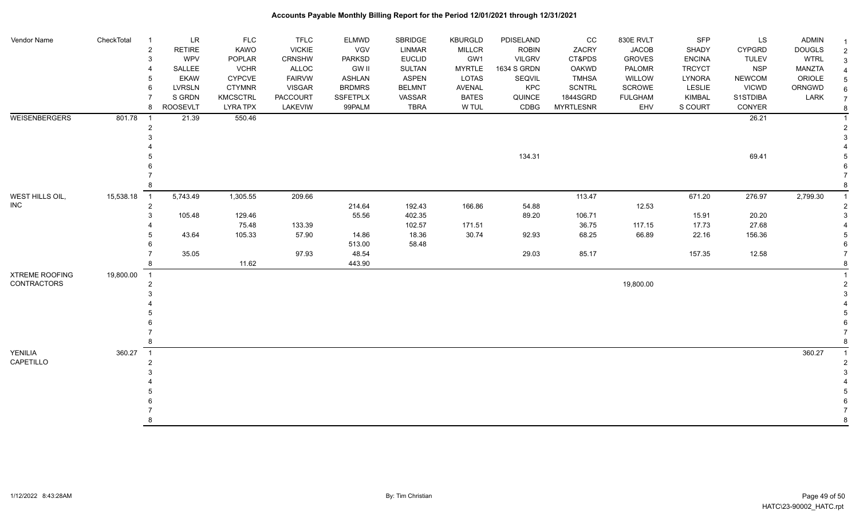| Vendor Name                                 | CheckTotal | <b>LR</b><br>$\overline{1}$<br>$\overline{c}$<br><b>RETIRE</b><br>$\mathbf{3}$<br>WPV<br>SALLEE<br>$\overline{4}$<br><b>EKAW</b><br>5<br><b>LVRSLN</b><br>6<br>S GRDN<br>$\overline{7}$ | <b>FLC</b><br>KAWO<br>POPLAR<br><b>VCHR</b><br><b>CYPCVE</b><br><b>CTYMNR</b><br><b>KMCSCTRL</b> | <b>TFLC</b><br><b>VICKIE</b><br>CRNSHW<br>ALLOC<br><b>FAIRVW</b><br><b>VISGAR</b><br><b>PACCOURT</b> | <b>ELMWD</b><br>VGV<br><b>PARKSD</b><br><b>GW II</b><br>ASHLAN<br><b>BRDMRS</b><br><b>SSFETPLX</b> | <b>SBRIDGE</b><br>LINMAR<br><b>EUCLID</b><br><b>SULTAN</b><br><b>ASPEN</b><br><b>BELMNT</b><br>VASSAR | <b>KBURGLD</b><br><b>MILLCR</b><br>GW1<br><b>MYRTLE</b><br>LOTAS<br>AVENAL<br><b>BATES</b> | PDISELAND<br><b>ROBIN</b><br><b>VILGRV</b><br>1634 S GRDN<br>SEQVIL<br>KPC<br>QUINCE | cc<br>ZACRY<br>CT&PDS<br><b>OAKWD</b><br><b>TMHSA</b><br><b>SCNTRL</b><br>1844SGRD | 830E RVLT<br><b>JACOB</b><br><b>GROVES</b><br>PALOMR<br>WILLOW<br>SCROWE<br><b>FULGHAM</b> | SFP<br>SHADY<br><b>ENCINA</b><br><b>TRCYCT</b><br>LYNORA<br>LESLIE<br><b>KIMBAL</b> | LS<br><b>CYPGRD</b><br><b>TULEV</b><br><b>NSP</b><br><b>NEWCOM</b><br><b>VICWD</b><br>S1STDIBA | <b>ADMIN</b><br><b>DOUGLS</b><br><b>WTRL</b><br>MANZTA<br>ORIOLE<br>ORNGWD<br>LARK | $\overline{2}$<br>$\overline{7}$ |
|---------------------------------------------|------------|-----------------------------------------------------------------------------------------------------------------------------------------------------------------------------------------|--------------------------------------------------------------------------------------------------|------------------------------------------------------------------------------------------------------|----------------------------------------------------------------------------------------------------|-------------------------------------------------------------------------------------------------------|--------------------------------------------------------------------------------------------|--------------------------------------------------------------------------------------|------------------------------------------------------------------------------------|--------------------------------------------------------------------------------------------|-------------------------------------------------------------------------------------|------------------------------------------------------------------------------------------------|------------------------------------------------------------------------------------|----------------------------------|
|                                             |            | <b>ROOSEVLT</b><br>8                                                                                                                                                                    | <b>LYRA TPX</b>                                                                                  | LAKEVIW                                                                                              | 99PALM                                                                                             | TBRA                                                                                                  | W TUL                                                                                      | CDBG                                                                                 | <b>MYRTLESNR</b>                                                                   | EHV                                                                                        | S COURT                                                                             | CONYER                                                                                         |                                                                                    | 8                                |
| <b>WEISENBERGERS</b>                        | 801.78     | 21.39<br>$\overline{1}$<br>$\overline{c}$<br>3                                                                                                                                          | 550.46                                                                                           |                                                                                                      |                                                                                                    |                                                                                                       |                                                                                            | 134.31                                                                               |                                                                                    |                                                                                            |                                                                                     | 26.21<br>69.41                                                                                 |                                                                                    |                                  |
|                                             |            |                                                                                                                                                                                         |                                                                                                  |                                                                                                      |                                                                                                    |                                                                                                       |                                                                                            |                                                                                      |                                                                                    |                                                                                            |                                                                                     |                                                                                                |                                                                                    |                                  |
|                                             |            | 8                                                                                                                                                                                       |                                                                                                  |                                                                                                      |                                                                                                    |                                                                                                       |                                                                                            |                                                                                      |                                                                                    |                                                                                            |                                                                                     |                                                                                                |                                                                                    |                                  |
| WEST HILLS OIL,<br><b>INC</b>               | 15,538.18  | 5,743.49<br>$\overline{1}$<br>$\overline{2}$                                                                                                                                            | 1,305.55                                                                                         | 209.66                                                                                               | 214.64                                                                                             | 192.43                                                                                                | 166.86                                                                                     | 54.88                                                                                | 113.47                                                                             | 12.53                                                                                      | 671.20                                                                              | 276.97                                                                                         | 2,799.30                                                                           |                                  |
|                                             |            | 3<br>105.48                                                                                                                                                                             | 129.46                                                                                           |                                                                                                      | 55.56                                                                                              | 402.35                                                                                                |                                                                                            | 89.20                                                                                | 106.71                                                                             |                                                                                            | 15.91                                                                               | 20.20                                                                                          |                                                                                    |                                  |
|                                             |            |                                                                                                                                                                                         | 75.48                                                                                            | 133.39                                                                                               |                                                                                                    | 102.57                                                                                                | 171.51                                                                                     |                                                                                      | 36.75                                                                              | 117.15                                                                                     | 17.73                                                                               | 27.68                                                                                          |                                                                                    |                                  |
|                                             |            | 43.64                                                                                                                                                                                   | 105.33                                                                                           | 57.90                                                                                                | 14.86<br>513.00                                                                                    | 18.36<br>58.48                                                                                        | 30.74                                                                                      | 92.93                                                                                | 68.25                                                                              | 66.89                                                                                      | 22.16                                                                               | 156.36                                                                                         |                                                                                    |                                  |
|                                             |            | 35.05<br>8                                                                                                                                                                              | 11.62                                                                                            | 97.93                                                                                                | 48.54<br>443.90                                                                                    |                                                                                                       |                                                                                            | 29.03                                                                                | 85.17                                                                              |                                                                                            | 157.35                                                                              | 12.58                                                                                          |                                                                                    |                                  |
| <b>XTREME ROOFING</b><br><b>CONTRACTORS</b> | 19,800.00  | $\overline{1}$<br>$\overline{2}$<br>3<br>8                                                                                                                                              |                                                                                                  |                                                                                                      |                                                                                                    |                                                                                                       |                                                                                            |                                                                                      |                                                                                    | 19,800.00                                                                                  |                                                                                     |                                                                                                |                                                                                    |                                  |
|                                             | 360.27     | $\overline{1}$                                                                                                                                                                          |                                                                                                  |                                                                                                      |                                                                                                    |                                                                                                       |                                                                                            |                                                                                      |                                                                                    |                                                                                            |                                                                                     |                                                                                                |                                                                                    |                                  |
| YENILIA<br>CAPETILLO                        |            | $\overline{2}$<br>3                                                                                                                                                                     |                                                                                                  |                                                                                                      |                                                                                                    |                                                                                                       |                                                                                            |                                                                                      |                                                                                    |                                                                                            |                                                                                     |                                                                                                | 360.27                                                                             |                                  |
|                                             |            |                                                                                                                                                                                         |                                                                                                  |                                                                                                      |                                                                                                    |                                                                                                       |                                                                                            |                                                                                      |                                                                                    |                                                                                            |                                                                                     |                                                                                                |                                                                                    |                                  |
|                                             |            |                                                                                                                                                                                         |                                                                                                  |                                                                                                      |                                                                                                    |                                                                                                       |                                                                                            |                                                                                      |                                                                                    |                                                                                            |                                                                                     |                                                                                                |                                                                                    |                                  |
|                                             |            | 8                                                                                                                                                                                       |                                                                                                  |                                                                                                      |                                                                                                    |                                                                                                       |                                                                                            |                                                                                      |                                                                                    |                                                                                            |                                                                                     |                                                                                                |                                                                                    |                                  |